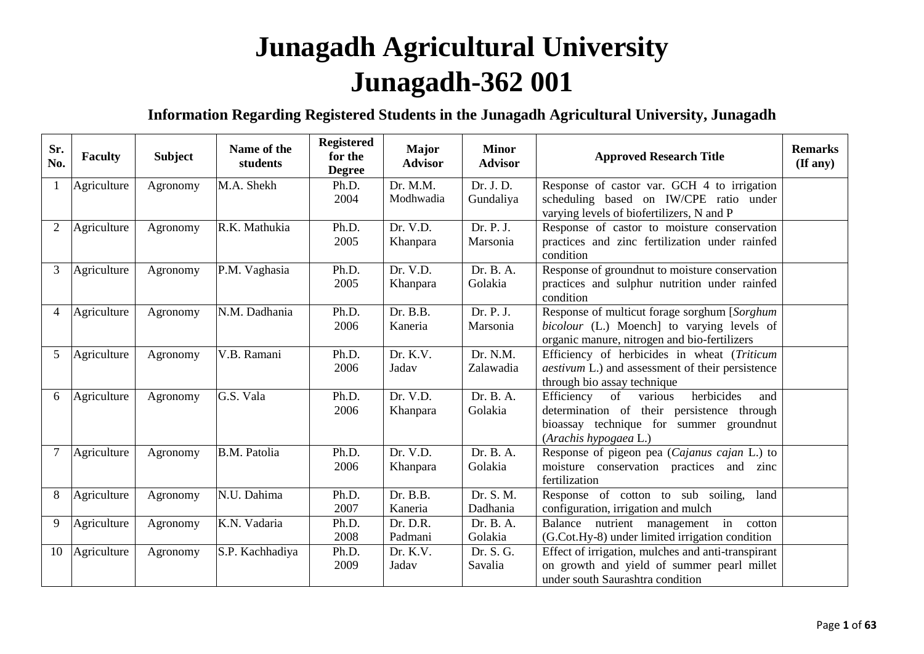## **Junagadh Agricultural University Junagadh-362 001**

## **Information Regarding Registered Students in the Junagadh Agricultural University, Junagadh**

| Sr.<br>No.     | <b>Faculty</b> | <b>Subject</b> | Name of the<br>students | <b>Registered</b><br>for the<br><b>Degree</b> | <b>Major</b><br><b>Advisor</b> | <b>Minor</b><br><b>Advisor</b> | <b>Approved Research Title</b>                                                                                                                                     | <b>Remarks</b><br>$(\mathbf{If any})$ |
|----------------|----------------|----------------|-------------------------|-----------------------------------------------|--------------------------------|--------------------------------|--------------------------------------------------------------------------------------------------------------------------------------------------------------------|---------------------------------------|
| $\mathbf{1}$   | Agriculture    | Agronomy       | M.A. Shekh              | Ph.D.<br>2004                                 | Dr. M.M.<br>Modhwadia          | Dr. J. D.<br>Gundaliya         | Response of castor var. GCH 4 to irrigation<br>scheduling based on IW/CPE ratio under<br>varying levels of biofertilizers, N and P                                 |                                       |
| 2              | Agriculture    | Agronomy       | R.K. Mathukia           | Ph.D.<br>2005                                 | Dr. V.D.<br>Khanpara           | Dr. P. J.<br>Marsonia          | Response of castor to moisture conservation<br>practices and zinc fertilization under rainfed<br>condition                                                         |                                       |
| 3              | Agriculture    | Agronomy       | P.M. Vaghasia           | Ph.D.<br>2005                                 | Dr. V.D.<br>Khanpara           | Dr. B. A.<br>Golakia           | Response of groundnut to moisture conservation<br>practices and sulphur nutrition under rainfed<br>condition                                                       |                                       |
| $\overline{4}$ | Agriculture    | Agronomy       | N.M. Dadhania           | Ph.D.<br>2006                                 | Dr. B.B.<br>Kaneria            | Dr. P. J.<br>Marsonia          | Response of multicut forage sorghum [Sorghum<br>bicolour (L.) Moench] to varying levels of<br>organic manure, nitrogen and bio-fertilizers                         |                                       |
| 5              | Agriculture    | Agronomy       | V.B. Ramani             | Ph.D.<br>2006                                 | Dr. K.V.<br>Jadav              | Dr. N.M.<br>Zalawadia          | Efficiency of herbicides in wheat (Triticum<br><i>aestivum</i> L.) and assessment of their persistence<br>through bio assay technique                              |                                       |
| 6              | Agriculture    | Agronomy       | G.S. Vala               | Ph.D.<br>2006                                 | Dr. V.D.<br>Khanpara           | Dr. B. A.<br>Golakia           | Efficiency<br>of<br>herbicides<br>various<br>and<br>determination of their persistence through<br>bioassay technique for summer groundnut<br>(Arachis hypogaea L.) |                                       |
| $\overline{7}$ | Agriculture    | Agronomy       | B.M. Patolia            | Ph.D.<br>2006                                 | Dr. V.D.<br>Khanpara           | Dr. B. A.<br>Golakia           | Response of pigeon pea (Cajanus cajan L.) to<br>moisture conservation practices and zinc<br>fertilization                                                          |                                       |
| 8              | Agriculture    | Agronomy       | N.U. Dahima             | Ph.D.<br>2007                                 | Dr. B.B.<br>Kaneria            | Dr. S. M.<br>Dadhania          | Response of cotton to sub soiling, land<br>configuration, irrigation and mulch                                                                                     |                                       |
| 9              | Agriculture    | Agronomy       | K.N. Vadaria            | Ph.D.<br>2008                                 | Dr. D.R.<br>Padmani            | Dr. B. A.<br>Golakia           | nutrient management in cotton<br>Balance<br>(G.Cot.Hy-8) under limited irrigation condition                                                                        |                                       |
| 10             | Agriculture    | Agronomy       | S.P. Kachhadiya         | Ph.D.<br>2009                                 | Dr. K.V.<br>Jadav              | Dr. S. G.<br>Savalia           | Effect of irrigation, mulches and anti-transpirant<br>on growth and yield of summer pearl millet<br>under south Saurashtra condition                               |                                       |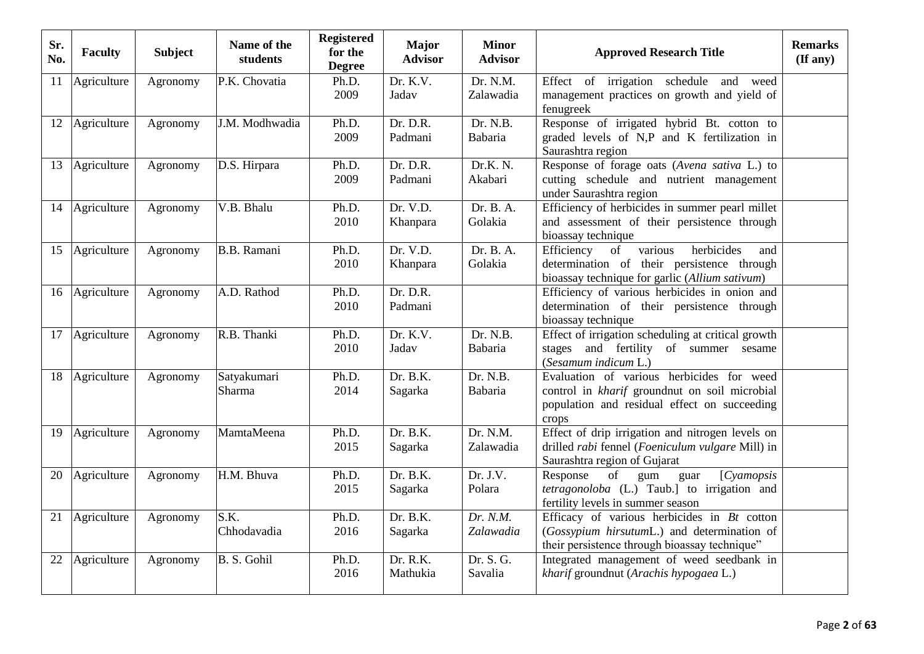| Sr.<br>No. | <b>Faculty</b> | <b>Subject</b> | Name of the<br>students | <b>Registered</b><br>for the<br><b>Degree</b> | <b>Major</b><br><b>Advisor</b> | <b>Minor</b><br><b>Advisor</b> | <b>Approved Research Title</b>                                                                                                                      | <b>Remarks</b><br>$(\mathbf{If any})$ |
|------------|----------------|----------------|-------------------------|-----------------------------------------------|--------------------------------|--------------------------------|-----------------------------------------------------------------------------------------------------------------------------------------------------|---------------------------------------|
| 11         | Agriculture    | Agronomy       | P.K. Chovatia           | Ph.D.<br>2009                                 | Dr. K.V.<br>Jadav              | Dr. N.M.<br>Zalawadia          | Effect of irrigation schedule<br>and weed<br>management practices on growth and yield of<br>fenugreek                                               |                                       |
| 12         | Agriculture    | Agronomy       | J.M. Modhwadia          | Ph.D.<br>2009                                 | Dr. D.R.<br>Padmani            | Dr. N.B.<br>Babaria            | Response of irrigated hybrid Bt. cotton to<br>graded levels of N,P and K fertilization in<br>Saurashtra region                                      |                                       |
| 13         | Agriculture    | Agronomy       | D.S. Hirpara            | Ph.D.<br>2009                                 | Dr. D.R.<br>Padmani            | Dr.K. N.<br>Akabari            | Response of forage oats (Avena sativa L.) to<br>cutting schedule and nutrient management<br>under Saurashtra region                                 |                                       |
|            | 14 Agriculture | Agronomy       | V.B. Bhalu              | Ph.D.<br>2010                                 | Dr. V.D.<br>Khanpara           | Dr. B. A.<br>Golakia           | Efficiency of herbicides in summer pearl millet<br>and assessment of their persistence through<br>bioassay technique                                |                                       |
| 15         | Agriculture    | Agronomy       | <b>B.B.</b> Ramani      | Ph.D.<br>2010                                 | Dr. V.D.<br>Khanpara           | Dr. B. A.<br>Golakia           | Efficiency<br>of<br>various<br>herbicides<br>and<br>determination of their persistence through<br>bioassay technique for garlic (Allium sativum)    |                                       |
| 16         | Agriculture    | Agronomy       | A.D. Rathod             | Ph.D.<br>2010                                 | Dr. D.R.<br>Padmani            |                                | Efficiency of various herbicides in onion and<br>determination of their persistence through<br>bioassay technique                                   |                                       |
| 17         | Agriculture    | Agronomy       | R.B. Thanki             | Ph.D.<br>2010                                 | Dr. K.V.<br>Jadav              | Dr. N.B.<br>Babaria            | Effect of irrigation scheduling at critical growth<br>stages and fertility of summer sesame<br>(Sesamum indicum L.)                                 |                                       |
|            | 18 Agriculture | Agronomy       | Satyakumari<br>Sharma   | Ph.D.<br>2014                                 | Dr. B.K.<br>Sagarka            | Dr. N.B.<br>Babaria            | Evaluation of various herbicides for weed<br>control in kharif groundnut on soil microbial<br>population and residual effect on succeeding<br>crops |                                       |
| 19         | Agriculture    | Agronomy       | MamtaMeena              | Ph.D.<br>2015                                 | Dr. B.K.<br>Sagarka            | Dr. N.M.<br>Zalawadia          | Effect of drip irrigation and nitrogen levels on<br>drilled rabi fennel (Foeniculum vulgare Mill) in<br>Saurashtra region of Gujarat                |                                       |
| 20         | Agriculture    | Agronomy       | H.M. Bhuva              | Ph.D.<br>2015                                 | Dr. B.K.<br>Sagarka            | Dr. J.V.<br>Polara             | $[C$ yamopsis<br>Response<br>of<br>gum<br>guar<br>tetragonoloba (L.) Taub.] to irrigation and<br>fertility levels in summer season                  |                                       |
| 21         | Agriculture    | Agronomy       | S.K.<br>Chhodavadia     | Ph.D.<br>2016                                 | Dr. B.K.<br>Sagarka            | Dr. N.M.<br>Zalawadia          | Efficacy of various herbicides in $Bt$ cotton<br>(Gossypium hirsutumL.) and determination of<br>their persistence through bioassay technique"       |                                       |
| 22         | Agriculture    | Agronomy       | B. S. Gohil             | Ph.D.<br>2016                                 | Dr. R.K.<br>Mathukia           | Dr. S. G.<br>Savalia           | Integrated management of weed seedbank in<br>kharif groundnut (Arachis hypogaea L.)                                                                 |                                       |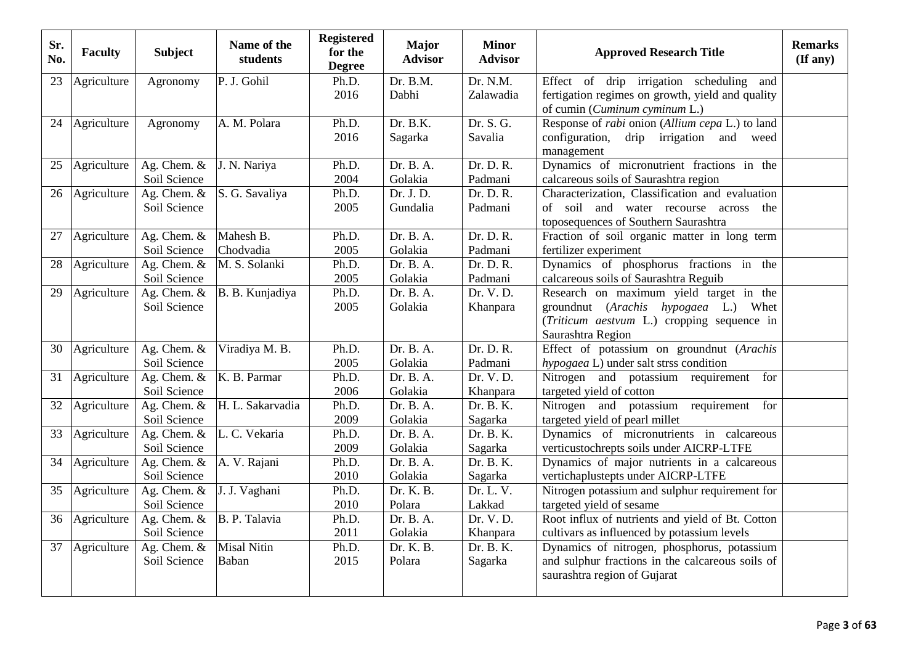| Sr.<br>No. | <b>Faculty</b> | <b>Subject</b>                | Name of the<br>students     | <b>Registered</b><br>for the<br><b>Degree</b> | <b>Major</b><br><b>Advisor</b> | <b>Minor</b><br><b>Advisor</b> | <b>Approved Research Title</b>                                                       | <b>Remarks</b><br>(If any) |
|------------|----------------|-------------------------------|-----------------------------|-----------------------------------------------|--------------------------------|--------------------------------|--------------------------------------------------------------------------------------|----------------------------|
| 23         | Agriculture    | Agronomy                      | P. J. Gohil                 | Ph.D.                                         | Dr. B.M.                       | Dr. N.M.                       | Effect of drip irrigation scheduling and                                             |                            |
|            |                |                               |                             | 2016                                          | Dabhi                          | Zalawadia                      | fertigation regimes on growth, yield and quality<br>of cumin (Cuminum cyminum L.)    |                            |
| 24         | Agriculture    | Agronomy                      | A. M. Polara                | Ph.D.                                         | Dr. B.K.                       | Dr. S. G.                      | Response of <i>rabi</i> onion (Allium cepa L.) to land                               |                            |
|            |                |                               |                             | 2016                                          | Sagarka                        | Savalia                        | configuration, drip irrigation<br>and weed                                           |                            |
|            |                |                               |                             |                                               |                                |                                | management                                                                           |                            |
| 25         | Agriculture    | Ag. Chem. &                   | J. N. Nariya                | Ph.D.                                         | Dr. B. A.                      | Dr. D. R.                      | Dynamics of micronutrient fractions in the                                           |                            |
|            |                | Soil Science                  |                             | 2004                                          | Golakia                        | Padmani                        | calcareous soils of Saurashtra region                                                |                            |
| 26         | Agriculture    | Ag. Chem. $&$                 | S. G. Savaliya              | Ph.D.                                         | Dr. J. D.                      | Dr. D. R.                      | Characterization, Classification and evaluation                                      |                            |
|            |                | Soil Science                  |                             | 2005                                          | Gundalia                       | Padmani                        | of soil and water recourse across<br>the<br>toposequences of Southern Saurashtra     |                            |
| 27         | Agriculture    | Ag. Chem. &                   | Mahesh B.                   | Ph.D.                                         | Dr. B. A.                      | Dr. D. R.                      | Fraction of soil organic matter in long term                                         |                            |
|            |                | Soil Science                  | Chodvadia                   | 2005                                          | Golakia                        | Padmani                        | fertilizer experiment                                                                |                            |
| 28         | Agriculture    | Ag. Chem. $\&$                | M. S. Solanki               | Ph.D.                                         | Dr. B. A.                      | Dr. D. R.                      | Dynamics of phosphorus fractions in the                                              |                            |
|            |                | Soil Science                  |                             | 2005                                          | Golakia                        | Padmani                        | calcareous soils of Saurashtra Reguib                                                |                            |
| 29         | Agriculture    | Ag. Chem. &                   | B. B. Kunjadiya             | Ph.D.                                         | Dr. B. A.                      | Dr. V. D.                      | Research on maximum yield target in the                                              |                            |
|            |                | Soil Science                  |                             | 2005                                          | Golakia                        | Khanpara                       | groundnut (Arachis hypogaea L.) Whet                                                 |                            |
|            |                |                               |                             |                                               |                                |                                | (Triticum aestvum L.) cropping sequence in<br>Saurashtra Region                      |                            |
| 30         | Agriculture    | Ag. Chem. &                   | Viradiya M. B.              | Ph.D.                                         | Dr. B. A.                      | Dr. D. R.                      | Effect of potassium on groundnut (Arachis                                            |                            |
|            |                | Soil Science                  |                             | 2005                                          | Golakia                        | Padmani                        | <i>hypogaea</i> L) under salt strss condition                                        |                            |
| 31         | Agriculture    | Ag. Chem. $&$                 | K. B. Parmar                | Ph.D.                                         | Dr. B. A.                      | Dr. V.D.                       | Nitrogen and potassium requirement for                                               |                            |
|            |                | Soil Science                  |                             | 2006                                          | Golakia                        | Khanpara                       | targeted yield of cotton                                                             |                            |
| 32         | Agriculture    | Ag. Chem. $&$                 | H. L. Sakarvadia            | Ph.D.                                         | Dr. B. A.                      | Dr. B. K.                      | Nitrogen and potassium requirement<br>for                                            |                            |
|            |                | Soil Science                  |                             | 2009                                          | Golakia                        | Sagarka                        | targeted yield of pearl millet                                                       |                            |
| 33         | Agriculture    | Ag. Chem. &<br>Soil Science   | L. C. Vekaria               | Ph.D.<br>2009                                 | Dr. B. A.<br>Golakia           | Dr. B. K.<br>Sagarka           | Dynamics of micronutrients in calcareous<br>verticustochrepts soils under AICRP-LTFE |                            |
| 34         | Agriculture    | Ag. Chem. $\&$                | A. V. Rajani                | Ph.D.                                         | Dr. B. A.                      | Dr. B. K.                      | Dynamics of major nutrients in a calcareous                                          |                            |
|            |                | Soil Science                  |                             | 2010                                          | Golakia                        | Sagarka                        | vertichaplustepts under AICRP-LTFE                                                   |                            |
| 35         | Agriculture    | Ag. Chem. $&$                 | J. J. Vaghani               | Ph.D.                                         | Dr. K. B.                      | Dr. L. V.                      | Nitrogen potassium and sulphur requirement for                                       |                            |
|            |                | Soil Science                  |                             | 2010                                          | Polara                         | Lakkad                         | targeted yield of sesame                                                             |                            |
| 36         | Agriculture    | Ag. Chem. &                   | B. P. Talavia               | Ph.D.                                         | Dr. B. A.                      | Dr. V.D.                       | Root influx of nutrients and yield of Bt. Cotton                                     |                            |
|            |                | Soil Science                  |                             | 2011                                          | Golakia                        | Khanpara                       | cultivars as influenced by potassium levels                                          |                            |
| 37         | Agriculture    | Ag. Chem. $&$<br>Soil Science | <b>Misal Nitin</b><br>Baban | Ph.D.<br>2015                                 | Dr. K. B.<br>Polara            | Dr. B. K.                      | Dynamics of nitrogen, phosphorus, potassium                                          |                            |
|            |                |                               |                             |                                               |                                | Sagarka                        | and sulphur fractions in the calcareous soils of<br>saurashtra region of Gujarat     |                            |
|            |                |                               |                             |                                               |                                |                                |                                                                                      |                            |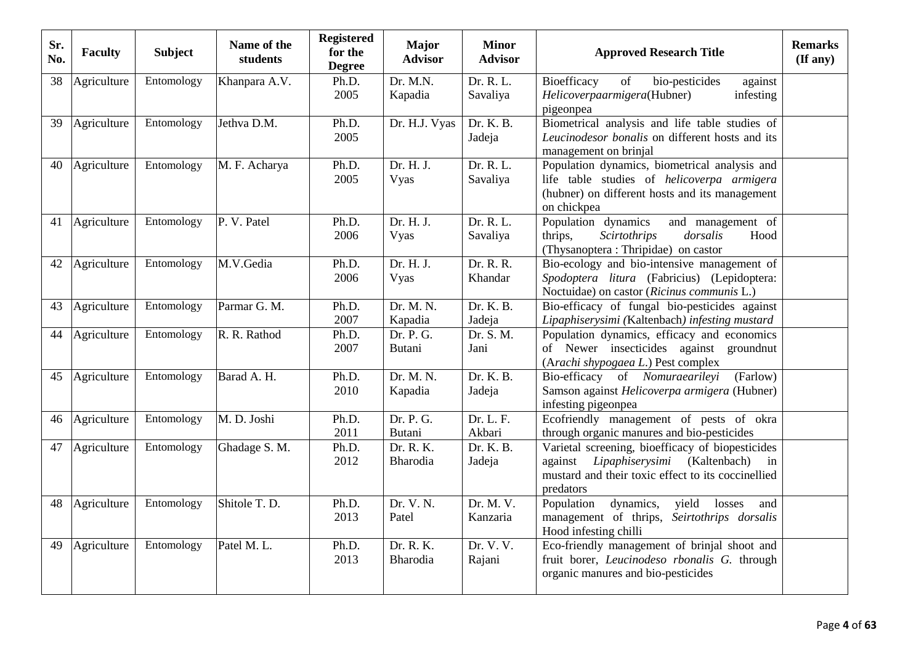| Sr.<br>No. | <b>Faculty</b> | <b>Subject</b> | Name of the<br>students | <b>Registered</b><br>for the<br><b>Degree</b> | <b>Major</b><br><b>Advisor</b> | <b>Minor</b><br><b>Advisor</b> | <b>Approved Research Title</b>                                                                                                                                          | <b>Remarks</b><br>$($ If any $)$ |
|------------|----------------|----------------|-------------------------|-----------------------------------------------|--------------------------------|--------------------------------|-------------------------------------------------------------------------------------------------------------------------------------------------------------------------|----------------------------------|
| 38         | Agriculture    | Entomology     | Khanpara A.V.           | Ph.D.<br>2005                                 | Dr. M.N.<br>Kapadia            | Dr. R. L.<br>Savaliya          | Bioefficacy<br>bio-pesticides<br>of<br>against<br>Helicoverpaarmigera(Hubner)<br>infesting<br>pigeonpea                                                                 |                                  |
| 39         | Agriculture    | Entomology     | Jethva D.M.             | Ph.D.<br>2005                                 | Dr. H.J. Vyas                  | Dr. K. B.<br>Jadeja            | Biometrical analysis and life table studies of<br>Leucinodesor bonalis on different hosts and its<br>management on brinjal                                              |                                  |
| 40         | Agriculture    | Entomology     | M. F. Acharya           | Ph.D.<br>2005                                 | Dr. H. J.<br>Vyas              | Dr. R. L.<br>Savaliya          | Population dynamics, biometrical analysis and<br>life table studies of helicoverpa armigera<br>(hubner) on different hosts and its management<br>on chickpea            |                                  |
| 41         | Agriculture    | Entomology     | P. V. Patel             | Ph.D.<br>2006                                 | Dr. H. J.<br>Vyas              | Dr. R. L.<br>Savaliya          | Population dynamics<br>and management of<br>thrips,<br>dorsalis<br><b>Scirtothrips</b><br>Hood<br>(Thysanoptera: Thripidae) on castor                                   |                                  |
| 42         | Agriculture    | Entomology     | M.V.Gedia               | Ph.D.<br>2006                                 | Dr. H. J.<br>Vyas              | Dr. R. R.<br>Khandar           | Bio-ecology and bio-intensive management of<br>Spodoptera litura (Fabricius) (Lepidoptera:<br>Noctuidae) on castor (Ricinus communis L.)                                |                                  |
| 43         | Agriculture    | Entomology     | Parmar G. M.            | Ph.D.<br>2007                                 | Dr. M. N.<br>Kapadia           | Dr. K. B.<br>Jadeja            | Bio-efficacy of fungal bio-pesticides against<br>Lipaphiserysimi (Kaltenbach) infesting mustard                                                                         |                                  |
| 44         | Agriculture    | Entomology     | R. R. Rathod            | Ph.D.<br>2007                                 | Dr. P. G.<br><b>Butani</b>     | Dr. S. M.<br>Jani              | Population dynamics, efficacy and economics<br>of Newer insecticides against groundnut<br>(Arachi shypogaea L.) Pest complex                                            |                                  |
| 45         | Agriculture    | Entomology     | Barad A. H.             | Ph.D.<br>2010                                 | Dr. M. N.<br>Kapadia           | Dr. K. B.<br>Jadeja            | Bio-efficacy of Nomuraearileyi<br>(Farlow)<br>Samson against Helicoverpa armigera (Hubner)<br>infesting pigeonpea                                                       |                                  |
| 46         | Agriculture    | Entomology     | M. D. Joshi             | Ph.D.<br>2011                                 | Dr. P. G.<br><b>Butani</b>     | Dr. L. F.<br>Akbari            | Ecofriendly management of pests of okra<br>through organic manures and bio-pesticides                                                                                   |                                  |
| 47         | Agriculture    | Entomology     | Ghadage S. M.           | Ph.D.<br>2012                                 | Dr. R. K.<br>Bharodia          | Dr. K. B.<br>Jadeja            | Varietal screening, bioefficacy of biopesticides<br>Lipaphiserysimi<br>(Kaltenbach)<br>against<br>in<br>mustard and their toxic effect to its coccinellied<br>predators |                                  |
| 48         | Agriculture    | Entomology     | Shitole T. D.           | Ph.D.<br>2013                                 | Dr. V. N.<br>Patel             | Dr. M. V.<br>Kanzaria          | dynamics,<br>yield losses<br>Population<br>and<br>management of thrips,<br>Seirtothrips dorsalis<br>Hood infesting chilli                                               |                                  |
| 49         | Agriculture    | Entomology     | Patel M. L.             | Ph.D.<br>2013                                 | Dr. R. K.<br>Bharodia          | Dr. V. V.<br>Rajani            | Eco-friendly management of brinjal shoot and<br>fruit borer, Leucinodeso rbonalis G. through<br>organic manures and bio-pesticides                                      |                                  |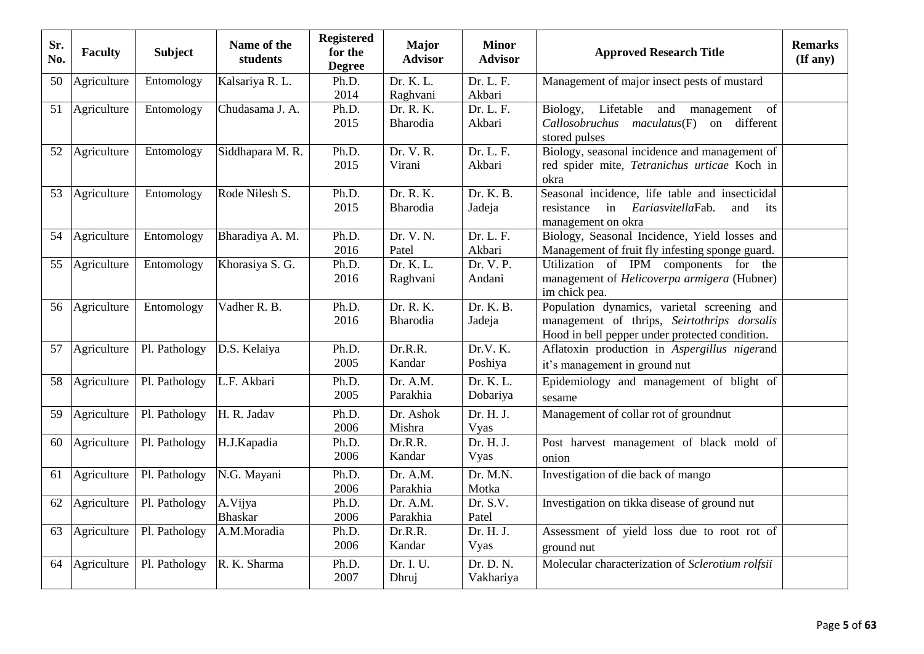| Sr.<br>No. | <b>Faculty</b> | <b>Subject</b> | Name of the<br>students | <b>Registered</b><br>for the<br><b>Degree</b> | <b>Major</b><br><b>Advisor</b> | <b>Minor</b><br><b>Advisor</b> | <b>Approved Research Title</b>                            | <b>Remarks</b><br>$(\mathbf{If any})$ |
|------------|----------------|----------------|-------------------------|-----------------------------------------------|--------------------------------|--------------------------------|-----------------------------------------------------------|---------------------------------------|
| 50         | Agriculture    | Entomology     | Kalsariya R. L.         | Ph.D.                                         | Dr. K. L.                      | Dr. L. F.                      | Management of major insect pests of mustard               |                                       |
|            |                |                |                         | 2014                                          | Raghvani                       | Akbari                         |                                                           |                                       |
| 51         | Agriculture    | Entomology     | Chudasama J. A.         | Ph.D.                                         | Dr. R. K.                      | Dr. L. F.                      | Lifetable<br>Biology,<br>and<br>management<br>of          |                                       |
|            |                |                |                         | 2015                                          | <b>Bharodia</b>                | Akbari                         | Callosobruchus maculatus(F) on different<br>stored pulses |                                       |
| 52         | Agriculture    | Entomology     | Siddhapara M. R.        | Ph.D.                                         | Dr. V. R.                      | Dr. L. F.                      | Biology, seasonal incidence and management of             |                                       |
|            |                |                |                         | 2015                                          | Virani                         | Akbari                         | red spider mite, Tetranichus urticae Koch in<br>okra      |                                       |
| 53         | Agriculture    | Entomology     | Rode Nilesh S.          | Ph.D.                                         | Dr. R. K.                      | Dr. K. B.                      | Seasonal incidence, life table and insecticidal           |                                       |
|            |                |                |                         | 2015                                          | Bharodia                       | Jadeja                         | EariasvitellaFab.<br>resistance<br>in<br>and<br>its       |                                       |
|            |                |                |                         |                                               |                                |                                | management on okra                                        |                                       |
| 54         | Agriculture    | Entomology     | Bharadiya A. M.         | Ph.D.                                         | Dr. V. N.                      | Dr. L. F.                      | Biology, Seasonal Incidence, Yield losses and             |                                       |
|            |                |                |                         | 2016                                          | Patel                          | Akbari                         | Management of fruit fly infesting sponge guard.           |                                       |
| 55         | Agriculture    | Entomology     | Khorasiya S. G.         | Ph.D.                                         | Dr. K. L.                      | Dr. V. P.                      | Utilization of IPM components for the                     |                                       |
|            |                |                |                         | 2016                                          | Raghvani                       | Andani                         | management of <i>Helicoverpa armigera</i> (Hubner)        |                                       |
|            |                |                |                         |                                               |                                |                                | im chick pea.                                             |                                       |
| 56         | Agriculture    | Entomology     | Vadher R. B.            | Ph.D.                                         | Dr. R. K.                      | Dr. K. B.                      | Population dynamics, varietal screening and               |                                       |
|            |                |                |                         | 2016                                          | Bharodia                       | Jadeja                         | management of thrips, Seirtothrips dorsalis               |                                       |
|            |                |                |                         |                                               |                                |                                | Hood in bell pepper under protected condition.            |                                       |
| 57         | Agriculture    | Pl. Pathology  | D.S. Kelaiya            | Ph.D.                                         | Dr.R.R.                        | Dr.V.K.                        | Aflatoxin production in Aspergillus nigerand              |                                       |
|            |                |                |                         | 2005                                          | Kandar                         | Poshiya                        | it's management in ground nut                             |                                       |
| 58         | Agriculture    | Pl. Pathology  | L.F. Akbari             | Ph.D.                                         | Dr. A.M.                       | Dr. K. L.                      | Epidemiology and management of blight of                  |                                       |
|            |                |                |                         | 2005                                          | Parakhia                       | Dobariya                       | sesame                                                    |                                       |
| 59         | Agriculture    | Pl. Pathology  | H. R. Jadav             | Ph.D.                                         | Dr. Ashok                      | Dr. H. J.                      | Management of collar rot of groundnut                     |                                       |
|            |                |                |                         | 2006                                          | Mishra                         | Vyas                           |                                                           |                                       |
| 60         | Agriculture    | Pl. Pathology  | H.J.Kapadia             | Ph.D.                                         | Dr.R.R.                        | Dr. H. J.                      | Post harvest management of black mold of                  |                                       |
|            |                |                |                         | 2006                                          | Kandar                         | Vyas                           | onion                                                     |                                       |
| 61         | Agriculture    | Pl. Pathology  | N.G. Mayani             | Ph.D.                                         | Dr. A.M.                       | Dr. M.N.                       | Investigation of die back of mango                        |                                       |
|            |                |                |                         | 2006                                          | Parakhia                       | Motka                          |                                                           |                                       |
| 62         | Agriculture    | Pl. Pathology  | A.Vijya                 | Ph.D.                                         | Dr. A.M.                       | Dr. S.V.                       | Investigation on tikka disease of ground nut              |                                       |
|            |                |                | Bhaskar                 | 2006                                          | Parakhia                       | Patel                          |                                                           |                                       |
| 63         | Agriculture    | Pl. Pathology  | A.M.Moradia             | Ph.D.                                         | Dr.R.R.                        | Dr. H. J.                      | Assessment of yield loss due to root rot of               |                                       |
|            |                |                |                         | 2006                                          | Kandar                         | Vyas                           | ground nut                                                |                                       |
| 64         | Agriculture    | Pl. Pathology  | R. K. Sharma            | Ph.D.                                         | Dr. I. U.                      | Dr. D. N.                      | Molecular characterization of Sclerotium rolfsii          |                                       |
|            |                |                |                         | 2007                                          | Dhruj                          | Vakhariya                      |                                                           |                                       |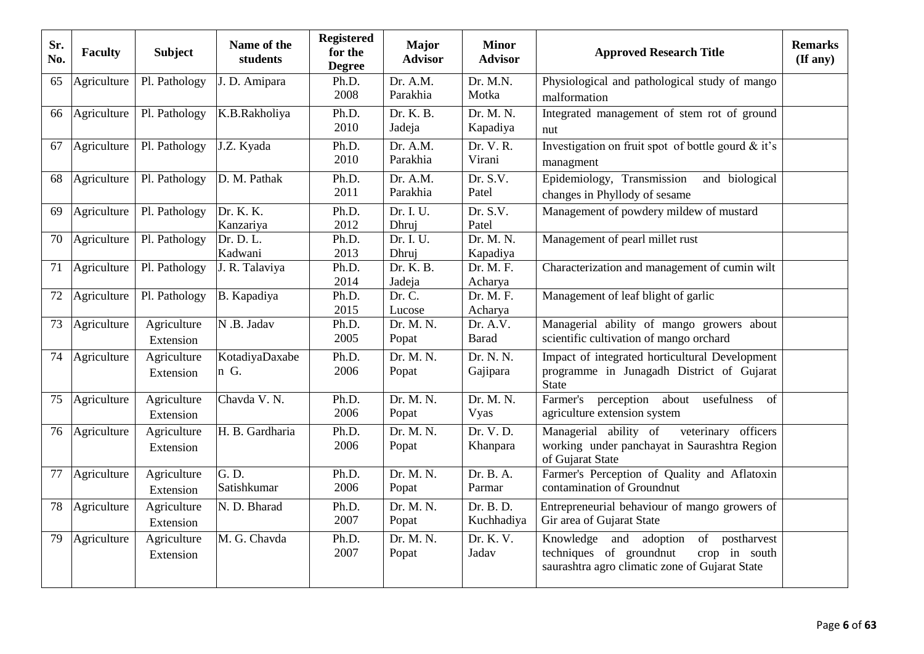| Sr.<br>No. | <b>Faculty</b> | <b>Subject</b>           | Name of the<br>students           | <b>Registered</b><br>for the<br><b>Degree</b> | <b>Major</b><br><b>Advisor</b> | <b>Minor</b><br><b>Advisor</b> | <b>Approved Research Title</b>                                                                                                               | <b>Remarks</b><br>(If any) |
|------------|----------------|--------------------------|-----------------------------------|-----------------------------------------------|--------------------------------|--------------------------------|----------------------------------------------------------------------------------------------------------------------------------------------|----------------------------|
| 65         | Agriculture    | Pl. Pathology            | J. D. Amipara                     | Ph.D.<br>2008                                 | Dr. A.M.<br>Parakhia           | Dr. M.N.<br>Motka              | Physiological and pathological study of mango<br>malformation                                                                                |                            |
| 66         | Agriculture    | Pl. Pathology            | K.B.Rakholiya                     | Ph.D.<br>2010                                 | Dr. K. B.<br>Jadeja            | Dr. M. N.<br>Kapadiya          | Integrated management of stem rot of ground<br>nut                                                                                           |                            |
| 67         | Agriculture    | Pl. Pathology            | J.Z. Kyada                        | Ph.D.<br>2010                                 | Dr. A.M.<br>Parakhia           | Dr. V. R.<br>Virani            | Investigation on fruit spot of bottle gourd & it's<br>managment                                                                              |                            |
| 68         | Agriculture    | Pl. Pathology            | D. M. Pathak                      | Ph.D.<br>2011                                 | Dr. A.M.<br>Parakhia           | Dr. S.V.<br>Patel              | Epidemiology, Transmission<br>and biological<br>changes in Phyllody of sesame                                                                |                            |
| 69         | Agriculture    | Pl. Pathology            | Dr. K. K.<br>Kanzariya            | Ph.D.<br>2012                                 | Dr. I. U.<br>Dhruj             | Dr. S.V.<br>Patel              | Management of powdery mildew of mustard                                                                                                      |                            |
| 70         | Agriculture    | Pl. Pathology            | Dr. D. L.<br>Kadwani              | Ph.D.<br>2013                                 | Dr. I. U.<br>Dhruj             | Dr. M. N.<br>Kapadiya          | Management of pearl millet rust                                                                                                              |                            |
| 71         | Agriculture    | Pl. Pathology            | J. R. Talaviya                    | Ph.D.<br>2014                                 | Dr. K. B.<br>Jadeja            | Dr. M. F.<br>Acharya           | Characterization and management of cumin wilt                                                                                                |                            |
| 72         | Agriculture    | Pl. Pathology            | B. Kapadiya                       | Ph.D.<br>2015                                 | Dr. C.<br>Lucose               | Dr. M. F.<br>Acharya           | Management of leaf blight of garlic                                                                                                          |                            |
| 73         | Agriculture    | Agriculture<br>Extension | N .B. Jadav                       | Ph.D.<br>2005                                 | Dr. M. N.<br>Popat             | Dr. A.V.<br><b>Barad</b>       | Managerial ability of mango growers about<br>scientific cultivation of mango orchard                                                         |                            |
| 74         | Agriculture    | Agriculture<br>Extension | KotadiyaDaxabe<br>n G.            | Ph.D.<br>2006                                 | Dr. M. N.<br>Popat             | Dr. N. N.<br>Gajipara          | Impact of integrated horticultural Development<br>programme in Junagadh District of Gujarat<br><b>State</b>                                  |                            |
| 75         | Agriculture    | Agriculture<br>Extension | Chavda V. N.                      | Ph.D.<br>2006                                 | Dr. M. N.<br>Popat             | Dr. M. N.<br>Vyas              | Farmer's<br>perception about<br>usefulness<br>of<br>agriculture extension system                                                             |                            |
| 76         | Agriculture    | Agriculture<br>Extension | H. B. Gardharia                   | Ph.D.<br>2006                                 | Dr. M. N.<br>Popat             | Dr. V. D.<br>Khanpara          | Managerial ability of<br>veterinary officers<br>working under panchayat in Saurashtra Region<br>of Gujarat State                             |                            |
| 77         | Agriculture    | Agriculture<br>Extension | $G. \overline{D.}$<br>Satishkumar | Ph.D.<br>2006                                 | Dr. M. N.<br>Popat             | Dr. B. A.<br>Parmar            | Farmer's Perception of Quality and Aflatoxin<br>contamination of Groundnut                                                                   |                            |
| 78         | Agriculture    | Agriculture<br>Extension | N. D. Bharad                      | Ph.D.<br>2007                                 | Dr. M. N.<br>Popat             | Dr. B. D.<br>Kuchhadiya        | Entrepreneurial behaviour of mango growers of<br>Gir area of Gujarat State                                                                   |                            |
| 79         | Agriculture    | Agriculture<br>Extension | M. G. Chavda                      | Ph.D.<br>2007                                 | Dr. M. N.<br>Popat             | Dr. K. V.<br>Jadav             | of postharvest<br>Knowledge<br>and<br>adoption<br>techniques of groundnut<br>crop in south<br>saurashtra agro climatic zone of Gujarat State |                            |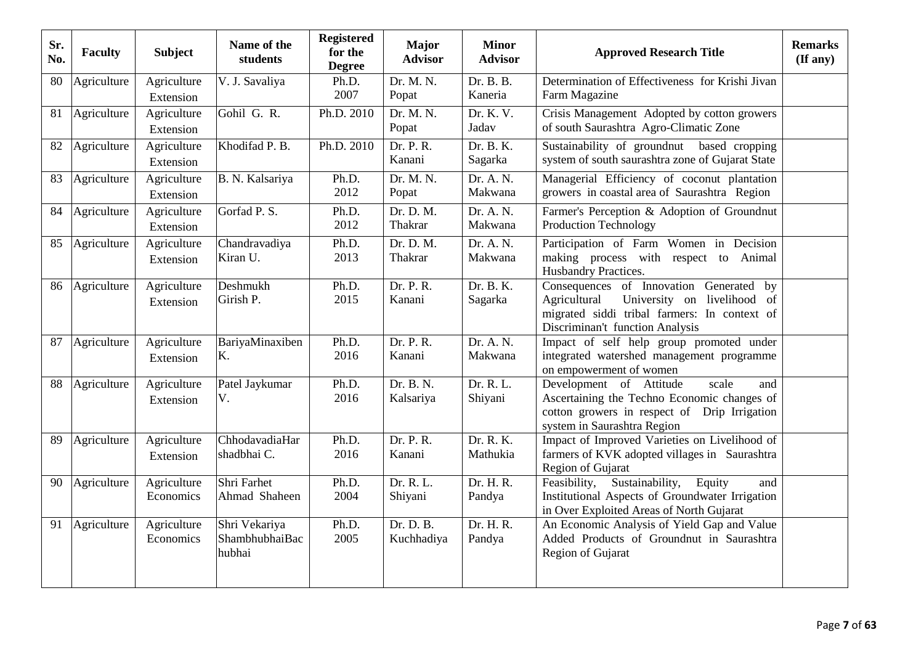| Sr.<br>No. | <b>Faculty</b> | <b>Subject</b>           | Name of the<br>students                   | <b>Registered</b><br>for the<br><b>Degree</b> | <b>Major</b><br><b>Advisor</b> | <b>Minor</b><br><b>Advisor</b> | <b>Approved Research Title</b>                                                                                                                                               | <b>Remarks</b><br>$(\mathbf{If any})$ |
|------------|----------------|--------------------------|-------------------------------------------|-----------------------------------------------|--------------------------------|--------------------------------|------------------------------------------------------------------------------------------------------------------------------------------------------------------------------|---------------------------------------|
| 80         | Agriculture    | Agriculture<br>Extension | V. J. Savaliya                            | Ph.D.<br>2007                                 | Dr. M. N.<br>Popat             | Dr. B. B.<br>Kaneria           | Determination of Effectiveness for Krishi Jivan<br>Farm Magazine                                                                                                             |                                       |
| 81         | Agriculture    | Agriculture<br>Extension | Gohil G. R.                               | Ph.D. 2010                                    | Dr. M. N.<br>Popat             | Dr. K. V.<br>Jadav             | Crisis Management Adopted by cotton growers<br>of south Saurashtra Agro-Climatic Zone                                                                                        |                                       |
| 82         | Agriculture    | Agriculture<br>Extension | Khodifad P. B.                            | Ph.D. 2010                                    | Dr. P. R.<br>Kanani            | Dr. B. K.<br>Sagarka           | Sustainability of groundnut based cropping<br>system of south saurashtra zone of Gujarat State                                                                               |                                       |
| 83         | Agriculture    | Agriculture<br>Extension | B. N. Kalsariya                           | Ph.D.<br>2012                                 | Dr. M. N.<br>Popat             | Dr. A. N.<br>Makwana           | Managerial Efficiency of coconut plantation<br>growers in coastal area of Saurashtra Region                                                                                  |                                       |
| 84         | Agriculture    | Agriculture<br>Extension | Gorfad P.S.                               | Ph.D.<br>2012                                 | Dr. D. M.<br>Thakrar           | Dr. A. N.<br>Makwana           | Farmer's Perception & Adoption of Groundnut<br><b>Production Technology</b>                                                                                                  |                                       |
| 85         | Agriculture    | Agriculture<br>Extension | Chandravadiya<br>Kiran U.                 | Ph.D.<br>2013                                 | Dr. D. M.<br>Thakrar           | Dr. A. N.<br>Makwana           | Participation of Farm Women in Decision<br>making process with respect to Animal<br>Husbandry Practices.                                                                     |                                       |
| 86         | Agriculture    | Agriculture<br>Extension | Deshmukh<br>Girish P.                     | Ph.D.<br>2015                                 | Dr. P. R.<br>Kanani            | Dr. B. K.<br>Sagarka           | Consequences of Innovation Generated<br>by<br>University on livelihood of<br>Agricultural<br>migrated siddi tribal farmers: In context of<br>Discriminan't function Analysis |                                       |
| 87         | Agriculture    | Agriculture<br>Extension | BariyaMinaxiben<br>K.                     | Ph.D.<br>2016                                 | Dr. P. R.<br>Kanani            | Dr. A. N.<br>Makwana           | Impact of self help group promoted under<br>integrated watershed management programme<br>on empowerment of women                                                             |                                       |
| 88         | Agriculture    | Agriculture<br>Extension | Patel Jaykumar<br>V.                      | Ph.D.<br>2016                                 | Dr. B. N.<br>Kalsariya         | Dr. R. L.<br>Shiyani           | Development of Attitude<br>scale<br>and<br>Ascertaining the Techno Economic changes of<br>cotton growers in respect of Drip Irrigation<br>system in Saurashtra Region        |                                       |
| 89         | Agriculture    | Agriculture<br>Extension | ChhodavadiaHar<br>shadbhai C.             | Ph.D.<br>2016                                 | Dr. P. R.<br>Kanani            | Dr. R. K.<br>Mathukia          | Impact of Improved Varieties on Livelihood of<br>farmers of KVK adopted villages in Saurashtra<br>Region of Gujarat                                                          |                                       |
| 90         | Agriculture    | Agriculture<br>Economics | Shri Farhet<br>Ahmad Shaheen              | Ph.D.<br>2004                                 | Dr. R. L.<br>Shiyani           | Dr. H. R.<br>Pandya            | Sustainability,<br>Equity<br>Feasibility,<br>and<br>Institutional Aspects of Groundwater Irrigation<br>in Over Exploited Areas of North Gujarat                              |                                       |
| 91         | Agriculture    | Agriculture<br>Economics | Shri Vekariya<br>ShambhubhaiBac<br>hubhai | Ph.D.<br>2005                                 | Dr. D. B.<br>Kuchhadiya        | Dr. H. R.<br>Pandya            | An Economic Analysis of Yield Gap and Value<br>Added Products of Groundnut in Saurashtra<br>Region of Gujarat                                                                |                                       |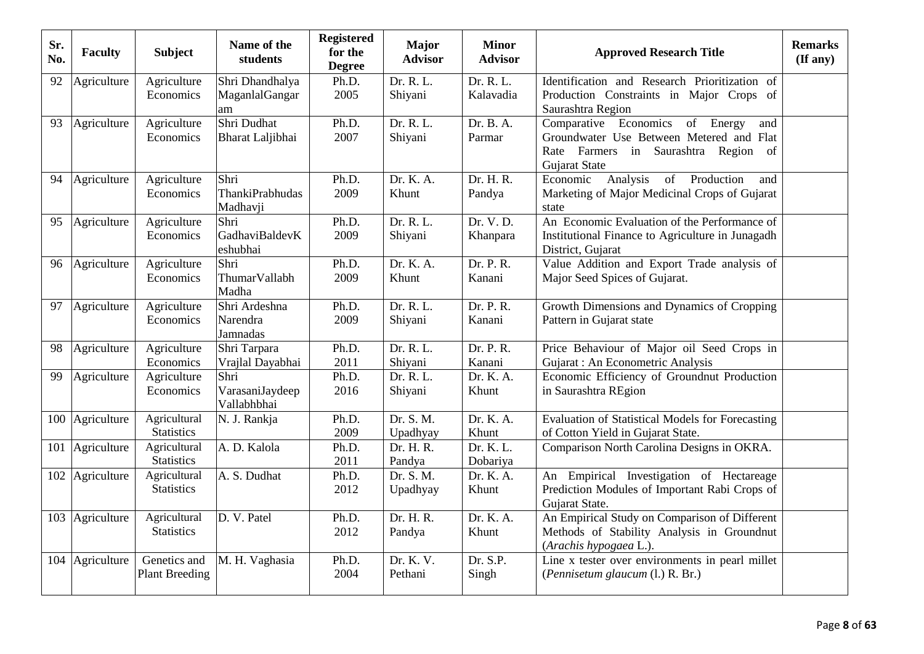| Sr.<br>No. | <b>Faculty</b>  | <b>Subject</b>                        | Name of the<br>students                      | <b>Registered</b><br>for the<br><b>Degree</b> | <b>Major</b><br><b>Advisor</b> | <b>Minor</b><br><b>Advisor</b> | <b>Approved Research Title</b>                                                                                                                       | <b>Remarks</b><br>$(\mathbf{If any})$ |
|------------|-----------------|---------------------------------------|----------------------------------------------|-----------------------------------------------|--------------------------------|--------------------------------|------------------------------------------------------------------------------------------------------------------------------------------------------|---------------------------------------|
| 92         | Agriculture     | Agriculture<br>Economics              | Shri Dhandhalya<br>MaganlalGangar<br>am      | Ph.D.<br>2005                                 | Dr. R. L.<br>Shiyani           | Dr. R. L.<br>Kalavadia         | Identification and Research Prioritization of<br>Production Constraints in Major Crops of<br>Saurashtra Region                                       |                                       |
| 93         | Agriculture     | Agriculture<br>Economics              | Shri Dudhat<br>Bharat Laljibhai              | Ph.D.<br>2007                                 | Dr. R. L.<br>Shiyani           | Dr. B. A.<br>Parmar            | Comparative Economics<br>of<br>Energy<br>and<br>Groundwater Use Between Metered and Flat<br>Rate Farmers in Saurashtra Region<br>of<br>Gujarat State |                                       |
| 94         | Agriculture     | Agriculture<br>Economics              | Shri<br><b>ThankiPrabhudas</b><br>Madhavji   | Ph.D.<br>2009                                 | Dr. K. A.<br>Khunt             | Dr. H. R.<br>Pandya            | Analysis<br>of<br>Production<br>Economic<br>and<br>Marketing of Major Medicinal Crops of Gujarat<br>state                                            |                                       |
| 95         | Agriculture     | Agriculture<br>Economics              | Shri<br>GadhaviBaldevK<br>eshubhai           | Ph.D.<br>2009                                 | Dr. R. L.<br>Shiyani           | Dr. V. D.<br>Khanpara          | An Economic Evaluation of the Performance of<br>Institutional Finance to Agriculture in Junagadh<br>District, Gujarat                                |                                       |
| 96         | Agriculture     | Agriculture<br>Economics              | Shri<br>ThumarVallabh<br>Madha               | Ph.D.<br>2009                                 | Dr. K. A.<br>Khunt             | Dr. P. R.<br>Kanani            | Value Addition and Export Trade analysis of<br>Major Seed Spices of Gujarat.                                                                         |                                       |
| 97         | Agriculture     | Agriculture<br>Economics              | Shri Ardeshna<br>Narendra<br><b>Jamnadas</b> | Ph.D.<br>2009                                 | Dr. R. L.<br>Shiyani           | Dr. P. R.<br>Kanani            | Growth Dimensions and Dynamics of Cropping<br>Pattern in Gujarat state                                                                               |                                       |
| 98         | Agriculture     | Agriculture<br>Economics              | Shri Tarpara<br>Vrajlal Dayabhai             | Ph.D.<br>2011                                 | Dr. R. L.<br>Shiyani           | Dr. P. R.<br>Kanani            | Price Behaviour of Major oil Seed Crops in<br>Gujarat: An Econometric Analysis                                                                       |                                       |
| 99         | Agriculture     | Agriculture<br>Economics              | Shri<br>VarasaniJaydeep<br>Vallabhbhai       | Ph.D.<br>2016                                 | Dr. R. L.<br>Shiyani           | Dr. K. A.<br>Khunt             | Economic Efficiency of Groundnut Production<br>in Saurashtra REgion                                                                                  |                                       |
|            | 100 Agriculture | Agricultural<br><b>Statistics</b>     | N. J. Rankja                                 | Ph.D.<br>2009                                 | Dr. S. M.<br>Upadhyay          | Dr. K. A.<br>Khunt             | <b>Evaluation of Statistical Models for Forecasting</b><br>of Cotton Yield in Gujarat State.                                                         |                                       |
| 101        | Agriculture     | Agricultural<br><b>Statistics</b>     | A. D. Kalola                                 | Ph.D.<br>2011                                 | Dr. H. R.<br>Pandya            | Dr. K. L.<br>Dobariya          | Comparison North Carolina Designs in OKRA.                                                                                                           |                                       |
|            | 102 Agriculture | Agricultural<br><b>Statistics</b>     | A. S. Dudhat                                 | Ph.D.<br>2012                                 | Dr. S. M.<br>Upadhyay          | Dr. K. A.<br>Khunt             | An Empirical Investigation of Hectareage<br>Prediction Modules of Important Rabi Crops of<br>Gujarat State.                                          |                                       |
|            | 103 Agriculture | Agricultural<br><b>Statistics</b>     | D. V. Patel                                  | Ph.D.<br>2012                                 | Dr. H. R.<br>Pandya            | Dr. K. A.<br>Khunt             | An Empirical Study on Comparison of Different<br>Methods of Stability Analysis in Groundnut<br>(Arachis hypogaea L.).                                |                                       |
|            | 104 Agriculture | Genetics and<br><b>Plant Breeding</b> | M. H. Vaghasia                               | Ph.D.<br>2004                                 | Dr. K. V.<br>Pethani           | Dr. S.P.<br>Singh              | Line x tester over environments in pearl millet<br>(Pennisetum glaucum (l.) R. Br.)                                                                  |                                       |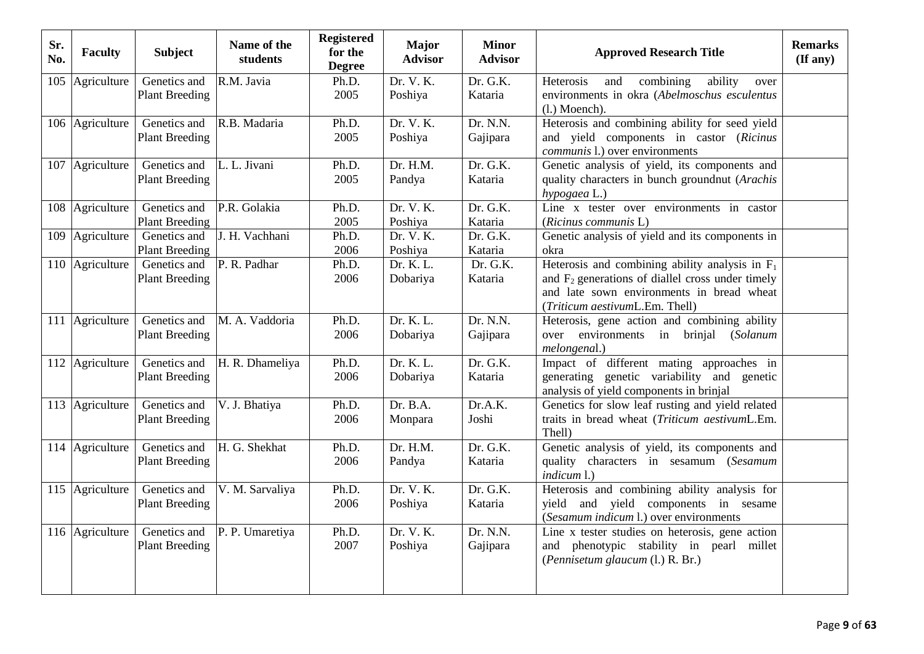| Sr.<br>No. | <b>Faculty</b>               | <b>Subject</b>                        | Name of the<br>students | <b>Registered</b><br>for the<br><b>Degree</b> | <b>Major</b><br><b>Advisor</b> | <b>Minor</b><br><b>Advisor</b> | <b>Approved Research Title</b>                                                                                                                                                          | <b>Remarks</b><br>$($ If any $)$ |
|------------|------------------------------|---------------------------------------|-------------------------|-----------------------------------------------|--------------------------------|--------------------------------|-----------------------------------------------------------------------------------------------------------------------------------------------------------------------------------------|----------------------------------|
|            | $\overline{105}$ Agriculture | Genetics and<br><b>Plant Breeding</b> | R.M. Javia              | Ph.D.<br>2005                                 | Dr. V. K.<br>Poshiya           | Dr. G.K.<br>Kataria            | Heterosis<br>ability<br>combining<br>and<br>over<br>environments in okra (Abelmoschus esculentus<br>$(l.)$ Moench).                                                                     |                                  |
|            | 106 Agriculture              | Genetics and<br><b>Plant Breeding</b> | R.B. Madaria            | Ph.D.<br>2005                                 | Dr. V. K.<br>Poshiya           | Dr. N.N.<br>Gajipara           | Heterosis and combining ability for seed yield<br>and yield components in castor (Ricinus<br><i>communis</i> 1.) over environments                                                      |                                  |
|            | 107 Agriculture              | Genetics and<br><b>Plant Breeding</b> | L. L. Jivani            | Ph.D.<br>2005                                 | Dr. H.M.<br>Pandya             | Dr. G.K.<br>Kataria            | Genetic analysis of yield, its components and<br>quality characters in bunch groundnut (Arachis<br>hypogaea L.)                                                                         |                                  |
|            | 108 Agriculture              | Genetics and<br><b>Plant Breeding</b> | P.R. Golakia            | Ph.D.<br>2005                                 | Dr. V. K.<br>Poshiya           | Dr. G.K.<br>Kataria            | Line x tester over environments in castor<br>(Ricinus communis L)                                                                                                                       |                                  |
|            | 109 Agriculture              | Genetics and<br><b>Plant Breeding</b> | J. H. Vachhani          | Ph.D.<br>2006                                 | Dr. V. K.<br>Poshiya           | Dr. G.K.<br>Kataria            | Genetic analysis of yield and its components in<br>okra                                                                                                                                 |                                  |
|            | 110 Agriculture              | Genetics and<br><b>Plant Breeding</b> | P. R. Padhar            | Ph.D.<br>2006                                 | Dr. K. L.<br>Dobariya          | Dr. G.K.<br>Kataria            | Heterosis and combining ability analysis in $F_1$<br>and $F_2$ generations of diallel cross under timely<br>and late sown environments in bread wheat<br>(Triticum aestivumL.Em. Thell) |                                  |
|            | 111 Agriculture              | Genetics and<br><b>Plant Breeding</b> | M. A. Vaddoria          | Ph.D.<br>2006                                 | Dr. K. L.<br>Dobariya          | Dr. N.N.<br>Gajipara           | Heterosis, gene action and combining ability<br>over environments in<br>brinjal<br>(Solanum<br>melongenal.)                                                                             |                                  |
|            | 112 Agriculture              | Genetics and<br><b>Plant Breeding</b> | H. R. Dhameliya         | Ph.D.<br>2006                                 | Dr. K. L.<br>Dobariya          | Dr. G.K.<br>Kataria            | Impact of different mating approaches in<br>generating genetic variability and genetic<br>analysis of yield components in brinjal                                                       |                                  |
|            | 113 Agriculture              | Genetics and<br><b>Plant Breeding</b> | V. J. Bhatiya           | Ph.D.<br>2006                                 | Dr. B.A.<br>Monpara            | Dr.A.K.<br>Joshi               | Genetics for slow leaf rusting and yield related<br>traits in bread wheat (Triticum aestivumL.Em.<br>Thell)                                                                             |                                  |
|            | 114 Agriculture              | Genetics and<br><b>Plant Breeding</b> | H. G. Shekhat           | Ph.D.<br>2006                                 | Dr. H.M.<br>Pandya             | Dr. G.K.<br>Kataria            | Genetic analysis of yield, its components and<br>quality characters in sesamum (Sesamum<br>indicum 1.)                                                                                  |                                  |
|            | 115 Agriculture              | Genetics and<br><b>Plant Breeding</b> | V. M. Sarvaliya         | Ph.D.<br>2006                                 | Dr. V. K.<br>Poshiya           | Dr. G.K.<br>Kataria            | Heterosis and combining ability analysis for<br>yield and yield components in sesame<br>(Sesamum indicum l.) over environments                                                          |                                  |
|            | 116 Agriculture              | Genetics and<br><b>Plant Breeding</b> | P. P. Umaretiya         | Ph.D.<br>2007                                 | Dr. V. K.<br>Poshiya           | Dr. N.N.<br>Gajipara           | Line $\overline{x}$ tester studies on heterosis, gene action<br>and phenotypic stability in pearl millet<br>(Pennisetum glaucum (l.) R. Br.)                                            |                                  |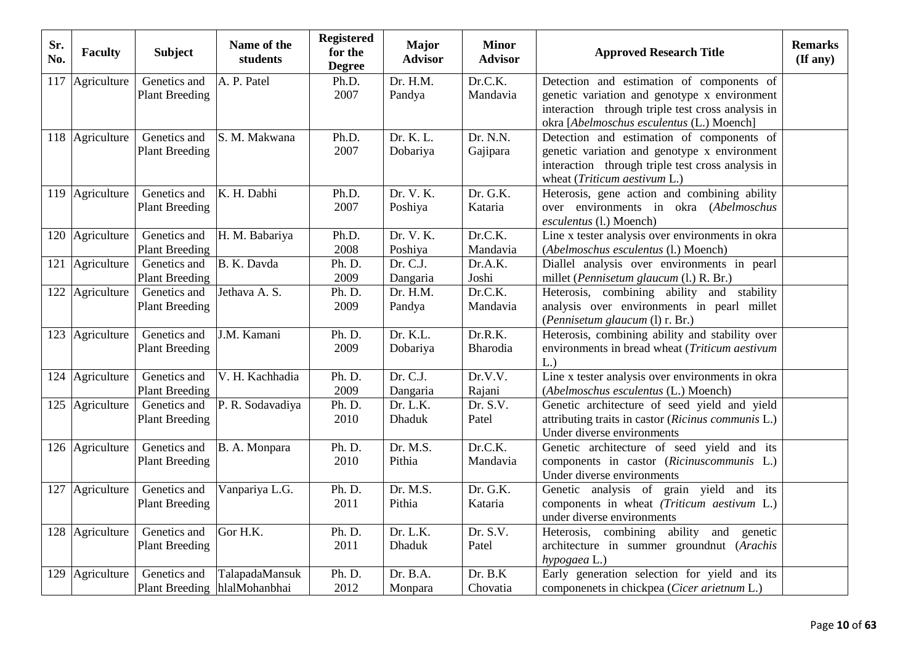| Sr.<br>No. | <b>Faculty</b>  | <b>Subject</b>                               | Name of the<br>students | <b>Registered</b><br>for the<br><b>Degree</b> | <b>Major</b><br><b>Advisor</b> | <b>Minor</b><br><b>Advisor</b> | <b>Approved Research Title</b>                                                                                                                                                              | <b>Remarks</b><br>$($ If any $)$ |
|------------|-----------------|----------------------------------------------|-------------------------|-----------------------------------------------|--------------------------------|--------------------------------|---------------------------------------------------------------------------------------------------------------------------------------------------------------------------------------------|----------------------------------|
| 117        | Agriculture     | Genetics and<br><b>Plant Breeding</b>        | A. P. Patel             | Ph.D.<br>2007                                 | Dr. H.M.<br>Pandya             | Dr.C.K.<br>Mandavia            | Detection and estimation of components of<br>genetic variation and genotype x environment<br>interaction through triple test cross analysis in<br>okra [Abelmoschus esculentus (L.) Moench] |                                  |
|            | 118 Agriculture | Genetics and<br><b>Plant Breeding</b>        | S. M. Makwana           | Ph.D.<br>2007                                 | Dr. K. L.<br>Dobariya          | Dr. N.N.<br>Gajipara           | Detection and estimation of components of<br>genetic variation and genotype x environment<br>interaction through triple test cross analysis in<br>wheat (Triticum aestivum L.)              |                                  |
|            | 119 Agriculture | Genetics and<br><b>Plant Breeding</b>        | K. H. Dabhi             | Ph.D.<br>2007                                 | Dr. V. K.<br>Poshiya           | Dr. G.K.<br>Kataria            | Heterosis, gene action and combining ability<br>over environments in okra (Abelmoschus<br>esculentus (l.) Moench)                                                                           |                                  |
|            | 120 Agriculture | Genetics and<br><b>Plant Breeding</b>        | H. M. Babariya          | Ph.D.<br>2008                                 | Dr. V. K.<br>Poshiya           | Dr.C.K.<br>Mandavia            | Line x tester analysis over environments in okra<br>(Abelmoschus esculentus (l.) Moench)                                                                                                    |                                  |
| 121        | Agriculture     | Genetics and<br><b>Plant Breeding</b>        | B. K. Davda             | Ph. D.<br>2009                                | Dr. C.J.<br>Dangaria           | Dr.A.K.<br>Joshi               | Diallel analysis over environments in pearl<br>millet (Pennisetum glaucum (l.) R. Br.)                                                                                                      |                                  |
|            | 122 Agriculture | Genetics and<br><b>Plant Breeding</b>        | Jethava A. S.           | Ph. D.<br>2009                                | Dr. H.M.<br>Pandya             | Dr.C.K.<br>Mandavia            | Heterosis, combining ability and stability<br>analysis over environments in pearl millet<br>(Pennisetum glaucum (l) r. Br.)                                                                 |                                  |
|            | 123 Agriculture | Genetics and<br><b>Plant Breeding</b>        | J.M. Kamani             | Ph. D.<br>2009                                | Dr. K.L.<br>Dobariya           | Dr.R.K.<br>Bharodia            | Heterosis, combining ability and stability over<br>environments in bread wheat (Triticum aestivum<br>L.)                                                                                    |                                  |
|            | 124 Agriculture | Genetics and<br><b>Plant Breeding</b>        | V. H. Kachhadia         | Ph. D.<br>2009                                | Dr. C.J.<br>Dangaria           | Dr.V.V.<br>Rajani              | Line x tester analysis over environments in okra<br>(Abelmoschus esculentus (L.) Moench)                                                                                                    |                                  |
|            | 125 Agriculture | Genetics and<br><b>Plant Breeding</b>        | P. R. Sodavadiya        | Ph. D.<br>2010                                | Dr. L.K.<br><b>Dhaduk</b>      | Dr. S.V.<br>Patel              | Genetic architecture of seed yield and yield<br>attributing traits in castor (Ricinus communis L.)<br>Under diverse environments                                                            |                                  |
|            | 126 Agriculture | Genetics and<br><b>Plant Breeding</b>        | B. A. Monpara           | Ph. D.<br>2010                                | Dr. M.S.<br>Pithia             | Dr.C.K.<br>Mandavia            | Genetic architecture of seed yield and its<br>components in castor (Ricinuscommunis L.)<br>Under diverse environments                                                                       |                                  |
|            | 127 Agriculture | Genetics and<br><b>Plant Breeding</b>        | Vanpariya L.G.          | Ph. D.<br>2011                                | Dr. M.S.<br>Pithia             | Dr. G.K.<br>Kataria            | Genetic analysis of grain yield and its<br>components in wheat (Triticum aestivum L.)<br>under diverse environments                                                                         |                                  |
|            | 128 Agriculture | Genetics and<br><b>Plant Breeding</b>        | Gor H.K.                | Ph. D.<br>2011                                | Dr. L.K.<br><b>Dhaduk</b>      | Dr. S.V.<br>Patel              | Heterosis, combining ability and genetic<br>architecture in summer groundnut (Arachis<br>hypogaea L.)                                                                                       |                                  |
|            | 129 Agriculture | Genetics and<br>Plant Breeding hlalMohanbhai | TalapadaMansuk          | Ph. D.<br>2012                                | Dr. B.A.<br>Monpara            | Dr. B.K<br>Chovatia            | Early generation selection for yield and its<br>componenets in chickpea (Cicer arietnum L.)                                                                                                 |                                  |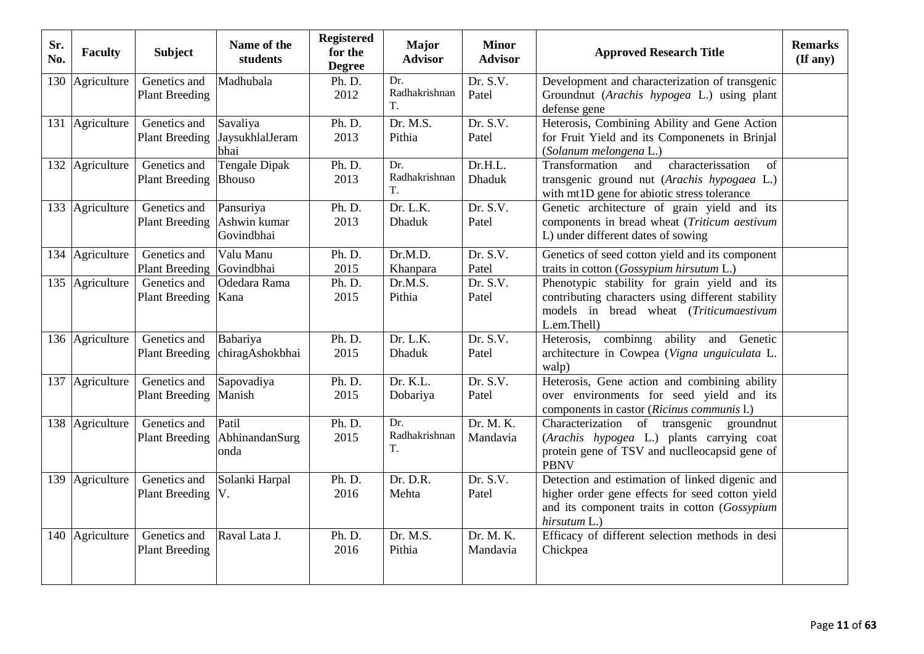| Sr.<br>No. | <b>Faculty</b>  | <b>Subject</b>                        | Name of the<br>students                 | <b>Registered</b><br>for the<br><b>Degree</b> | <b>Major</b><br><b>Advisor</b> | <b>Minor</b><br><b>Advisor</b> | <b>Approved Research Title</b>                                                                                                                                     | <b>Remarks</b><br>$($ If any $)$ |
|------------|-----------------|---------------------------------------|-----------------------------------------|-----------------------------------------------|--------------------------------|--------------------------------|--------------------------------------------------------------------------------------------------------------------------------------------------------------------|----------------------------------|
|            | 130 Agriculture | Genetics and<br><b>Plant Breeding</b> | Madhubala                               | Ph. D.<br>2012                                | Dr.<br>Radhakrishnan<br>T.     | Dr. S.V.<br>Patel              | Development and characterization of transgenic<br>Groundnut (Arachis hypogea L.) using plant<br>defense gene                                                       |                                  |
|            | 131 Agriculture | Genetics and<br><b>Plant Breeding</b> | Savaliya<br>JaysukhlalJeram<br>bhai     | Ph. D.<br>2013                                | Dr. M.S.<br>Pithia             | Dr. S.V.<br>Patel              | Heterosis, Combining Ability and Gene Action<br>for Fruit Yield and its Componenets in Brinjal<br>(Solanum melongena L.)                                           |                                  |
|            | 132 Agriculture | Genetics and<br><b>Plant Breeding</b> | <b>Tengale Dipak</b><br><b>Bhouso</b>   | Ph. D.<br>2013                                | Dr.<br>Radhakrishnan<br>Т.     | Dr.H.L.<br><b>Dhaduk</b>       | Transformation<br>characterissation<br>of<br>and<br>transgenic ground nut (Arachis hypogaea L.)<br>with mt1D gene for abiotic stress tolerance                     |                                  |
|            | 133 Agriculture | Genetics and<br><b>Plant Breeding</b> | Pansuriya<br>Ashwin kumar<br>Govindbhai | Ph. D.<br>2013                                | Dr. L.K.<br><b>Dhaduk</b>      | Dr. S.V.<br>Patel              | Genetic architecture of grain yield and its<br>components in bread wheat (Triticum aestivum<br>L) under different dates of sowing                                  |                                  |
|            | 134 Agriculture | Genetics and<br><b>Plant Breeding</b> | Valu Manu<br>Govindbhai                 | Ph. D.<br>2015                                | Dr.M.D.<br>Khanpara            | Dr. S.V.<br>Patel              | Genetics of seed cotton yield and its component<br>traits in cotton (Gossypium hirsutum L.)                                                                        |                                  |
|            | 135 Agriculture | Genetics and<br><b>Plant Breeding</b> | Odedara Rama<br>Kana                    | Ph. D.<br>2015                                | Dr.M.S.<br>Pithia              | Dr. S.V.<br>Patel              | Phenotypic stability for grain yield and its<br>contributing characters using different stability<br>models in bread wheat (Triticumaestivum<br>L.em.Thell)        |                                  |
|            | 136 Agriculture | Genetics and<br><b>Plant Breeding</b> | Babariya<br>chiragAshokbhai             | Ph. D.<br>2015                                | Dr. L.K.<br><b>Dhaduk</b>      | Dr. S.V.<br>Patel              | Heterosis, combinng ability and Genetic<br>architecture in Cowpea (Vigna unguiculata L.<br>walp)                                                                   |                                  |
|            | 137 Agriculture | Genetics and<br><b>Plant Breeding</b> | Sapovadiya<br>Manish                    | Ph. D.<br>2015                                | Dr. K.L.<br>Dobariya           | Dr. S.V.<br>Patel              | Heterosis, Gene action and combining ability<br>over environments for seed yield and its<br>components in castor (Ricinus communis l.)                             |                                  |
|            | 138 Agriculture | Genetics and<br><b>Plant Breeding</b> | Patil<br>AbhinandanSurg<br>onda         | Ph. D.<br>2015                                | Dr.<br>Radhakrishnan<br>T.     | Dr. M. K.<br>Mandavia          | Characterization of transgenic<br>groundnut<br>(Arachis hypogea L.) plants carrying coat<br>protein gene of TSV and nuclleocapsid gene of<br><b>PBNV</b>           |                                  |
|            | 139 Agriculture | Genetics and<br><b>Plant Breeding</b> | Solanki Harpal<br>V.                    | Ph. D.<br>2016                                | Dr. D.R.<br>Mehta              | Dr. S.V.<br>Patel              | Detection and estimation of linked digenic and<br>higher order gene effects for seed cotton yield<br>and its component traits in cotton (Gossypium<br>hirsutum L.) |                                  |
|            | 140 Agriculture | Genetics and<br><b>Plant Breeding</b> | Raval Lata J.                           | Ph. D.<br>2016                                | Dr. M.S.<br>Pithia             | Dr. M. K.<br>Mandavia          | Efficacy of different selection methods in desi<br>Chickpea                                                                                                        |                                  |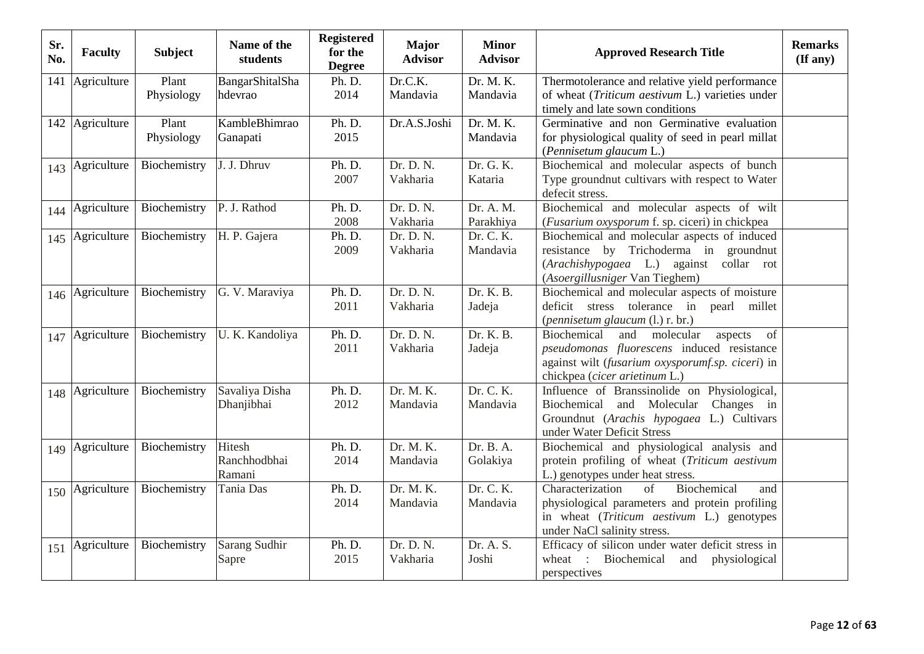| Sr.<br>No. | <b>Faculty</b>  | <b>Subject</b>      | Name of the<br>students          | <b>Registered</b><br>for the<br><b>Degree</b> | <b>Major</b><br><b>Advisor</b> | <b>Minor</b><br><b>Advisor</b> | <b>Approved Research Title</b>                                                                                                                                                      | <b>Remarks</b><br>(If any) |
|------------|-----------------|---------------------|----------------------------------|-----------------------------------------------|--------------------------------|--------------------------------|-------------------------------------------------------------------------------------------------------------------------------------------------------------------------------------|----------------------------|
| 141        | Agriculture     | Plant<br>Physiology | BangarShitalSha<br>hdevrao       | Ph. D.<br>2014                                | Dr.C.K.<br>Mandavia            | Dr. M. K.<br>Mandavia          | Thermotolerance and relative yield performance<br>of wheat ( <i>Triticum aestivum L.</i> ) varieties under<br>timely and late sown conditions                                       |                            |
|            | 142 Agriculture | Plant<br>Physiology | KambleBhimrao<br>Ganapati        | Ph. D.<br>2015                                | Dr.A.S.Joshi                   | Dr. M. K.<br>Mandavia          | Germinative and non Germinative evaluation<br>for physiological quality of seed in pearl millat<br>(Pennisetum glaucum L.)                                                          |                            |
|            | 143 Agriculture | Biochemistry        | J. J. Dhruv                      | Ph. D.<br>2007                                | Dr. D. N.<br>Vakharia          | Dr. G. K.<br>Kataria           | Biochemical and molecular aspects of bunch<br>Type groundnut cultivars with respect to Water<br>defecit stress.                                                                     |                            |
| 144        | Agriculture     | Biochemistry        | P. J. Rathod                     | Ph. D.<br>2008                                | Dr. D. N.<br>Vakharia          | Dr. A. M.<br>Parakhiya         | Biochemical and molecular aspects of wilt<br>(Fusarium oxysporum f. sp. ciceri) in chickpea                                                                                         |                            |
| 145        | Agriculture     | Biochemistry        | H. P. Gajera                     | Ph. D.<br>2009                                | Dr. D. N.<br>Vakharia          | Dr. C. K.<br>Mandavia          | Biochemical and molecular aspects of induced<br>resistance by Trichoderma in groundnut<br>(Arachishypogaea L.) against collar rot<br>(Asoergillusniger Van Tieghem)                 |                            |
|            | 146 Agriculture | Biochemistry        | G. V. Maraviya                   | Ph. D.<br>2011                                | Dr. D. N.<br>Vakharia          | Dr. K. B.<br>Jadeja            | Biochemical and molecular aspects of moisture<br>deficit stress tolerance in pearl millet<br>(pennisetum glaucum (l.) r. br.)                                                       |                            |
| 147        | Agriculture     | Biochemistry        | U. K. Kandoliya                  | Ph. D.<br>2011                                | Dr. D. N.<br>Vakharia          | Dr. K. B.<br>Jadeja            | Biochemical<br>and<br>molecular<br>of<br>aspects<br>pseudomonas fluorescens induced resistance<br>against wilt (fusarium oxysporumf.sp. ciceri) in<br>chickpea (cicer arietinum L.) |                            |
|            | 148 Agriculture | Biochemistry        | Savaliya Disha<br>Dhanjibhai     | Ph. D.<br>2012                                | Dr. M. K.<br>Mandavia          | Dr. C. K.<br>Mandavia          | Influence of Branssinolide on Physiological,<br>Biochemical and Molecular<br>Changes in<br>Groundnut (Arachis hypogaea L.) Cultivars<br>under Water Deficit Stress                  |                            |
|            | 149 Agriculture | Biochemistry        | Hitesh<br>Ranchhodbhai<br>Ramani | Ph. D.<br>2014                                | Dr. M. K.<br>Mandavia          | Dr. B. A.<br>Golakiya          | Biochemical and physiological analysis and<br>protein profiling of wheat (Triticum aestivum<br>L.) genotypes under heat stress.                                                     |                            |
| 150        | Agriculture     | Biochemistry        | Tania Das                        | Ph. D.<br>2014                                | Dr. M. K.<br>Mandavia          | Dr. C. K.<br>Mandavia          | Biochemical<br>Characterization<br>of<br>and<br>physiological parameters and protein profiling<br>in wheat (Triticum aestivum L.) genotypes<br>under NaCl salinity stress.          |                            |
| 151        | Agriculture     | Biochemistry        | Sarang Sudhir<br>Sapre           | Ph. D.<br>2015                                | Dr. D. N.<br>Vakharia          | Dr. A. S.<br>Joshi             | Efficacy of silicon under water deficit stress in<br>Biochemical<br>wheat :<br>and<br>physiological<br>perspectives                                                                 |                            |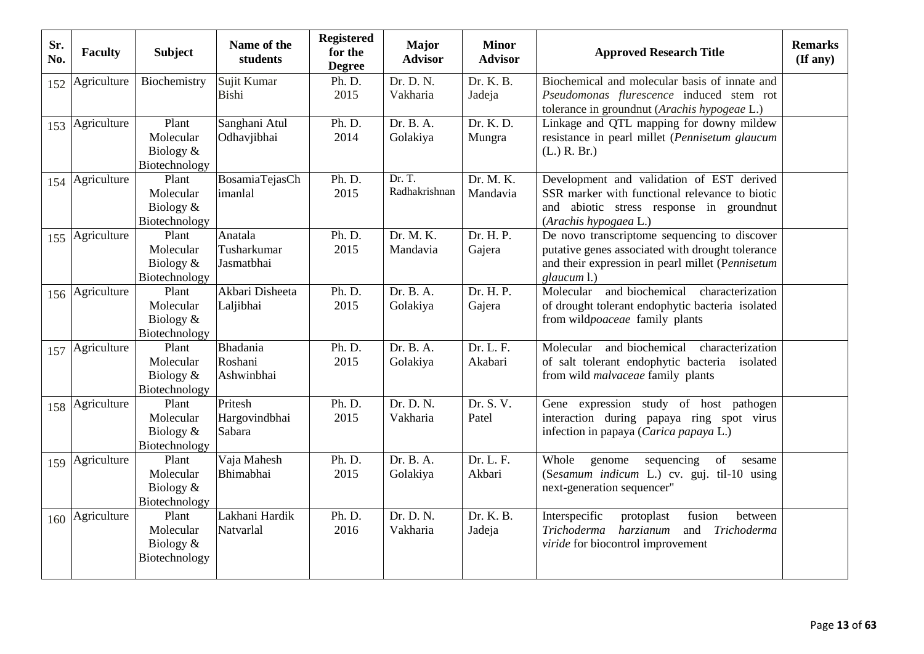| Sr.<br>No. | <b>Faculty</b>  | <b>Subject</b>                                     | Name of the<br>students                             | <b>Registered</b><br>for the<br><b>Degree</b> | <b>Major</b><br><b>Advisor</b> | <b>Minor</b><br><b>Advisor</b> | <b>Approved Research Title</b>                                                                                                                                      | <b>Remarks</b><br>$($ If any $)$ |
|------------|-----------------|----------------------------------------------------|-----------------------------------------------------|-----------------------------------------------|--------------------------------|--------------------------------|---------------------------------------------------------------------------------------------------------------------------------------------------------------------|----------------------------------|
| 152        | Agriculture     | Biochemistry                                       | Sujit Kumar<br><b>Bishi</b>                         | Ph. D.<br>2015                                | Dr. D. N.<br>Vakharia          | Dr. K. B.<br>Jadeja            | Biochemical and molecular basis of innate and<br>Pseudomonas flurescence induced stem rot<br>tolerance in groundnut (Arachis hypogeae L.)                           |                                  |
|            | 153 Agriculture | Plant<br>Molecular<br>Biology $&$<br>Biotechnology | Sanghani Atul<br>Odhavjibhai                        | Ph. D.<br>2014                                | Dr. B. A.<br>Golakiya          | Dr. K. D.<br>Mungra            | Linkage and QTL mapping for downy mildew<br>resistance in pearl millet (Pennisetum glaucum<br>(L.) R. Br.)                                                          |                                  |
|            | 154 Agriculture | Plant<br>Molecular<br>Biology &<br>Biotechnology   | BosamiaTejasCh<br>imanlal                           | Ph. D.<br>2015                                | Dr. T.<br>Radhakrishnan        | Dr. M. K.<br>Mandavia          | Development and validation of EST derived<br>SSR marker with functional relevance to biotic<br>and abiotic stress response in groundnut<br>(Arachis hypogaea L.)    |                                  |
| 155        | Agriculture     | Plant<br>Molecular<br>Biology $&$<br>Biotechnology | Anatala<br>Tusharkumar<br>Jasmatbhai                | Ph. D.<br>2015                                | Dr. M. K.<br>Mandavia          | Dr. H. P.<br>Gajera            | De novo transcriptome sequencing to discover<br>putative genes associated with drought tolerance<br>and their expression in pearl millet (Pennisetum<br>glaucum l.) |                                  |
|            | 156 Agriculture | Plant<br>Molecular<br>Biology &<br>Biotechnology   | Akbari Disheeta<br>Laljibhai                        | Ph. D.<br>2015                                | Dr. B. A.<br>Golakiya          | Dr. H. P.<br>Gajera            | Molecular and biochemical<br>characterization<br>of drought tolerant endophytic bacteria isolated<br>from wildpoaceae family plants                                 |                                  |
|            | 157 Agriculture | Plant<br>Molecular<br>Biology $&$<br>Biotechnology | <b>Bhadania</b><br>Roshani<br>Ashwinbhai            | Ph. D.<br>2015                                | Dr. B. A.<br>Golakiya          | Dr. L. F.<br>Akabari           | Molecular and biochemical<br>characterization<br>of salt tolerant endophytic bacteria isolated<br>from wild <i>malvaceae</i> family plants                          |                                  |
| 158        | Agriculture     | Plant<br>Molecular<br>Biology $&$<br>Biotechnology | $\overline{\text{Prit}}$<br>Hargovindbhai<br>Sabara | Ph. D.<br>2015                                | Dr. D. N.<br>Vakharia          | Dr. S. V.<br>Patel             | Gene expression study of host pathogen<br>interaction during papaya ring spot virus<br>infection in papaya (Carica papaya L.)                                       |                                  |
| 159        | Agriculture     | Plant<br>Molecular<br>Biology &<br>Biotechnology   | Vaja Mahesh<br>Bhimabhai                            | Ph. D.<br>2015                                | Dr. B. A.<br>Golakiya          | Dr. L. F.<br>Akbari            | Whole<br>of<br>sequencing<br>sesame<br>genome<br>(Sesamum indicum L.) cv. guj. til-10 using<br>next-generation sequencer"                                           |                                  |
|            | 160 Agriculture | Plant<br>Molecular<br>Biology &<br>Biotechnology   | Lakhani Hardik<br>Natvarlal                         | Ph. D.<br>2016                                | Dr. D. N.<br>Vakharia          | Dr. K. B.<br>Jadeja            | Interspecific<br>protoplast<br>fusion<br>between<br>harzianum<br>Trichoderma<br>Trichoderma<br>and<br>viride for biocontrol improvement                             |                                  |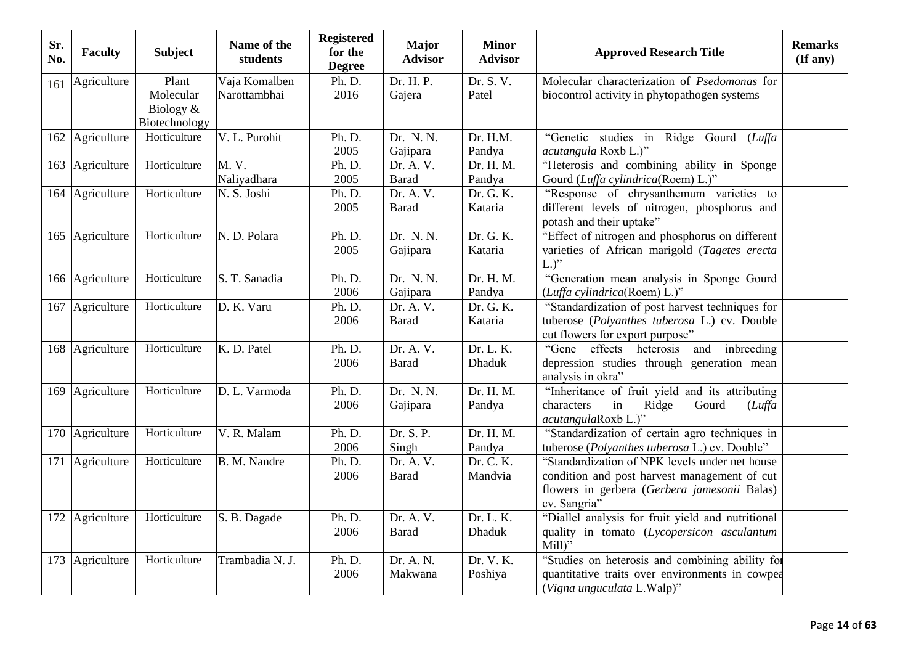| Sr.<br>No. | <b>Faculty</b>  | <b>Subject</b>                                   | Name of the<br>students       | <b>Registered</b><br>for the<br><b>Degree</b> | <b>Major</b><br><b>Advisor</b>          | <b>Minor</b><br><b>Advisor</b> | <b>Approved Research Title</b>                                                                                                                                 | <b>Remarks</b><br>(If any) |
|------------|-----------------|--------------------------------------------------|-------------------------------|-----------------------------------------------|-----------------------------------------|--------------------------------|----------------------------------------------------------------------------------------------------------------------------------------------------------------|----------------------------|
| 161        | Agriculture     | Plant<br>Molecular<br>Biology &<br>Biotechnology | Vaja Komalben<br>Narottambhai | Ph. D.<br>2016                                | Dr. H. P.<br>Gajera                     | Dr. S. V.<br>Patel             | Molecular characterization of Psedomonas for<br>biocontrol activity in phytopathogen systems                                                                   |                            |
|            | 162 Agriculture | Horticulture                                     | V. L. Purohit                 | Ph. D.<br>2005                                | Dr. N. N.<br>Gajipara                   | Dr. H.M.<br>Pandya             | "Genetic studies in Ridge Gourd (Luffa<br>acutangula Roxb L.)"                                                                                                 |                            |
| 163        | Agriculture     | Horticulture                                     | M. V.<br>Naliyadhara          | Ph. D.<br>2005                                | Dr. A. V.<br><b>Barad</b>               | Dr. H. M.<br>Pandya            | "Heterosis and combining ability in Sponge<br>Gourd (Luffa cylindrica(Roem) L.)"                                                                               |                            |
|            | 164 Agriculture | Horticulture                                     | N. S. Joshi                   | Ph. D.<br>2005                                | Dr. A. V.<br><b>Barad</b>               | Dr. G. K.<br>Kataria           | "Response of chrysanthemum varieties to<br>different levels of nitrogen, phosphorus and<br>potash and their uptake"                                            |                            |
|            | 165 Agriculture | Horticulture                                     | N. D. Polara                  | Ph. D.<br>2005                                | Dr. N. N.<br>Gajipara                   | Dr. G. K.<br>Kataria           | "Effect of nitrogen and phosphorus on different<br>varieties of African marigold (Tagetes erecta<br>$L$ .)"                                                    |                            |
|            | 166 Agriculture | Horticulture                                     | S. T. Sanadia                 | Ph. D.<br>2006                                | Dr. N. N.<br>Gajipara                   | Dr. H. M.<br>Pandya            | "Generation mean analysis in Sponge Gourd<br>(Luffa cylindrica(Roem) L.)"                                                                                      |                            |
|            | 167 Agriculture | Horticulture                                     | D. K. Varu                    | Ph. D.<br>2006                                | $\overline{Dr}$ . A. V.<br><b>Barad</b> | Dr. G. K.<br>Kataria           | "Standardization of post harvest techniques for<br>tuberose (Polyanthes tuberosa L.) cv. Double<br>cut flowers for export purpose"                             |                            |
|            | 168 Agriculture | Horticulture                                     | K. D. Patel                   | Ph. D.<br>2006                                | Dr. A. V.<br><b>Barad</b>               | Dr. L. K.<br><b>Dhaduk</b>     | "Gene effects heterosis<br>and inbreeding<br>depression studies through generation mean<br>analysis in okra"                                                   |                            |
|            | 169 Agriculture | Horticulture                                     | D. L. Varmoda                 | Ph. D.<br>2006                                | Dr. N. N.<br>Gajipara                   | Dr. H. M.<br>Pandya            | "Inheritance of fruit yield and its attributing<br>characters<br>in<br>Ridge<br>Gourd<br>Luffa<br>acutangulaRoxb L.)"                                          |                            |
|            | 170 Agriculture | Horticulture                                     | V. R. Malam                   | Ph. D.<br>2006                                | Dr. S. P.<br>Singh                      | Dr. H. M.<br>Pandya            | "Standardization of certain agro techniques in<br>tuberose (Polyanthes tuberosa L.) cv. Double"                                                                |                            |
|            | 171 Agriculture | Horticulture                                     | B. M. Nandre                  | Ph. D.<br>2006                                | Dr. A. V.<br><b>Barad</b>               | Dr. C. K.<br>Mandvia           | "Standardization of NPK levels under net house<br>condition and post harvest management of cut<br>flowers in gerbera (Gerbera jamesonii Balas)<br>cv. Sangria" |                            |
|            | 172 Agriculture | Horticulture                                     | S. B. Dagade                  | Ph. D.<br>2006                                | Dr. A. V.<br><b>Barad</b>               | Dr. L. K.<br><b>Dhaduk</b>     | "Diallel analysis for fruit yield and nutritional<br>quality in tomato (Lycopersicon asculantum<br>$Mill$ )"                                                   |                            |
|            | 173 Agriculture | Horticulture                                     | Trambadia N. J.               | Ph. D.<br>2006                                | Dr. A. N.<br>Makwana                    | Dr. V. K.<br>Poshiya           | "Studies on heterosis and combining ability for<br>quantitative traits over environments in cowpea<br>(Vigna unguculata L.Walp)"                               |                            |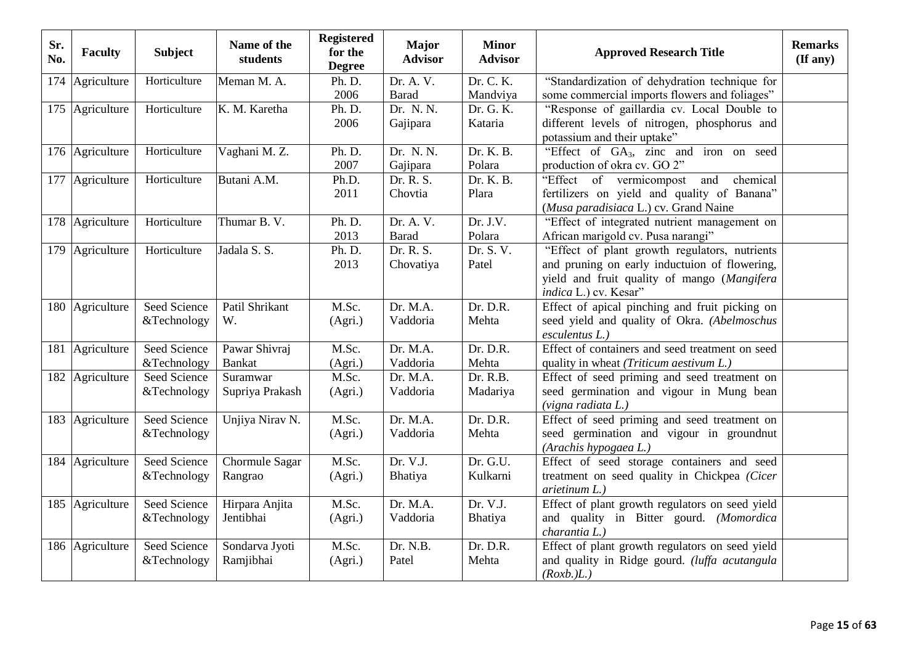| Sr.<br>No. | <b>Faculty</b>  | <b>Subject</b> | Name of the<br>students | <b>Registered</b><br>for the<br><b>Degree</b> | <b>Major</b><br><b>Advisor</b> | <b>Minor</b><br><b>Advisor</b> | <b>Approved Research Title</b>                                              | <b>Remarks</b><br>(If any) |
|------------|-----------------|----------------|-------------------------|-----------------------------------------------|--------------------------------|--------------------------------|-----------------------------------------------------------------------------|----------------------------|
|            | 174 Agriculture | Horticulture   | Meman M. A.             | Ph. D.                                        | Dr. A. V.                      | Dr. C. K.                      | "Standardization of dehydration technique for                               |                            |
|            |                 |                |                         | 2006                                          | <b>Barad</b>                   | Mandviya                       | some commercial imports flowers and foliages"                               |                            |
|            | 175 Agriculture | Horticulture   | K. M. Karetha           | Ph. D.                                        | Dr. N. N.                      | Dr. G. K.                      | "Response of gaillardia cv. Local Double to                                 |                            |
|            |                 |                |                         | 2006                                          | Gajipara                       | Kataria                        | different levels of nitrogen, phosphorus and<br>potassium and their uptake" |                            |
|            | 176 Agriculture | Horticulture   | Vaghani M.Z.            | Ph. D.                                        | Dr. N. N.                      | Dr. K. B.                      | "Effect of GA <sub>3</sub> , zinc and iron on seed                          |                            |
|            |                 |                |                         | 2007                                          | Gajipara                       | Polara                         | production of okra cv. GO 2"                                                |                            |
|            | 177 Agriculture | Horticulture   | Butani A.M.             | Ph.D.                                         | Dr. R. S.                      | Dr. K. B.                      | "Effect of vermicompost<br>chemical<br>and                                  |                            |
|            |                 |                |                         | 2011                                          | Chovtia                        | Plara                          | fertilizers on yield and quality of Banana"                                 |                            |
|            |                 |                |                         |                                               |                                |                                | (Musa paradisiaca L.) cv. Grand Naine                                       |                            |
|            | 178 Agriculture | Horticulture   | Thumar B.V.             | Ph. D.                                        | Dr. A. V.                      | Dr. J.V.                       | "Effect of integrated nutrient management on                                |                            |
|            |                 |                |                         | 2013                                          | <b>Barad</b>                   | Polara                         | African marigold cv. Pusa narangi"                                          |                            |
|            | 179 Agriculture | Horticulture   | Jadala S. S.            | Ph. D.                                        | Dr. R. S.                      | Dr. S. V.                      | "Effect of plant growth regulators, nutrients                               |                            |
|            |                 |                |                         | 2013                                          | Chovatiya                      | Patel                          | and pruning on early inductuion of flowering,                               |                            |
|            |                 |                |                         |                                               |                                |                                | yield and fruit quality of mango (Mangifera                                 |                            |
|            |                 |                |                         |                                               |                                |                                | indica L.) cv. Kesar"                                                       |                            |
|            | 180 Agriculture | Seed Science   | Patil Shrikant          | M.Sc.                                         | Dr. M.A.                       | Dr. D.R.                       | Effect of apical pinching and fruit picking on                              |                            |
|            |                 | &Technology    | W.                      | (Agri.)                                       | Vaddoria                       | Mehta                          | seed yield and quality of Okra. (Abelmoschus                                |                            |
|            |                 |                |                         |                                               |                                |                                | esculentus L.)                                                              |                            |
|            | 181 Agriculture | Seed Science   | Pawar Shivraj           | M.Sc.                                         | Dr. M.A.                       | Dr. D.R.                       | Effect of containers and seed treatment on seed                             |                            |
|            |                 | &Technology    | <b>Bankat</b>           | (Agri.)                                       | Vaddoria                       | Mehta                          | quality in wheat (Triticum aestivum L.)                                     |                            |
|            | 182 Agriculture | Seed Science   | Suramwar                | M.Sc.                                         | Dr. M.A.                       | Dr. R.B.                       | Effect of seed priming and seed treatment on                                |                            |
|            |                 | &Technology    | Supriya Prakash         | (Agri.)                                       | Vaddoria                       | Madariya                       | seed germination and vigour in Mung bean                                    |                            |
|            |                 |                |                         |                                               |                                |                                | (vigna radiata L.)                                                          |                            |
|            | 183 Agriculture | Seed Science   | Unjiya Nirav N.         | M.Sc.                                         | Dr. M.A.                       | Dr. D.R.                       | Effect of seed priming and seed treatment on                                |                            |
|            |                 | &Technology    |                         | (Agri.)                                       | Vaddoria                       | Mehta                          | seed germination and vigour in groundnut                                    |                            |
|            |                 |                |                         |                                               |                                |                                | (Arachis hypogaea L.)                                                       |                            |
|            | 184 Agriculture | Seed Science   | Chormule Sagar          | M.Sc.                                         | Dr. V.J.                       | Dr. G.U.                       | Effect of seed storage containers and seed                                  |                            |
|            |                 | &Technology    | Rangrao                 | (Agri.)                                       | Bhatiya                        | Kulkarni                       | treatment on seed quality in Chickpea (Cicer                                |                            |
|            |                 |                |                         |                                               |                                |                                | $arietinum L.$ )                                                            |                            |
|            | 185 Agriculture | Seed Science   | Hirpara Anjita          | M.Sc.                                         | Dr. M.A.                       | Dr. V.J.                       | Effect of plant growth regulators on seed yield                             |                            |
|            |                 | &Technology    | Jentibhai               | (Agri.)                                       | Vaddoria                       | Bhatiya                        | and quality in Bitter gourd. (Momordica                                     |                            |
|            |                 |                |                         |                                               |                                |                                | charantia L.)                                                               |                            |
|            | 186 Agriculture | Seed Science   | Sondarva Jyoti          | M.Sc.                                         | Dr. N.B.                       | Dr. D.R.                       | Effect of plant growth regulators on seed yield                             |                            |
|            |                 | &Technology    | Ramjibhai               | (Agri.)                                       | Patel                          | Mehta                          | and quality in Ridge gourd. (luffa acutangula                               |                            |
|            |                 |                |                         |                                               |                                |                                | (Roxb.)L.)                                                                  |                            |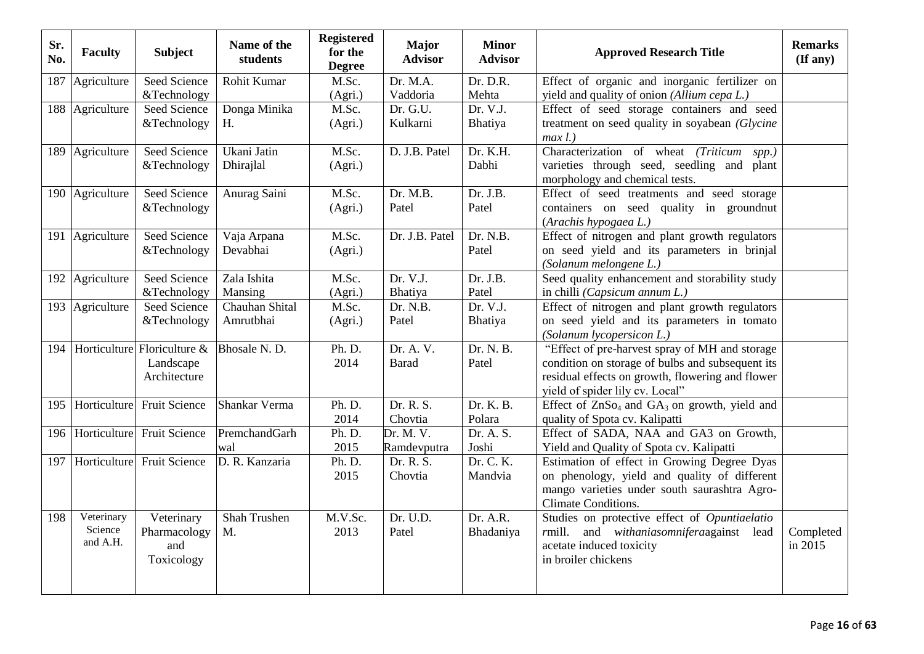| Sr.<br>No. | <b>Faculty</b>               | <b>Subject</b>                 | Name of the<br>students | <b>Registered</b><br>for the<br><b>Degree</b> | <b>Major</b><br><b>Advisor</b> | <b>Minor</b><br><b>Advisor</b> | <b>Approved Research Title</b>                               | <b>Remarks</b><br>(If any) |
|------------|------------------------------|--------------------------------|-------------------------|-----------------------------------------------|--------------------------------|--------------------------------|--------------------------------------------------------------|----------------------------|
| 187        | Agriculture                  | Seed Science                   | Rohit Kumar             | M.Sc.                                         | Dr. M.A.                       | Dr. D.R.                       | Effect of organic and inorganic fertilizer on                |                            |
|            |                              | &Technology                    |                         | (Agri.)                                       | Vaddoria                       | Mehta                          | yield and quality of onion (Allium cepa L.)                  |                            |
|            | 188 Agriculture              | Seed Science                   | Donga Minika            | M.Sc.                                         | Dr. G.U.                       | Dr. V.J.                       | Effect of seed storage containers and seed                   |                            |
|            |                              | &Technology                    | H.                      | (Agri.)                                       | Kulkarni                       | Bhatiya                        | treatment on seed quality in soyabean (Glycine<br>$max l.$ ) |                            |
|            | 189 Agriculture              | <b>Seed Science</b>            | Ukani Jatin             | M.Sc.                                         | D. J.B. Patel                  | Dr. K.H.                       | Characterization of wheat (Triticum spp.)                    |                            |
|            |                              | &Technology                    | Dhirajlal               | (Agri.)                                       |                                | Dabhi                          | varieties through seed, seedling and plant                   |                            |
|            |                              |                                |                         |                                               |                                |                                | morphology and chemical tests.                               |                            |
|            | 190 Agriculture              | Seed Science                   | Anurag Saini            | M.Sc.                                         | Dr. M.B.                       | Dr. J.B.                       | Effect of seed treatments and seed storage                   |                            |
|            |                              | &Technology                    |                         | (Agri.)                                       | Patel                          | Patel                          | containers on seed quality in groundnut                      |                            |
|            |                              |                                |                         |                                               |                                |                                | (Arachis hypogaea L.)                                        |                            |
|            | 191 Agriculture              | <b>Seed Science</b>            | Vaja Arpana             | M.Sc.                                         | Dr. J.B. Patel                 | Dr. N.B.                       | Effect of nitrogen and plant growth regulators               |                            |
|            |                              | &Technology                    | Devabhai                | (Agri.)                                       |                                | Patel                          | on seed yield and its parameters in brinjal                  |                            |
|            |                              |                                |                         |                                               |                                |                                | (Solanum melongene L.)                                       |                            |
|            | $\overline{192}$ Agriculture | Seed Science                   | Zala Ishita             | M.Sc.                                         | Dr. V.J.                       | Dr. J.B.                       | Seed quality enhancement and storability study               |                            |
|            |                              | &Technology                    | Mansing                 | (Agri.)                                       | Bhatiya                        | Patel                          | in chilli (Capsicum annum L.)                                |                            |
|            | 193 Agriculture              | Seed Science                   | Chauhan Shital          | M.Sc.                                         | Dr. N.B.                       | Dr. V.J.                       | Effect of nitrogen and plant growth regulators               |                            |
|            |                              | &Technology                    | Amrutbhai               | (Agri.)                                       | Patel                          | Bhatiya                        | on seed yield and its parameters in tomato                   |                            |
|            |                              |                                |                         |                                               |                                |                                | (Solanum lycopersicon L.)                                    |                            |
| 194        |                              | Horticulture Floriculture &    | Bhosale N.D.            | Ph. D.                                        | Dr. A. V.                      | Dr. N. B.                      | "Effect of pre-harvest spray of MH and storage"              |                            |
|            |                              | Landscape                      |                         | 2014                                          | <b>Barad</b>                   | Patel                          | condition on storage of bulbs and subsequent its             |                            |
|            |                              | Architecture                   |                         |                                               |                                |                                | residual effects on growth, flowering and flower             |                            |
|            |                              |                                |                         |                                               |                                |                                | yield of spider lily cv. Local"                              |                            |
|            |                              | 195 Horticulture Fruit Science | Shankar Verma           | Ph. D.                                        | Dr. R. S.                      | Dr. K. B.                      | Effect of $ZnSo_4$ and $GA_3$ on growth, yield and           |                            |
|            |                              |                                |                         | 2014                                          | Chovtia                        | Polara                         | quality of Spota cv. Kalipatti                               |                            |
| 196        | Horticulture                 | <b>Fruit Science</b>           | PremchandGarh           | Ph. D.                                        | Dr. M. V.                      | Dr. A. S.                      | Effect of SADA, NAA and GA3 on Growth,                       |                            |
|            |                              |                                | wal                     | 2015                                          | Ramdevputra                    | Joshi                          | Yield and Quality of Spota cv. Kalipatti                     |                            |
|            |                              | 197 Horticulture Fruit Science | D. R. Kanzaria          | Ph. D.                                        | Dr. R. S.                      | Dr. C. K.                      | Estimation of effect in Growing Degree Dyas                  |                            |
|            |                              |                                |                         | 2015                                          | Chovtia                        | Mandvia                        | on phenology, yield and quality of different                 |                            |
|            |                              |                                |                         |                                               |                                |                                | mango varieties under south saurashtra Agro-                 |                            |
|            |                              |                                |                         |                                               |                                |                                | Climate Conditions.                                          |                            |
| 198        | Veterinary                   | Veterinary                     | Shah Trushen            | M.V.Sc.                                       | Dr. U.D.                       | Dr. A.R.                       | Studies on protective effect of Opuntiaelatio                |                            |
|            | Science<br>and A.H.          | Pharmacology                   | M.                      | 2013                                          | Patel                          | Bhadaniya                      | rmill. and withaniasomniferaagainst lead                     | Completed                  |
|            |                              | and                            |                         |                                               |                                |                                | acetate induced toxicity                                     | in 2015                    |
|            |                              | Toxicology                     |                         |                                               |                                |                                | in broiler chickens                                          |                            |
|            |                              |                                |                         |                                               |                                |                                |                                                              |                            |
|            |                              |                                |                         |                                               |                                |                                |                                                              |                            |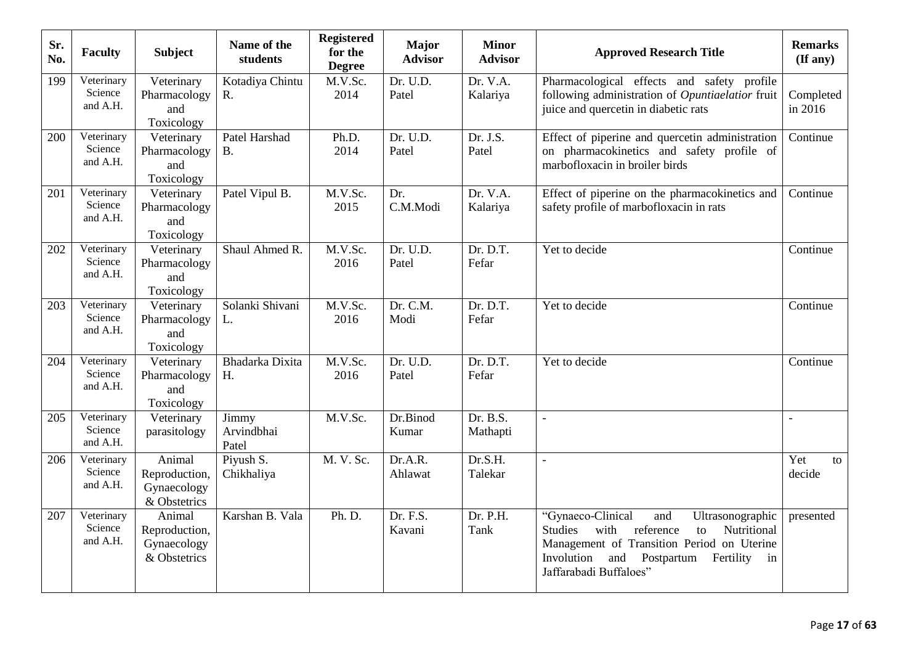| Sr.<br>No. | <b>Faculty</b>                    | <b>Subject</b>                                         | Name of the<br>students      | <b>Registered</b><br>for the<br><b>Degree</b> | <b>Major</b><br><b>Advisor</b> | <b>Minor</b><br><b>Advisor</b> | <b>Approved Research Title</b>                                                                                                                                                                                                         | <b>Remarks</b><br>$($ If any $)$ |
|------------|-----------------------------------|--------------------------------------------------------|------------------------------|-----------------------------------------------|--------------------------------|--------------------------------|----------------------------------------------------------------------------------------------------------------------------------------------------------------------------------------------------------------------------------------|----------------------------------|
| 199        | Veterinary<br>Science<br>and A.H. | Veterinary<br>Pharmacology<br>and<br>Toxicology        | Kotadiya Chintu<br>R.        | M.V.Sc.<br>2014                               | Dr. U.D.<br>Patel              | Dr. V.A.<br>Kalariya           | Pharmacological effects and safety profile<br>following administration of Opuntiaelatior fruit<br>juice and quercetin in diabetic rats                                                                                                 | Completed<br>in 2016             |
| 200        | Veterinary<br>Science<br>and A.H. | Veterinary<br>Pharmacology<br>and<br>Toxicology        | Patel Harshad<br><b>B.</b>   | Ph.D.<br>2014                                 | Dr. U.D.<br>Patel              | Dr. J.S.<br>Patel              | Effect of piperine and quercetin administration<br>on pharmacokinetics and safety profile of<br>marbofloxacin in broiler birds                                                                                                         | Continue                         |
| 201        | Veterinary<br>Science<br>and A.H. | Veterinary<br>Pharmacology<br>and<br>Toxicology        | Patel Vipul B.               | M.V.Sc.<br>2015                               | Dr.<br>C.M.Modi                | Dr. V.A.<br>Kalariya           | Effect of piperine on the pharmacokinetics and<br>safety profile of marbofloxacin in rats                                                                                                                                              | Continue                         |
| 202        | Veterinary<br>Science<br>and A.H. | Veterinary<br>Pharmacology<br>and<br>Toxicology        | Shaul Ahmed R.               | M.V.Sc.<br>2016                               | Dr. U.D.<br>Patel              | Dr. D.T.<br>Fefar              | Yet to decide                                                                                                                                                                                                                          | Continue                         |
| 203        | Veterinary<br>Science<br>and A.H. | Veterinary<br>Pharmacology<br>and<br>Toxicology        | Solanki Shivani<br>L.        | M.V.Sc.<br>2016                               | Dr. C.M.<br>Modi               | Dr. D.T.<br>Fefar              | Yet to decide                                                                                                                                                                                                                          | Continue                         |
| 204        | Veterinary<br>Science<br>and A.H. | Veterinary<br>Pharmacology<br>and<br>Toxicology        | Bhadarka Dixita<br>H.        | M.V.Sc.<br>2016                               | Dr. U.D.<br>Patel              | Dr. D.T.<br>Fefar              | Yet to decide                                                                                                                                                                                                                          | Continue                         |
| 205        | Veterinary<br>Science<br>and A.H. | Veterinary<br>parasitology                             | Jimmy<br>Arvindbhai<br>Patel | M.V.Sc.                                       | Dr.Binod<br>Kumar              | Dr. B.S.<br>Mathapti           | $\overline{a}$                                                                                                                                                                                                                         |                                  |
| 206        | Veterinary<br>Science<br>and A.H. | Animal<br>Reproduction,<br>Gynaecology<br>& Obstetrics | Piyush S.<br>Chikhaliya      | M. V. Sc.                                     | Dr.A.R.<br>Ahlawat             | Dr.S.H.<br>Talekar             | $\overline{a}$                                                                                                                                                                                                                         | Yet<br>to<br>decide              |
| 207        | Veterinary<br>Science<br>and A.H. | Animal<br>Reproduction,<br>Gynaecology<br>& Obstetrics | Karshan B. Vala              | Ph. D.                                        | Dr. F.S.<br>Kavani             | Dr. P.H.<br>Tank               | "Gynaeco-Clinical<br>and<br>Ultrasonographic<br>Nutritional<br><b>Studies</b><br>with<br>reference<br>to<br>Management of Transition Period on Uterine<br>Involution<br>and<br>Postpartum<br>Fertility<br>in<br>Jaffarabadi Buffaloes" | presented                        |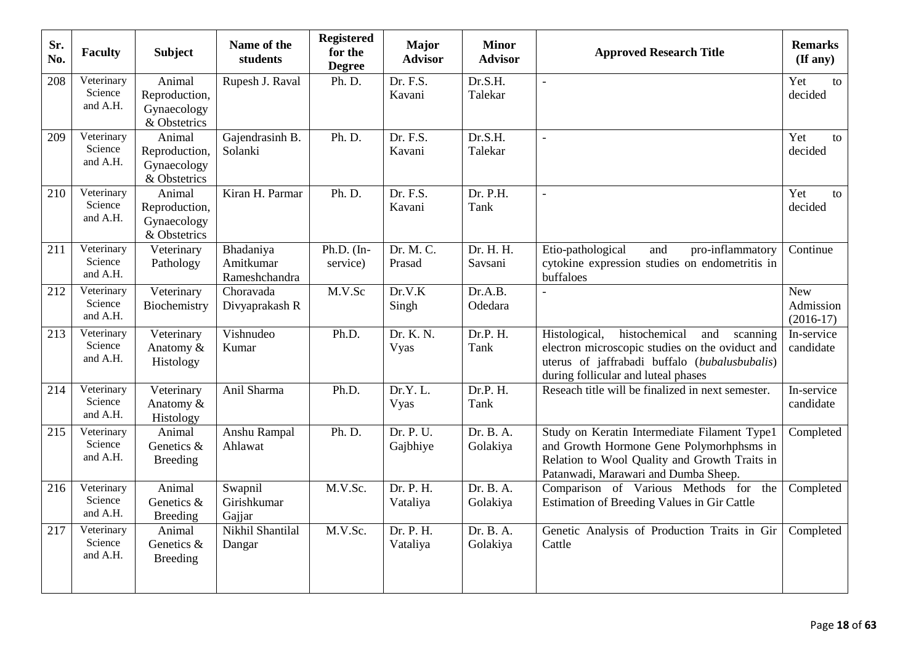| Sr.<br>No. | <b>Faculty</b>                    | Subject                                                | Name of the<br>students                 | <b>Registered</b><br>for the<br><b>Degree</b> | <b>Major</b><br><b>Advisor</b> | <b>Minor</b><br><b>Advisor</b> | <b>Approved Research Title</b>                                                                                                                                                               | <b>Remarks</b><br>$(\mathbf{If any})$  |
|------------|-----------------------------------|--------------------------------------------------------|-----------------------------------------|-----------------------------------------------|--------------------------------|--------------------------------|----------------------------------------------------------------------------------------------------------------------------------------------------------------------------------------------|----------------------------------------|
| 208        | Veterinary<br>Science<br>and A.H. | Animal<br>Reproduction,<br>Gynaecology<br>& Obstetrics | Rupesh J. Raval                         | Ph. D.                                        | Dr. F.S.<br>Kavani             | Dr.S.H.<br>Talekar             | $\overline{a}$                                                                                                                                                                               | Yet<br>to<br>decided                   |
| 209        | Veterinary<br>Science<br>and A.H. | Animal<br>Reproduction,<br>Gynaecology<br>& Obstetrics | Gajendrasinh B.<br>Solanki              | Ph. D.                                        | Dr. F.S.<br>Kavani             | Dr.S.H.<br>Talekar             | $\overline{a}$                                                                                                                                                                               | Yet<br>to<br>decided                   |
| 210        | Veterinary<br>Science<br>and A.H. | Animal<br>Reproduction,<br>Gynaecology<br>& Obstetrics | Kiran H. Parmar                         | Ph. D.                                        | Dr. F.S.<br>Kavani             | Dr. P.H.<br>Tank               |                                                                                                                                                                                              | Yet<br>to<br>decided                   |
| 211        | Veterinary<br>Science<br>and A.H. | Veterinary<br>Pathology                                | Bhadaniya<br>Amitkumar<br>Rameshchandra | Ph.D. $(In-$<br>service)                      | Dr. M. C.<br>Prasad            | Dr. H. H.<br>Savsani           | Etio-pathological<br>and<br>pro-inflammatory<br>cytokine expression studies on endometritis in<br>buffaloes                                                                                  | Continue                               |
| 212        | Veterinary<br>Science<br>and A.H. | Veterinary<br>Biochemistry                             | Choravada<br>Divyaprakash R             | M.V.Sc                                        | Dr.V.K<br>Singh                | Dr.A.B.<br>Odedara             |                                                                                                                                                                                              | <b>New</b><br>Admission<br>$(2016-17)$ |
| 213        | Veterinary<br>Science<br>and A.H. | Veterinary<br>Anatomy &<br>Histology                   | Vishnudeo<br>Kumar                      | Ph.D.                                         | Dr. K. N.<br>Vyas              | Dr.P. H.<br>Tank               | histochemical<br>Histological,<br>and<br>scanning<br>electron microscopic studies on the oviduct and<br>uterus of jaffrabadi buffalo (bubalusbubalis)<br>during follicular and luteal phases | In-service<br>candidate                |
| 214        | Veterinary<br>Science<br>and A.H. | Veterinary<br>Anatomy &<br>Histology                   | Anil Sharma                             | Ph.D.                                         | Dr.Y.L.<br>Vyas                | Dr.P. H.<br>Tank               | Reseach title will be finalized in next semester.                                                                                                                                            | In-service<br>candidate                |
| 215        | Veterinary<br>Science<br>and A.H. | Animal<br>Genetics &<br><b>Breeding</b>                | Anshu Rampal<br>Ahlawat                 | Ph. D.                                        | Dr. P. U.<br>Gajbhiye          | Dr. B. A.<br>Golakiya          | Study on Keratin Intermediate Filament Type1<br>and Growth Hormone Gene Polymorhphsms in<br>Relation to Wool Quality and Growth Traits in<br>Patanwadi, Marawari and Dumba Sheep.            | Completed                              |
| 216        | Veterinary<br>Science<br>and A.H. | Animal<br>Genetics &<br><b>Breeding</b>                | Swapnil<br>Girishkumar<br>Gajjar        | M.V.Sc.                                       | Dr. P. H.<br>Vataliya          | Dr. B. A.<br>Golakiya          | Comparison of Various Methods for the<br>Estimation of Breeding Values in Gir Cattle                                                                                                         | Completed                              |
| 217        | Veterinary<br>Science<br>and A.H. | Animal<br>Genetics &<br><b>Breeding</b>                | Nikhil Shantilal<br>Dangar              | M.V.Sc.                                       | Dr. P. H.<br>Vataliya          | Dr. B. A.<br>Golakiya          | Genetic Analysis of Production Traits in Gir<br>Cattle                                                                                                                                       | Completed                              |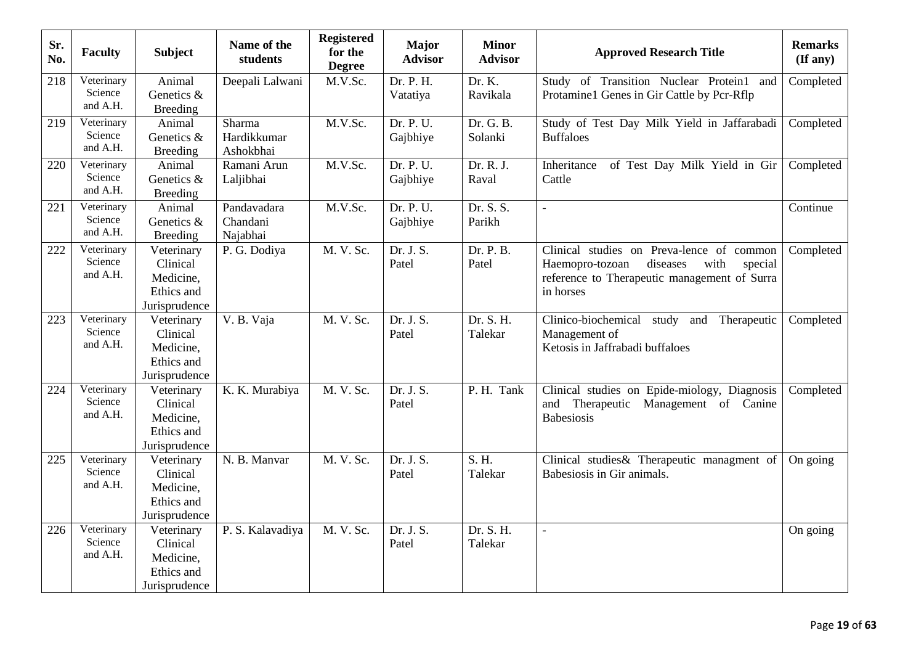| Sr.<br>No. | <b>Faculty</b>                    | <b>Subject</b>                                                     | Name of the<br>students             | <b>Registered</b><br>for the<br><b>Degree</b> | <b>Major</b><br><b>Advisor</b> | <b>Minor</b><br><b>Advisor</b> | <b>Approved Research Title</b>                                                                                                                           | <b>Remarks</b><br>(If any) |
|------------|-----------------------------------|--------------------------------------------------------------------|-------------------------------------|-----------------------------------------------|--------------------------------|--------------------------------|----------------------------------------------------------------------------------------------------------------------------------------------------------|----------------------------|
| 218        | Veterinary<br>Science<br>and A.H. | Animal<br>Genetics &<br><b>Breeding</b>                            | Deepali Lalwani                     | M.V.Sc.                                       | Dr. P. H.<br>Vatatiya          | Dr. K.<br>Ravikala             | Study of Transition Nuclear Protein1 and<br>Protamine1 Genes in Gir Cattle by Pcr-Rflp                                                                   | Completed                  |
| 219        | Veterinary<br>Science<br>and A.H. | Animal<br>Genetics &<br><b>Breeding</b>                            | Sharma<br>Hardikkumar<br>Ashokbhai  | M.V.Sc.                                       | Dr. P. U.<br>Gajbhiye          | Dr. G. B.<br>Solanki           | Study of Test Day Milk Yield in Jaffarabadi<br><b>Buffaloes</b>                                                                                          | Completed                  |
| 220        | Veterinary<br>Science<br>and A.H. | Animal<br>Genetics &<br><b>Breeding</b>                            | Ramani Arun<br>Laljibhai            | M.V.Sc.                                       | Dr. P. U.<br>Gajbhiye          | Dr. R. J.<br>Raval             | of Test Day Milk Yield in Gir<br>Inheritance<br>Cattle                                                                                                   | Completed                  |
| 221        | Veterinary<br>Science<br>and A.H. | Animal<br>Genetics &<br>Breeding                                   | Pandavadara<br>Chandani<br>Najabhai | M.V.Sc.                                       | Dr. P. U.<br>Gajbhiye          | Dr. S. S.<br>Parikh            |                                                                                                                                                          | Continue                   |
| 222        | Veterinary<br>Science<br>and A.H. | Veterinary<br>Clinical<br>Medicine,<br>Ethics and<br>Jurisprudence | P. G. Dodiya                        | M. V. Sc.                                     | Dr. J. S.<br>Patel             | Dr. P. B.<br>Patel             | Clinical studies on Preva-lence of common<br>Haemopro-tozoan<br>diseases<br>with<br>special<br>reference to Therapeutic management of Surra<br>in horses | Completed                  |
| 223        | Veterinary<br>Science<br>and A.H. | Veterinary<br>Clinical<br>Medicine,<br>Ethics and<br>Jurisprudence | V. B. Vaja                          | M. V. Sc.                                     | Dr. J. S.<br>Patel             | Dr. S. H.<br>Talekar           | Clinico-biochemical<br>Therapeutic<br>study<br>and<br>Management of<br>Ketosis in Jaffrabadi buffaloes                                                   | Completed                  |
| 224        | Veterinary<br>Science<br>and A.H. | Veterinary<br>Clinical<br>Medicine,<br>Ethics and<br>Jurisprudence | K. K. Murabiya                      | M. V. Sc.                                     | Dr. J. S.<br>Patel             | P. H. Tank                     | Clinical studies on Epide-miology, Diagnosis<br>and<br>Therapeutic Management of Canine<br><b>Babesiosis</b>                                             | Completed                  |
| 225        | Veterinary<br>Science<br>and A.H. | Veterinary<br>Clinical<br>Medicine,<br>Ethics and<br>Jurisprudence | N. B. Manvar                        | M. V. Sc.                                     | Dr. J. S.<br>Patel             | S. H.<br>Talekar               | Clinical studies & Therapeutic managment of<br>Babesiosis in Gir animals.                                                                                | On going                   |
| 226        | Veterinary<br>Science<br>and A.H. | Veterinary<br>Clinical<br>Medicine,<br>Ethics and<br>Jurisprudence | P. S. Kalavadiya                    | M. V. Sc.                                     | Dr. J. S.<br>Patel             | Dr. S. H.<br>Talekar           | $\overline{a}$                                                                                                                                           | On going                   |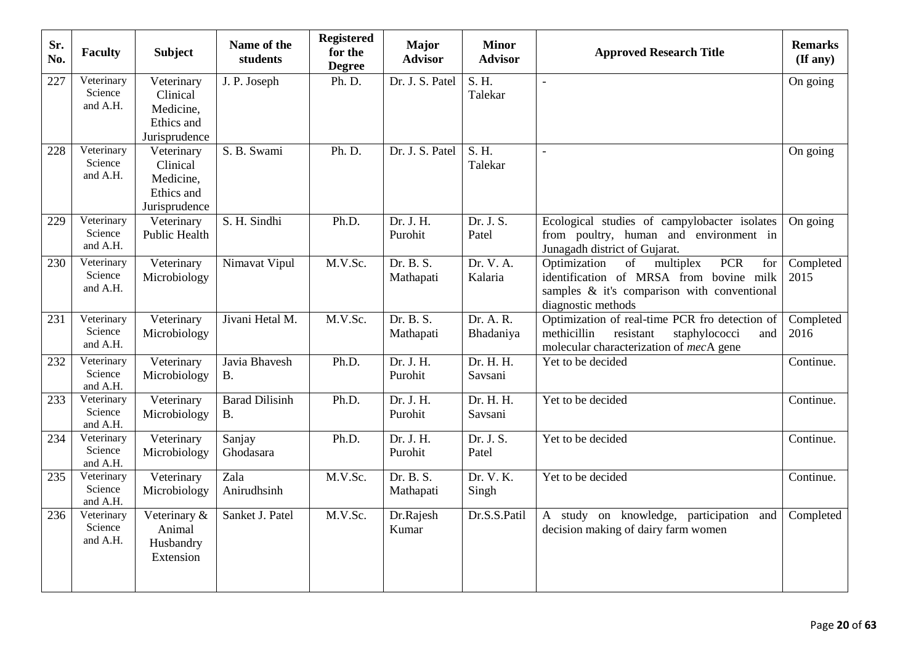| Sr.<br>No. | <b>Faculty</b>                    | <b>Subject</b>                                                     | Name of the<br>students     | <b>Registered</b><br>for the<br><b>Degree</b> | <b>Major</b><br><b>Advisor</b> | <b>Minor</b><br><b>Advisor</b> | <b>Approved Research Title</b>                                                                                                                                       | <b>Remarks</b><br>(If any) |
|------------|-----------------------------------|--------------------------------------------------------------------|-----------------------------|-----------------------------------------------|--------------------------------|--------------------------------|----------------------------------------------------------------------------------------------------------------------------------------------------------------------|----------------------------|
| 227        | Veterinary<br>Science<br>and A.H. | Veterinary<br>Clinical<br>Medicine,<br>Ethics and<br>Jurisprudence | J. P. Joseph                | Ph. D.                                        | Dr. J. S. Patel                | S. H.<br>Talekar               | $\bar{\phantom{a}}$                                                                                                                                                  | On going                   |
| 228        | Veterinary<br>Science<br>and A.H. | Veterinary<br>Clinical<br>Medicine,<br>Ethics and<br>Jurisprudence | S. B. Swami                 | Ph. D.                                        | Dr. J. S. Patel                | S. H.<br>Talekar               | $\overline{\phantom{a}}$                                                                                                                                             | On going                   |
| 229        | Veterinary<br>Science<br>and A.H. | Veterinary<br><b>Public Health</b>                                 | S. H. Sindhi                | Ph.D.                                         | Dr. J. H.<br>Purohit           | Dr. J. S.<br>Patel             | Ecological studies of campylobacter isolates<br>from poultry, human and environment in<br>Junagadh district of Gujarat.                                              | On going                   |
| 230        | Veterinary<br>Science<br>and A.H. | Veterinary<br>Microbiology                                         | Nimavat Vipul               | M.V.Sc.                                       | Dr. B. S.<br>Mathapati         | Dr. V. A.<br>Kalaria           | Optimization<br><b>PCR</b><br>of<br>multiplex<br>for<br>identification of MRSA from bovine milk<br>samples & it's comparison with conventional<br>diagnostic methods | Completed<br>2015          |
| 231        | Veterinary<br>Science<br>and A.H. | Veterinary<br>Microbiology                                         | Jivani Hetal M.             | M.V.Sc.                                       | Dr. B. $S$ .<br>Mathapati      | Dr. A. R.<br>Bhadaniya         | Optimization of real-time PCR fro detection of<br>methicillin<br>resistant<br>staphylococci<br>and<br>molecular characterization of mecA gene                        | Completed<br>2016          |
| 232        | Veterinary<br>Science<br>and A.H. | Veterinary<br>Microbiology                                         | Javia Bhavesh<br><b>B.</b>  | Ph.D.                                         | Dr. J. H.<br>Purohit           | Dr. H. H.<br>Savsani           | Yet to be decided                                                                                                                                                    | Continue.                  |
| 233        | Veterinary<br>Science<br>and A.H. | Veterinary<br>Microbiology                                         | <b>Barad Dilisinh</b><br>B. | Ph.D.                                         | Dr. J. H.<br>Purohit           | Dr. H. H.<br>Savsani           | Yet to be decided                                                                                                                                                    | Continue.                  |
| 234        | Veterinary<br>Science<br>and A.H. | Veterinary<br>Microbiology                                         | Sanjay<br>Ghodasara         | Ph.D.                                         | Dr. J. H.<br>Purohit           | Dr. J. S.<br>Patel             | Yet to be decided                                                                                                                                                    | Continue.                  |
| 235        | Veterinary<br>Science<br>and A.H. | Veterinary<br>Microbiology                                         | Zala<br>Anirudhsinh         | M.V.Sc.                                       | Dr. B. S.<br>Mathapati         | Dr. V. K.<br>Singh             | Yet to be decided                                                                                                                                                    | Continue.                  |
| 236        | Veterinary<br>Science<br>and A.H. | Veterinary &<br>Animal<br>Husbandry<br>Extension                   | Sanket J. Patel             | M.V.Sc.                                       | Dr.Rajesh<br>Kumar             | Dr.S.S.Patil                   | A study on knowledge, participation and<br>decision making of dairy farm women                                                                                       | Completed                  |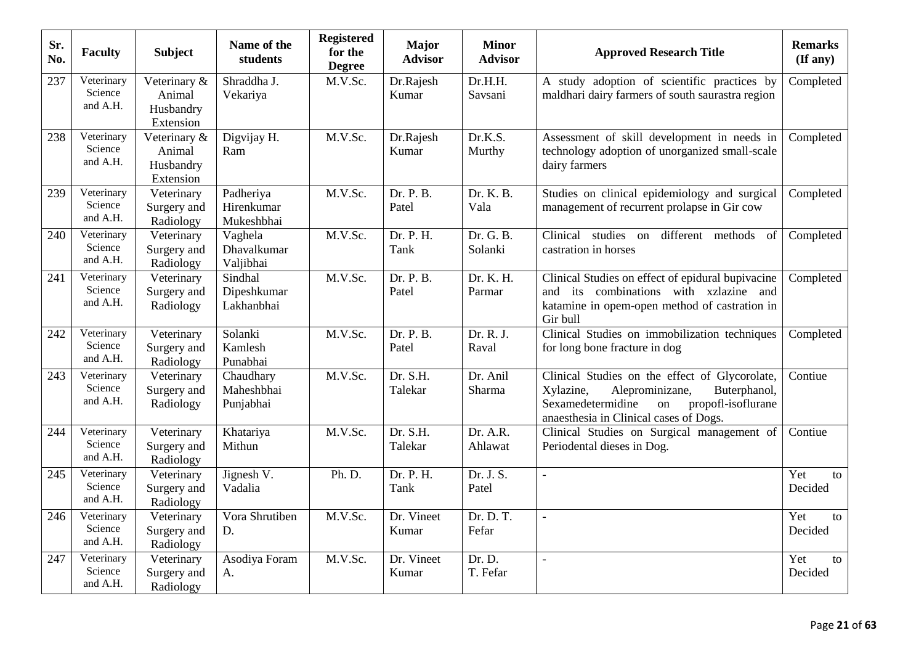| Sr.<br>No. | <b>Faculty</b>                    | <b>Subject</b>                                   | Name of the<br>students               | <b>Registered</b><br>for the<br><b>Degree</b> | <b>Major</b><br><b>Advisor</b> | <b>Minor</b><br><b>Advisor</b> | <b>Approved Research Title</b>                                                                                                                                                            | <b>Remarks</b><br>$($ If any $)$ |
|------------|-----------------------------------|--------------------------------------------------|---------------------------------------|-----------------------------------------------|--------------------------------|--------------------------------|-------------------------------------------------------------------------------------------------------------------------------------------------------------------------------------------|----------------------------------|
| 237        | Veterinary<br>Science<br>and A.H. | Veterinary &<br>Animal<br>Husbandry<br>Extension | Shraddha J.<br>Vekariya               | M.V.Sc.                                       | Dr.Rajesh<br>Kumar             | Dr.H.H.<br>Savsani             | A study adoption of scientific practices by<br>maldhari dairy farmers of south saurastra region                                                                                           | Completed                        |
| 238        | Veterinary<br>Science<br>and A.H. | Veterinary &<br>Animal<br>Husbandry<br>Extension | Digvijay H.<br>Ram                    | M.V.Sc.                                       | Dr.Rajesh<br>Kumar             | Dr.K.S.<br>Murthy              | Assessment of skill development in needs in<br>technology adoption of unorganized small-scale<br>dairy farmers                                                                            | Completed                        |
| 239        | Veterinary<br>Science<br>and A.H. | Veterinary<br>Surgery and<br>Radiology           | Padheriya<br>Hirenkumar<br>Mukeshbhai | M.V.Sc.                                       | Dr. P. B.<br>Patel             | Dr. K. B.<br>Vala              | Studies on clinical epidemiology and surgical<br>management of recurrent prolapse in Gir cow                                                                                              | Completed                        |
| 240        | Veterinary<br>Science<br>and A.H. | Veterinary<br>Surgery and<br>Radiology           | Vaghela<br>Dhavalkumar<br>Valjibhai   | M.V.Sc.                                       | Dr. P. H.<br>Tank              | Dr. G. B.<br>Solanki           | Clinical studies on<br>different methods<br>of<br>castration in horses                                                                                                                    | Completed                        |
| 241        | Veterinary<br>Science<br>and A.H. | Veterinary<br>Surgery and<br>Radiology           | Sindhal<br>Dipeshkumar<br>Lakhanbhai  | M.V.Sc.                                       | Dr. P. B.<br>Patel             | Dr. K. H.<br>Parmar            | Clinical Studies on effect of epidural bupivacine<br>and its combinations with xzlazine and<br>katamine in opem-open method of castration in<br>Gir bull                                  | Completed                        |
| 242        | Veterinary<br>Science<br>and A.H. | Veterinary<br>Surgery and<br>Radiology           | Solanki<br>Kamlesh<br>Punabhai        | M.V.Sc.                                       | Dr. P. B.<br>Patel             | Dr. R. J.<br>Raval             | Clinical Studies on immobilization techniques<br>for long bone fracture in dog                                                                                                            | Completed                        |
| 243        | Veterinary<br>Science<br>and A.H. | Veterinary<br>Surgery and<br>Radiology           | Chaudhary<br>Maheshbhai<br>Punjabhai  | M.V.Sc.                                       | Dr. S.H.<br>Talekar            | Dr. Anil<br>Sharma             | Clinical Studies on the effect of Glycorolate,<br>Xylazine,<br>Aleprominizane,<br>Buterphanol,<br>Sexamedetermidine<br>propofl-isoflurane<br>on<br>anaesthesia in Clinical cases of Dogs. | Contiue                          |
| 244        | Veterinary<br>Science<br>and A.H. | Veterinary<br>Surgery and<br>Radiology           | Khatariya<br>Mithun                   | M.V.Sc.                                       | Dr. S.H.<br>Talekar            | Dr. A.R.<br>Ahlawat            | Clinical Studies on Surgical management of<br>Periodental dieses in Dog.                                                                                                                  | Contiue                          |
| 245        | Veterinary<br>Science<br>and A.H. | Veterinary<br>Surgery and<br>Radiology           | Jignesh V.<br>Vadalia                 | Ph. D.                                        | Dr. P. H.<br>Tank              | Dr. J. S.<br>Patel             |                                                                                                                                                                                           | Yet<br>to<br>Decided             |
| 246        | Veterinary<br>Science<br>and A.H. | Veterinary<br>Surgery and<br>Radiology           | Vora Shrutiben<br>D.                  | M.V.Sc.                                       | Dr. Vineet<br>Kumar            | Dr. D. T.<br>Fefar             | $\overline{a}$                                                                                                                                                                            | Yet<br>${\rm to}$<br>Decided     |
| 247        | Veterinary<br>Science<br>and A.H. | Veterinary<br>Surgery and<br>Radiology           | Asodiya Foram<br>A.                   | M.V.Sc.                                       | Dr. Vineet<br>Kumar            | Dr. D.<br>T. Fefar             | $\overline{a}$                                                                                                                                                                            | Yet<br>to<br>Decided             |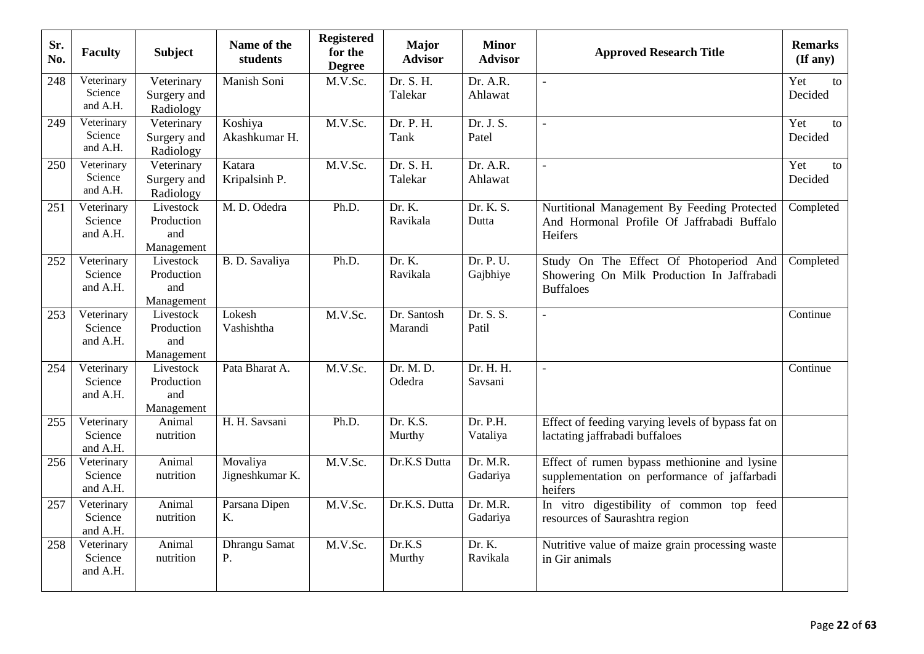| Sr.<br>No. | <b>Faculty</b>                    | <b>Subject</b>                               | Name of the<br>students     | <b>Registered</b><br>for the<br><b>Degree</b> | <b>Major</b><br><b>Advisor</b> | <b>Minor</b><br><b>Advisor</b> | <b>Approved Research Title</b>                                                                           | <b>Remarks</b><br>$(\mathbf{If any})$ |
|------------|-----------------------------------|----------------------------------------------|-----------------------------|-----------------------------------------------|--------------------------------|--------------------------------|----------------------------------------------------------------------------------------------------------|---------------------------------------|
| 248        | Veterinary<br>Science<br>and A.H. | Veterinary<br>Surgery and<br>Radiology       | Manish Soni                 | M.V.Sc.                                       | Dr. S. H.<br>Talekar           | Dr. A.R.<br>Ahlawat            | $\overline{a}$                                                                                           | Yet<br>to<br>Decided                  |
| 249        | Veterinary<br>Science<br>and A.H. | Veterinary<br>Surgery and<br>Radiology       | Koshiya<br>Akashkumar H.    | M.V.Sc.                                       | Dr. P. H.<br>Tank              | Dr. J. S.<br>Patel             | $\mathbb{L}$                                                                                             | Yet<br>to<br>Decided                  |
| 250        | Veterinary<br>Science<br>and A.H. | Veterinary<br>Surgery and<br>Radiology       | Katara<br>Kripalsinh P.     | M.V.Sc.                                       | Dr. S. H.<br>Talekar           | Dr. A.R.<br>Ahlawat            | $\mathbf{r}$                                                                                             | Yet<br>to<br>Decided                  |
| 251        | Veterinary<br>Science<br>and A.H. | Livestock<br>Production<br>and<br>Management | M. D. Odedra                | Ph.D.                                         | Dr. K.<br>Ravikala             | Dr. K. S.<br>Dutta             | Nurtitional Management By Feeding Protected<br>And Hormonal Profile Of Jaffrabadi Buffalo<br>Heifers     | Completed                             |
| 252        | Veterinary<br>Science<br>and A.H. | Livestock<br>Production<br>and<br>Management | B. D. Savaliya              | Ph.D.                                         | Dr. K.<br>Ravikala             | Dr. P. U.<br>Gajbhiye          | Study On The Effect Of Photoperiod And<br>Showering On Milk Production In Jaffrabadi<br><b>Buffaloes</b> | Completed                             |
| 253        | Veterinary<br>Science<br>and A.H. | Livestock<br>Production<br>and<br>Management | Lokesh<br>Vashishtha        | M.V.Sc.                                       | Dr. Santosh<br>Marandi         | Dr. S. S.<br>Patil             |                                                                                                          | Continue                              |
| 254        | Veterinary<br>Science<br>and A.H. | Livestock<br>Production<br>and<br>Management | Pata Bharat A.              | M.V.Sc.                                       | Dr. M. D.<br>Odedra            | Dr. H. H.<br>Savsani           | $\overline{a}$                                                                                           | Continue                              |
| 255        | Veterinary<br>Science<br>and A.H. | Animal<br>nutrition                          | H. H. Savsani               | Ph.D.                                         | Dr. K.S.<br>Murthy             | Dr. P.H.<br>Vataliya           | Effect of feeding varying levels of bypass fat on<br>lactating jaffrabadi buffaloes                      |                                       |
| 256        | Veterinary<br>Science<br>and A.H. | Animal<br>nutrition                          | Movaliya<br>Jigneshkumar K. | M.V.Sc.                                       | Dr.K.S Dutta                   | Dr. M.R.<br>Gadariya           | Effect of rumen bypass methionine and lysine<br>supplementation on performance of jaffarbadi<br>heifers  |                                       |
| 257        | Veterinary<br>Science<br>and A.H. | Animal<br>nutrition                          | Parsana Dipen<br>K.         | M.V.Sc.                                       | Dr.K.S. Dutta                  | Dr. M.R.<br>Gadariya           | In vitro digestibility of common top feed<br>resources of Saurashtra region                              |                                       |
| 258        | Veterinary<br>Science<br>and A.H. | Animal<br>nutrition                          | Dhrangu Samat<br>P.         | M.V.Sc.                                       | Dr.K.S<br>Murthy               | Dr. K.<br>Ravikala             | Nutritive value of maize grain processing waste<br>in Gir animals                                        |                                       |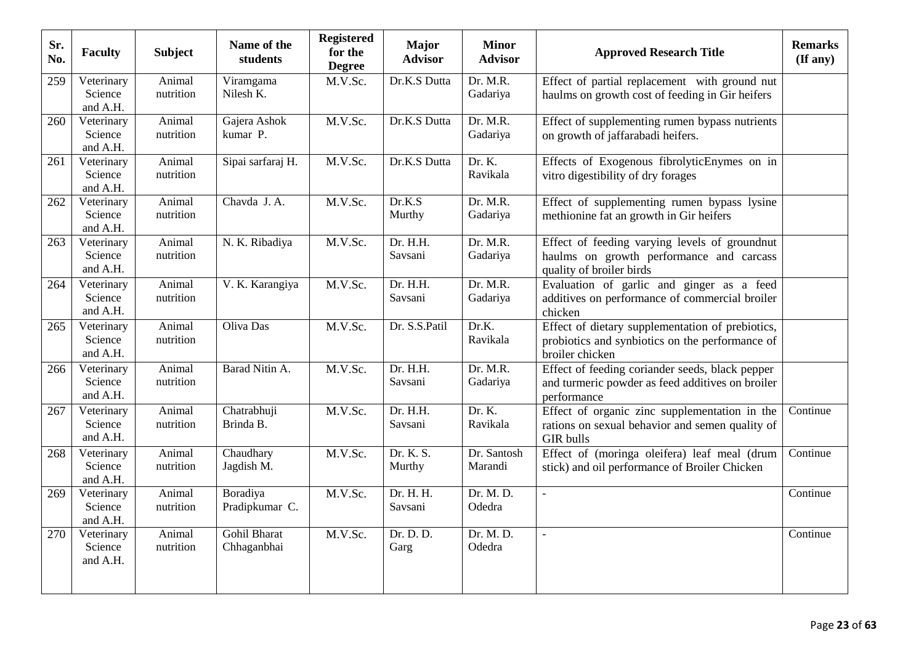| Sr.<br>No. | <b>Faculty</b>                    | <b>Subject</b>      | Name of the<br>students     | <b>Registered</b><br>for the<br><b>Degree</b> | <b>Major</b><br><b>Advisor</b> | <b>Minor</b><br><b>Advisor</b> | <b>Approved Research Title</b>                                                                                         | <b>Remarks</b><br>$($ If any $)$ |
|------------|-----------------------------------|---------------------|-----------------------------|-----------------------------------------------|--------------------------------|--------------------------------|------------------------------------------------------------------------------------------------------------------------|----------------------------------|
| 259        | Veterinary<br>Science<br>and A.H. | Animal<br>nutrition | Viramgama<br>Nilesh K.      | M.V.Sc.                                       | Dr.K.S Dutta                   | Dr. M.R.<br>Gadariya           | Effect of partial replacement with ground nut<br>haulms on growth cost of feeding in Gir heifers                       |                                  |
| 260        | Veterinary<br>Science<br>and A.H. | Animal<br>nutrition | Gajera Ashok<br>kumar P.    | M.V.Sc.                                       | Dr.K.S Dutta                   | Dr. M.R.<br>Gadariya           | Effect of supplementing rumen bypass nutrients<br>on growth of jaffarabadi heifers.                                    |                                  |
| 261        | Veterinary<br>Science<br>and A.H. | Animal<br>nutrition | Sipai sarfaraj H.           | M.V.Sc.                                       | Dr.K.S Dutta                   | Dr. K.<br>Ravikala             | Effects of Exogenous fibrolyticEnymes on in<br>vitro digestibility of dry forages                                      |                                  |
| 262        | Veterinary<br>Science<br>and A.H. | Animal<br>nutrition | Chavda J. A.                | M.V.Sc.                                       | Dr.K.S<br>Murthy               | Dr. M.R.<br>Gadariya           | Effect of supplementing rumen bypass lysine<br>methionine fat an growth in Gir heifers                                 |                                  |
| 263        | Veterinary<br>Science<br>and A.H. | Animal<br>nutrition | N. K. Ribadiya              | M.V.Sc.                                       | Dr. H.H.<br>Savsani            | Dr. M.R.<br>Gadariya           | Effect of feeding varying levels of groundnut<br>haulms on growth performance and carcass<br>quality of broiler birds  |                                  |
| 264        | Veterinary<br>Science<br>and A.H. | Animal<br>nutrition | V. K. Karangiya             | M.V.Sc.                                       | Dr. H.H.<br>Savsani            | Dr. M.R.<br>Gadariya           | Evaluation of garlic and ginger as a feed<br>additives on performance of commercial broiler<br>chicken                 |                                  |
| 265        | Veterinary<br>Science<br>and A.H. | Animal<br>nutrition | Oliva Das                   | M.V.Sc.                                       | Dr. S.S.Patil                  | Dr.K.<br>Ravikala              | Effect of dietary supplementation of prebiotics,<br>probiotics and synbiotics on the performance of<br>broiler chicken |                                  |
| 266        | Veterinary<br>Science<br>and A.H. | Animal<br>nutrition | Barad Nitin A.              | M.V.Sc.                                       | Dr. H.H.<br>Savsani            | Dr. M.R.<br>Gadariya           | Effect of feeding coriander seeds, black pepper<br>and turmeric powder as feed additives on broiler<br>performance     |                                  |
| 267        | Veterinary<br>Science<br>and A.H. | Animal<br>nutrition | Chatrabhuji<br>Brinda B.    | M.V.Sc.                                       | Dr. H.H.<br>Savsani            | Dr. K.<br>Ravikala             | Effect of organic zinc supplementation in the<br>rations on sexual behavior and semen quality of<br><b>GIR</b> bulls   | Continue                         |
| 268        | Veterinary<br>Science<br>and A.H. | Animal<br>nutrition | Chaudhary<br>Jagdish M.     | M.V.Sc.                                       | Dr. K. S.<br>Murthy            | Dr. Santosh<br>Marandi         | Effect of (moringa oleifera) leaf meal (drum<br>stick) and oil performance of Broiler Chicken                          | Continue                         |
| 269        | Veterinary<br>Science<br>and A.H. | Animal<br>nutrition | Boradiya<br>Pradipkumar C.  | M.V.Sc.                                       | Dr. H. H.<br>Savsani           | Dr. M. D.<br>Odedra            | $\equiv$                                                                                                               | Continue                         |
| 270        | Veterinary<br>Science<br>and A.H. | Animal<br>nutrition | Gohil Bharat<br>Chhaganbhai | M.V.Sc.                                       | Dr. D. D.<br>Garg              | Dr. M. D.<br>Odedra            | $\overline{a}$                                                                                                         | Continue                         |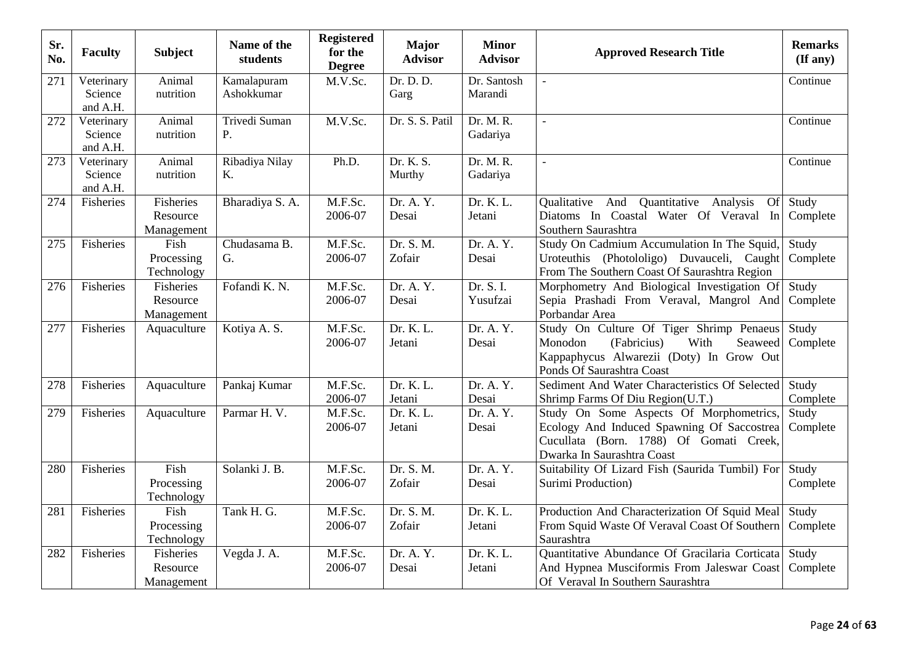| Sr.<br>No. | <b>Faculty</b>                    | <b>Subject</b>                      | Name of the<br>students   | <b>Registered</b><br>for the<br><b>Degree</b> | <b>Major</b><br><b>Advisor</b>    | <b>Minor</b><br><b>Advisor</b> | <b>Approved Research Title</b>                                                                                                                                 | <b>Remarks</b><br>(If any) |
|------------|-----------------------------------|-------------------------------------|---------------------------|-----------------------------------------------|-----------------------------------|--------------------------------|----------------------------------------------------------------------------------------------------------------------------------------------------------------|----------------------------|
| 271        | Veterinary<br>Science<br>and A.H. | Animal<br>nutrition                 | Kamalapuram<br>Ashokkumar | M.V.Sc.                                       | Dr. D. D.<br>Garg                 | Dr. Santosh<br>Marandi         | $\overline{a}$                                                                                                                                                 | Continue                   |
| 272        | Veterinary<br>Science<br>and A.H. | Animal<br>nutrition                 | Trivedi Suman<br>P.       | M.V.Sc.                                       | Dr. S. S. Patil                   | Dr. M. R.<br>Gadariya          | $\overline{a}$                                                                                                                                                 | Continue                   |
| 273        | Veterinary<br>Science<br>and A.H. | Animal<br>nutrition                 | Ribadiya Nilay<br>K.      | Ph.D.                                         | Dr. K. S.<br>Murthy               | Dr. M. R.<br>Gadariya          |                                                                                                                                                                | Continue                   |
| 274        | Fisheries                         | Fisheries<br>Resource<br>Management | Bharadiya S. A.           | M.F.Sc.<br>2006-07                            | Dr. A. Y.<br>Desai                | Dr. K. L.<br>Jetani            | Qualitative And Quantitative Analysis<br><b>Of</b><br>Diatoms In Coastal Water Of Veraval<br>In<br>Southern Saurashtra                                         | Study<br>Complete          |
| 275        | Fisheries                         | Fish<br>Processing<br>Technology    | Chudasama B.<br>G.        | M.F.Sc.<br>2006-07                            | Dr. S. M.<br>Zofair               | Dr. A. Y.<br>Desai             | Study On Cadmium Accumulation In The Squid.<br>Uroteuthis (Photololigo) Duvauceli, Caught<br>From The Southern Coast Of Saurashtra Region                      | Study<br>Complete          |
| 276        | Fisheries                         | Fisheries<br>Resource<br>Management | Fofandi K. N.             | M.F.Sc.<br>2006-07                            | Dr. A. Y.<br>Desai                | Dr. S. I.<br>Yusufzai          | Morphometry And Biological Investigation Of<br>Sepia Prashadi From Veraval, Mangrol And<br>Porbandar Area                                                      | Study<br>Complete          |
| 277        | Fisheries                         | Aquaculture                         | Kotiya A. S.              | M.F.Sc.<br>2006-07                            | Dr. K. L.<br>Jetani               | Dr. A. Y.<br>Desai             | Study On Culture Of Tiger Shrimp Penaeus<br>(Fabricius)<br>Monodon<br>With<br>Seaweed<br>Kappaphycus Alwarezii (Doty) In Grow Out<br>Ponds Of Saurashtra Coast | Study<br>Complete          |
| 278        | Fisheries                         | Aquaculture                         | Pankaj Kumar              | M.F.Sc.<br>2006-07                            | Dr. K. L.<br>Jetani               | Dr. A. Y.<br>Desai             | Sediment And Water Characteristics Of Selected<br>Shrimp Farms Of Diu Region(U.T.)                                                                             | Study<br>Complete          |
| 279        | Fisheries                         | Aquaculture                         | Parmar H. V.              | M.F.Sc.<br>2006-07                            | $\overline{Dr}$ . K. L.<br>Jetani | Dr. A. Y.<br>Desai             | Study On Some Aspects Of Morphometrics.<br>Ecology And Induced Spawning Of Saccostrea<br>Cucullata (Born. 1788) Of Gomati Creek,<br>Dwarka In Saurashtra Coast | Study<br>Complete          |
| 280        | Fisheries                         | Fish<br>Processing<br>Technology    | Solanki J. B.             | M.F.Sc.<br>2006-07                            | Dr. S. M.<br>Zofair               | Dr. A. Y.<br>Desai             | Suitability Of Lizard Fish (Saurida Tumbil) For<br>Surimi Production)                                                                                          | Study<br>Complete          |
| 281        | Fisheries                         | Fish<br>Processing<br>Technology    | Tank H. G.                | M.F.Sc.<br>2006-07                            | Dr. S. M.<br>Zofair               | Dr. K. L.<br>Jetani            | Production And Characterization Of Squid Meal<br>From Squid Waste Of Veraval Coast Of Southern<br>Saurashtra                                                   | Study<br>Complete          |
| 282        | Fisheries                         | Fisheries<br>Resource<br>Management | Vegda J. A.               | M.F.Sc.<br>2006-07                            | Dr. A. Y.<br>Desai                | Dr. K. L.<br>Jetani            | Quantitative Abundance Of Gracilaria Corticata<br>And Hypnea Musciformis From Jaleswar Coast<br>Of Veraval In Southern Saurashtra                              | Study<br>Complete          |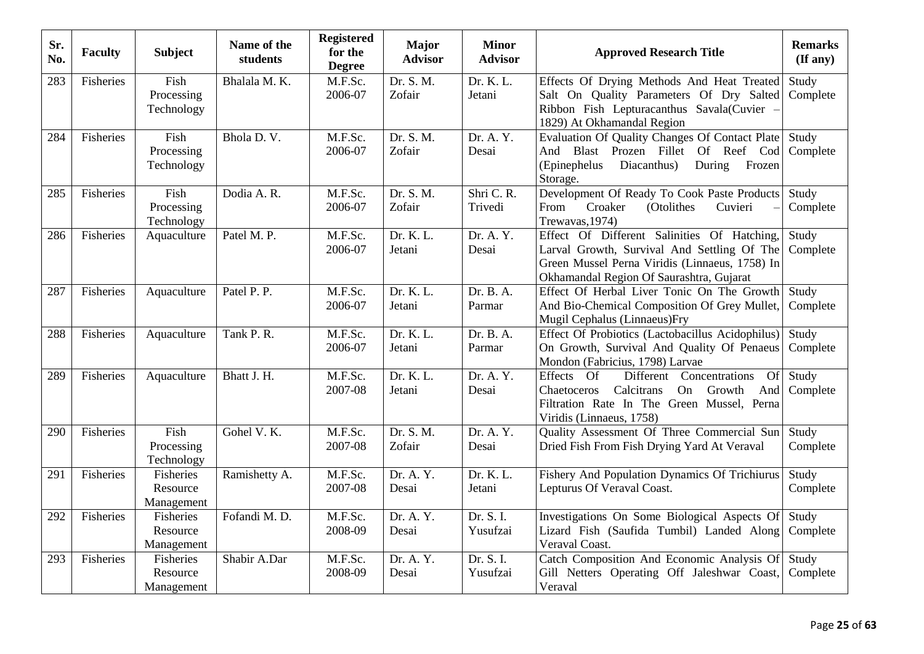| Sr.<br>No. | <b>Faculty</b> | <b>Subject</b>                             | Name of the<br>students | <b>Registered</b><br>for the<br><b>Degree</b> | <b>Major</b><br><b>Advisor</b> | <b>Minor</b><br><b>Advisor</b> | <b>Approved Research Title</b>                                                                                                                                                           | <b>Remarks</b><br>(If any) |
|------------|----------------|--------------------------------------------|-------------------------|-----------------------------------------------|--------------------------------|--------------------------------|------------------------------------------------------------------------------------------------------------------------------------------------------------------------------------------|----------------------------|
| 283        | Fisheries      | Fish<br>Processing<br>Technology           | Bhalala M. K.           | M.F.Sc.<br>2006-07                            | Dr. S. M.<br>Zofair            | Dr. K. L.<br>Jetani            | Effects Of Drying Methods And Heat Treated<br>Salt On Quality Parameters Of Dry Salted<br>Ribbon Fish Lepturacanthus Savala(Cuvier -<br>1829) At Okhamandal Region                       | Study<br>Complete          |
| 284        | Fisheries      | Fish<br>Processing<br>Technology           | Bhola D.V.              | M.F.Sc.<br>2006-07                            | Dr. S. M.<br>Zofair            | Dr. A. Y.<br>Desai             | Evaluation Of Quality Changes Of Contact Plate<br>And Blast Prozen Fillet Of Reef Cod<br>(Epinephelus<br>Diacanthus)<br>During<br>Frozen<br>Storage.                                     | Study<br>Complete          |
| 285        | Fisheries      | Fish<br>Processing<br>Technology           | Dodia A.R.              | M.F.Sc.<br>2006-07                            | Dr. S. M.<br>Zofair            | Shri C. R.<br>Trivedi          | Development Of Ready To Cook Paste Products<br>Croaker<br>(Otolithes<br>From<br>Cuvieri<br>Trewavas, 1974)                                                                               | Study<br>Complete          |
| 286        | Fisheries      | Aquaculture                                | Patel M. P.             | M.F.Sc.<br>2006-07                            | Dr. K. L.<br>Jetani            | Dr. A. Y.<br>Desai             | Effect Of Different Salinities Of Hatching,<br>Larval Growth, Survival And Settling Of The<br>Green Mussel Perna Viridis (Linnaeus, 1758) In<br>Okhamandal Region Of Saurashtra, Gujarat | Study<br>Complete          |
| 287        | Fisheries      | Aquaculture                                | Patel P. P.             | M.F.Sc.<br>2006-07                            | Dr. K. L.<br>Jetani            | Dr. B. A.<br>Parmar            | Effect Of Herbal Liver Tonic On The Growth<br>And Bio-Chemical Composition Of Grey Mullet,<br>Mugil Cephalus (Linnaeus)Fry                                                               | Study<br>Complete          |
| 288        | Fisheries      | Aquaculture                                | Tank P. R.              | M.F.Sc.<br>2006-07                            | Dr. K. L.<br>Jetani            | Dr. B. A.<br>Parmar            | Effect Of Probiotics (Lactobacillus Acidophilus)<br>On Growth, Survival And Quality Of Penaeus<br>Mondon (Fabricius, 1798) Larvae                                                        | Study<br>Complete          |
| 289        | Fisheries      | Aquaculture                                | Bhatt J. H.             | M.F.Sc.<br>2007-08                            | Dr. K. L.<br>Jetani            | Dr. A. Y.<br>Desai             | Concentrations<br>Effects Of<br>Different<br>Of<br>Calcitrans<br>On Growth<br>Chaetoceros<br>And<br>Filtration Rate In The Green Mussel, Perna<br>Viridis (Linnaeus, 1758)               | Study<br>Complete          |
| 290        | Fisheries      | Fish<br>Processing<br>Technology           | Gohel V.K.              | M.F.Sc.<br>2007-08                            | Dr. S. M.<br>Zofair            | Dr. A. Y.<br>Desai             | Quality Assessment Of Three Commercial Sun<br>Dried Fish From Fish Drying Yard At Veraval                                                                                                | Study<br>Complete          |
| 291        | Fisheries      | Fisheries<br>Resource<br>Management        | Ramishetty A.           | M.F.Sc.<br>2007-08                            | Dr. A. Y.<br>Desai             | Dr. K. L.<br>Jetani            | <b>Fishery And Population Dynamics Of Trichiurus</b><br>Lepturus Of Veraval Coast.                                                                                                       | Study<br>Complete          |
| 292        | Fisheries      | <b>Fisheries</b><br>Resource<br>Management | Fofandi M.D.            | M.F.Sc.<br>2008-09                            | Dr. A. Y.<br>Desai             | Dr. S. I.<br>Yusufzai          | Investigations On Some Biological Aspects Of<br>Lizard Fish (Saufida Tumbil) Landed Along<br>Veraval Coast.                                                                              | Study<br>Complete          |
| 293        | Fisheries      | Fisheries<br>Resource<br>Management        | Shabir A.Dar            | M.F.Sc.<br>2008-09                            | Dr. A. Y.<br>Desai             | Dr. S. I.<br>Yusufzai          | Catch Composition And Economic Analysis Of<br>Gill Netters Operating Off Jaleshwar Coast,<br>Veraval                                                                                     | Study<br>Complete          |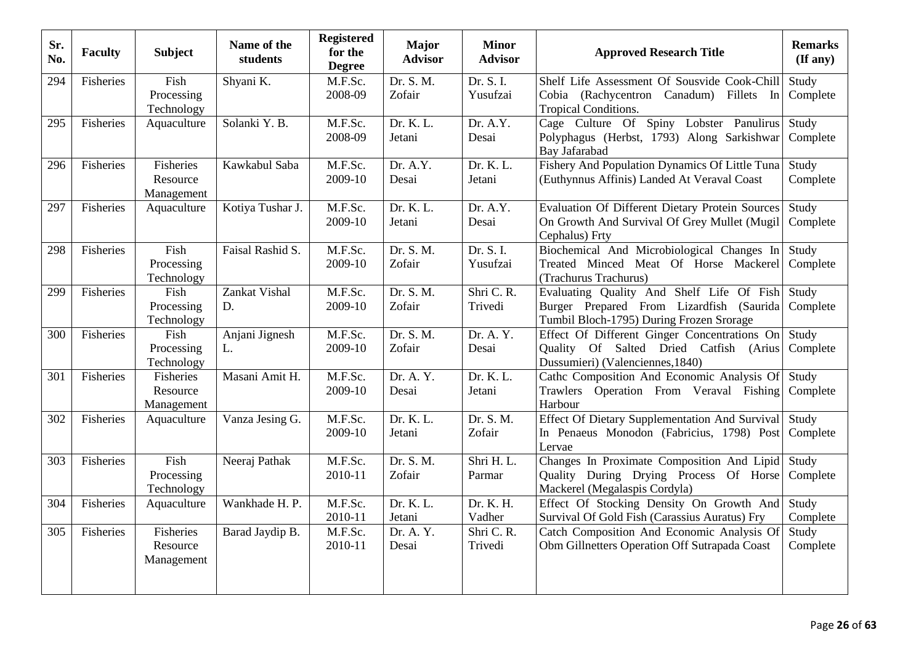| Sr.<br>No. | <b>Faculty</b> | <b>Subject</b>                             | Name of the<br>students | <b>Registered</b><br>for the<br><b>Degree</b> | <b>Major</b><br><b>Advisor</b> | <b>Minor</b><br><b>Advisor</b> | <b>Approved Research Title</b>                                                                                                    | <b>Remarks</b><br>(If any) |
|------------|----------------|--------------------------------------------|-------------------------|-----------------------------------------------|--------------------------------|--------------------------------|-----------------------------------------------------------------------------------------------------------------------------------|----------------------------|
| 294        | Fisheries      | Fish<br>Processing<br>Technology           | Shyani K.               | M.F.Sc.<br>2008-09                            | Dr. S. M.<br>Zofair            | Dr. S. I.<br>Yusufzai          | Shelf Life Assessment Of Sousvide Cook-Chill<br>Cobia (Rachycentron Canadum) Fillets In<br>Tropical Conditions.                   | Study<br>Complete          |
| 295        | Fisheries      | Aquaculture                                | Solanki Y.B.            | M.F.Sc.<br>2008-09                            | Dr. K. L.<br>Jetani            | Dr. A.Y.<br>Desai              | Cage Culture Of Spiny Lobster Panulirus<br>Polyphagus (Herbst, 1793) Along Sarkishwar<br>Bay Jafarabad                            | Study<br>Complete          |
| 296        | Fisheries      | <b>Fisheries</b><br>Resource<br>Management | Kawkabul Saba           | M.F.Sc.<br>2009-10                            | Dr. A.Y.<br>Desai              | Dr. K. L.<br>Jetani            | Fishery And Population Dynamics Of Little Tuna<br>(Euthynnus Affinis) Landed At Veraval Coast                                     | Study<br>Complete          |
| 297        | Fisheries      | Aquaculture                                | Kotiya Tushar J.        | M.F.Sc.<br>2009-10                            | Dr. K. L.<br>Jetani            | Dr. A.Y.<br>Desai              | Evaluation Of Different Dietary Protein Sources<br>On Growth And Survival Of Grey Mullet (Mugil<br>Cephalus) Frty                 | Study<br>Complete          |
| 298        | Fisheries      | Fish<br>Processing<br>Technology           | Faisal Rashid S.        | M.F.Sc.<br>2009-10                            | Dr. S. M.<br>Zofair            | Dr. S. I.<br>Yusufzai          | Biochemical And Microbiological Changes In<br>Treated Minced Meat Of Horse Mackerel<br>(Trachurus Trachurus)                      | Study<br>Complete          |
| 299        | Fisheries      | Fish<br>Processing<br>Technology           | Zankat Vishal<br>D.     | M.F.Sc.<br>2009-10                            | Dr. S. M.<br>Zofair            | Shri C. R.<br>Trivedi          | Evaluating Quality And Shelf Life Of Fish<br>Burger Prepared From Lizardfish (Saurida<br>Tumbil Bloch-1795) During Frozen Srorage | Study<br>Complete          |
| 300        | Fisheries      | Fish<br>Processing<br>Technology           | Anjani Jignesh<br>L.    | M.F.Sc.<br>2009-10                            | Dr. S. M.<br>Zofair            | Dr. A. Y.<br>Desai             | Effect Of Different Ginger Concentrations On<br>Quality Of Salted Dried Catfish (Arius<br>Dussumieri) (Valenciennes, 1840)        | Study<br>Complete          |
| 301        | Fisheries      | Fisheries<br>Resource<br>Management        | Masani Amit H.          | M.F.Sc.<br>2009-10                            | Dr. A. Y.<br>Desai             | Dr. K. L.<br>Jetani            | Cathc Composition And Economic Analysis Of<br>Trawlers Operation From Veraval Fishing<br>Harbour                                  | Study<br>Complete          |
| 302        | Fisheries      | Aquaculture                                | Vanza Jesing G.         | M.F.Sc.<br>2009-10                            | Dr. K. L.<br>Jetani            | Dr. S. M.<br>Zofair            | <b>Effect Of Dietary Supplementation And Survival</b><br>In Penaeus Monodon (Fabricius, 1798) Post<br>Lervae                      | Study<br>Complete          |
| 303        | Fisheries      | Fish<br>Processing<br>Technology           | Neeraj Pathak           | M.F.Sc.<br>2010-11                            | Dr. S. M.<br>Zofair            | Shri H.L.<br>Parmar            | Changes In Proximate Composition And Lipid<br>Quality During Drying Process Of Horse<br>Mackerel (Megalaspis Cordyla)             | Study<br>Complete          |
| 304        | Fisheries      | Aquaculture                                | Wankhade H. P.          | M.F.Sc.<br>2010-11                            | Dr. K. L.<br>Jetani            | Dr. K. H.<br>Vadher            | Effect Of Stocking Density On Growth And<br>Survival Of Gold Fish (Carassius Auratus) Fry                                         | Study<br>Complete          |
| 305        | Fisheries      | Fisheries<br>Resource<br>Management        | Barad Jaydip B.         | M.F.Sc.<br>2010-11                            | Dr. A. Y.<br>Desai             | Shri C. R.<br>Trivedi          | Catch Composition And Economic Analysis Of<br>Obm Gillnetters Operation Off Sutrapada Coast                                       | Study<br>Complete          |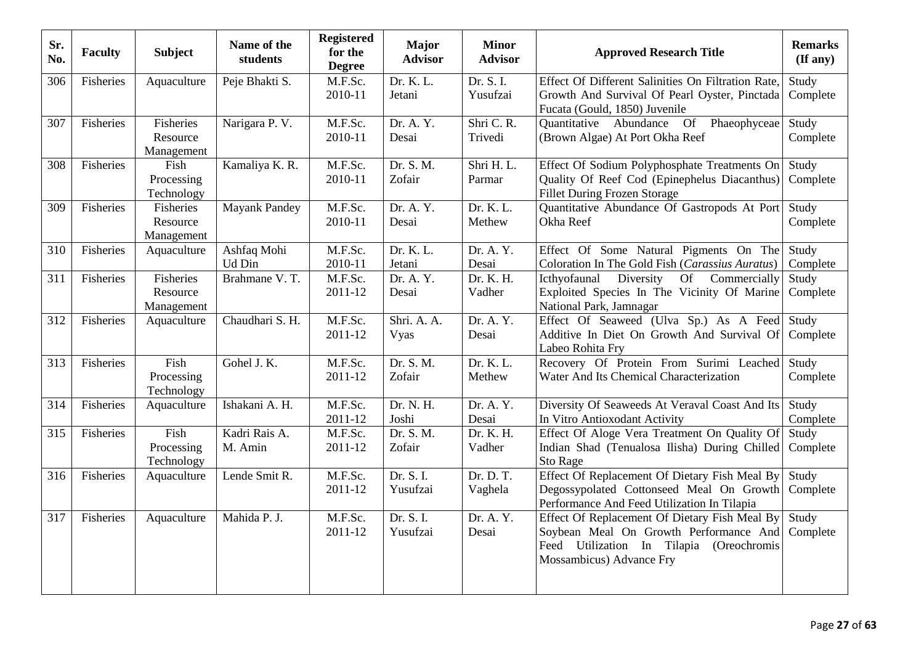| Sr.<br>No. | <b>Faculty</b> | <b>Subject</b>                             | Name of the<br>students  | <b>Registered</b><br>for the<br><b>Degree</b> | <b>Major</b><br><b>Advisor</b> | <b>Minor</b><br><b>Advisor</b> | <b>Approved Research Title</b>                                                                                                                                  | <b>Remarks</b><br>(If any) |
|------------|----------------|--------------------------------------------|--------------------------|-----------------------------------------------|--------------------------------|--------------------------------|-----------------------------------------------------------------------------------------------------------------------------------------------------------------|----------------------------|
| 306        | Fisheries      | Aquaculture                                | Peje Bhakti S.           | M.F.Sc.<br>2010-11                            | Dr. K. L.<br>Jetani            | Dr. S. I.<br>Yusufzai          | Effect Of Different Salinities On Filtration Rate,<br>Growth And Survival Of Pearl Oyster, Pinctada<br>Fucata (Gould, 1850) Juvenile                            | Study<br>Complete          |
| 307        | Fisheries      | <b>Fisheries</b><br>Resource<br>Management | Narigara P. V.           | M.F.Sc.<br>2010-11                            | Dr. A. Y.<br>Desai             | Shri C.R.<br>Trivedi           | Phaeophyceae<br><b>Of</b><br>Quantitative Abundance<br>(Brown Algae) At Port Okha Reef                                                                          | Study<br>Complete          |
| 308        | Fisheries      | Fish<br>Processing<br>Technology           | Kamaliya K. R.           | M.F.Sc.<br>2010-11                            | Dr. S. M.<br>Zofair            | Shri H.L.<br>Parmar            | Effect Of Sodium Polyphosphate Treatments On<br>Quality Of Reef Cod (Epinephelus Diacanthus)<br><b>Fillet During Frozen Storage</b>                             | Study<br>Complete          |
| 309        | Fisheries      | Fisheries<br>Resource<br>Management        | <b>Mayank Pandey</b>     | M.F.Sc.<br>2010-11                            | Dr. A. Y.<br>Desai             | Dr. K. L.<br>Methew            | Quantitative Abundance Of Gastropods At Port<br>Okha Reef                                                                                                       | Study<br>Complete          |
| 310        | Fisheries      | Aquaculture                                | Ashfaq Mohi<br>Ud Din    | M.F.Sc.<br>2010-11                            | Dr. K. L.<br>Jetani            | Dr. A. Y.<br>Desai             | Effect Of Some Natural Pigments On The<br>Coloration In The Gold Fish (Carassius Auratus)                                                                       | Study<br>Complete          |
| 311        | Fisheries      | Fisheries<br>Resource<br>Management        | Brahmane V. T.           | M.F.Sc.<br>2011-12                            | Dr. A. Y.<br>Desai             | Dr. K. H.<br>Vadher            | Icthyofaunal<br>Diversity<br>Of Commercially<br>Exploited Species In The Vicinity Of Marine<br>National Park, Jamnagar                                          | Study<br>Complete          |
| 312        | Fisheries      | Aquaculture                                | Chaudhari S. H.          | M.F.Sc.<br>2011-12                            | Shri. A. A.<br>Vyas            | Dr. A. Y.<br>Desai             | Effect Of Seaweed (Ulva Sp.) As A Feed<br>Additive In Diet On Growth And Survival Of<br>Labeo Rohita Fry                                                        | Study<br>Complete          |
| 313        | Fisheries      | Fish<br>Processing<br>Technology           | Gohel J. K.              | M.F.Sc.<br>2011-12                            | Dr. S. M.<br>Zofair            | Dr. K. L.<br>Methew            | Recovery Of Protein From Surimi Leached<br>Water And Its Chemical Characterization                                                                              | Study<br>Complete          |
| 314        | Fisheries      | Aquaculture                                | Ishakani A. H.           | M.F.Sc.<br>2011-12                            | Dr. N. H.<br>Joshi             | Dr. A. Y.<br>Desai             | Diversity Of Seaweeds At Veraval Coast And Its<br>In Vitro Antioxodant Activity                                                                                 | Study<br>Complete          |
| 315        | Fisheries      | Fish<br>Processing<br>Technology           | Kadri Rais A.<br>M. Amin | M.F.Sc.<br>2011-12                            | Dr. S. M.<br>Zofair            | Dr. K. H.<br>Vadher            | Effect Of Aloge Vera Treatment On Quality Of<br>Indian Shad (Tenualosa Ilisha) During Chilled<br><b>Sto Rage</b>                                                | Study<br>Complete          |
| 316        | Fisheries      | Aquaculture                                | Lende Smit R.            | M.F.Sc.<br>2011-12                            | Dr. S. I.<br>Yusufzai          | Dr. D. T.<br>Vaghela           | Effect Of Replacement Of Dietary Fish Meal By<br>Degossypolated Cottonseed Meal On Growth<br>Performance And Feed Utilization In Tilapia                        | Study<br>Complete          |
| 317        | Fisheries      | Aquaculture                                | Mahida P. J.             | M.F.Sc.<br>2011-12                            | Dr. S. I.<br>Yusufzai          | Dr. A. Y.<br>Desai             | Effect Of Replacement Of Dietary Fish Meal By<br>Soybean Meal On Growth Performance And<br>Feed Utilization In Tilapia (Oreochromis<br>Mossambicus) Advance Fry | Study<br>Complete          |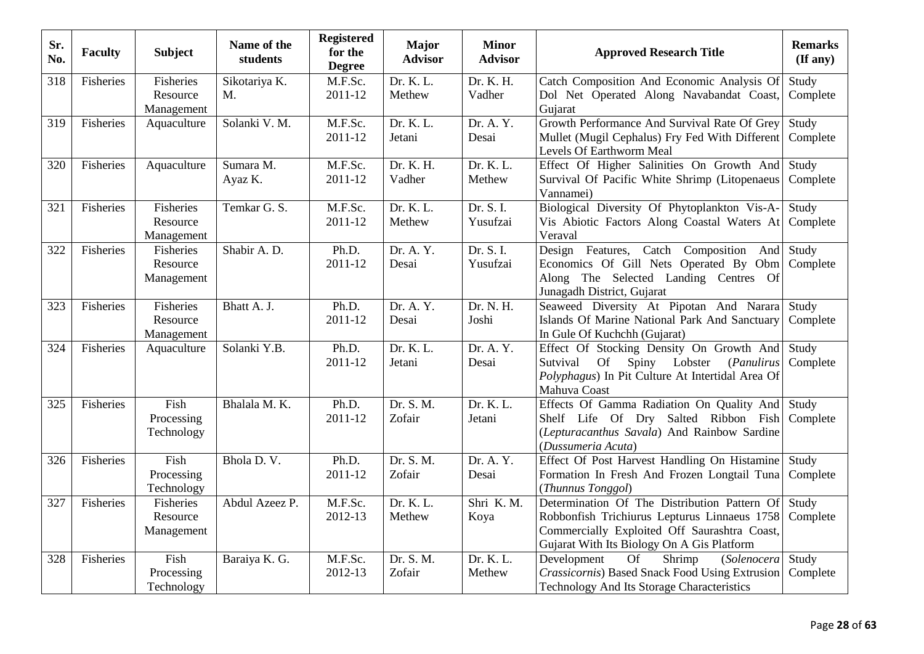| Sr.<br>No. | <b>Faculty</b> | <b>Subject</b>                             | Name of the<br>students | <b>Registered</b><br>for the<br><b>Degree</b> | <b>Major</b><br><b>Advisor</b> | <b>Minor</b><br><b>Advisor</b>   | <b>Approved Research Title</b>                                                                                                                                                             | <b>Remarks</b><br>$(\mathbf{If any})$ |
|------------|----------------|--------------------------------------------|-------------------------|-----------------------------------------------|--------------------------------|----------------------------------|--------------------------------------------------------------------------------------------------------------------------------------------------------------------------------------------|---------------------------------------|
| 318        | Fisheries      | <b>Fisheries</b><br>Resource<br>Management | Sikotariya K.<br>M.     | M.F.Sc.<br>2011-12                            | Dr. K. L.<br>Methew            | Dr. K. H.<br>Vadher              | Catch Composition And Economic Analysis Of<br>Dol Net Operated Along Navabandat Coast,<br>Gujarat                                                                                          | Study<br>Complete                     |
| 319        | Fisheries      | Aquaculture                                | Solanki V. M.           | M.F.Sc.<br>2011-12                            | Dr. K. L.<br>Jetani            | Dr. A. Y.<br>Desai               | Growth Performance And Survival Rate Of Grey<br>Mullet (Mugil Cephalus) Fry Fed With Different<br>Levels Of Earthworm Meal                                                                 | Study<br>Complete                     |
| 320        | Fisheries      | Aquaculture                                | Sumara M.<br>Ayaz K.    | M.F.Sc.<br>2011-12                            | Dr. K. H.<br>Vadher            | Dr. K. L.<br>Methew              | Effect Of Higher Salinities On Growth And<br>Survival Of Pacific White Shrimp (Litopenaeus<br>Vannamei)                                                                                    | Study<br>Complete                     |
| 321        | Fisheries      | Fisheries<br>Resource<br>Management        | Temkar G. S.            | M.F.Sc.<br>2011-12                            | Dr. K. L.<br>Methew            | Dr. S. I.<br>Yusufzai            | Biological Diversity Of Phytoplankton Vis-A-<br>Vis Abiotic Factors Along Coastal Waters At<br>Veraval                                                                                     | Study<br>Complete                     |
| 322        | Fisheries      | <b>Fisheries</b><br>Resource<br>Management | Shabir A.D.             | Ph.D.<br>2011-12                              | Dr. A. Y.<br>Desai             | Dr. S. I.<br>Yusufzai            | Design Features, Catch Composition<br>And<br>Economics Of Gill Nets Operated By Obm<br>Along The Selected Landing Centres Of<br>Junagadh District, Gujarat                                 | Study<br>Complete                     |
| 323        | Fisheries      | Fisheries<br>Resource<br>Management        | Bhatt A. J.             | Ph.D.<br>2011-12                              | Dr. A. Y.<br>Desai             | Dr. N. H.<br>Joshi               | Seaweed Diversity At Pipotan And Narara<br>Islands Of Marine National Park And Sanctuary<br>In Gule Of Kuchchh (Gujarat)                                                                   | Study<br>Complete                     |
| 324        | Fisheries      | Aquaculture                                | Solanki Y.B.            | Ph.D.<br>2011-12                              | Dr. K. L.<br>Jetani            | Dr. A. $\overline{Y}$ .<br>Desai | Effect Of Stocking Density On Growth And<br>Sutvival<br><b>Of</b><br>Spiny<br>Lobster<br>(Panulirus<br>Polyphagus) In Pit Culture At Intertidal Area Of<br>Mahuva Coast                    | Study<br>Complete                     |
| 325        | Fisheries      | Fish<br>Processing<br>Technology           | Bhalala M. K.           | Ph.D.<br>2011-12                              | Dr. S. M.<br>Zofair            | Dr. K. L.<br>Jetani              | Effects Of Gamma Radiation On Quality And<br>Shelf Life Of Dry Salted Ribbon Fish<br>(Lepturacanthus Savala) And Rainbow Sardine<br>(Dussumeria Acuta)                                     | Study<br>Complete                     |
| 326        | Fisheries      | Fish<br>Processing<br>Technology           | Bhola D.V.              | Ph.D.<br>2011-12                              | Dr. S. M.<br>Zofair            | Dr. A. Y.<br>Desai               | Effect Of Post Harvest Handling On Histamine<br>Formation In Fresh And Frozen Longtail Tuna<br>(Thunnus Tonggol)                                                                           | Study<br>Complete                     |
| 327        | Fisheries      | Fisheries<br>Resource<br>Management        | Abdul Azeez P.          | M.F.Sc.<br>2012-13                            | Dr. K. L.<br>Methew            | Shri K.M.<br>Koya                | Determination Of The Distribution Pattern Of<br>Robbonfish Trichiurus Lepturus Linnaeus 1758<br>Commercially Exploited Off Saurashtra Coast,<br>Gujarat With Its Biology On A Gis Platform | Study<br>Complete                     |
| 328        | Fisheries      | Fish<br>Processing<br>Technology           | Baraiya K. G.           | M.F.Sc.<br>2012-13                            | Dr. S. M.<br>Zofair            | Dr. K. L.<br>Methew              | Development<br>$\overline{\text{Shrimp}}$<br><b>Of</b><br>(Solenocera<br>Crassicornis) Based Snack Food Using Extrusion<br>Technology And Its Storage Characteristics                      | Study<br>Complete                     |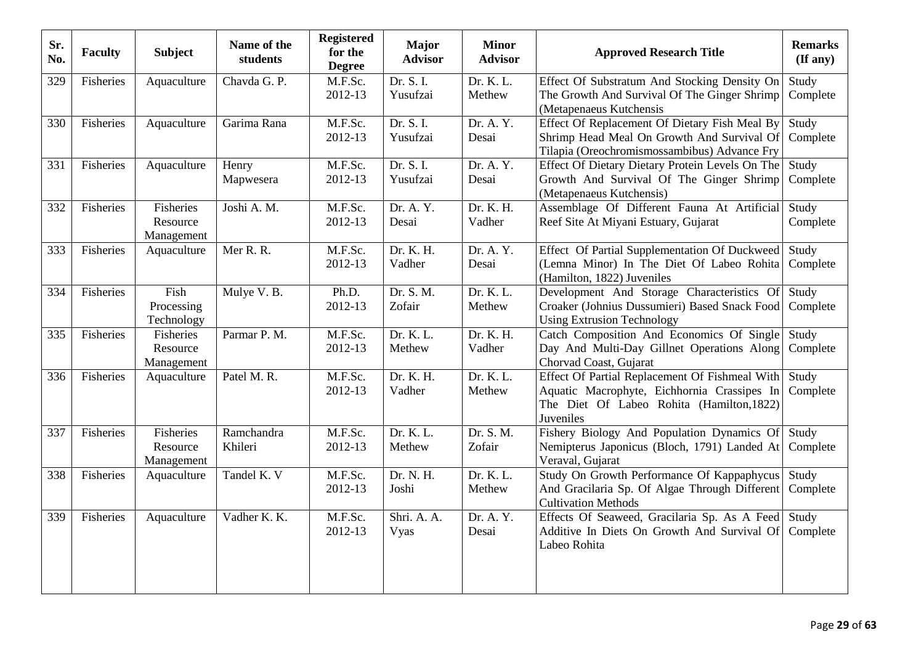| Sr.<br>No. | <b>Faculty</b> | <b>Subject</b>                      | Name of the<br>students | <b>Registered</b><br>for the<br><b>Degree</b> | Major<br><b>Advisor</b> | <b>Minor</b><br><b>Advisor</b> | <b>Approved Research Title</b>                                                                                                                          | <b>Remarks</b><br>(If any) |
|------------|----------------|-------------------------------------|-------------------------|-----------------------------------------------|-------------------------|--------------------------------|---------------------------------------------------------------------------------------------------------------------------------------------------------|----------------------------|
| 329        | Fisheries      | Aquaculture                         | Chavda G. P.            | M.F.Sc.<br>2012-13                            | Dr. S. I.<br>Yusufzai   | Dr. K. L.<br>Methew            | Effect Of Substratum And Stocking Density On<br>The Growth And Survival Of The Ginger Shrimp<br>(Metapenaeus Kutchensis                                 | Study<br>Complete          |
| 330        | Fisheries      | Aquaculture                         | Garima Rana             | M.F.Sc.<br>2012-13                            | Dr. S. I.<br>Yusufzai   | Dr. A. Y.<br>Desai             | Effect Of Replacement Of Dietary Fish Meal By<br>Shrimp Head Meal On Growth And Survival Of<br>Tilapia (Oreochromismossambibus) Advance Fry             | Study<br>Complete          |
| 331        | Fisheries      | Aquaculture                         | Henry<br>Mapwesera      | M.F.Sc.<br>2012-13                            | Dr. S. I.<br>Yusufzai   | Dr. A. Y.<br>Desai             | Effect Of Dietary Dietary Protein Levels On The<br>Growth And Survival Of The Ginger Shrimp<br>(Metapenaeus Kutchensis)                                 | Study<br>Complete          |
| 332        | Fisheries      | Fisheries<br>Resource<br>Management | Joshi A. M.             | M.F.Sc.<br>2012-13                            | Dr. A. Y.<br>Desai      | Dr. K. H.<br>Vadher            | Assemblage Of Different Fauna At Artificial<br>Reef Site At Miyani Estuary, Gujarat                                                                     | Study<br>Complete          |
| 333        | Fisheries      | Aquaculture                         | Mer R. R.               | M.F.Sc.<br>2012-13                            | Dr. K. H.<br>Vadher     | Dr. A. Y.<br>Desai             | Effect Of Partial Supplementation Of Duckweed<br>(Lemna Minor) In The Diet Of Labeo Rohita<br>(Hamilton, 1822) Juveniles                                | Study<br>Complete          |
| 334        | Fisheries      | Fish<br>Processing<br>Technology    | Mulye V. B.             | Ph.D.<br>2012-13                              | Dr. S. M.<br>Zofair     | Dr. K. L.<br>Methew            | Development And Storage Characteristics Of<br>Croaker (Johnius Dussumieri) Based Snack Food<br><b>Using Extrusion Technology</b>                        | Study<br>Complete          |
| 335        | Fisheries      | Fisheries<br>Resource<br>Management | Parmar P. M.            | M.F.Sc.<br>2012-13                            | Dr. K. L.<br>Methew     | Dr. K. H.<br>Vadher            | Catch Composition And Economics Of Single<br>Day And Multi-Day Gillnet Operations Along<br>Chorvad Coast, Gujarat                                       | Study<br>Complete          |
| 336        | Fisheries      | Aquaculture                         | Patel M. R.             | M.F.Sc.<br>2012-13                            | Dr. K. H.<br>Vadher     | Dr. K. L.<br>Methew            | Effect Of Partial Replacement Of Fishmeal With<br>Aquatic Macrophyte, Eichhornia Crassipes In<br>The Diet Of Labeo Rohita (Hamilton, 1822)<br>Juveniles | Study<br>Complete          |
| 337        | Fisheries      | Fisheries<br>Resource<br>Management | Ramchandra<br>Khileri   | M.F.Sc.<br>2012-13                            | Dr. K. L.<br>Methew     | Dr. S. M.<br>Zofair            | Fishery Biology And Population Dynamics Of<br>Nemipterus Japonicus (Bloch, 1791) Landed At<br>Veraval, Gujarat                                          | Study<br>Complete          |
| 338        | Fisheries      | Aquaculture                         | Tandel K. V             | M.F.Sc.<br>2012-13                            | Dr. N. H.<br>Joshi      | Dr. K. L.<br>Methew            | Study On Growth Performance Of Kappaphycus<br>And Gracilaria Sp. Of Algae Through Different<br><b>Cultivation Methods</b>                               | Study<br>Complete          |
| 339        | Fisheries      | Aquaculture                         | Vadher K. K.            | M.F.Sc.<br>2012-13                            | Shri. A. A.<br>Vyas     | Dr. A. Y.<br>Desai             | Effects Of Seaweed, Gracilaria Sp. As A Feed<br>Additive In Diets On Growth And Survival Of<br>Labeo Rohita                                             | Study<br>Complete          |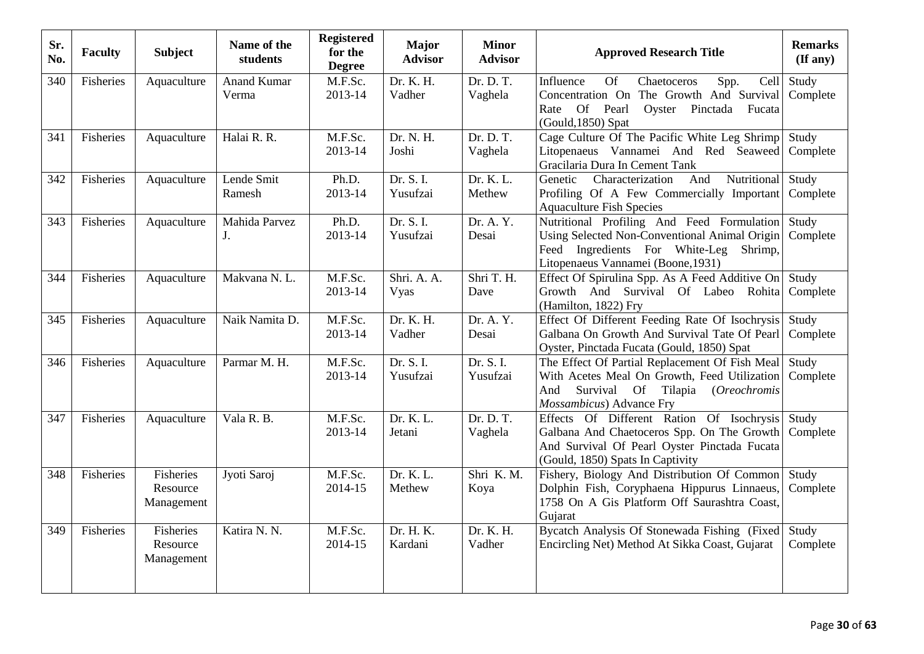| Sr.<br>No. | <b>Faculty</b> | <b>Subject</b>                             | Name of the<br>students      | <b>Registered</b><br>for the<br><b>Degree</b> | <b>Major</b><br><b>Advisor</b> | <b>Minor</b><br><b>Advisor</b> | <b>Approved Research Title</b>                                                                                                                                              | <b>Remarks</b><br>(If any) |
|------------|----------------|--------------------------------------------|------------------------------|-----------------------------------------------|--------------------------------|--------------------------------|-----------------------------------------------------------------------------------------------------------------------------------------------------------------------------|----------------------------|
| 340        | Fisheries      | Aquaculture                                | <b>Anand Kumar</b><br>Verma  | M.F.Sc.<br>2013-14                            | Dr. K. H.<br>Vadher            | Dr. D. T.<br>Vaghela           | <b>Of</b><br>Chaetoceros<br>Spp.<br>Influence<br>Cell<br>Concentration On The Growth And Survival<br>Oyster Pinctada Fucata<br>Rate Of Pearl<br>$(Gould, 1850)$ Spat        | Study<br>Complete          |
| 341        | Fisheries      | Aquaculture                                | Halai R. R.                  | M.F.Sc.<br>2013-14                            | Dr. N. H.<br>Joshi             | Dr. D. T.<br>Vaghela           | Cage Culture Of The Pacific White Leg Shrimp<br>Litopenaeus Vannamei And Red Seaweed<br>Gracilaria Dura In Cement Tank                                                      | Study<br>Complete          |
| 342        | Fisheries      | Aquaculture                                | Lende Smit<br>Ramesh         | Ph.D.<br>2013-14                              | Dr. S. I.<br>Yusufzai          | Dr. K. L.<br>Methew            | Nutritional<br>Characterization<br>And<br>Genetic<br>Profiling Of A Few Commercially Important<br><b>Aquaculture Fish Species</b>                                           | Study<br>Complete          |
| 343        | Fisheries      | Aquaculture                                | Mahida Parvez<br>$J_{\cdot}$ | Ph.D.<br>2013-14                              | Dr. S. I.<br>Yusufzai          | Dr. A. Y.<br>Desai             | Nutritional Profiling And Feed Formulation<br>Using Selected Non-Conventional Animal Origin<br>Feed Ingredients For White-Leg Shrimp,<br>Litopenaeus Vannamei (Boone, 1931) | Study<br>Complete          |
| 344        | Fisheries      | Aquaculture                                | Makvana N. L.                | M.F.Sc.<br>2013-14                            | Shri. A. A.<br>Vyas            | Shri T. H.<br>Dave             | Effect Of Spirulina Spp. As A Feed Additive On<br>Growth And Survival Of Labeo Rohita<br>(Hamilton, 1822) Fry                                                               | Study<br>Complete          |
| 345        | Fisheries      | Aquaculture                                | Naik Namita D.               | M.F.Sc.<br>2013-14                            | Dr. K. H.<br>Vadher            | Dr. A. Y.<br>Desai             | Effect Of Different Feeding Rate Of Isochrysis<br>Galbana On Growth And Survival Tate Of Pearl<br>Oyster, Pinctada Fucata (Gould, 1850) Spat                                | Study<br>Complete          |
| 346        | Fisheries      | Aquaculture                                | Parmar M. H.                 | M.F.Sc.<br>2013-14                            | Dr. S. I.<br>Yusufzai          | Dr. S. I.<br>Yusufzai          | The Effect Of Partial Replacement Of Fish Meal<br>With Acetes Meal On Growth, Feed Utilization<br>Survival Of Tilapia (Oreochromis<br>And<br>Mossambicus) Advance Fry       | Study<br>Complete          |
| 347        | Fisheries      | Aquaculture                                | Vala R. B.                   | M.F.Sc.<br>2013-14                            | Dr. K. L.<br>Jetani            | Dr. D. T.<br>Vaghela           | Effects Of Different Ration Of Isochrysis<br>Galbana And Chaetoceros Spp. On The Growth<br>And Survival Of Pearl Oyster Pinctada Fucata<br>(Gould, 1850) Spats In Captivity | Study<br>Complete          |
| 348        | Fisheries      | Fisheries<br>Resource<br>Management        | Jyoti Saroj                  | M.F.Sc.<br>2014-15                            | Dr. K. L.<br>Methew            | Shri K.M.<br>Koya              | Fishery, Biology And Distribution Of Common<br>Dolphin Fish, Coryphaena Hippurus Linnaeus,<br>1758 On A Gis Platform Off Saurashtra Coast,<br>Gujarat                       | Study<br>Complete          |
| 349        | Fisheries      | <b>Fisheries</b><br>Resource<br>Management | Katira N. N.                 | M.F.Sc.<br>2014-15                            | Dr. H. K.<br>Kardani           | Dr. K. H.<br>Vadher            | Bycatch Analysis Of Stonewada Fishing (Fixed<br>Encircling Net) Method At Sikka Coast, Gujarat                                                                              | Study<br>Complete          |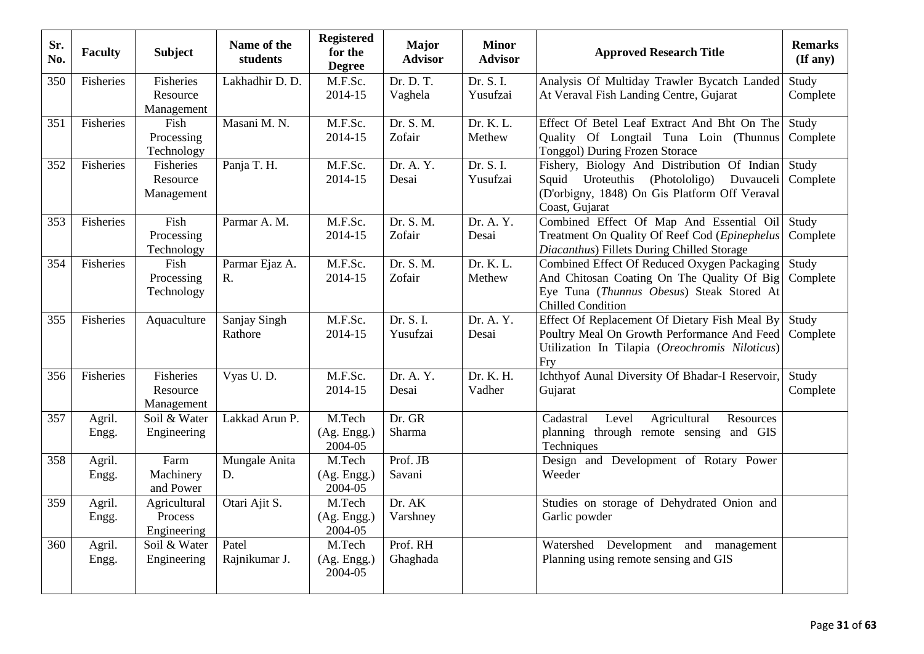| Sr.<br>No. | <b>Faculty</b>  | <b>Subject</b>                         | Name of the<br>students | <b>Registered</b><br>for the<br><b>Degree</b> | <b>Major</b><br><b>Advisor</b> | <b>Minor</b><br><b>Advisor</b> | <b>Approved Research Title</b>                                                                                                                                      | <b>Remarks</b><br>(If any) |
|------------|-----------------|----------------------------------------|-------------------------|-----------------------------------------------|--------------------------------|--------------------------------|---------------------------------------------------------------------------------------------------------------------------------------------------------------------|----------------------------|
| 350        | Fisheries       | Fisheries<br>Resource<br>Management    | Lakhadhir D. D.         | M.F.Sc.<br>2014-15                            | Dr. D. T.<br>Vaghela           | Dr. S. I.<br>Yusufzai          | Analysis Of Multiday Trawler Bycatch Landed<br>At Veraval Fish Landing Centre, Gujarat                                                                              | Study<br>Complete          |
| 351        | Fisheries       | Fish<br>Processing<br>Technology       | Masani M. N.            | M.F.Sc.<br>2014-15                            | Dr. S. M.<br>Zofair            | Dr. K. L.<br>Methew            | Effect Of Betel Leaf Extract And Bht On The<br>Quality Of Longtail Tuna Loin (Thunnus<br>Tonggol) During Frozen Storace                                             | Study<br>Complete          |
| 352        | Fisheries       | Fisheries<br>Resource<br>Management    | Panja T. H.             | M.F.Sc.<br>2014-15                            | Dr. A. Y.<br>Desai             | Dr. S. I.<br>Yusufzai          | Fishery, Biology And Distribution Of Indian<br>Uroteuthis<br>(Photololigo)<br>Squid<br>Duvauceli<br>(D'orbigny, 1848) On Gis Platform Off Veraval<br>Coast, Gujarat | Study<br>Complete          |
| 353        | Fisheries       | Fish<br>Processing<br>Technology       | Parmar A. M.            | $\overline{M.F}$ . Sc.<br>2014-15             | Dr. S. M.<br>Zofair            | Dr. A. Y.<br>Desai             | Combined Effect Of Map And Essential Oil<br>Treatment On Quality Of Reef Cod (Epinephelus<br>Diacanthus) Fillets During Chilled Storage                             | Study<br>Complete          |
| 354        | Fisheries       | Fish<br>Processing<br>Technology       | Parmar Ejaz A.<br>R.    | M.F.Sc.<br>2014-15                            | Dr. S. M.<br>Zofair            | Dr. K. L.<br>Methew            | Combined Effect Of Reduced Oxygen Packaging<br>And Chitosan Coating On The Quality Of Big<br>Eye Tuna (Thunnus Obesus) Steak Stored At<br><b>Chilled Condition</b>  | Study<br>Complete          |
| 355        | Fisheries       | Aquaculture                            | Sanjay Singh<br>Rathore | M.F.Sc.<br>2014-15                            | Dr. S. I.<br>Yusufzai          | Dr. A. Y.<br>Desai             | Effect Of Replacement Of Dietary Fish Meal By<br>Poultry Meal On Growth Performance And Feed<br>Utilization In Tilapia (Oreochromis Niloticus)<br>Fry               | Study<br>Complete          |
| 356        | Fisheries       | Fisheries<br>Resource<br>Management    | Vyas U.D.               | M.F.Sc.<br>2014-15                            | Dr. A. Y.<br>Desai             | Dr. K. H.<br>Vadher            | Ichthyof Aunal Diversity Of Bhadar-I Reservoir,<br>Gujarat                                                                                                          | Study<br>Complete          |
| 357        | Agril.<br>Engg. | Soil & Water<br>Engineering            | Lakkad Arun P.          | M.Tech<br>(Ag. Engg.)<br>2004-05              | Dr. GR<br><b>Sharma</b>        |                                | Agricultural<br>Cadastral<br>Level<br>Resources<br>planning through remote sensing and GIS<br>Techniques                                                            |                            |
| 358        | Agril.<br>Engg. | Farm<br>Machinery<br>and Power         | Mungale Anita<br>D.     | M.Tech<br>(Ag. Engg.)<br>2004-05              | Prof. JB<br>Savani             |                                | Design and Development of Rotary Power<br>Weeder                                                                                                                    |                            |
| 359        | Agril.<br>Engg. | Agricultural<br>Process<br>Engineering | Otari Ajit S.           | M.Tech<br>(Ag. Engg.)<br>2004-05              | Dr. AK<br>Varshney             |                                | Studies on storage of Dehydrated Onion and<br>Garlic powder                                                                                                         |                            |
| 360        | Agril.<br>Engg. | Soil & Water<br>Engineering            | Patel<br>Rajnikumar J.  | M.Tech<br>(Ag. Engg.)<br>2004-05              | Prof. RH<br>Ghaghada           |                                | Watershed<br>Development and<br>management<br>Planning using remote sensing and GIS                                                                                 |                            |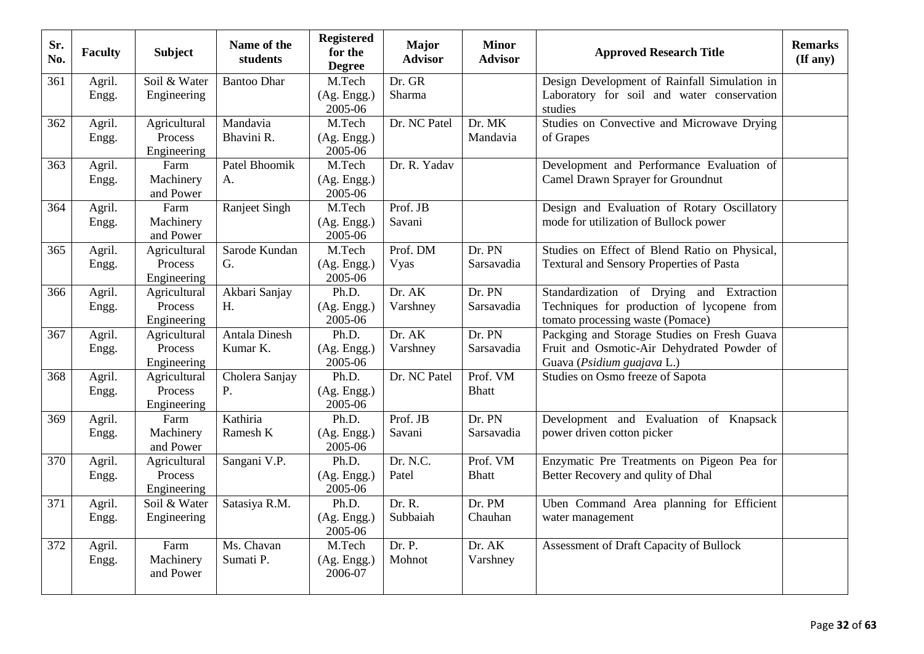| Sr.<br>No. | <b>Faculty</b>  | <b>Subject</b>                         | Name of the<br>students          | <b>Registered</b><br>for the<br><b>Degree</b> | <b>Major</b><br><b>Advisor</b> | <b>Minor</b><br><b>Advisor</b> | <b>Approved Research Title</b>                                                                                             | <b>Remarks</b><br>$(\mathbf{If any})$ |
|------------|-----------------|----------------------------------------|----------------------------------|-----------------------------------------------|--------------------------------|--------------------------------|----------------------------------------------------------------------------------------------------------------------------|---------------------------------------|
| 361        | Agril.<br>Engg. | Soil & Water<br>Engineering            | <b>Bantoo Dhar</b>               | M.Tech<br>(Ag. Engg.)<br>2005-06              | Dr. GR<br>Sharma               |                                | Design Development of Rainfall Simulation in<br>Laboratory for soil and water conservation<br>studies                      |                                       |
| 362        | Agril.<br>Engg. | Agricultural<br>Process<br>Engineering | Mandavia<br>Bhavini R.           | M.Tech<br>(Ag. Engg.)<br>2005-06              | Dr. NC Patel                   | Dr. MK<br>Mandavia             | Studies on Convective and Microwave Drying<br>of Grapes                                                                    |                                       |
| 363        | Agril.<br>Engg. | Farm<br>Machinery<br>and Power         | Patel Bhoomik<br>A.              | M.Tech<br>(Ag. Engg.)<br>2005-06              | Dr. R. Yadav                   |                                | Development and Performance Evaluation of<br>Camel Drawn Sprayer for Groundnut                                             |                                       |
| 364        | Agril.<br>Engg. | Farm<br>Machinery<br>and Power         | Ranjeet Singh                    | M.Tech<br>(Ag. Engg.)<br>2005-06              | Prof. JB<br>Savani             |                                | Design and Evaluation of Rotary Oscillatory<br>mode for utilization of Bullock power                                       |                                       |
| 365        | Agril.<br>Engg. | Agricultural<br>Process<br>Engineering | Sarode Kundan<br>G.              | M.Tech<br>(Ag. Engg.)<br>2005-06              | Prof. DM<br>Vyas               | Dr. PN<br>Sarsavadia           | Studies on Effect of Blend Ratio on Physical,<br><b>Textural and Sensory Properties of Pasta</b>                           |                                       |
| 366        | Agril.<br>Engg. | Agricultural<br>Process<br>Engineering | Akbari Sanjay<br>H.              | Ph.D.<br>(Ag. Engg.)<br>2005-06               | Dr. AK<br>Varshney             | Dr. PN<br>Sarsavadia           | Standardization of Drying and Extraction<br>Techniques for production of lycopene from<br>tomato processing waste (Pomace) |                                       |
| 367        | Agril.<br>Engg. | Agricultural<br>Process<br>Engineering | <b>Antala Dinesh</b><br>Kumar K. | Ph.D.<br>(Ag. Engg.)<br>2005-06               | Dr. AK<br>Varshney             | Dr. PN<br>Sarsavadia           | Packging and Storage Studies on Fresh Guava<br>Fruit and Osmotic-Air Dehydrated Powder of<br>Guava (Psidium guajava L.)    |                                       |
| 368        | Agril.<br>Engg. | Agricultural<br>Process<br>Engineering | Cholera Sanjay<br>P.             | Ph.D.<br>(Ag. Engg.)<br>2005-06               | Dr. NC Patel                   | Prof. VM<br><b>Bhatt</b>       | Studies on Osmo freeze of Sapota                                                                                           |                                       |
| 369        | Agril.<br>Engg. | Farm<br>Machinery<br>and Power         | Kathiria<br>Ramesh K             | Ph.D.<br>(Ag. Engg.)<br>2005-06               | Prof. JB<br>Savani             | Dr. PN<br>Sarsavadia           | Development and Evaluation of Knapsack<br>power driven cotton picker                                                       |                                       |
| 370        | Agril.<br>Engg. | Agricultural<br>Process<br>Engineering | Sangani V.P.                     | Ph.D.<br>(Ag. Engg.)<br>2005-06               | Dr. N.C.<br>Patel              | Prof. VM<br><b>Bhatt</b>       | Enzymatic Pre Treatments on Pigeon Pea for<br>Better Recovery and qulity of Dhal                                           |                                       |
| 371        | Agril.<br>Engg. | Soil & Water<br>Engineering            | Satasiya R.M.                    | Ph.D.<br>(Ag. Engg.)<br>2005-06               | Dr. R.<br>Subbaiah             | Dr. PM<br>Chauhan              | Uben Command Area planning for Efficient<br>water management                                                               |                                       |
| 372        | Agril.<br>Engg. | Farm<br>Machinery<br>and Power         | Ms. Chavan<br>Sumati P.          | M.Tech<br>(Ag. Engg.)<br>2006-07              | Dr. P.<br>Mohnot               | Dr. AK<br>Varshney             | Assessment of Draft Capacity of Bullock                                                                                    |                                       |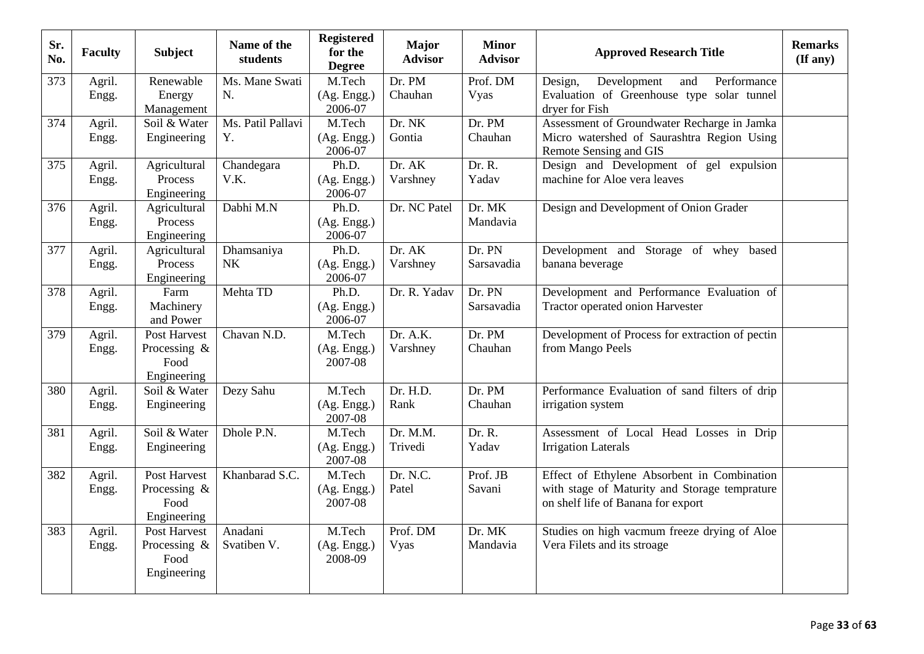| Sr.<br>No.       | <b>Faculty</b>  | <b>Subject</b>              | Name of the<br>students | <b>Registered</b><br>for the<br><b>Degree</b> | <b>Major</b><br><b>Advisor</b> | <b>Minor</b><br><b>Advisor</b> | <b>Approved Research Title</b>                                                            | <b>Remarks</b><br>$($ If any $)$ |
|------------------|-----------------|-----------------------------|-------------------------|-----------------------------------------------|--------------------------------|--------------------------------|-------------------------------------------------------------------------------------------|----------------------------------|
| 373              | Agril.          | Renewable                   | Ms. Mane Swati          | M.Tech                                        | Dr. PM                         | Prof. DM                       | Development<br>Performance<br>Design,<br>and                                              |                                  |
|                  | Engg.           | Energy                      | N.                      | (Ag. Engg.)                                   | Chauhan                        | Vyas                           | Evaluation of Greenhouse type solar tunnel                                                |                                  |
|                  |                 | Management                  | Ms. Patil Pallavi       | 2006-07<br>M.Tech                             | Dr. NK                         | Dr. PM                         | dryer for Fish                                                                            |                                  |
| 374              | Agril.<br>Engg. | Soil & Water<br>Engineering | Y.                      | (Ag. Engg.)                                   | Gontia                         | Chauhan                        | Assessment of Groundwater Recharge in Jamka<br>Micro watershed of Saurashtra Region Using |                                  |
|                  |                 |                             |                         | 2006-07                                       |                                |                                | Remote Sensing and GIS                                                                    |                                  |
| 375              | Agril.          | Agricultural                | Chandegara              | Ph.D.                                         | Dr. AK                         | Dr. R.                         | Design and Development of gel expulsion                                                   |                                  |
|                  | Engg.           | Process<br>Engineering      | V.K.                    | (Ag. Engg.)<br>2006-07                        | Varshney                       | Yadav                          | machine for Aloe vera leaves                                                              |                                  |
| 376              | Agril.          | Agricultural                | Dabhi M.N               | Ph.D.                                         | Dr. NC Patel                   | Dr. MK                         | Design and Development of Onion Grader                                                    |                                  |
|                  | Engg.           | Process                     |                         | (Ag. Engg.)                                   |                                | Mandavia                       |                                                                                           |                                  |
|                  |                 | Engineering                 |                         | 2006-07                                       |                                |                                |                                                                                           |                                  |
| 377              | Agril.          | Agricultural                | Dhamsaniya              | Ph.D.                                         | Dr. AK                         | Dr. PN                         | Development and Storage of whey based                                                     |                                  |
|                  | Engg.           | Process<br>Engineering      | <b>NK</b>               | (Ag. Engg.)<br>2006-07                        | Varshney                       | Sarsavadia                     | banana beverage                                                                           |                                  |
| $\overline{378}$ | Agril.          | Farm                        | Mehta TD                | Ph.D.                                         | Dr. R. Yadav                   | Dr. PN                         | Development and Performance Evaluation of                                                 |                                  |
|                  | Engg.           | Machinery                   |                         | (Ag. Engg.)                                   |                                | Sarsavadia                     | Tractor operated onion Harvester                                                          |                                  |
|                  |                 | and Power                   |                         | 2006-07                                       |                                |                                |                                                                                           |                                  |
| 379              | Agril.          | Post Harvest                | Chavan N.D.             | M.Tech                                        | Dr. A.K.                       | Dr. PM                         | Development of Process for extraction of pectin                                           |                                  |
|                  | Engg.           | Processing $\&$             |                         | (Ag. Engg.)                                   | Varshney                       | Chauhan                        | from Mango Peels                                                                          |                                  |
|                  |                 | Food                        |                         | 2007-08                                       |                                |                                |                                                                                           |                                  |
|                  |                 | Engineering                 |                         |                                               |                                |                                |                                                                                           |                                  |
| 380              | Agril.          | Soil & Water                | Dezy Sahu               | M.Tech                                        | Dr. H.D.                       | Dr. PM                         | Performance Evaluation of sand filters of drip                                            |                                  |
|                  | Engg.           | Engineering                 |                         | (Ag. Engg.)<br>2007-08                        | Rank                           | Chauhan                        | irrigation system                                                                         |                                  |
| 381              | Agril.          | Soil & Water                | Dhole P.N.              | M.Tech                                        | Dr. M.M.                       | Dr. R.                         | Assessment of Local Head Losses in Drip                                                   |                                  |
|                  | Engg.           | Engineering                 |                         | (Ag. Engg.)<br>2007-08                        | Trivedi                        | Yadav                          | <b>Irrigation Laterals</b>                                                                |                                  |
| 382              | Agril.          | Post Harvest                | Khanbarad S.C.          | M.Tech                                        | Dr. N.C.                       | Prof. JB                       | Effect of Ethylene Absorbent in Combination                                               |                                  |
|                  | Engg.           | Processing $\&$             |                         | (Ag. Engg.)                                   | Patel                          | Savani                         | with stage of Maturity and Storage temprature                                             |                                  |
|                  |                 | Food                        |                         | 2007-08                                       |                                |                                | on shelf life of Banana for export                                                        |                                  |
|                  |                 | Engineering                 |                         |                                               |                                |                                |                                                                                           |                                  |
| 383              | Agril.          | Post Harvest                | Anadani<br>Svatiben V.  | M.Tech                                        | Prof. DM                       | Dr. MK<br>Mandavia             | Studies on high vacmum freeze drying of Aloe<br>Vera Filets and its stroage               |                                  |
|                  | Engg.           | Processing $\&$<br>Food     |                         | (Ag. Engg.)<br>2008-09                        | Vyas                           |                                |                                                                                           |                                  |
|                  |                 | Engineering                 |                         |                                               |                                |                                |                                                                                           |                                  |
|                  |                 |                             |                         |                                               |                                |                                |                                                                                           |                                  |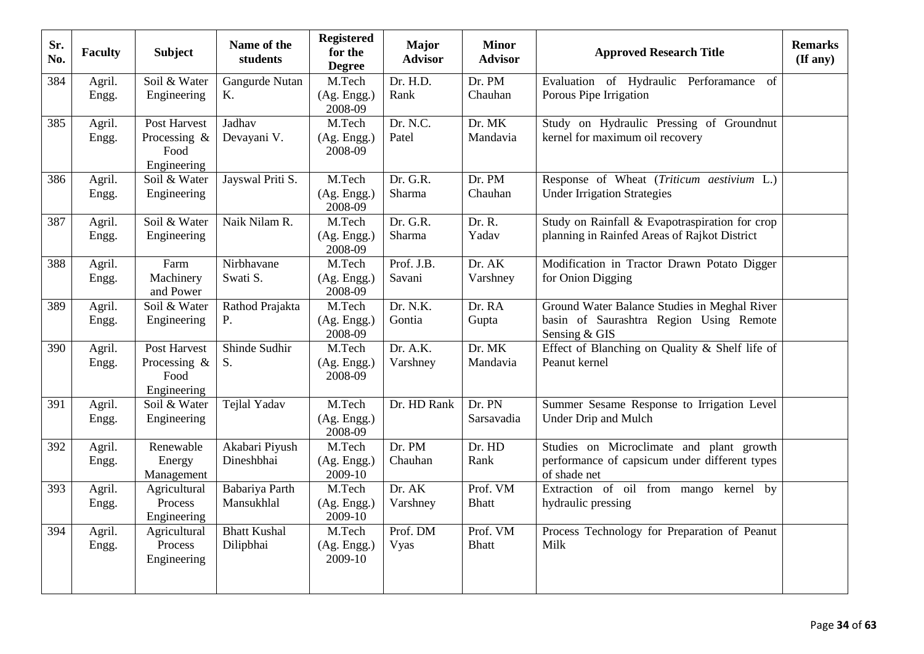| Sr.<br>No. | <b>Faculty</b>  | <b>Subject</b>                                         | Name of the<br>students          | <b>Registered</b><br>for the<br><b>Degree</b>   | <b>Major</b><br><b>Advisor</b> | <b>Minor</b><br><b>Advisor</b> | <b>Approved Research Title</b>                                                                            | <b>Remarks</b><br>$($ If any $)$ |
|------------|-----------------|--------------------------------------------------------|----------------------------------|-------------------------------------------------|--------------------------------|--------------------------------|-----------------------------------------------------------------------------------------------------------|----------------------------------|
| 384        | Agril.<br>Engg. | Soil & Water<br>Engineering                            | Gangurde Nutan<br>Κ.             | M.Tech<br>(Ag. Engg.)<br>2008-09                | Dr. H.D.<br>Rank               | Dr. PM<br>Chauhan              | Evaluation of Hydraulic Perforamance of<br>Porous Pipe Irrigation                                         |                                  |
| 385        | Agril.<br>Engg. | Post Harvest<br>Processing $\&$<br>Food<br>Engineering | Jadhav<br>Devayani V.            | M.Tech<br>(Ag. Engg.)<br>2008-09                | Dr. N.C.<br>Patel              | Dr. MK<br>Mandavia             | Study on Hydraulic Pressing of Groundnut<br>kernel for maximum oil recovery                               |                                  |
| 386        | Agril.<br>Engg. | Soil & Water<br>Engineering                            | Jayswal Priti S.                 | M.Tech<br>(Ag. Engg.)<br>2008-09                | Dr. G.R.<br>Sharma             | Dr. PM<br>Chauhan              | Response of Wheat (Triticum aestivium L.)<br><b>Under Irrigation Strategies</b>                           |                                  |
| 387        | Agril.<br>Engg. | Soil & Water<br>Engineering                            | Naik Nilam R.                    | M.Tech<br>(Ag. Engg.)<br>2008-09                | Dr. G.R.<br>Sharma             | Dr. R.<br>Yadav                | Study on Rainfall & Evapotraspiration for crop<br>planning in Rainfed Areas of Rajkot District            |                                  |
| 388        | Agril.<br>Engg. | Farm<br>Machinery<br>and Power                         | Nirbhavane<br>Swati S.           | M.Tech<br>(Ag. Engg.)<br>2008-09                | Prof. J.B.<br>Savani           | Dr. AK<br>Varshney             | Modification in Tractor Drawn Potato Digger<br>for Onion Digging                                          |                                  |
| 389        | Agril.<br>Engg. | Soil & Water<br>Engineering                            | Rathod Prajakta<br>P.            | $\overline{M}$ . Tech<br>(Ag. Engg.)<br>2008-09 | Dr. N.K.<br>Gontia             | Dr. RA<br>Gupta                | Ground Water Balance Studies in Meghal River<br>basin of Saurashtra Region Using Remote<br>Sensing & GIS  |                                  |
| 390        | Agril.<br>Engg. | Post Harvest<br>Processing &<br>Food<br>Engineering    | Shinde Sudhir<br>S.              | M.Tech<br>(Ag. Engg.)<br>2008-09                | Dr. A.K.<br>Varshney           | Dr. MK<br>Mandavia             | Effect of Blanching on Quality & Shelf life of<br>Peanut kernel                                           |                                  |
| 391        | Agril.<br>Engg. | Soil & Water<br>Engineering                            | Tejlal Yadav                     | M.Tech<br>(Ag. Engg.)<br>2008-09                | Dr. HD Rank                    | Dr. PN<br>Sarsavadia           | Summer Sesame Response to Irrigation Level<br>Under Drip and Mulch                                        |                                  |
| 392        | Agril.<br>Engg. | Renewable<br>Energy<br>Management                      | Akabari Piyush<br>Dineshbhai     | M.Tech<br>(Ag. Engg.)<br>2009-10                | Dr. PM<br>Chauhan              | Dr. HD<br>Rank                 | Studies on Microclimate and plant growth<br>performance of capsicum under different types<br>of shade net |                                  |
| 393        | Agril.<br>Engg. | Agricultural<br>Process<br>Engineering                 | Babariya Parth<br>Mansukhlal     | M.Tech<br>(Ag. Engg.)<br>2009-10                | Dr. AK<br>Varshney             | Prof. VM<br><b>Bhatt</b>       | Extraction of oil from mango kernel by<br>hydraulic pressing                                              |                                  |
| 394        | Agril.<br>Engg. | Agricultural<br>Process<br>Engineering                 | <b>Bhatt Kushal</b><br>Dilipbhai | M.Tech<br>(Ag. Engg.)<br>2009-10                | Prof. DM<br>Vyas               | Prof. VM<br><b>Bhatt</b>       | Process Technology for Preparation of Peanut<br>Milk                                                      |                                  |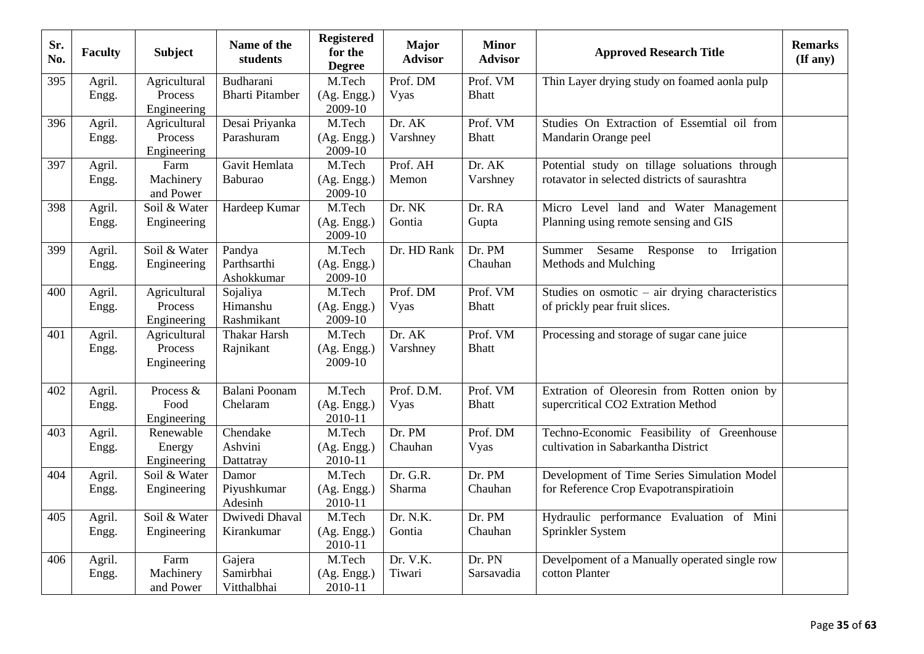| Sr.<br>No. | <b>Faculty</b>  | <b>Subject</b>                         | Name of the<br>students             | <b>Registered</b><br>for the<br><b>Degree</b> | <b>Major</b><br><b>Advisor</b> | <b>Minor</b><br><b>Advisor</b> | <b>Approved Research Title</b>                                                                 | <b>Remarks</b><br>$($ If any $)$ |
|------------|-----------------|----------------------------------------|-------------------------------------|-----------------------------------------------|--------------------------------|--------------------------------|------------------------------------------------------------------------------------------------|----------------------------------|
| 395        | Agril.<br>Engg. | Agricultural<br>Process<br>Engineering | Budharani<br><b>Bharti Pitamber</b> | M.Tech<br>(Ag. Engg.)<br>2009-10              | Prof. DM<br>Vyas               | Prof. VM<br><b>Bhatt</b>       | Thin Layer drying study on foamed aonla pulp                                                   |                                  |
| 396        | Agril.<br>Engg. | Agricultural<br>Process<br>Engineering | Desai Priyanka<br>Parashuram        | M.Tech<br>(Ag. Engg.)<br>2009-10              | Dr. AK<br>Varshney             | Prof. VM<br><b>Bhatt</b>       | Studies On Extraction of Essemtial oil from<br>Mandarin Orange peel                            |                                  |
| 397        | Agril.<br>Engg. | Farm<br>Machinery<br>and Power         | Gavit Hemlata<br>Baburao            | M.Tech<br>(Ag. Engg.)<br>2009-10              | Prof. AH<br>Memon              | Dr. AK<br>Varshney             | Potential study on tillage soluations through<br>rotavator in selected districts of saurashtra |                                  |
| 398        | Agril.<br>Engg. | Soil & Water<br>Engineering            | Hardeep Kumar                       | M.Tech<br>(Ag. Engg.)<br>2009-10              | Dr. NK<br>Gontia               | Dr. RA<br>Gupta                | Micro Level land and Water Management<br>Planning using remote sensing and GIS                 |                                  |
| 399        | Agril.<br>Engg. | Soil & Water<br>Engineering            | Pandya<br>Parthsarthi<br>Ashokkumar | M.Tech<br>(Ag. Engg.)<br>2009-10              | Dr. HD Rank                    | Dr. PM<br>Chauhan              | Summer Sesame Response<br>Irrigation<br>to<br>Methods and Mulching                             |                                  |
| 400        | Agril.<br>Engg. | Agricultural<br>Process<br>Engineering | Sojaliya<br>Himanshu<br>Rashmikant  | M.Tech<br>(Ag. Engg.)<br>2009-10              | Prof. DM<br>Vyas               | Prof. VM<br><b>Bhatt</b>       | Studies on osmotic $-$ air drying characteristics<br>of prickly pear fruit slices.             |                                  |
| 401        | Agril.<br>Engg. | Agricultural<br>Process<br>Engineering | <b>Thakar Harsh</b><br>Rajnikant    | M.Tech<br>(Ag. Engg.)<br>2009-10              | Dr. AK<br>Varshney             | Prof. VM<br><b>Bhatt</b>       | Processing and storage of sugar cane juice                                                     |                                  |
| 402        | Agril.<br>Engg. | Process &<br>Food<br>Engineering       | Balani Poonam<br>Chelaram           | M.Tech<br>(Ag. Engg.)<br>2010-11              | Prof. D.M.<br>Vyas             | Prof. VM<br><b>Bhatt</b>       | Extration of Oleoresin from Rotten onion by<br>supercritical CO2 Extration Method              |                                  |
| 403        | Agril.<br>Engg. | Renewable<br>Energy<br>Engineering     | Chendake<br>Ashvini<br>Dattatray    | M.Tech<br>(Ag. Engg.)<br>2010-11              | Dr. PM<br>Chauhan              | Prof. DM<br><b>Vyas</b>        | Techno-Economic Feasibility of Greenhouse<br>cultivation in Sabarkantha District               |                                  |
| 404        | Agril.<br>Engg. | Soil & Water<br>Engineering            | Damor<br>Piyushkumar<br>Adesinh     | M.Tech<br>(Ag. Engg.)<br>2010-11              | Dr. G.R.<br>Sharma             | Dr. PM<br>Chauhan              | Development of Time Series Simulation Model<br>for Reference Crop Evapotranspiratioin          |                                  |
| 405        | Agril.<br>Engg. | Soil & Water<br>Engineering            | Dwivedi Dhaval<br>Kirankumar        | M.Tech<br>(Ag. Engg.)<br>2010-11              | Dr. N.K.<br>Gontia             | Dr. PM<br>Chauhan              | Hydraulic performance Evaluation of Mini<br>Sprinkler System                                   |                                  |
| 406        | Agril.<br>Engg. | Farm<br>Machinery<br>and Power         | Gajera<br>Samirbhai<br>Vitthalbhai  | M.Tech<br>(Ag. Engg.)<br>2010-11              | Dr. V.K.<br>Tiwari             | Dr. PN<br>Sarsavadia           | Develpoment of a Manually operated single row<br>cotton Planter                                |                                  |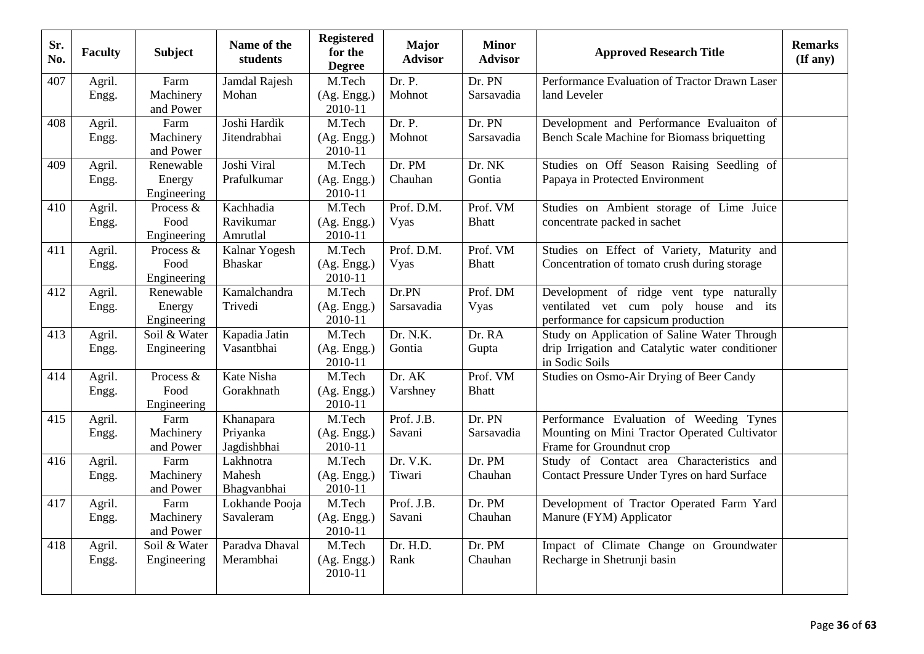| Dr. PN<br>Performance Evaluation of Tractor Drawn Laser<br>407<br>Agril.<br>Farm<br>Jamdal Rajesh<br>M.Tech<br>Dr. P.<br>Machinery<br>Mohan<br>(Ag. Engg.)<br>Mohnot<br>Sarsavadia<br>land Leveler<br>Engg.<br>2010-11<br>and Power<br>Joshi Hardik<br>Dr. P.<br>Dr. PN<br>Development and Performance Evaluaiton of<br>Farm<br>M.Tech<br>408<br>Agril.<br>Mohnot<br>Bench Scale Machine for Biomass briquetting<br>Machinery<br>Jitendrabhai<br>Sarsavadia<br>Engg.<br>(Ag. Engg.)<br>2010-11<br>and Power<br>Joshi Viral<br>Dr. PM<br>Studies on Off Season Raising Seedling of<br>Renewable<br>M.Tech<br>Dr. NK<br>409<br>Agril.<br>Prafulkumar<br>Chauhan<br>Gontia<br>Papaya in Protected Environment<br>Engg.<br>Energy<br>(Ag. Engg.)<br>2010-11<br>Engineering<br>Prof. D.M.<br>Kachhadia<br>M.Tech<br>Prof. VM<br>Studies on Ambient storage of Lime Juice<br>410<br>Agril.<br>Process &<br>Food<br>Ravikumar<br>concentrate packed in sachet<br>(Ag. Engg.)<br>Vyas<br><b>Bhatt</b><br>Engg.<br>Amrutlal<br>2010-11<br>Engineering<br>Prof. D.M.<br>Prof. VM<br>Agril.<br>Kalnar Yogesh<br>M.Tech<br>Studies on Effect of Variety, Maturity and<br>411<br>Process &<br>Concentration of tomato crush during storage<br>Food<br><b>Bhaskar</b><br><b>Bhatt</b><br>(Ag. Engg.)<br>Vyas<br>Engg.<br>2010-11<br>Engineering<br>Dr.PN<br>Prof. DM<br>Development of ridge vent type naturally<br>Agril.<br>Kamalchandra<br>M.Tech<br>412<br>Renewable<br>ventilated vet cum poly house and its<br>Trivedi<br>Sarsavadia<br>Energy<br>(Ag. Engg.)<br>Vyas<br>Engg.<br>2010-11<br>Engineering<br>performance for capsicum production<br>Dr. N.K.<br>Dr. RA<br>Soil & Water<br>Kapadia Jatin<br>M.Tech<br>Study on Application of Saline Water Through<br>413<br>Agril.<br>Vasantbhai<br>drip Irrigation and Catalytic water conditioner<br>(Ag. Engg.)<br>Gontia<br>Gupta<br>Engg.<br>Engineering<br>2010-11<br>in Sodic Soils<br>Kate Nisha<br>Dr. AK<br>Prof. VM<br>Studies on Osmo-Air Drying of Beer Candy<br>Process &<br>M.Tech<br>414<br>Agril.<br>Food<br>Gorakhnath<br>Varshney<br><b>Bhatt</b><br>(Ag. Engg.)<br>Engg.<br>2010-11<br>Engineering<br>M.Tech<br>Prof. J.B.<br>Dr. PN<br>Farm<br>Performance Evaluation of Weeding Tynes<br>415<br>Agril.<br>Khanapara<br>Mounting on Mini Tractor Operated Cultivator<br>Machinery<br>Priyanka<br>Savani<br>(Ag. Engg.)<br>Sarsavadia<br>Engg. |  |
|-----------------------------------------------------------------------------------------------------------------------------------------------------------------------------------------------------------------------------------------------------------------------------------------------------------------------------------------------------------------------------------------------------------------------------------------------------------------------------------------------------------------------------------------------------------------------------------------------------------------------------------------------------------------------------------------------------------------------------------------------------------------------------------------------------------------------------------------------------------------------------------------------------------------------------------------------------------------------------------------------------------------------------------------------------------------------------------------------------------------------------------------------------------------------------------------------------------------------------------------------------------------------------------------------------------------------------------------------------------------------------------------------------------------------------------------------------------------------------------------------------------------------------------------------------------------------------------------------------------------------------------------------------------------------------------------------------------------------------------------------------------------------------------------------------------------------------------------------------------------------------------------------------------------------------------------------------------------------------------------------------------------------------------------------------------------------------------------------------------------------------------------------------------------------------------------------------------------------------------------------------------------------------------------------------------------------------------------------------------------------------------------------------------|--|
|                                                                                                                                                                                                                                                                                                                                                                                                                                                                                                                                                                                                                                                                                                                                                                                                                                                                                                                                                                                                                                                                                                                                                                                                                                                                                                                                                                                                                                                                                                                                                                                                                                                                                                                                                                                                                                                                                                                                                                                                                                                                                                                                                                                                                                                                                                                                                                                                           |  |
|                                                                                                                                                                                                                                                                                                                                                                                                                                                                                                                                                                                                                                                                                                                                                                                                                                                                                                                                                                                                                                                                                                                                                                                                                                                                                                                                                                                                                                                                                                                                                                                                                                                                                                                                                                                                                                                                                                                                                                                                                                                                                                                                                                                                                                                                                                                                                                                                           |  |
|                                                                                                                                                                                                                                                                                                                                                                                                                                                                                                                                                                                                                                                                                                                                                                                                                                                                                                                                                                                                                                                                                                                                                                                                                                                                                                                                                                                                                                                                                                                                                                                                                                                                                                                                                                                                                                                                                                                                                                                                                                                                                                                                                                                                                                                                                                                                                                                                           |  |
|                                                                                                                                                                                                                                                                                                                                                                                                                                                                                                                                                                                                                                                                                                                                                                                                                                                                                                                                                                                                                                                                                                                                                                                                                                                                                                                                                                                                                                                                                                                                                                                                                                                                                                                                                                                                                                                                                                                                                                                                                                                                                                                                                                                                                                                                                                                                                                                                           |  |
|                                                                                                                                                                                                                                                                                                                                                                                                                                                                                                                                                                                                                                                                                                                                                                                                                                                                                                                                                                                                                                                                                                                                                                                                                                                                                                                                                                                                                                                                                                                                                                                                                                                                                                                                                                                                                                                                                                                                                                                                                                                                                                                                                                                                                                                                                                                                                                                                           |  |
|                                                                                                                                                                                                                                                                                                                                                                                                                                                                                                                                                                                                                                                                                                                                                                                                                                                                                                                                                                                                                                                                                                                                                                                                                                                                                                                                                                                                                                                                                                                                                                                                                                                                                                                                                                                                                                                                                                                                                                                                                                                                                                                                                                                                                                                                                                                                                                                                           |  |
|                                                                                                                                                                                                                                                                                                                                                                                                                                                                                                                                                                                                                                                                                                                                                                                                                                                                                                                                                                                                                                                                                                                                                                                                                                                                                                                                                                                                                                                                                                                                                                                                                                                                                                                                                                                                                                                                                                                                                                                                                                                                                                                                                                                                                                                                                                                                                                                                           |  |
|                                                                                                                                                                                                                                                                                                                                                                                                                                                                                                                                                                                                                                                                                                                                                                                                                                                                                                                                                                                                                                                                                                                                                                                                                                                                                                                                                                                                                                                                                                                                                                                                                                                                                                                                                                                                                                                                                                                                                                                                                                                                                                                                                                                                                                                                                                                                                                                                           |  |
|                                                                                                                                                                                                                                                                                                                                                                                                                                                                                                                                                                                                                                                                                                                                                                                                                                                                                                                                                                                                                                                                                                                                                                                                                                                                                                                                                                                                                                                                                                                                                                                                                                                                                                                                                                                                                                                                                                                                                                                                                                                                                                                                                                                                                                                                                                                                                                                                           |  |
|                                                                                                                                                                                                                                                                                                                                                                                                                                                                                                                                                                                                                                                                                                                                                                                                                                                                                                                                                                                                                                                                                                                                                                                                                                                                                                                                                                                                                                                                                                                                                                                                                                                                                                                                                                                                                                                                                                                                                                                                                                                                                                                                                                                                                                                                                                                                                                                                           |  |
|                                                                                                                                                                                                                                                                                                                                                                                                                                                                                                                                                                                                                                                                                                                                                                                                                                                                                                                                                                                                                                                                                                                                                                                                                                                                                                                                                                                                                                                                                                                                                                                                                                                                                                                                                                                                                                                                                                                                                                                                                                                                                                                                                                                                                                                                                                                                                                                                           |  |
|                                                                                                                                                                                                                                                                                                                                                                                                                                                                                                                                                                                                                                                                                                                                                                                                                                                                                                                                                                                                                                                                                                                                                                                                                                                                                                                                                                                                                                                                                                                                                                                                                                                                                                                                                                                                                                                                                                                                                                                                                                                                                                                                                                                                                                                                                                                                                                                                           |  |
|                                                                                                                                                                                                                                                                                                                                                                                                                                                                                                                                                                                                                                                                                                                                                                                                                                                                                                                                                                                                                                                                                                                                                                                                                                                                                                                                                                                                                                                                                                                                                                                                                                                                                                                                                                                                                                                                                                                                                                                                                                                                                                                                                                                                                                                                                                                                                                                                           |  |
|                                                                                                                                                                                                                                                                                                                                                                                                                                                                                                                                                                                                                                                                                                                                                                                                                                                                                                                                                                                                                                                                                                                                                                                                                                                                                                                                                                                                                                                                                                                                                                                                                                                                                                                                                                                                                                                                                                                                                                                                                                                                                                                                                                                                                                                                                                                                                                                                           |  |
|                                                                                                                                                                                                                                                                                                                                                                                                                                                                                                                                                                                                                                                                                                                                                                                                                                                                                                                                                                                                                                                                                                                                                                                                                                                                                                                                                                                                                                                                                                                                                                                                                                                                                                                                                                                                                                                                                                                                                                                                                                                                                                                                                                                                                                                                                                                                                                                                           |  |
|                                                                                                                                                                                                                                                                                                                                                                                                                                                                                                                                                                                                                                                                                                                                                                                                                                                                                                                                                                                                                                                                                                                                                                                                                                                                                                                                                                                                                                                                                                                                                                                                                                                                                                                                                                                                                                                                                                                                                                                                                                                                                                                                                                                                                                                                                                                                                                                                           |  |
|                                                                                                                                                                                                                                                                                                                                                                                                                                                                                                                                                                                                                                                                                                                                                                                                                                                                                                                                                                                                                                                                                                                                                                                                                                                                                                                                                                                                                                                                                                                                                                                                                                                                                                                                                                                                                                                                                                                                                                                                                                                                                                                                                                                                                                                                                                                                                                                                           |  |
| Jagdishbhai<br>Frame for Groundnut crop<br>and Power<br>2010-11                                                                                                                                                                                                                                                                                                                                                                                                                                                                                                                                                                                                                                                                                                                                                                                                                                                                                                                                                                                                                                                                                                                                                                                                                                                                                                                                                                                                                                                                                                                                                                                                                                                                                                                                                                                                                                                                                                                                                                                                                                                                                                                                                                                                                                                                                                                                           |  |
| Dr. V.K.<br>Study of Contact area Characteristics and<br>Lakhnotra<br>M.Tech<br>Dr. PM<br>416<br>Agril.<br>Farm                                                                                                                                                                                                                                                                                                                                                                                                                                                                                                                                                                                                                                                                                                                                                                                                                                                                                                                                                                                                                                                                                                                                                                                                                                                                                                                                                                                                                                                                                                                                                                                                                                                                                                                                                                                                                                                                                                                                                                                                                                                                                                                                                                                                                                                                                           |  |
| Machinery<br>Mahesh<br>Tiwari<br>Chauhan<br>Contact Pressure Under Tyres on hard Surface<br>(Ag. Engg.)<br>Engg.<br>2010-11<br>and Power<br>Bhagvanbhai                                                                                                                                                                                                                                                                                                                                                                                                                                                                                                                                                                                                                                                                                                                                                                                                                                                                                                                                                                                                                                                                                                                                                                                                                                                                                                                                                                                                                                                                                                                                                                                                                                                                                                                                                                                                                                                                                                                                                                                                                                                                                                                                                                                                                                                   |  |
| Prof. J.B.<br>$\overline{M}$ . Tech<br>Dr. PM<br>Development of Tractor Operated Farm Yard<br>417<br>Farm<br>Lokhande Pooja<br>Agril.                                                                                                                                                                                                                                                                                                                                                                                                                                                                                                                                                                                                                                                                                                                                                                                                                                                                                                                                                                                                                                                                                                                                                                                                                                                                                                                                                                                                                                                                                                                                                                                                                                                                                                                                                                                                                                                                                                                                                                                                                                                                                                                                                                                                                                                                     |  |
| Manure (FYM) Applicator<br>Machinery<br>Savaleram<br>Savani<br>Chauhan<br>(Ag. Engg.)<br>Engg.<br>2010-11<br>and Power                                                                                                                                                                                                                                                                                                                                                                                                                                                                                                                                                                                                                                                                                                                                                                                                                                                                                                                                                                                                                                                                                                                                                                                                                                                                                                                                                                                                                                                                                                                                                                                                                                                                                                                                                                                                                                                                                                                                                                                                                                                                                                                                                                                                                                                                                    |  |
| Dr. H.D.<br>Impact of Climate Change on Groundwater<br>Soil & Water<br>Paradva Dhaval<br>M.Tech<br>Dr. PM<br>418<br>Agril.                                                                                                                                                                                                                                                                                                                                                                                                                                                                                                                                                                                                                                                                                                                                                                                                                                                                                                                                                                                                                                                                                                                                                                                                                                                                                                                                                                                                                                                                                                                                                                                                                                                                                                                                                                                                                                                                                                                                                                                                                                                                                                                                                                                                                                                                                |  |
| Rank<br>Chauhan<br>Recharge in Shetrunji basin<br>Engineering<br>Merambhai<br>(Ag. Engg.)<br>Engg.<br>2010-11                                                                                                                                                                                                                                                                                                                                                                                                                                                                                                                                                                                                                                                                                                                                                                                                                                                                                                                                                                                                                                                                                                                                                                                                                                                                                                                                                                                                                                                                                                                                                                                                                                                                                                                                                                                                                                                                                                                                                                                                                                                                                                                                                                                                                                                                                             |  |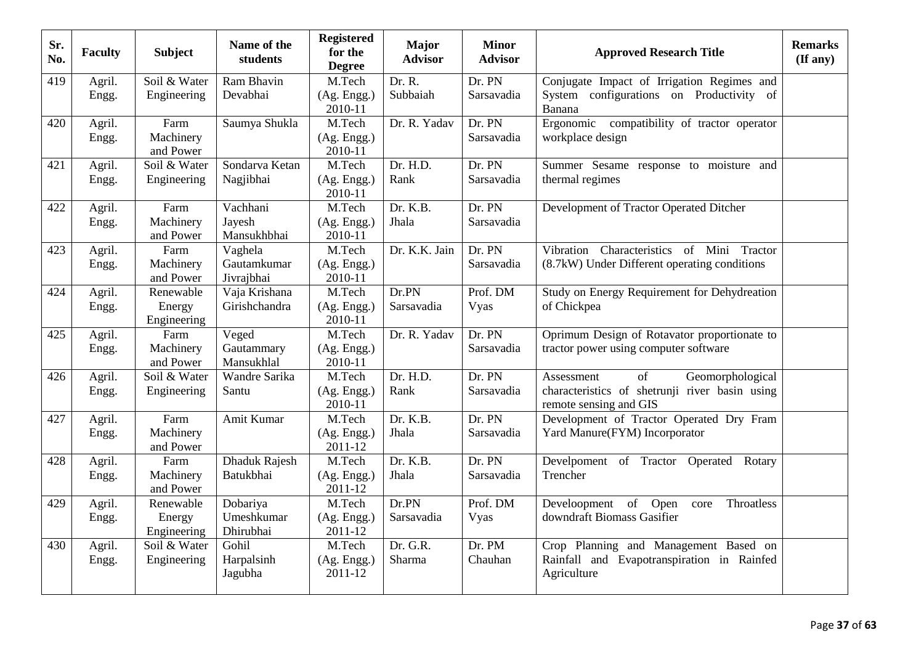| Sr.<br>No. | <b>Faculty</b>  | <b>Subject</b>                     | Name of the<br>students              | <b>Registered</b><br>for the<br><b>Degree</b> | <b>Major</b><br><b>Advisor</b> | <b>Minor</b><br><b>Advisor</b> | <b>Approved Research Title</b>                                                                                   | <b>Remarks</b><br>$(\mathbf{If any})$ |
|------------|-----------------|------------------------------------|--------------------------------------|-----------------------------------------------|--------------------------------|--------------------------------|------------------------------------------------------------------------------------------------------------------|---------------------------------------|
| 419        | Agril.<br>Engg. | Soil & Water<br>Engineering        | Ram Bhavin<br>Devabhai               | M.Tech<br>(Ag. Engg.)<br>2010-11              | Dr. R.<br>Subbaiah             | Dr. PN<br>Sarsavadia           | Conjugate Impact of Irrigation Regimes and<br>System configurations on Productivity of<br>Banana                 |                                       |
| 420        | Agril.<br>Engg. | Farm<br>Machinery<br>and Power     | Saumya Shukla                        | M.Tech<br>(Ag. Engg.)<br>2010-11              | Dr. R. Yadav                   | Dr. PN<br>Sarsavadia           | Ergonomic compatibility of tractor operator<br>workplace design                                                  |                                       |
| 421        | Agril.<br>Engg. | Soil & Water<br>Engineering        | Sondarva Ketan<br>Nagjibhai          | M.Tech<br>(Ag. Engg.)<br>2010-11              | Dr. H.D.<br>Rank               | Dr. PN<br>Sarsavadia           | Summer Sesame response to moisture and<br>thermal regimes                                                        |                                       |
| 422        | Agril.<br>Engg. | Farm<br>Machinery<br>and Power     | Vachhani<br>Jayesh<br>Mansukhbhai    | M.Tech<br>(Ag. Engg.)<br>2010-11              | Dr. K.B.<br>Jhala              | Dr. PN<br>Sarsavadia           | Development of Tractor Operated Ditcher                                                                          |                                       |
| 423        | Agril.<br>Engg. | Farm<br>Machinery<br>and Power     | Vaghela<br>Gautamkumar<br>Jivrajbhai | M.Tech<br>(Ag. Engg.)<br>2010-11              | Dr. K.K. Jain                  | Dr. PN<br>Sarsavadia           | Vibration Characteristics of Mini Tractor<br>(8.7kW) Under Different operating conditions                        |                                       |
| 424        | Agril.<br>Engg. | Renewable<br>Energy<br>Engineering | Vaja Krishana<br>Girishchandra       | M.Tech<br>(Ag. Engg.)<br>2010-11              | Dr.PN<br>Sarsavadia            | Prof. DM<br>Vyas               | Study on Energy Requirement for Dehydreation<br>of Chickpea                                                      |                                       |
| 425        | Agril.<br>Engg. | Farm<br>Machinery<br>and Power     | Veged<br>Gautammary<br>Mansukhlal    | M.Tech<br>(Ag. Engg.)<br>2010-11              | Dr. R. Yadav                   | Dr. PN<br>Sarsavadia           | Oprimum Design of Rotavator proportionate to<br>tractor power using computer software                            |                                       |
| 426        | Agril.<br>Engg. | Soil & Water<br>Engineering        | Wandre Sarika<br>Santu               | M.Tech<br>(Ag. Engg.)<br>2010-11              | Dr. H.D.<br>Rank               | Dr. PN<br>Sarsavadia           | of<br>Geomorphological<br>Assessment<br>characteristics of shetrunji river basin using<br>remote sensing and GIS |                                       |
| 427        | Agril.<br>Engg. | Farm<br>Machinery<br>and Power     | Amit Kumar                           | M.Tech<br>(Ag. Engg.)<br>2011-12              | Dr. K.B.<br>Jhala              | Dr. PN<br>Sarsavadia           | Development of Tractor Operated Dry Fram<br>Yard Manure(FYM) Incorporator                                        |                                       |
| 428        | Agril.<br>Engg. | Farm<br>Machinery<br>and Power     | Dhaduk Rajesh<br>Batukbhai           | M.Tech<br>(Ag. Engg.)<br>2011-12              | Dr. K.B.<br>Jhala              | Dr. PN<br>Sarsavadia           | Develpoment of Tractor Operated Rotary<br>Trencher                                                               |                                       |
| 429        | Agril.<br>Engg. | Renewable<br>Energy<br>Engineering | Dobariya<br>Umeshkumar<br>Dhirubhai  | M.Tech<br>(Ag. Engg.)<br>2011-12              | Dr.PN<br>Sarsavadia            | Prof. DM<br>Vyas               | of<br>Open<br>Throatless<br>Develoopment<br>core<br>downdraft Biomass Gasifier                                   |                                       |
| 430        | Agril.<br>Engg. | Soil & Water<br>Engineering        | Gohil<br>Harpalsinh<br>Jagubha       | M.Tech<br>(Ag. Engg.)<br>2011-12              | Dr. G.R.<br>Sharma             | Dr. PM<br>Chauhan              | Crop Planning and Management Based on<br>Rainfall and Evapotranspiration in Rainfed<br>Agriculture               |                                       |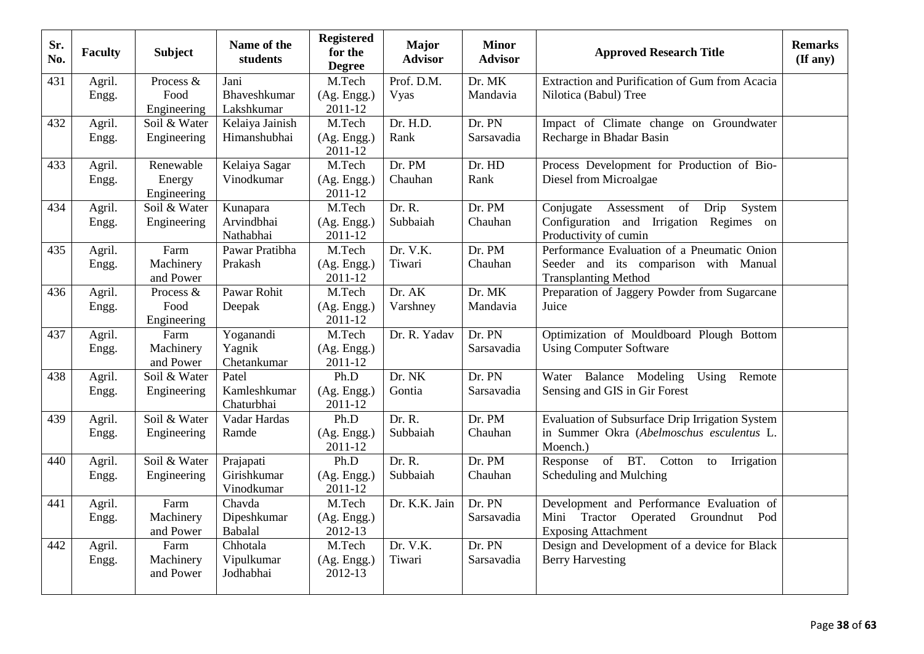| Sr.<br>No. | <b>Faculty</b> | <b>Subject</b>         | Name of the<br>students    | <b>Registered</b><br>for the<br><b>Degree</b> | <b>Major</b><br><b>Advisor</b> | <b>Minor</b><br><b>Advisor</b> | <b>Approved Research Title</b>                                   | <b>Remarks</b><br>$(\mathbf{If any})$ |
|------------|----------------|------------------------|----------------------------|-----------------------------------------------|--------------------------------|--------------------------------|------------------------------------------------------------------|---------------------------------------|
| 431        | Agril.         | Process &              | Jani                       | M.Tech                                        | Prof. D.M.                     | Dr. MK                         | Extraction and Purification of Gum from Acacia                   |                                       |
|            | Engg.          | Food                   | Bhaveshkumar               | (Ag. Engg.)                                   | Vyas                           | Mandavia                       | Nilotica (Babul) Tree                                            |                                       |
|            |                | Engineering            | Lakshkumar                 | 2011-12                                       |                                |                                |                                                                  |                                       |
| 432        | Agril.         | Soil & Water           | Kelaiya Jainish            | M.Tech                                        | Dr. H.D.                       | Dr. PN                         | Impact of Climate change on Groundwater                          |                                       |
|            | Engg.          | Engineering            | Himanshubhai               | (Ag. Engg.)<br>2011-12                        | Rank                           | Sarsavadia                     | Recharge in Bhadar Basin                                         |                                       |
| 433        | Agril.         | Renewable              | Kelaiya Sagar              | M.Tech                                        | Dr. PM                         | Dr. HD                         | Process Development for Production of Bio-                       |                                       |
|            | Engg.          | Energy<br>Engineering  | Vinodkumar                 | (Ag. Engg.)<br>2011-12                        | Chauhan                        | Rank                           | Diesel from Microalgae                                           |                                       |
| 434        | Agril.         | Soil & Water           | Kunapara                   | M.Tech                                        | Dr. R.                         | Dr. PM                         | Conjugate Assessment<br>of<br>Drip<br>System                     |                                       |
|            | Engg.          | Engineering            | Arvindbhai<br>Nathabhai    | (Ag. Engg.)<br>2011-12                        | Subbaiah                       | Chauhan                        | Configuration and Irrigation Regimes on<br>Productivity of cumin |                                       |
| 435        | Agril.         | Farm                   | Pawar Pratibha             | M.Tech                                        | Dr. V.K.                       | Dr. PM                         | Performance Evaluation of a Pneumatic Onion                      |                                       |
|            | Engg.          | Machinery              | Prakash                    | (Ag. Engg.)                                   | Tiwari                         | Chauhan                        | Seeder and its comparison with Manual                            |                                       |
|            |                | and Power              |                            | 2011-12                                       |                                |                                | <b>Transplanting Method</b>                                      |                                       |
| 436        | Agril.         | Process &              | Pawar Rohit                | M.Tech                                        | Dr. AK                         | Dr. MK                         | Preparation of Jaggery Powder from Sugarcane                     |                                       |
|            | Engg.          | Food                   | Deepak                     | (Ag. Engg.)                                   | Varshney                       | Mandavia                       | Juice                                                            |                                       |
|            |                | Engineering            |                            | 2011-12                                       |                                |                                |                                                                  |                                       |
| 437        | Agril.         | Farm<br>Machinery      | Yoganandi                  | M.Tech                                        | Dr. R. Yadav                   | Dr. PN<br>Sarsavadia           | Optimization of Mouldboard Plough Bottom                         |                                       |
|            | Engg.          | and Power              | Yagnik<br>Chetankumar      | (Ag. Engg.)<br>2011-12                        |                                |                                | <b>Using Computer Software</b>                                   |                                       |
| 438        | Agril.         | Soil & Water           | Patel                      | Ph.D                                          | Dr. NK                         | Dr. PN                         | Water Balance Modeling<br>Using<br>Remote                        |                                       |
|            | Engg.          | Engineering            | Kamleshkumar<br>Chaturbhai | (Ag. Engg.)<br>2011-12                        | Gontia                         | Sarsavadia                     | Sensing and GIS in Gir Forest                                    |                                       |
| 439        | Agril.         | Soil & Water           | Vadar Hardas               | Ph.D                                          | Dr. R.                         | Dr. PM                         | Evaluation of Subsurface Drip Irrigation System                  |                                       |
|            | Engg.          | Engineering            | Ramde                      | (Ag. Engg.)<br>2011-12                        | Subbaiah                       | Chauhan                        | in Summer Okra (Abelmoschus esculentus L.<br>Moench.)            |                                       |
| 440        | Agril.         | Soil & Water           | Prajapati                  | Ph.D                                          | Dr. R.                         | Dr. PM                         | of BT. Cotton<br>Response<br>Irrigation<br>to                    |                                       |
|            | Engg.          | Engineering            | Girishkumar                | (Ag. Engg.)                                   | Subbaiah                       | Chauhan                        | Scheduling and Mulching                                          |                                       |
|            |                |                        | Vinodkumar                 | 2011-12                                       |                                |                                |                                                                  |                                       |
| 441        | Agril.         | Farm                   | Chavda                     | M.Tech                                        | Dr. K.K. Jain                  | Dr. PN                         | Development and Performance Evaluation of                        |                                       |
|            | Engg.          | Machinery              | Dipeshkumar                | (Ag. Engg.)                                   |                                | Sarsavadia                     | Mini Tractor Operated Groundnut Pod                              |                                       |
|            |                | and Power              | Babalal                    | 2012-13                                       |                                |                                | <b>Exposing Attachment</b>                                       |                                       |
| 442        | Agril.         | Farm                   | Chhotala                   | M.Tech                                        | Dr. V.K.                       | Dr. PN                         | Design and Development of a device for Black                     |                                       |
|            | Engg.          | Machinery<br>and Power | Vipulkumar<br>Jodhabhai    | (Ag. Engg.)<br>2012-13                        | Tiwari                         | Sarsavadia                     | <b>Berry Harvesting</b>                                          |                                       |
|            |                |                        |                            |                                               |                                |                                |                                                                  |                                       |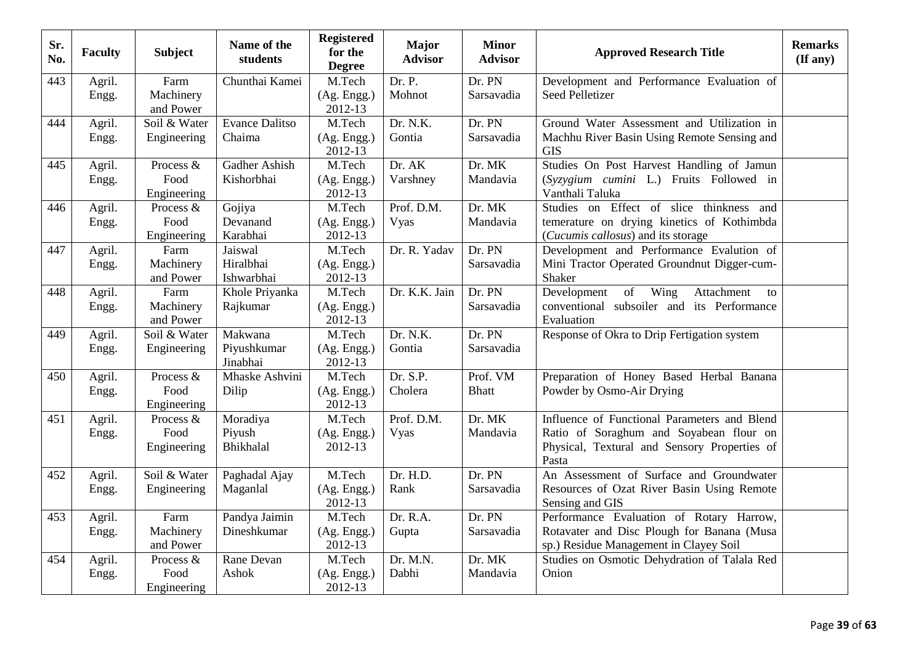| Sr.<br>No. | <b>Faculty</b>  | <b>Subject</b>                   | Name of the<br>students            | <b>Registered</b><br>for the<br><b>Degree</b> | <b>Major</b><br><b>Advisor</b> | <b>Minor</b><br><b>Advisor</b> | <b>Approved Research Title</b>                                                                                                                   | <b>Remarks</b><br>(If any) |
|------------|-----------------|----------------------------------|------------------------------------|-----------------------------------------------|--------------------------------|--------------------------------|--------------------------------------------------------------------------------------------------------------------------------------------------|----------------------------|
| 443        | Agril.<br>Engg. | Farm<br>Machinery<br>and Power   | Chunthai Kamei                     | M.Tech<br>(Ag. Engg.)<br>2012-13              | Dr. P.<br>Mohnot               | Dr. PN<br>Sarsavadia           | Development and Performance Evaluation of<br>Seed Pelletizer                                                                                     |                            |
| 444        | Agril.<br>Engg. | Soil & Water<br>Engineering      | <b>Evance Dalitso</b><br>Chaima    | M.Tech<br>(Ag. Engg.)<br>2012-13              | Dr. N.K.<br>Gontia             | Dr. PN<br>Sarsavadia           | Ground Water Assessment and Utilization in<br>Machhu River Basin Using Remote Sensing and<br><b>GIS</b>                                          |                            |
| 445        | Agril.<br>Engg. | Process &<br>Food<br>Engineering | Gadher Ashish<br>Kishorbhai        | M.Tech<br>(Ag. Engg.)<br>2012-13              | Dr. AK<br>Varshney             | Dr. MK<br>Mandavia             | Studies On Post Harvest Handling of Jamun<br>(Syzygium cumini L.) Fruits Followed in<br>Vanthali Taluka                                          |                            |
| 446        | Agril.<br>Engg. | Process &<br>Food<br>Engineering | Gojiya<br>Devanand<br>Karabhai     | M.Tech<br>(Ag. Engg.)<br>2012-13              | Prof. D.M.<br>Vyas             | Dr. MK<br>Mandavia             | Studies on Effect of slice thinkness<br>and<br>temerature on drying kinetics of Kothimbda<br>(Cucumis callosus) and its storage                  |                            |
| 447        | Agril.<br>Engg. | Farm<br>Machinery<br>and Power   | Jaiswal<br>Hiralbhai<br>Ishwarbhai | M.Tech<br>(Ag. Engg.)<br>2012-13              | Dr. R. Yadav                   | Dr. PN<br>Sarsavadia           | Development and Performance Evalution of<br>Mini Tractor Operated Groundnut Digger-cum-<br>Shaker                                                |                            |
| 448        | Agril.<br>Engg. | Farm<br>Machinery<br>and Power   | Khole Priyanka<br>Rajkumar         | M.Tech<br>(Ag. Engg.)<br>2012-13              | Dr. K.K. Jain                  | Dr. PN<br>Sarsavadia           | Wing<br>of<br>Attachment<br>Development<br>to<br>conventional subsoiler and its Performance<br>Evaluation                                        |                            |
| 449        | Agril.<br>Engg. | Soil & Water<br>Engineering      | Makwana<br>Piyushkumar<br>Jinabhai | M.Tech<br>(Ag. Engg.)<br>2012-13              | Dr. N.K.<br>Gontia             | Dr. PN<br>Sarsavadia           | Response of Okra to Drip Fertigation system                                                                                                      |                            |
| 450        | Agril.<br>Engg. | Process &<br>Food<br>Engineering | Mhaske Ashvini<br>Dilip            | M.Tech<br>(Ag. Engg.)<br>2012-13              | Dr. S.P.<br>Cholera            | Prof. VM<br><b>Bhatt</b>       | Preparation of Honey Based Herbal Banana<br>Powder by Osmo-Air Drying                                                                            |                            |
| 451        | Agril.<br>Engg. | Process &<br>Food<br>Engineering | Moradiya<br>Piyush<br>Bhikhalal    | M.Tech<br>(Ag. Engg.)<br>2012-13              | Prof. D.M.<br>Vyas             | Dr. MK<br>Mandavia             | Influence of Functional Parameters and Blend<br>Ratio of Soraghum and Soyabean flour on<br>Physical, Textural and Sensory Properties of<br>Pasta |                            |
| 452        | Agril.<br>Engg. | Soil & Water<br>Engineering      | Paghadal Ajay<br>Maganlal          | M.Tech<br>(Ag. Engg.)<br>2012-13              | Dr. H.D.<br>Rank               | Dr. PN<br>Sarsavadia           | An Assessment of Surface and Groundwater<br>Resources of Ozat River Basin Using Remote<br>Sensing and GIS                                        |                            |
| 453        | Agril.<br>Engg. | Farm<br>Machinery<br>and Power   | Pandya Jaimin<br>Dineshkumar       | M.Tech<br>(Ag. Engg.)<br>2012-13              | Dr. R.A.<br>Gupta              | Dr. PN<br>Sarsavadia           | Performance Evaluation of Rotary Harrow,<br>Rotavater and Disc Plough for Banana (Musa<br>sp.) Residue Management in Clayey Soil                 |                            |
| 454        | Agril.<br>Engg. | Process &<br>Food<br>Engineering | Rane Devan<br>Ashok                | M.Tech<br>(Ag. Engg.)<br>2012-13              | Dr. M.N.<br>Dabhi              | Dr. MK<br>Mandavia             | Studies on Osmotic Dehydration of Talala Red<br>Onion                                                                                            |                            |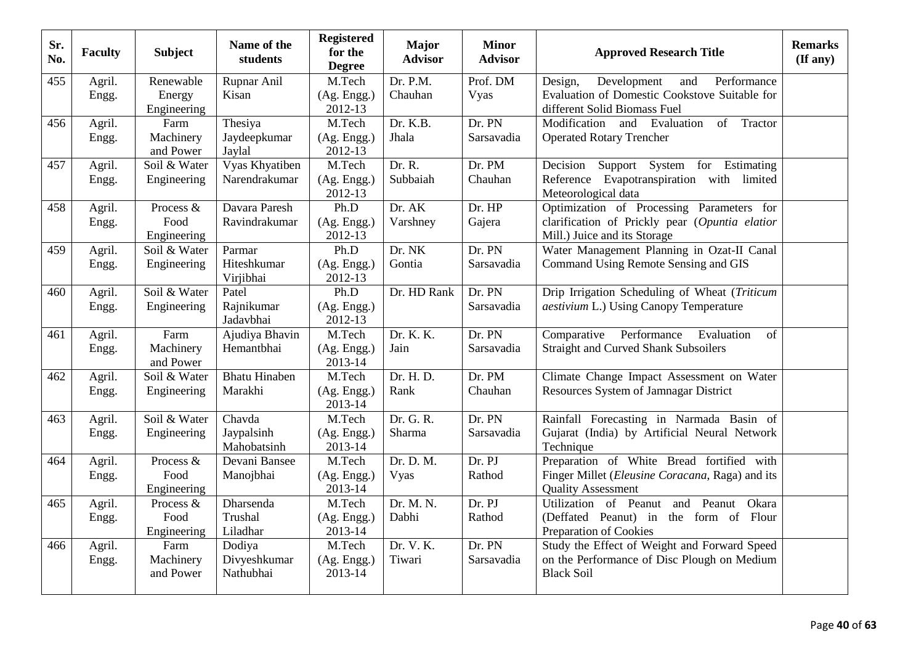| Sr.<br>No. | <b>Faculty</b>  | <b>Subject</b>         | Name of the<br>students   | <b>Registered</b><br>for the<br><b>Degree</b> | <b>Major</b><br><b>Advisor</b> | <b>Minor</b><br><b>Advisor</b> | <b>Approved Research Title</b>                                         | <b>Remarks</b><br>$($ If any $)$ |
|------------|-----------------|------------------------|---------------------------|-----------------------------------------------|--------------------------------|--------------------------------|------------------------------------------------------------------------|----------------------------------|
| 455        | Agril.          | Renewable              | Rupnar Anil               | M.Tech                                        | Dr. P.M.                       | Prof. DM                       | Performance<br>Design,<br>Development<br>and                           |                                  |
|            | Engg.           | Energy                 | Kisan                     | (Ag. Engg.)                                   | Chauhan                        | Vyas                           | Evaluation of Domestic Cookstove Suitable for                          |                                  |
|            |                 | Engineering            |                           | 2012-13                                       |                                |                                | different Solid Biomass Fuel                                           |                                  |
| 456        | Agril.          | Farm                   | Thesiya                   | M.Tech                                        | Dr. K.B.                       | Dr. PN                         | Modification<br>and<br>Evaluation<br>of<br>Tractor                     |                                  |
|            | Engg.           | Machinery<br>and Power | Jaydeepkumar<br>Jaylal    | (Ag. Engg.)<br>2012-13                        | Jhala                          | Sarsavadia                     | <b>Operated Rotary Trencher</b>                                        |                                  |
| 457        | Agril.          | Soil & Water           | Vyas Khyatiben            | M.Tech                                        | Dr. R.                         | Dr. PM                         | Support System for Estimating<br>Decision                              |                                  |
|            | Engg.           | Engineering            | Narendrakumar             | (Ag. Engg.)                                   | Subbaiah                       | Chauhan                        | Reference Evapotranspiration with limited                              |                                  |
|            |                 |                        |                           | 2012-13                                       |                                |                                | Meteorological data                                                    |                                  |
| 458        | Agril.          | Process &              | Davara Paresh             | Ph.D                                          | Dr. AK                         | Dr. HP                         | Optimization of Processing Parameters for                              |                                  |
|            | Engg.           | Food                   | Ravindrakumar             | (Ag. Engg.)                                   | Varshney                       | Gajera                         | clarification of Prickly pear (Opuntia elatior                         |                                  |
|            |                 | Engineering            |                           | 2012-13                                       |                                |                                | Mill.) Juice and its Storage                                           |                                  |
| 459        | Agril.          | Soil & Water           | Parmar                    | Ph.D                                          | Dr. NK                         | Dr. PN                         | Water Management Planning in Ozat-II Canal                             |                                  |
|            | Engg.           | Engineering            | Hiteshkumar<br>Virjibhai  | (Ag. Engg.)<br>2012-13                        | Gontia                         | Sarsavadia                     | Command Using Remote Sensing and GIS                                   |                                  |
| 460        | Agril.          | Soil & Water           | Patel                     | Ph.D                                          | Dr. HD Rank                    | Dr. PN                         | Drip Irrigation Scheduling of Wheat (Triticum                          |                                  |
|            | Engg.           | Engineering            | Rajnikumar<br>Jadavbhai   | (Ag. Engg.)<br>2012-13                        |                                | Sarsavadia                     | <i>aestivium</i> L.) Using Canopy Temperature                          |                                  |
| 461        | Agril.          | Farm                   | Ajudiya Bhavin            | M.Tech                                        | Dr. K. K.                      | Dr. PN                         | Comparative Performance<br>Evaluation<br>of                            |                                  |
|            | Engg.           | Machinery<br>and Power | Hemantbhai                | (Ag. Engg.)<br>2013-14                        | Jain                           | Sarsavadia                     | <b>Straight and Curved Shank Subsoilers</b>                            |                                  |
| 462        | Agril.          | Soil & Water           | <b>Bhatu Hinaben</b>      | M.Tech                                        | Dr. H. D.                      | Dr. PM                         | Climate Change Impact Assessment on Water                              |                                  |
|            | Engg.           | Engineering            | Marakhi                   | (Ag. Engg.)<br>2013-14                        | Rank                           | Chauhan                        | Resources System of Jamnagar District                                  |                                  |
| 463        | Agril.          | Soil & Water           | Chavda                    | M.Tech                                        | Dr. G. R.                      | Dr. PN                         | Rainfall Forecasting in Narmada Basin of                               |                                  |
|            | Engg.           | Engineering            | Jaypalsinh<br>Mahobatsinh | (Ag. Engg.)<br>2013-14                        | Sharma                         | Sarsavadia                     | Gujarat (India) by Artificial Neural Network<br>Technique              |                                  |
| 464        | Agril.          | Process &              | Devani Bansee             | M.Tech                                        | Dr. D. M.                      | Dr. PJ                         | Preparation of White Bread fortified with                              |                                  |
|            | Engg.           | Food                   | Manojbhai                 | (Ag. Engg.)                                   | Vyas                           | Rathod                         | Finger Millet (Eleusine Coracana, Raga) and its                        |                                  |
|            |                 | Engineering            |                           | 2013-14                                       |                                |                                | <b>Quality Assessment</b>                                              |                                  |
| 465        | Agril.          | Process &              | Dharsenda                 | M.Tech                                        | Dr. M. N.                      | Dr. PJ                         | Utilization of Peanut<br>Peanut<br>Okara<br>and                        |                                  |
|            | Engg.           | Food                   | Trushal                   | (Ag. Engg.)                                   | Dabhi                          | Rathod                         | (Deffated Peanut) in<br>the form of Flour                              |                                  |
|            |                 | Engineering<br>Farm    | Liladhar                  | 2013-14<br>M.Tech                             | Dr. V. K.                      | Dr. PN                         | Preparation of Cookies<br>Study the Effect of Weight and Forward Speed |                                  |
| 466        | Agril.<br>Engg. | Machinery              | Dodiya<br>Divyeshkumar    | (Ag. Engg.)                                   | Tiwari                         | Sarsavadia                     | on the Performance of Disc Plough on Medium                            |                                  |
|            |                 | and Power              | Nathubhai                 | 2013-14                                       |                                |                                | <b>Black Soil</b>                                                      |                                  |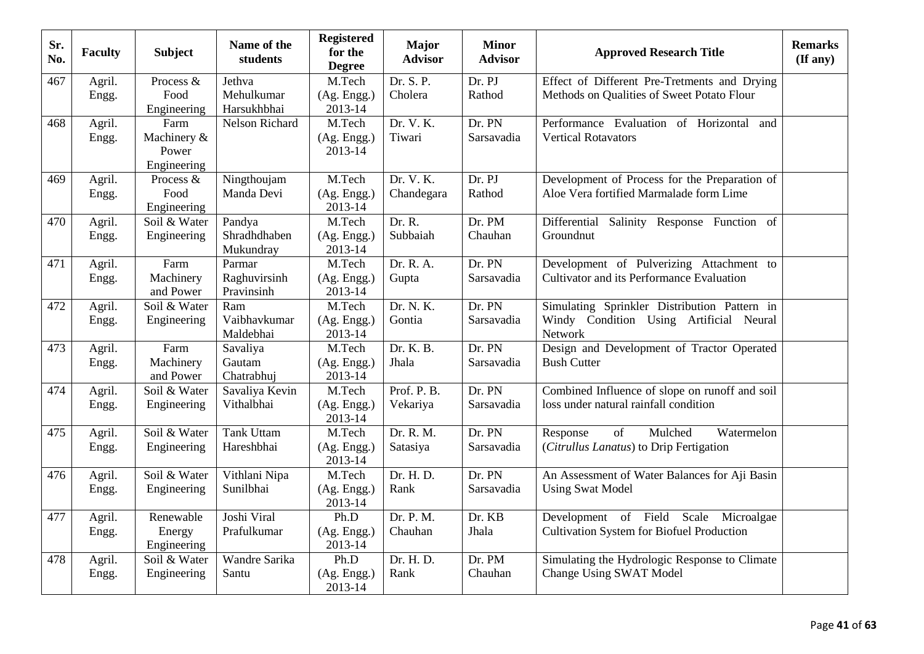| Sr.<br>No. | <b>Faculty</b>  | <b>Subject</b>                              | Name of the<br>students              | <b>Registered</b><br>for the<br><b>Degree</b> | <b>Major</b><br><b>Advisor</b> | <b>Minor</b><br><b>Advisor</b> | <b>Approved Research Title</b>                                                                     | <b>Remarks</b><br>$(\mathbf{If any})$ |
|------------|-----------------|---------------------------------------------|--------------------------------------|-----------------------------------------------|--------------------------------|--------------------------------|----------------------------------------------------------------------------------------------------|---------------------------------------|
| 467        | Agril.<br>Engg. | Process &<br>Food<br>Engineering            | Jethva<br>Mehulkumar<br>Harsukhbhai  | M.Tech<br>(Ag. Engg.)<br>2013-14              | Dr. S. P.<br>Cholera           | Dr. PJ<br>Rathod               | Effect of Different Pre-Tretments and Drying<br>Methods on Qualities of Sweet Potato Flour         |                                       |
| 468        | Agril.<br>Engg. | Farm<br>Machinery &<br>Power<br>Engineering | Nelson Richard                       | M.Tech<br>(Ag. Engg.)<br>2013-14              | Dr. V. K.<br>Tiwari            | Dr. PN<br>Sarsavadia           | Performance Evaluation of Horizontal<br>and<br><b>Vertical Rotavators</b>                          |                                       |
| 469        | Agril.<br>Engg. | Process &<br>Food<br>Engineering            | Ningthoujam<br>Manda Devi            | M.Tech<br>(Ag. Engg.)<br>2013-14              | Dr. V. K.<br>Chandegara        | Dr. PJ<br>Rathod               | Development of Process for the Preparation of<br>Aloe Vera fortified Marmalade form Lime           |                                       |
| 470        | Agril.<br>Engg. | Soil & Water<br>Engineering                 | Pandya<br>Shradhdhaben<br>Mukundray  | M.Tech<br>(Ag. Engg.)<br>2013-14              | Dr. R.<br>Subbaiah             | Dr. PM<br>Chauhan              | Differential Salinity Response Function of<br>Groundnut                                            |                                       |
| 471        | Agril.<br>Engg. | Farm<br>Machinery<br>and Power              | Parmar<br>Raghuvirsinh<br>Pravinsinh | M.Tech<br>(Ag. Engg.)<br>2013-14              | Dr. R. A.<br>Gupta             | Dr. PN<br>Sarsavadia           | Development of Pulverizing Attachment to<br>Cultivator and its Performance Evaluation              |                                       |
| 472        | Agril.<br>Engg. | Soil & Water<br>Engineering                 | Ram<br>Vaibhavkumar<br>Maldebhai     | M.Tech<br>(Ag. Engg.)<br>2013-14              | Dr. N. K.<br>Gontia            | Dr. PN<br>Sarsavadia           | Simulating Sprinkler Distribution Pattern in<br>Windy Condition Using Artificial Neural<br>Network |                                       |
| 473        | Agril.<br>Engg. | Farm<br>Machinery<br>and Power              | Savaliya<br>Gautam<br>Chatrabhuj     | M.Tech<br>(Ag. Engg.)<br>2013-14              | Dr. K. B.<br>Jhala             | Dr. PN<br>Sarsavadia           | Design and Development of Tractor Operated<br><b>Bush Cutter</b>                                   |                                       |
| 474        | Agril.<br>Engg. | Soil & Water<br>Engineering                 | Savaliya Kevin<br>Vithalbhai         | M.Tech<br>(Ag. Engg.)<br>2013-14              | Prof. P. B.<br>Vekariya        | Dr. PN<br>Sarsavadia           | Combined Influence of slope on runoff and soil<br>loss under natural rainfall condition            |                                       |
| 475        | Agril.<br>Engg. | Soil & Water<br>Engineering                 | <b>Tank Uttam</b><br>Hareshbhai      | M.Tech<br>(Ag. Engg.)<br>2013-14              | Dr. R. M.<br>Satasiya          | Dr. PN<br>Sarsavadia           | Mulched<br>Watermelon<br>Response<br>of<br>(Citrullus Lanatus) to Drip Fertigation                 |                                       |
| 476        | Agril.<br>Engg. | Soil & Water<br>Engineering                 | Vithlani Nipa<br>Sunilbhai           | M.Tech<br>(Ag. Engg.)<br>2013-14              | Dr. H. D.<br>Rank              | Dr. PN<br>Sarsavadia           | An Assessment of Water Balances for Aji Basin<br><b>Using Swat Model</b>                           |                                       |
| 477        | Agril.<br>Engg. | Renewable<br>Energy<br>Engineering          | Joshi Viral<br>Prafulkumar           | Ph.D<br>(Ag. Engg.)<br>2013-14                | Dr. P. M.<br>Chauhan           | Dr. KB<br>Jhala                | Development of Field Scale<br>Microalgae<br><b>Cultivation System for Biofuel Production</b>       |                                       |
| 478        | Agril.<br>Engg. | Soil & Water<br>Engineering                 | Wandre Sarika<br>Santu               | Ph.D<br>(Ag. Engg.)<br>2013-14                | Dr. H. D.<br>Rank              | Dr. PM<br>Chauhan              | Simulating the Hydrologic Response to Climate<br><b>Change Using SWAT Model</b>                    |                                       |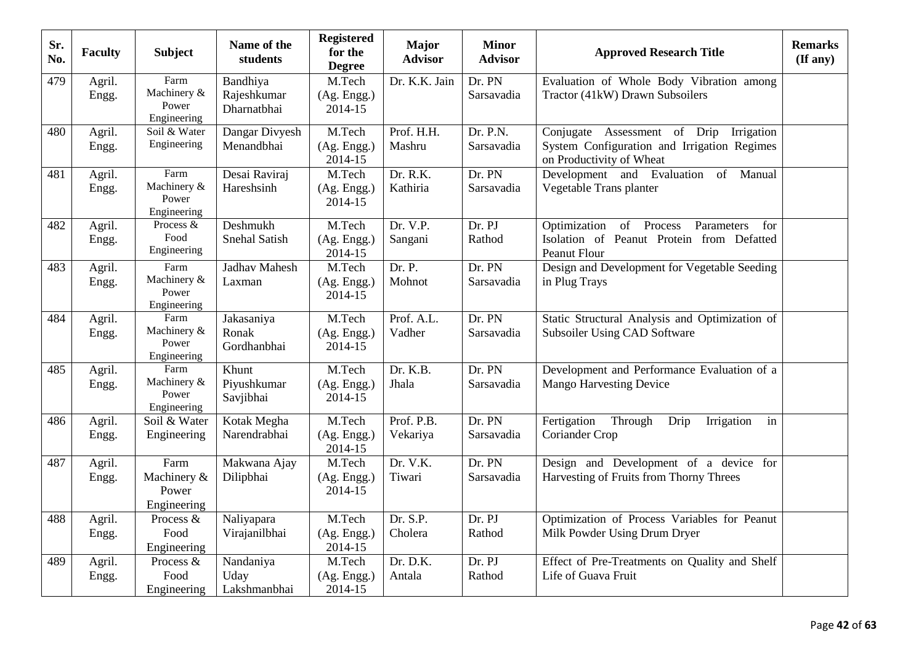| Sr.<br>No. | <b>Faculty</b>  | <b>Subject</b>                              | Name of the<br>students                | <b>Registered</b><br>for the<br><b>Degree</b> | <b>Major</b><br><b>Advisor</b> | <b>Minor</b><br><b>Advisor</b> | <b>Approved Research Title</b>                                                                                        | <b>Remarks</b><br>(If any) |
|------------|-----------------|---------------------------------------------|----------------------------------------|-----------------------------------------------|--------------------------------|--------------------------------|-----------------------------------------------------------------------------------------------------------------------|----------------------------|
| 479        | Agril.<br>Engg. | Farm<br>Machinery &<br>Power<br>Engineering | Bandhiya<br>Rajeshkumar<br>Dharnatbhai | M.Tech<br>(Ag. Engg.)<br>2014-15              | Dr. K.K. Jain                  | Dr. PN<br>Sarsavadia           | Evaluation of Whole Body Vibration among<br>Tractor (41kW) Drawn Subsoilers                                           |                            |
| 480        | Agril.<br>Engg. | Soil & Water<br>Engineering                 | Dangar Divyesh<br>Menandbhai           | M.Tech<br>(Ag. Engg.)<br>2014-15              | Prof. H.H.<br>Mashru           | Dr. P.N.<br>Sarsavadia         | Conjugate Assessment of Drip<br>Irrigation<br>System Configuration and Irrigation Regimes<br>on Productivity of Wheat |                            |
| 481        | Agril.<br>Engg. | Farm<br>Machinery &<br>Power<br>Engineering | Desai Raviraj<br>Hareshsinh            | M.Tech<br>(Ag. Engg.)<br>2014-15              | Dr. R.K.<br>Kathiria           | Dr. PN<br>Sarsavadia           | Development and Evaluation of Manual<br>Vegetable Trans planter                                                       |                            |
| 482        | Agril.<br>Engg. | Process &<br>Food<br>Engineering            | Deshmukh<br>Snehal Satish              | M.Tech<br>(Ag. Engg.)<br>2014-15              | Dr. V.P.<br>Sangani            | Dr. PJ<br>Rathod               | Optimization of Process<br>Parameters<br>for<br>Isolation of Peanut Protein from Defatted<br><b>Peanut Flour</b>      |                            |
| 483        | Agril.<br>Engg. | Farm<br>Machinery &<br>Power<br>Engineering | Jadhav Mahesh<br>Laxman                | M.Tech<br>(Ag. Engg.)<br>2014-15              | Dr. P.<br>Mohnot               | Dr. PN<br>Sarsavadia           | Design and Development for Vegetable Seeding<br>in Plug Trays                                                         |                            |
| 484        | Agril.<br>Engg. | Farm<br>Machinery &<br>Power<br>Engineering | Jakasaniya<br>Ronak<br>Gordhanbhai     | M.Tech<br>(Ag. Engg.)<br>2014-15              | Prof. A.L.<br>Vadher           | Dr. PN<br>Sarsavadia           | Static Structural Analysis and Optimization of<br>Subsoiler Using CAD Software                                        |                            |
| 485        | Agril.<br>Engg. | Farm<br>Machinery &<br>Power<br>Engineering | Khunt<br>Piyushkumar<br>Savjibhai      | M.Tech<br>(Ag. Engg.)<br>2014-15              | Dr. K.B.<br>Jhala              | Dr. PN<br>Sarsavadia           | Development and Performance Evaluation of a<br><b>Mango Harvesting Device</b>                                         |                            |
| 486        | Agril.<br>Engg. | Soil & Water<br>Engineering                 | Kotak Megha<br>Narendrabhai            | M.Tech<br>(Ag. Engg.)<br>2014-15              | Prof. P.B.<br>Vekariya         | Dr. PN<br>Sarsavadia           | Through<br>Fertigation<br>Drip<br>Irrigation<br>in<br>Coriander Crop                                                  |                            |
| 487        | Agril.<br>Engg. | Farm<br>Machinery &<br>Power<br>Engineering | Makwana Ajay<br>Dilipbhai              | M.Tech<br>(Ag. Engg.)<br>2014-15              | Dr. V.K.<br>Tiwari             | Dr. PN<br>Sarsavadia           | Design and Development of a device for<br>Harvesting of Fruits from Thorny Threes                                     |                            |
| 488        | Agril.<br>Engg. | Process &<br>Food<br>Engineering            | Naliyapara<br>Virajanilbhai            | M.Tech<br>(Ag. Engg.)<br>2014-15              | Dr. S.P.<br>Cholera            | Dr. PJ<br>Rathod               | Optimization of Process Variables for Peanut<br>Milk Powder Using Drum Dryer                                          |                            |
| 489        | Agril.<br>Engg. | Process &<br>Food<br>Engineering            | Nandaniya<br>Uday<br>Lakshmanbhai      | M.Tech<br>(Ag. Engg.)<br>2014-15              | Dr. D.K.<br>Antala             | Dr. PJ<br>Rathod               | Effect of Pre-Treatments on Quality and Shelf<br>Life of Guava Fruit                                                  |                            |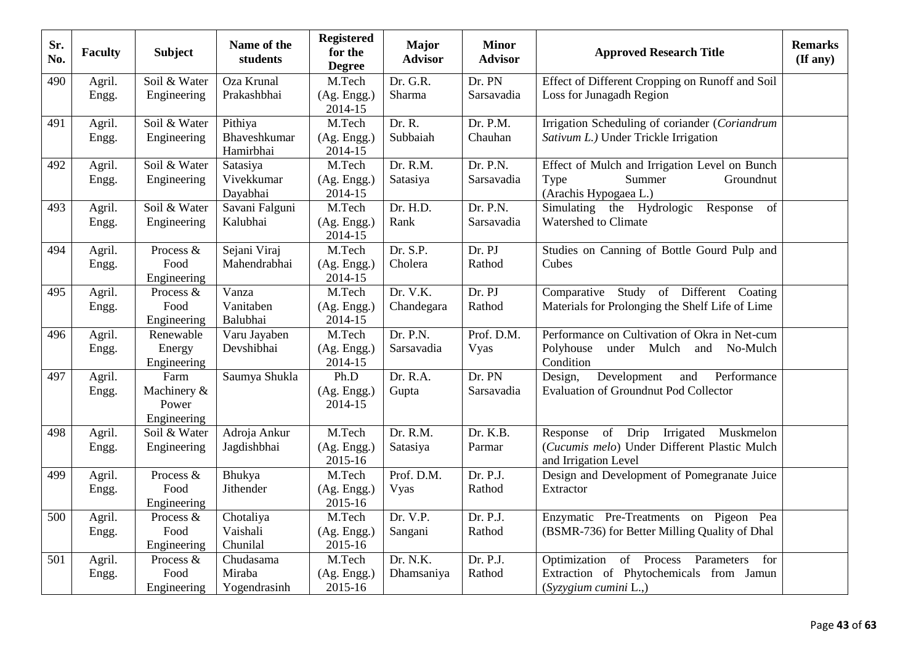| Sr.<br>No. | <b>Faculty</b>  | <b>Subject</b>                              | Name of the<br>students              | <b>Registered</b><br>for the<br><b>Degree</b> | <b>Major</b><br><b>Advisor</b> | <b>Minor</b><br><b>Advisor</b> | <b>Approved Research Title</b>                                                                                     | <b>Remarks</b><br>(If any) |
|------------|-----------------|---------------------------------------------|--------------------------------------|-----------------------------------------------|--------------------------------|--------------------------------|--------------------------------------------------------------------------------------------------------------------|----------------------------|
| 490        | Agril.<br>Engg. | Soil & Water<br>Engineering                 | Oza Krunal<br>Prakashbhai            | M.Tech<br>(Ag. Engg.)<br>2014-15              | Dr. G.R.<br>Sharma             | Dr. PN<br>Sarsavadia           | Effect of Different Cropping on Runoff and Soil<br>Loss for Junagadh Region                                        |                            |
| 491        | Agril.<br>Engg. | Soil & Water<br>Engineering                 | Pithiya<br>Bhaveshkumar<br>Hamirbhai | M.Tech<br>(Ag. Engg.)<br>2014-15              | Dr. R.<br>Subbaiah             | Dr. P.M.<br>Chauhan            | Irrigation Scheduling of coriander (Coriandrum<br>Sativum L.) Under Trickle Irrigation                             |                            |
| 492        | Agril.<br>Engg. | Soil & Water<br>Engineering                 | Satasiya<br>Vivekkumar<br>Dayabhai   | M.Tech<br>(Ag. Engg.)<br>2014-15              | Dr. R.M.<br>Satasiya           | Dr. P.N.<br>Sarsavadia         | Effect of Mulch and Irrigation Level on Bunch<br>Summer<br>Groundnut<br>Type<br>(Arachis Hypogaea L.)              |                            |
| 493        | Agril.<br>Engg. | Soil & Water<br>Engineering                 | Savani Falguni<br>Kalubhai           | M.Tech<br>(Ag. Engg.)<br>2014-15              | Dr. H.D.<br>Rank               | Dr. P.N.<br>Sarsavadia         | Simulating the Hydrologic<br>Response<br>of<br>Watershed to Climate                                                |                            |
| 494        | Agril.<br>Engg. | Process &<br>Food<br>Engineering            | Sejani Viraj<br>Mahendrabhai         | M.Tech<br>(Ag. Engg.)<br>2014-15              | Dr. S.P.<br>Cholera            | Dr. PJ<br>Rathod               | Studies on Canning of Bottle Gourd Pulp and<br>Cubes                                                               |                            |
| 495        | Agril.<br>Engg. | Process &<br>Food<br>Engineering            | Vanza<br>Vanitaben<br>Balubhai       | M.Tech<br>(Ag. Engg.)<br>2014-15              | Dr. V.K.<br>Chandegara         | Dr. PJ<br>Rathod               | Comparative Study of Different Coating<br>Materials for Prolonging the Shelf Life of Lime                          |                            |
| 496        | Agril.<br>Engg. | Renewable<br>Energy<br>Engineering          | Varu Jayaben<br>Devshibhai           | M.Tech<br>(Ag. Engg.)<br>2014-15              | Dr. P.N.<br>Sarsavadia         | Prof. D.M.<br>Vyas             | Performance on Cultivation of Okra in Net-cum<br>Polyhouse<br>under Mulch<br>No-Mulch<br>and<br>Condition          |                            |
| 497        | Agril.<br>Engg. | Farm<br>Machinery &<br>Power<br>Engineering | Saumya Shukla                        | Ph.D<br>(Ag. Engg.)<br>$2014 - 15$            | Dr. R.A.<br>Gupta              | Dr. PN<br>Sarsavadia           | Development<br>and<br>Performance<br>Design,<br><b>Evaluation of Groundnut Pod Collector</b>                       |                            |
| 498        | Agril.<br>Engg. | Soil & Water<br>Engineering                 | Adroja Ankur<br>Jagdishbhai          | M.Tech<br>(Ag. Engg.)<br>2015-16              | Dr. R.M.<br>Satasiya           | Dr. K.B.<br>Parmar             | Irrigated Muskmelon<br>of Drip<br>Response<br>(Cucumis melo) Under Different Plastic Mulch<br>and Irrigation Level |                            |
| 499        | Agril.<br>Engg. | Process &<br>Food<br>Engineering            | Bhukya<br>Jithender                  | M.Tech<br>(Ag. Engg.)<br>2015-16              | Prof. D.M.<br><b>Vyas</b>      | Dr. P.J.<br>Rathod             | Design and Development of Pomegranate Juice<br>Extractor                                                           |                            |
| 500        | Agril.<br>Engg. | Process &<br>Food<br>Engineering            | Chotaliya<br>Vaishali<br>Chunilal    | M.Tech<br>(Ag. Engg.)<br>2015-16              | Dr. V.P.<br>Sangani            | Dr. P.J.<br>Rathod             | Enzymatic Pre-Treatments on Pigeon Pea<br>(BSMR-736) for Better Milling Quality of Dhal                            |                            |
| 501        | Agril.<br>Engg. | Process &<br>Food<br>Engineering            | Chudasama<br>Miraba<br>Yogendrasinh  | M.Tech<br>(Ag. Engg.)<br>2015-16              | Dr. N.K.<br>Dhamsaniya         | Dr. P.J.<br>Rathod             | Optimization of Process<br>Parameters<br>for<br>Extraction of Phytochemicals from Jamun<br>(Syzygium cumini L.,)   |                            |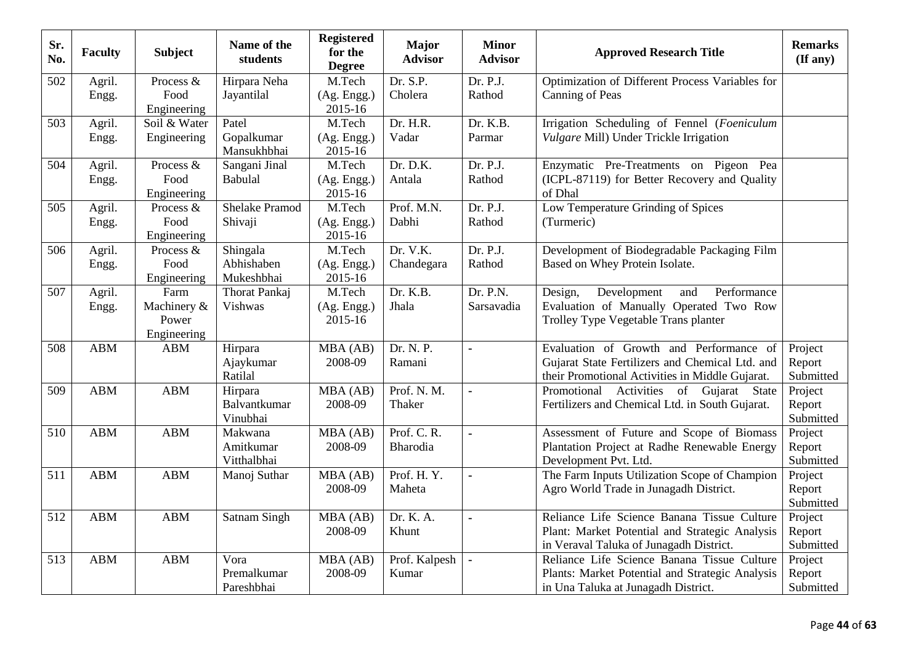| Sr.<br>No. | <b>Faculty</b>  | <b>Subject</b>                              | Name of the<br>students              | <b>Registered</b><br>for the<br><b>Degree</b> | <b>Major</b><br><b>Advisor</b> | <b>Minor</b><br><b>Advisor</b> | <b>Approved Research Title</b>                                                                                                                | <b>Remarks</b><br>$(\mathbf{If any})$ |
|------------|-----------------|---------------------------------------------|--------------------------------------|-----------------------------------------------|--------------------------------|--------------------------------|-----------------------------------------------------------------------------------------------------------------------------------------------|---------------------------------------|
| 502        | Agril.<br>Engg. | Process &<br>Food<br>Engineering            | Hirpara Neha<br>Jayantilal           | M.Tech<br>(Ag. Engg.)<br>2015-16              | Dr. S.P.<br>Cholera            | Dr. P.J.<br>Rathod             | Optimization of Different Process Variables for<br>Canning of Peas                                                                            |                                       |
| 503        | Agril.<br>Engg. | Soil & Water<br>Engineering                 | Patel<br>Gopalkumar<br>Mansukhbhai   | M.Tech<br>(Ag. Engg.)<br>2015-16              | Dr. H.R.<br>Vadar              | Dr. K.B.<br>Parmar             | Irrigation Scheduling of Fennel (Foeniculum<br>Vulgare Mill) Under Trickle Irrigation                                                         |                                       |
| 504        | Agril.<br>Engg. | Process &<br>Food<br>Engineering            | Sangani Jinal<br>Babulal             | M.Tech<br>(Ag. Engg.)<br>2015-16              | Dr. D.K.<br>Antala             | Dr. P.J.<br>Rathod             | Enzymatic Pre-Treatments on Pigeon Pea<br>(ICPL-87119) for Better Recovery and Quality<br>of Dhal                                             |                                       |
| 505        | Agril.<br>Engg. | Process &<br>Food<br>Engineering            | <b>Shelake Pramod</b><br>Shivaji     | M.Tech<br>(Ag. Engg.)<br>2015-16              | Prof. M.N.<br>Dabhi            | Dr. P.J.<br>Rathod             | Low Temperature Grinding of Spices<br>(Turmeric)                                                                                              |                                       |
| 506        | Agril.<br>Engg. | Process &<br>Food<br>Engineering            | Shingala<br>Abhishaben<br>Mukeshbhai | M.Tech<br>(Ag. Engg.)<br>2015-16              | Dr. V.K.<br>Chandegara         | Dr. P.J.<br>Rathod             | Development of Biodegradable Packaging Film<br>Based on Whey Protein Isolate.                                                                 |                                       |
| 507        | Agril.<br>Engg. | Farm<br>Machinery &<br>Power<br>Engineering | Thorat Pankaj<br>Vishwas             | M.Tech<br>(Ag. Engg.)<br>2015-16              | Dr. K.B.<br>Jhala              | Dr. P.N.<br>Sarsavadia         | Performance<br>Development<br>Design,<br>and<br>Evaluation of Manually Operated Two Row<br>Trolley Type Vegetable Trans planter               |                                       |
| 508        | <b>ABM</b>      | ABM                                         | Hirpara<br>Ajaykumar<br>Ratilal      | MBA (AB)<br>2008-09                           | Dr. N. P.<br>Ramani            | $\blacksquare$                 | Evaluation of Growth and Performance of<br>Gujarat State Fertilizers and Chemical Ltd. and<br>their Promotional Activities in Middle Gujarat. | Project<br>Report<br>Submitted        |
| 509        | <b>ABM</b>      | <b>ABM</b>                                  | Hirpara<br>Balvantkumar<br>Vinubhai  | MBA (AB)<br>2008-09                           | Prof. N. M.<br>Thaker          |                                | Promotional Activities of Gujarat State<br>Fertilizers and Chemical Ltd. in South Gujarat.                                                    | Project<br>Report<br>Submitted        |
| 510        | <b>ABM</b>      | <b>ABM</b>                                  | Makwana<br>Amitkumar<br>Vitthalbhai  | MBA (AB)<br>2008-09                           | Prof. C. R.<br>Bharodia        | $\blacksquare$                 | Assessment of Future and Scope of Biomass<br>Plantation Project at Radhe Renewable Energy<br>Development Pvt. Ltd.                            | Project<br>Report<br>Submitted        |
| 511        | <b>ABM</b>      | <b>ABM</b>                                  | Manoj Suthar                         | MBA (AB)<br>2008-09                           | Prof. H.Y.<br>Maheta           | ä,                             | The Farm Inputs Utilization Scope of Champion<br>Agro World Trade in Junagadh District.                                                       | Project<br>Report<br>Submitted        |
| 512        | <b>ABM</b>      | <b>ABM</b>                                  | <b>Satnam Singh</b>                  | MBA (AB)<br>2008-09                           | Dr. K. A.<br>Khunt             | $\blacksquare$                 | Reliance Life Science Banana Tissue Culture<br>Plant: Market Potential and Strategic Analysis<br>in Veraval Taluka of Junagadh District.      | Project<br>Report<br>Submitted        |
| 513        | <b>ABM</b>      | <b>ABM</b>                                  | Vora<br>Premalkumar<br>Pareshbhai    | MBA (AB)<br>2008-09                           | Prof. Kalpesh<br>Kumar         |                                | Reliance Life Science Banana Tissue Culture<br>Plants: Market Potential and Strategic Analysis<br>in Una Taluka at Junagadh District.         | Project<br>Report<br>Submitted        |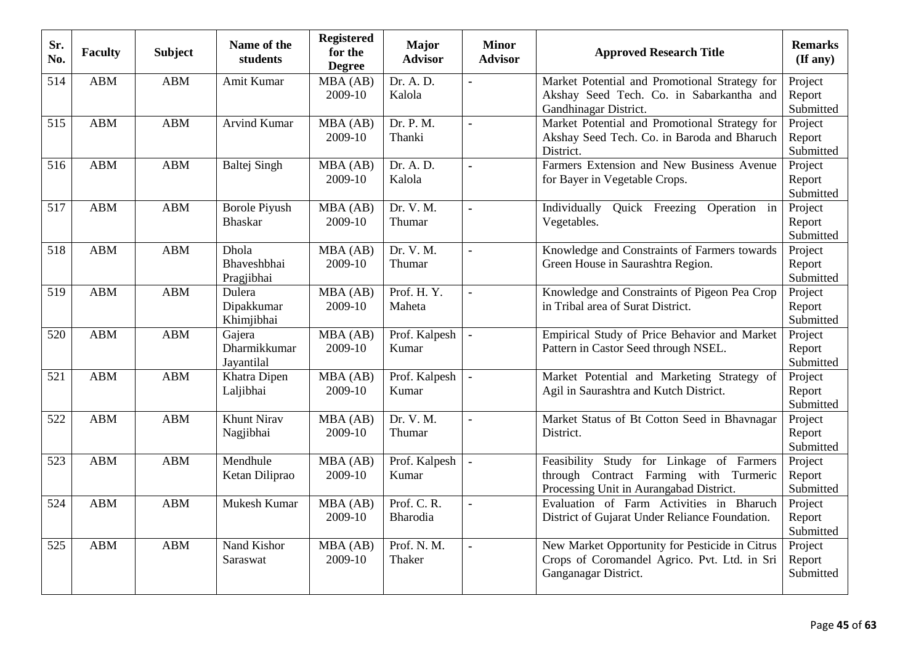| Sr.<br>No. | <b>Faculty</b> | <b>Subject</b> | Name of the<br>students                | <b>Registered</b><br>for the<br><b>Degree</b> | <b>Major</b><br><b>Advisor</b> | <b>Minor</b><br><b>Advisor</b> | <b>Approved Research Title</b>                                                                                                | <b>Remarks</b><br>$(\mathbf{If any})$ |
|------------|----------------|----------------|----------------------------------------|-----------------------------------------------|--------------------------------|--------------------------------|-------------------------------------------------------------------------------------------------------------------------------|---------------------------------------|
| 514        | <b>ABM</b>     | <b>ABM</b>     | Amit Kumar                             | MBA (AB)<br>2009-10                           | Dr. A. D.<br>Kalola            | ÷                              | Market Potential and Promotional Strategy for<br>Akshay Seed Tech. Co. in Sabarkantha and<br>Gandhinagar District.            | Project<br>Report<br>Submitted        |
| 515        | <b>ABM</b>     | <b>ABM</b>     | <b>Arvind Kumar</b>                    | MBA (AB)<br>2009-10                           | Dr. P. M.<br>Thanki            | $\blacksquare$                 | Market Potential and Promotional Strategy for<br>Akshay Seed Tech. Co. in Baroda and Bharuch<br>District.                     | Project<br>Report<br>Submitted        |
| 516        | <b>ABM</b>     | <b>ABM</b>     | <b>Baltej Singh</b>                    | MBA (AB)<br>2009-10                           | Dr. A. D.<br>Kalola            | $\blacksquare$                 | Farmers Extension and New Business Avenue<br>for Bayer in Vegetable Crops.                                                    | Project<br>Report<br>Submitted        |
| 517        | <b>ABM</b>     | <b>ABM</b>     | <b>Borole Piyush</b><br><b>Bhaskar</b> | MBA (AB)<br>2009-10                           | Dr. V. M.<br>Thumar            | $\tilde{\phantom{a}}$          | Individually<br>Quick Freezing<br>Operation in<br>Vegetables.                                                                 | Project<br>Report<br>Submitted        |
| 518        | <b>ABM</b>     | <b>ABM</b>     | Dhola<br>Bhaveshbhai<br>Pragjibhai     | MBA (AB)<br>2009-10                           | Dr. V. M.<br>Thumar            | $\bullet$                      | Knowledge and Constraints of Farmers towards<br>Green House in Saurashtra Region.                                             | Project<br>Report<br>Submitted        |
| 519        | <b>ABM</b>     | <b>ABM</b>     | Dulera<br>Dipakkumar<br>Khimjibhai     | MBA (AB)<br>2009-10                           | Prof. H.Y.<br>Maheta           | $\blacksquare$                 | Knowledge and Constraints of Pigeon Pea Crop<br>in Tribal area of Surat District.                                             | Project<br>Report<br>Submitted        |
| 520        | <b>ABM</b>     | <b>ABM</b>     | Gajera<br>Dharmikkumar<br>Jayantilal   | MBA(AB)<br>2009-10                            | Prof. Kalpesh<br>Kumar         | ä,                             | Empirical Study of Price Behavior and Market<br>Pattern in Castor Seed through NSEL.                                          | Project<br>Report<br>Submitted        |
| 521        | <b>ABM</b>     | <b>ABM</b>     | Khatra Dipen<br>Laljibhai              | MBA (AB)<br>2009-10                           | Prof. Kalpesh<br>Kumar         |                                | Market Potential and Marketing Strategy of<br>Agil in Saurashtra and Kutch District.                                          | Project<br>Report<br>Submitted        |
| 522        | <b>ABM</b>     | <b>ABM</b>     | <b>Khunt Nirav</b><br>Nagjibhai        | MBA (AB)<br>2009-10                           | Dr. V. M.<br>Thumar            | $\blacksquare$                 | Market Status of Bt Cotton Seed in Bhavnagar<br>District.                                                                     | Project<br>Report<br>Submitted        |
| 523        | <b>ABM</b>     | <b>ABM</b>     | Mendhule<br>Ketan Diliprao             | MBA(AB)<br>2009-10                            | Prof. Kalpesh<br>Kumar         | $\blacksquare$                 | Feasibility Study for Linkage of Farmers<br>through Contract Farming with Turmeric<br>Processing Unit in Aurangabad District. | Project<br>Report<br>Submitted        |
| 524        | <b>ABM</b>     | <b>ABM</b>     | Mukesh Kumar                           | MBA (AB)<br>2009-10                           | Prof. C. R.<br>Bharodia        | $\blacksquare$                 | Evaluation of Farm Activities in Bharuch<br>District of Gujarat Under Reliance Foundation.                                    | Project<br>Report<br>Submitted        |
| 525        | <b>ABM</b>     | <b>ABM</b>     | Nand Kishor<br>Saraswat                | MBA (AB)<br>2009-10                           | Prof. N. M.<br>Thaker          | $\blacksquare$                 | New Market Opportunity for Pesticide in Citrus<br>Crops of Coromandel Agrico. Pvt. Ltd. in Sri<br>Ganganagar District.        | Project<br>Report<br>Submitted        |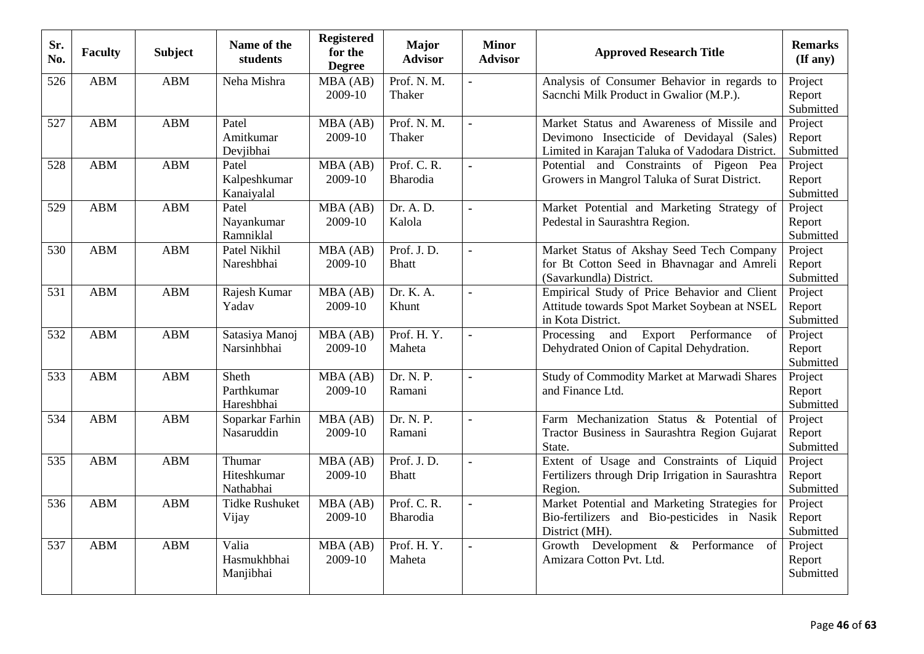| Sr.<br>No.       | <b>Faculty</b> | <b>Subject</b> | Name of the<br>students             | <b>Registered</b><br>for the<br><b>Degree</b> | <b>Major</b><br><b>Advisor</b> | <b>Minor</b><br><b>Advisor</b> | <b>Approved Research Title</b>                                                                                                             | <b>Remarks</b><br>(If any)     |
|------------------|----------------|----------------|-------------------------------------|-----------------------------------------------|--------------------------------|--------------------------------|--------------------------------------------------------------------------------------------------------------------------------------------|--------------------------------|
| 526              | <b>ABM</b>     | <b>ABM</b>     | Neha Mishra                         | MBA (AB)<br>2009-10                           | Prof. N. M.<br>Thaker          | $\blacksquare$                 | Analysis of Consumer Behavior in regards to<br>Sacnchi Milk Product in Gwalior (M.P.).                                                     | Project<br>Report<br>Submitted |
| 527              | <b>ABM</b>     | <b>ABM</b>     | Patel<br>Amitkumar<br>Devjibhai     | MBA (AB)<br>2009-10                           | Prof. N. M.<br>Thaker          | $\blacksquare$                 | Market Status and Awareness of Missile and<br>Devimono Insecticide of Devidayal (Sales)<br>Limited in Karajan Taluka of Vadodara District. | Project<br>Report<br>Submitted |
| 528              | <b>ABM</b>     | <b>ABM</b>     | Patel<br>Kalpeshkumar<br>Kanaiyalal | MBA (AB)<br>2009-10                           | Prof. C. R.<br>Bharodia        | $\blacksquare$                 | Potential and Constraints of Pigeon Pea<br>Growers in Mangrol Taluka of Surat District.                                                    | Project<br>Report<br>Submitted |
| 529              | <b>ABM</b>     | <b>ABM</b>     | Patel<br>Nayankumar<br>Ramniklal    | $\overline{M}BA(AB)$<br>2009-10               | Dr. A. D.<br>Kalola            | ä,                             | Market Potential and Marketing Strategy of<br>Pedestal in Saurashtra Region.                                                               | Project<br>Report<br>Submitted |
| 530              | <b>ABM</b>     | <b>ABM</b>     | Patel Nikhil<br>Nareshbhai          | MBA (AB)<br>2009-10                           | Prof. J.D.<br><b>Bhatt</b>     | $\blacksquare$                 | Market Status of Akshay Seed Tech Company<br>for Bt Cotton Seed in Bhavnagar and Amreli<br>(Savarkundla) District.                         | Project<br>Report<br>Submitted |
| $\overline{531}$ | <b>ABM</b>     | <b>ABM</b>     | Rajesh Kumar<br>Yadav               | MBA (AB)<br>2009-10                           | Dr. K. A.<br>Khunt             | $\blacksquare$                 | Empirical Study of Price Behavior and Client<br>Attitude towards Spot Market Soybean at NSEL<br>in Kota District.                          | Project<br>Report<br>Submitted |
| 532              | <b>ABM</b>     | <b>ABM</b>     | Satasiya Manoj<br>Narsinhbhai       | MBA(AB)<br>2009-10                            | Prof. H.Y.<br>Maheta           | $\blacksquare$                 | and Export Performance<br>Processing<br>of<br>Dehydrated Onion of Capital Dehydration.                                                     | Project<br>Report<br>Submitted |
| 533              | <b>ABM</b>     | <b>ABM</b>     | Sheth<br>Parthkumar<br>Hareshbhai   | MBA (AB)<br>2009-10                           | Dr. N. P.<br>Ramani            |                                | Study of Commodity Market at Marwadi Shares<br>and Finance Ltd.                                                                            | Project<br>Report<br>Submitted |
| 534              | <b>ABM</b>     | <b>ABM</b>     | Soparkar Farhin<br>Nasaruddin       | MBA (AB)<br>2009-10                           | Dr. N. P.<br>Ramani            | $\mathbf{u}$                   | Farm Mechanization Status & Potential of<br>Tractor Business in Saurashtra Region Gujarat<br>State.                                        | Project<br>Report<br>Submitted |
| 535              | <b>ABM</b>     | <b>ABM</b>     | Thumar<br>Hiteshkumar<br>Nathabhai  | MBA (AB)<br>2009-10                           | Prof. J.D.<br><b>Bhatt</b>     | $\blacksquare$                 | Extent of Usage and Constraints of Liquid<br>Fertilizers through Drip Irrigation in Saurashtra<br>Region.                                  | Project<br>Report<br>Submitted |
| 536              | <b>ABM</b>     | <b>ABM</b>     | <b>Tidke Rushuket</b><br>Vijay      | MBA (AB)<br>2009-10                           | Prof. C. R.<br>Bharodia        | $\overline{a}$                 | Market Potential and Marketing Strategies for<br>Bio-fertilizers and Bio-pesticides in Nasik<br>District (MH).                             | Project<br>Report<br>Submitted |
| 537              | <b>ABM</b>     | <b>ABM</b>     | Valia<br>Hasmukhbhai<br>Manjibhai   | MBA (AB)<br>2009-10                           | Prof. H.Y.<br>Maheta           | $\ddot{\phantom{a}}$           | Growth Development & Performance<br>of<br>Amizara Cotton Pvt. Ltd.                                                                         | Project<br>Report<br>Submitted |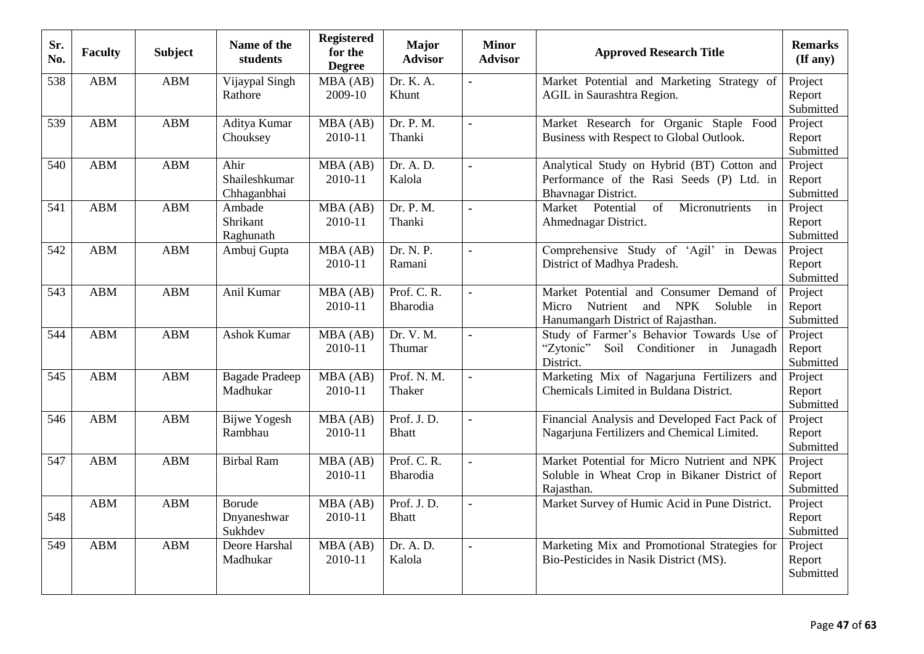| Sr.<br>No. | <b>Faculty</b> | <b>Subject</b> | Name of the<br>students              | <b>Registered</b><br>for the<br><b>Degree</b> | <b>Major</b><br><b>Advisor</b> | <b>Minor</b><br><b>Advisor</b> | <b>Approved Research Title</b>                                                                                                           | <b>Remarks</b><br>$($ If any $)$ |
|------------|----------------|----------------|--------------------------------------|-----------------------------------------------|--------------------------------|--------------------------------|------------------------------------------------------------------------------------------------------------------------------------------|----------------------------------|
| 538        | <b>ABM</b>     | <b>ABM</b>     | Vijaypal Singh<br>Rathore            | MBA (AB)<br>2009-10                           | Dr. K. A.<br>Khunt             | ÷                              | Market Potential and Marketing Strategy of<br>AGIL in Saurashtra Region.                                                                 | Project<br>Report<br>Submitted   |
| 539        | <b>ABM</b>     | ABM            | Aditya Kumar<br>Chouksey             | MBA (AB)<br>2010-11                           | Dr. P. M.<br>Thanki            | $\blacksquare$                 | Market Research for Organic Staple Food<br>Business with Respect to Global Outlook.                                                      | Project<br>Report<br>Submitted   |
| 540        | <b>ABM</b>     | <b>ABM</b>     | Ahir<br>Shaileshkumar<br>Chhaganbhai | MBA(AB)<br>2010-11                            | Dr. A. D.<br>Kalola            | $\blacksquare$                 | Analytical Study on Hybrid (BT) Cotton and<br>Performance of the Rasi Seeds (P) Ltd. in<br>Bhavnagar District.                           | Project<br>Report<br>Submitted   |
| 541        | <b>ABM</b>     | <b>ABM</b>     | Ambade<br>Shrikant<br>Raghunath      | MBA (AB)<br>2010-11                           | Dr. P. M.<br>Thanki            | $\tilde{\phantom{a}}$          | Market Potential<br>of<br>Micronutrients<br>in<br>Ahmednagar District.                                                                   | Project<br>Report<br>Submitted   |
| 542        | <b>ABM</b>     | <b>ABM</b>     | Ambuj Gupta                          | MBA (AB)<br>2010-11                           | Dr. N. P.<br>Ramani            | $\blacksquare$                 | Comprehensive Study of 'Agil' in Dewas<br>District of Madhya Pradesh.                                                                    | Project<br>Report<br>Submitted   |
| 543        | <b>ABM</b>     | <b>ABM</b>     | Anil Kumar                           | MBA (AB)<br>2010-11                           | Prof. C. R.<br>Bharodia        | $\blacksquare$                 | Market Potential and Consumer Demand of<br>Nutrient<br>and<br><b>NPK</b><br>Soluble<br>Micro<br>in<br>Hanumangarh District of Rajasthan. | Project<br>Report<br>Submitted   |
| 544        | <b>ABM</b>     | <b>ABM</b>     | <b>Ashok Kumar</b>                   | MBA(AB)<br>2010-11                            | Dr. V. M.<br>Thumar            | $\bullet$                      | Study of Farmer's Behavior Towards Use of<br>"Zytonic" Soil Conditioner in Junagadh<br>District.                                         | Project<br>Report<br>Submitted   |
| 545        | <b>ABM</b>     | <b>ABM</b>     | <b>Bagade Pradeep</b><br>Madhukar    | MBA (AB)<br>2010-11                           | Prof. N. M.<br>Thaker          | $\blacksquare$                 | Marketing Mix of Nagarjuna Fertilizers and<br>Chemicals Limited in Buldana District.                                                     | Project<br>Report<br>Submitted   |
| 546        | <b>ABM</b>     | <b>ABM</b>     | <b>Bijwe Yogesh</b><br>Rambhau       | MBA (AB)<br>2010-11                           | Prof. J.D.<br><b>Bhatt</b>     | $\blacksquare$                 | Financial Analysis and Developed Fact Pack of<br>Nagarjuna Fertilizers and Chemical Limited.                                             | Project<br>Report<br>Submitted   |
| 547        | <b>ABM</b>     | <b>ABM</b>     | <b>Birbal Ram</b>                    | MBA (AB)<br>2010-11                           | Prof. C. R.<br>Bharodia        | $\blacksquare$                 | Market Potential for Micro Nutrient and NPK<br>Soluble in Wheat Crop in Bikaner District of<br>Rajasthan.                                | Project<br>Report<br>Submitted   |
| 548        | <b>ABM</b>     | ABM            | Borude<br>Dnyaneshwar<br>Sukhdev     | MBA (AB)<br>2010-11                           | Prof. J.D.<br><b>Bhatt</b>     | $\blacksquare$                 | Market Survey of Humic Acid in Pune District.                                                                                            | Project<br>Report<br>Submitted   |
| 549        | <b>ABM</b>     | <b>ABM</b>     | Deore Harshal<br>Madhukar            | MBA (AB)<br>2010-11                           | Dr. A. D.<br>Kalola            | $\blacksquare$                 | Marketing Mix and Promotional Strategies for<br>Bio-Pesticides in Nasik District (MS).                                                   | Project<br>Report<br>Submitted   |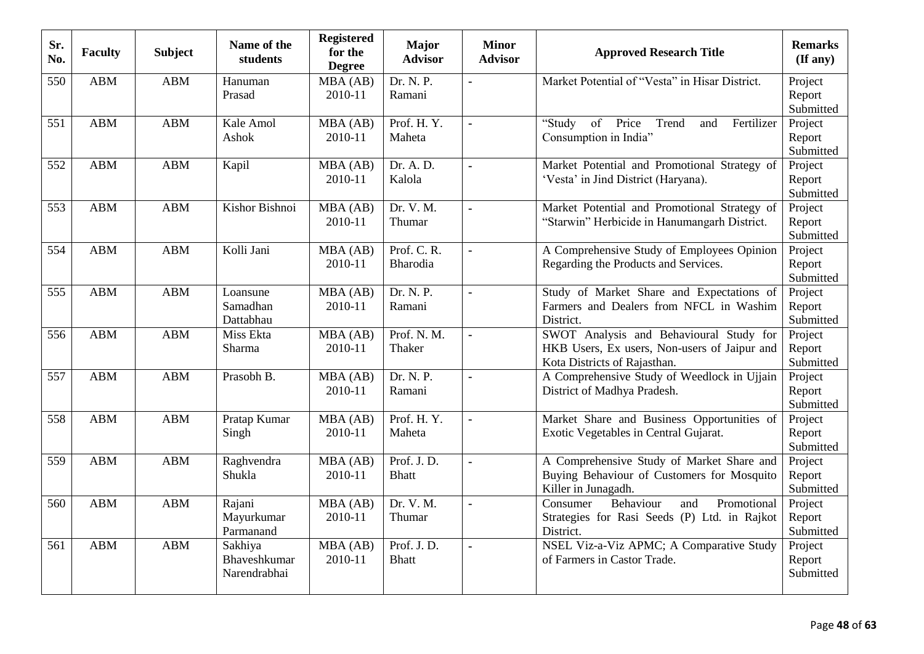| Sr.<br>No. | <b>Faculty</b> | <b>Subject</b> | Name of the<br>students                 | <b>Registered</b><br>for the<br><b>Degree</b> | <b>Major</b><br><b>Advisor</b> | <b>Minor</b><br><b>Advisor</b> | <b>Approved Research Title</b>                                                                                          | <b>Remarks</b><br>(If any)     |
|------------|----------------|----------------|-----------------------------------------|-----------------------------------------------|--------------------------------|--------------------------------|-------------------------------------------------------------------------------------------------------------------------|--------------------------------|
| 550        | <b>ABM</b>     | <b>ABM</b>     | Hanuman<br>Prasad                       | MBA (AB)<br>2010-11                           | Dr. N. P.<br>Ramani            |                                | Market Potential of "Vesta" in Hisar District.                                                                          | Project<br>Report<br>Submitted |
| 551        | <b>ABM</b>     | <b>ABM</b>     | Kale Amol<br>Ashok                      | MBA(AB)<br>2010-11                            | Prof. H.Y.<br>Maheta           | $\overline{a}$                 | "Study<br>of<br>Price<br>Trend<br>Fertilizer<br>and<br>Consumption in India"                                            | Project<br>Report<br>Submitted |
| 552        | <b>ABM</b>     | <b>ABM</b>     | Kapil                                   | MBA (AB)<br>2010-11                           | Dr. A. D.<br>Kalola            | $\blacksquare$                 | Market Potential and Promotional Strategy of<br>'Vesta' in Jind District (Haryana).                                     | Project<br>Report<br>Submitted |
| 553        | <b>ABM</b>     | <b>ABM</b>     | Kishor Bishnoi                          | $\overline{M}BA(AB)$<br>2010-11               | Dr. V. M.<br>Thumar            | $\blacksquare$                 | Market Potential and Promotional Strategy of<br>"Starwin" Herbicide in Hanumangarh District.                            | Project<br>Report<br>Submitted |
| 554        | <b>ABM</b>     | <b>ABM</b>     | Kolli Jani                              | MBA (AB)<br>2010-11                           | Prof. C. R.<br><b>Bharodia</b> | $\blacksquare$                 | A Comprehensive Study of Employees Opinion<br>Regarding the Products and Services.                                      | Project<br>Report<br>Submitted |
| 555        | <b>ABM</b>     | <b>ABM</b>     | Loansune<br>Samadhan<br>Dattabhau       | MBA (AB)<br>2010-11                           | Dr. N. P.<br>Ramani            |                                | Study of Market Share and Expectations of<br>Farmers and Dealers from NFCL in Washim<br>District.                       | Project<br>Report<br>Submitted |
| 556        | <b>ABM</b>     | <b>ABM</b>     | Miss Ekta<br>Sharma                     | MBA (AB)<br>2010-11                           | Prof. N. M.<br>Thaker          | $\blacksquare$                 | SWOT Analysis and Behavioural Study for<br>HKB Users, Ex users, Non-users of Jaipur and<br>Kota Districts of Rajasthan. | Project<br>Report<br>Submitted |
| 557        | <b>ABM</b>     | <b>ABM</b>     | Prasobh B.                              | MBA (AB)<br>2010-11                           | Dr. N. P.<br>Ramani            | $\blacksquare$                 | A Comprehensive Study of Weedlock in Ujjain<br>District of Madhya Pradesh.                                              | Project<br>Report<br>Submitted |
| 558        | <b>ABM</b>     | <b>ABM</b>     | Pratap Kumar<br>Singh                   | MBA(AB)<br>2010-11                            | Prof. H.Y.<br>Maheta           | $\blacksquare$                 | Market Share and Business Opportunities of<br>Exotic Vegetables in Central Gujarat.                                     | Project<br>Report<br>Submitted |
| 559        | <b>ABM</b>     | <b>ABM</b>     | Raghvendra<br>Shukla                    | MBA (AB)<br>2010-11                           | Prof. J.D.<br><b>Bhatt</b>     | $\blacksquare$                 | A Comprehensive Study of Market Share and<br>Buying Behaviour of Customers for Mosquito<br>Killer in Junagadh.          | Project<br>Report<br>Submitted |
| 560        | <b>ABM</b>     | <b>ABM</b>     | Rajani<br>Mayurkumar<br>Parmanand       | MBA (AB)<br>2010-11                           | Dr. V. M.<br>Thumar            | $\blacksquare$                 | Consumer<br>Behaviour<br>Promotional<br>and<br>Strategies for Rasi Seeds (P) Ltd. in Rajkot<br>District.                | Project<br>Report<br>Submitted |
| 561        | <b>ABM</b>     | <b>ABM</b>     | Sakhiya<br>Bhaveshkumar<br>Narendrabhai | MBA (AB)<br>2010-11                           | Prof. J.D.<br><b>Bhatt</b>     | $\blacksquare$                 | NSEL Viz-a-Viz APMC; A Comparative Study<br>of Farmers in Castor Trade.                                                 | Project<br>Report<br>Submitted |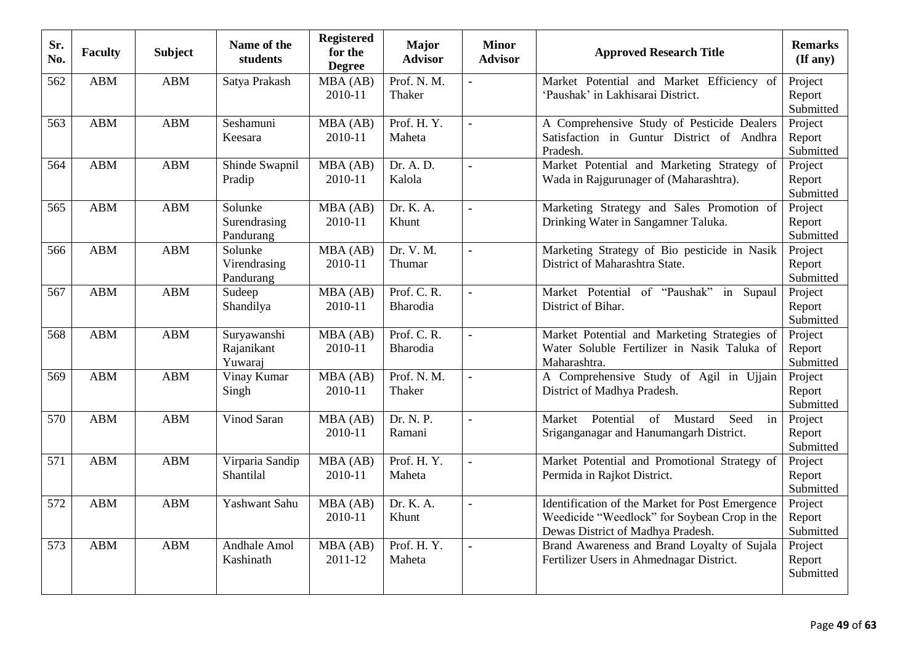| Sr.<br>No. | <b>Faculty</b> | <b>Subject</b> | Name of the<br>students              | Registered<br>for the<br><b>Degree</b> | <b>Major</b><br><b>Advisor</b> | <b>Minor</b><br><b>Advisor</b> | <b>Approved Research Title</b>                                                                                                       | <b>Remarks</b><br>$(\mathbf{If any})$ |
|------------|----------------|----------------|--------------------------------------|----------------------------------------|--------------------------------|--------------------------------|--------------------------------------------------------------------------------------------------------------------------------------|---------------------------------------|
| 562        | <b>ABM</b>     | <b>ABM</b>     | Satya Prakash                        | MBA (AB)<br>2010-11                    | Prof. N. M.<br>Thaker          |                                | Market Potential and Market Efficiency of<br>'Paushak' in Lakhisarai District.                                                       | Project<br>Report<br>Submitted        |
| 563        | <b>ABM</b>     | <b>ABM</b>     | Seshamuni<br>Keesara                 | MBA (AB)<br>2010-11                    | Prof. H.Y.<br>Maheta           | $\blacksquare$                 | A Comprehensive Study of Pesticide Dealers<br>Satisfaction in Guntur District of Andhra<br>Pradesh.                                  | Project<br>Report<br>Submitted        |
| 564        | <b>ABM</b>     | <b>ABM</b>     | Shinde Swapnil<br>Pradip             | MBA (AB)<br>2010-11                    | Dr. A. D.<br>Kalola            | $\blacksquare$                 | Market Potential and Marketing Strategy of<br>Wada in Rajgurunager of (Maharashtra).                                                 | Project<br>Report<br>Submitted        |
| 565        | <b>ABM</b>     | <b>ABM</b>     | Solunke<br>Surendrasing<br>Pandurang | MBA (AB)<br>2010-11                    | Dr. K. A.<br>Khunt             | $\blacksquare$                 | Marketing Strategy and Sales Promotion of<br>Drinking Water in Sangamner Taluka.                                                     | Project<br>Report<br>Submitted        |
| 566        | <b>ABM</b>     | <b>ABM</b>     | Solunke<br>Virendrasing<br>Pandurang | MBA (AB)<br>2010-11                    | Dr. V. M.<br>Thumar            | $\blacksquare$                 | Marketing Strategy of Bio pesticide in Nasik<br>District of Maharashtra State.                                                       | Project<br>Report<br>Submitted        |
| 567        | <b>ABM</b>     | <b>ABM</b>     | Sudeep<br>Shandilya                  | MBA (AB)<br>2010-11                    | Prof. C. R.<br>Bharodia        | $\blacksquare$                 | Market Potential of "Paushak" in Supaul<br>District of Bihar.                                                                        | Project<br>Report<br>Submitted        |
| 568        | <b>ABM</b>     | <b>ABM</b>     | Suryawanshi<br>Rajanikant<br>Yuwaraj | MBA (AB)<br>2010-11                    | Prof. C. R.<br><b>Bharodia</b> | $\blacksquare$                 | Market Potential and Marketing Strategies of<br>Water Soluble Fertilizer in Nasik Taluka of<br>Maharashtra.                          | Project<br>Report<br>Submitted        |
| 569        | <b>ABM</b>     | <b>ABM</b>     | Vinay Kumar<br>Singh                 | MBA (AB)<br>2010-11                    | Prof. N. M.<br>Thaker          |                                | A Comprehensive Study of Agil in Ujjain<br>District of Madhya Pradesh.                                                               | Project<br>Report<br>Submitted        |
| 570        | <b>ABM</b>     | <b>ABM</b>     | Vinod Saran                          | MBA (AB)<br>2010-11                    | Dr. N. P.<br>Ramani            | $\blacksquare$                 | Market Potential<br>of Mustard<br>Seed<br>in<br>Sriganganagar and Hanumangarh District.                                              | Project<br>Report<br>Submitted        |
| 571        | <b>ABM</b>     | <b>ABM</b>     | Virparia Sandip<br>Shantilal         | MBA (AB)<br>2010-11                    | Prof. H.Y.<br>Maheta           | $\blacksquare$                 | Market Potential and Promotional Strategy of<br>Permida in Rajkot District.                                                          | Project<br>Report<br>Submitted        |
| 572        | <b>ABM</b>     | <b>ABM</b>     | Yashwant Sahu                        | MBA (AB)<br>2010-11                    | Dr. K. A.<br>Khunt             | $\sim$                         | Identification of the Market for Post Emergence<br>Weedicide "Weedlock" for Soybean Crop in the<br>Dewas District of Madhya Pradesh. | Project<br>Report<br>Submitted        |
| 573        | <b>ABM</b>     | <b>ABM</b>     | Andhale Amol<br>Kashinath            | MBA (AB)<br>2011-12                    | Prof. H.Y.<br>Maheta           | $\blacksquare$                 | Brand Awareness and Brand Loyalty of Sujala<br>Fertilizer Users in Ahmednagar District.                                              | Project<br>Report<br>Submitted        |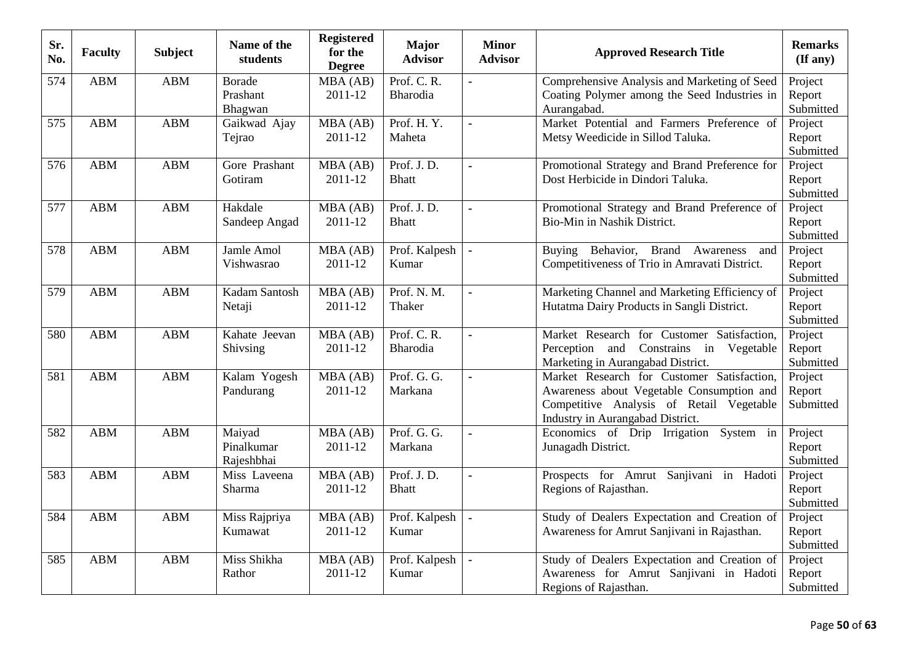| Sr.<br>No. | <b>Faculty</b> | <b>Subject</b> | Name of the<br>students              | <b>Registered</b><br>for the<br><b>Degree</b> | <b>Major</b><br><b>Advisor</b> | <b>Minor</b><br><b>Advisor</b> | <b>Approved Research Title</b>                                                                                                                                          | <b>Remarks</b><br>$(\mathbf{If any})$ |
|------------|----------------|----------------|--------------------------------------|-----------------------------------------------|--------------------------------|--------------------------------|-------------------------------------------------------------------------------------------------------------------------------------------------------------------------|---------------------------------------|
| 574        | <b>ABM</b>     | <b>ABM</b>     | <b>Borade</b><br>Prashant<br>Bhagwan | MBA (AB)<br>2011-12                           | Prof. C. R.<br>Bharodia        |                                | Comprehensive Analysis and Marketing of Seed<br>Coating Polymer among the Seed Industries in<br>Aurangabad.                                                             | Project<br>Report<br>Submitted        |
| 575        | <b>ABM</b>     | <b>ABM</b>     | Gaikwad Ajay<br>Tejrao               | MBA (AB)<br>2011-12                           | Prof. H.Y.<br>Maheta           | $\blacksquare$                 | Market Potential and Farmers Preference of<br>Metsy Weedicide in Sillod Taluka.                                                                                         | Project<br>Report<br>Submitted        |
| 576        | <b>ABM</b>     | <b>ABM</b>     | Gore Prashant<br>Gotiram             | MBA (AB)<br>2011-12                           | Prof. J.D.<br><b>Bhatt</b>     | $\blacksquare$                 | Promotional Strategy and Brand Preference for<br>Dost Herbicide in Dindori Taluka.                                                                                      | Project<br>Report<br>Submitted        |
| 577        | <b>ABM</b>     | <b>ABM</b>     | Hakdale<br>Sandeep Angad             | MBA (AB)<br>2011-12                           | Prof. J.D.<br><b>Bhatt</b>     | ä,                             | Promotional Strategy and Brand Preference of<br>Bio-Min in Nashik District.                                                                                             | Project<br>Report<br>Submitted        |
| 578        | <b>ABM</b>     | <b>ABM</b>     | Jamle Amol<br>Vishwasrao             | MBA (AB)<br>2011-12                           | Prof. Kalpesh<br>Kumar         | $\blacksquare$                 | Behavior, Brand Awareness<br>Buying<br>and<br>Competitiveness of Trio in Amravati District.                                                                             | Project<br>Report<br>Submitted        |
| 579        | <b>ABM</b>     | ABM            | Kadam Santosh<br>Netaji              | MBA (AB)<br>2011-12                           | Prof. N. M.<br>Thaker          |                                | Marketing Channel and Marketing Efficiency of<br>Hutatma Dairy Products in Sangli District.                                                                             | Project<br>Report<br>Submitted        |
| 580        | <b>ABM</b>     | <b>ABM</b>     | Kahate Jeevan<br>Shivsing            | MBA (AB)<br>2011-12                           | Prof. C. R.<br>Bharodia        | $\blacksquare$                 | Market Research for Customer Satisfaction,<br>Perception and Constrains in Vegetable<br>Marketing in Aurangabad District.                                               | Project<br>Report<br>Submitted        |
| 581        | <b>ABM</b>     | <b>ABM</b>     | Kalam Yogesh<br>Pandurang            | MBA (AB)<br>2011-12                           | Prof. G. G.<br>Markana         | ä,                             | Market Research for Customer Satisfaction,<br>Awareness about Vegetable Consumption and<br>Competitive Analysis of Retail Vegetable<br>Industry in Aurangabad District. | Project<br>Report<br>Submitted        |
| 582        | <b>ABM</b>     | <b>ABM</b>     | Maiyad<br>Pinalkumar<br>Rajeshbhai   | MBA (AB)<br>2011-12                           | Prof. G. G.<br>Markana         | ÷,                             | Economics of Drip Irrigation System in<br>Junagadh District.                                                                                                            | Project<br>Report<br>Submitted        |
| 583        | <b>ABM</b>     | <b>ABM</b>     | Miss Laveena<br>Sharma               | MBA (AB)<br>2011-12                           | Prof. J.D.<br><b>Bhatt</b>     | ä,                             | Prospects for Amrut Sanjivani in Hadoti<br>Regions of Rajasthan.                                                                                                        | Project<br>Report<br>Submitted        |
| 584        | <b>ABM</b>     | <b>ABM</b>     | Miss Rajpriya<br>Kumawat             | MBA (AB)<br>2011-12                           | Prof. Kalpesh<br>Kumar         | $\blacksquare$                 | Study of Dealers Expectation and Creation of<br>Awareness for Amrut Sanjivani in Rajasthan.                                                                             | Project<br>Report<br>Submitted        |
| 585        | <b>ABM</b>     | <b>ABM</b>     | Miss Shikha<br>Rathor                | MBA (AB)<br>2011-12                           | Prof. Kalpesh<br>Kumar         | $\blacksquare$                 | Study of Dealers Expectation and Creation of<br>Awareness for Amrut Sanjivani in Hadoti<br>Regions of Rajasthan.                                                        | Project<br>Report<br>Submitted        |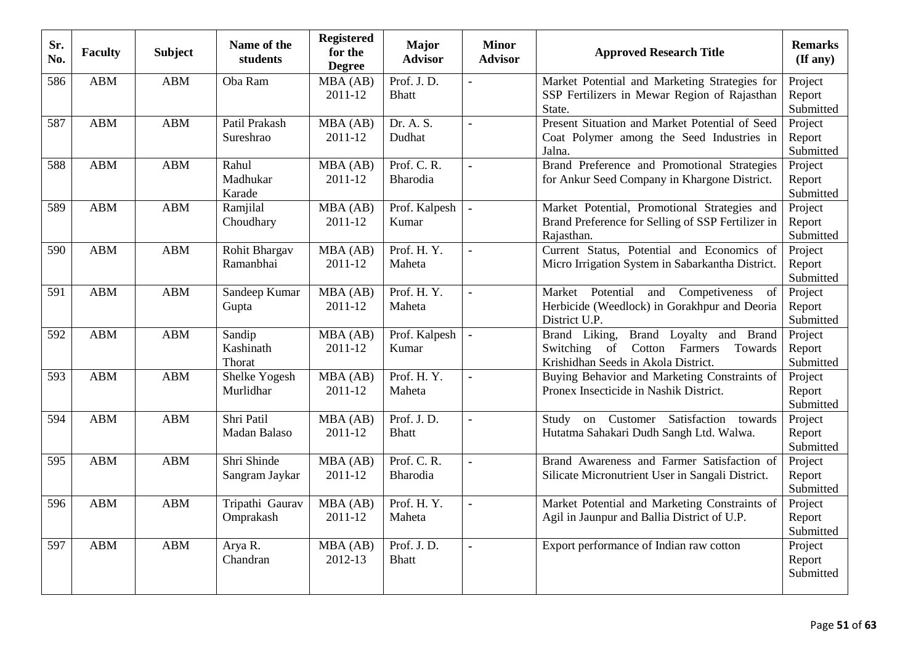| Sr.<br>No. | <b>Faculty</b> | <b>Subject</b> | Name of the<br>students       | <b>Registered</b><br>for the<br><b>Degree</b> | <b>Major</b><br><b>Advisor</b> | <b>Minor</b><br><b>Advisor</b> | <b>Approved Research Title</b>                                                                                               | <b>Remarks</b><br>(If any)     |
|------------|----------------|----------------|-------------------------------|-----------------------------------------------|--------------------------------|--------------------------------|------------------------------------------------------------------------------------------------------------------------------|--------------------------------|
| 586        | ABM            | ABM            | Oba Ram                       | MBA (AB)<br>2011-12                           | Prof. J.D.<br><b>Bhatt</b>     | $\overline{a}$                 | Market Potential and Marketing Strategies for<br>SSP Fertilizers in Mewar Region of Rajasthan<br>State.                      | Project<br>Report<br>Submitted |
| 587        | <b>ABM</b>     | <b>ABM</b>     | Patil Prakash<br>Sureshrao    | MBA (AB)<br>2011-12                           | Dr. A. S.<br>Dudhat            | $\blacksquare$                 | Present Situation and Market Potential of Seed<br>Coat Polymer among the Seed Industries in<br>Jalna.                        | Project<br>Report<br>Submitted |
| 588        | <b>ABM</b>     | <b>ABM</b>     | Rahul<br>Madhukar<br>Karade   | MBA (AB)<br>2011-12                           | Prof. C. R.<br>Bharodia        | $\blacksquare$                 | Brand Preference and Promotional Strategies<br>for Ankur Seed Company in Khargone District.                                  | Project<br>Report<br>Submitted |
| 589        | <b>ABM</b>     | <b>ABM</b>     | Ramjilal<br>Choudhary         | MBA (AB)<br>2011-12                           | Prof. Kalpesh<br>Kumar         | $\blacksquare$                 | Market Potential, Promotional Strategies and<br>Brand Preference for Selling of SSP Fertilizer in<br>Rajasthan.              | Project<br>Report<br>Submitted |
| 590        | <b>ABM</b>     | <b>ABM</b>     | Rohit Bhargav<br>Ramanbhai    | MBA (AB)<br>2011-12                           | Prof. H.Y.<br>Maheta           | $\blacksquare$                 | Current Status, Potential and Economics of<br>Micro Irrigation System in Sabarkantha District.                               | Project<br>Report<br>Submitted |
| 591        | <b>ABM</b>     | ABM            | Sandeep Kumar<br>Gupta        | MBA (AB)<br>2011-12                           | Prof. H.Y.<br>Maheta           |                                | Market Potential and Competiveness<br>of<br>Herbicide (Weedlock) in Gorakhpur and Deoria<br>District U.P.                    | Project<br>Report<br>Submitted |
| 592        | <b>ABM</b>     | <b>ABM</b>     | Sandip<br>Kashinath<br>Thorat | MBA (AB)<br>2011-12                           | Prof. Kalpesh<br>Kumar         | ä,                             | Brand Loyalty and Brand<br>Brand Liking,<br>Switching<br>of Cotton Farmers<br>Towards<br>Krishidhan Seeds in Akola District. | Project<br>Report<br>Submitted |
| 593        | <b>ABM</b>     | <b>ABM</b>     | Shelke Yogesh<br>Murlidhar    | MBA (AB)<br>2011-12                           | Prof. H.Y.<br>Maheta           | $\overline{a}$                 | Buying Behavior and Marketing Constraints of<br>Pronex Insecticide in Nashik District.                                       | Project<br>Report<br>Submitted |
| 594        | <b>ABM</b>     | ABM            | Shri Patil<br>Madan Balaso    | MBA (AB)<br>2011-12                           | Prof. J.D.<br><b>Bhatt</b>     | $\blacksquare$                 | on Customer<br>Satisfaction<br>Study<br>towards<br>Hutatma Sahakari Dudh Sangh Ltd. Walwa.                                   | Project<br>Report<br>Submitted |
| 595        | <b>ABM</b>     | <b>ABM</b>     | Shri Shinde<br>Sangram Jaykar | MBA (AB)<br>2011-12                           | Prof. C. R.<br>Bharodia        | $\blacksquare$                 | Brand Awareness and Farmer Satisfaction of<br>Silicate Micronutrient User in Sangali District.                               | Project<br>Report<br>Submitted |
| 596        | <b>ABM</b>     | <b>ABM</b>     | Tripathi Gaurav<br>Omprakash  | MBA (AB)<br>2011-12                           | Prof. H.Y.<br>Maheta           | $\overline{a}$                 | Market Potential and Marketing Constraints of<br>Agil in Jaunpur and Ballia District of U.P.                                 | Project<br>Report<br>Submitted |
| 597        | <b>ABM</b>     | <b>ABM</b>     | Arya R.<br>Chandran           | MBA (AB)<br>2012-13                           | Prof. J.D.<br><b>Bhatt</b>     | $\blacksquare$                 | Export performance of Indian raw cotton                                                                                      | Project<br>Report<br>Submitted |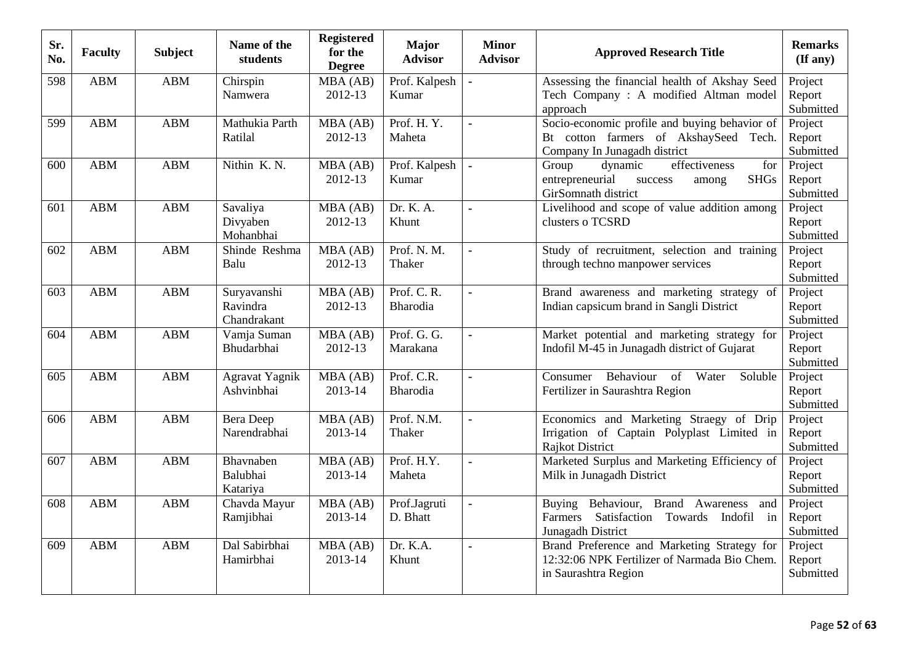| Sr.<br>No. | <b>Faculty</b> | <b>Subject</b> | Name of the<br>students                | <b>Registered</b><br>for the<br><b>Degree</b> | <b>Major</b><br><b>Advisor</b> | <b>Minor</b><br><b>Advisor</b> | <b>Approved Research Title</b>                                                                                                         | <b>Remarks</b><br>(If any)     |
|------------|----------------|----------------|----------------------------------------|-----------------------------------------------|--------------------------------|--------------------------------|----------------------------------------------------------------------------------------------------------------------------------------|--------------------------------|
| 598        | <b>ABM</b>     | <b>ABM</b>     | Chirspin<br>Namwera                    | MBA (AB)<br>2012-13                           | Prof. Kalpesh<br>Kumar         | ÷,                             | Assessing the financial health of Akshay Seed<br>Tech Company: A modified Altman model<br>approach                                     | Project<br>Report<br>Submitted |
| 599        | <b>ABM</b>     | <b>ABM</b>     | Mathukia Parth<br>Ratilal              | MBA (AB)<br>2012-13                           | Prof. H.Y.<br>Maheta           | $\overline{a}$                 | Socio-economic profile and buying behavior of<br>Bt cotton farmers of AkshaySeed Tech.<br>Company In Junagadh district                 | Project<br>Report<br>Submitted |
| 600        | <b>ABM</b>     | <b>ABM</b>     | Nithin K.N.                            | MBA (AB)<br>2012-13                           | Prof. Kalpesh<br>Kumar         | $\overline{a}$                 | effectiveness<br>Group<br>dynamic<br>for<br>entrepreneurial<br><b>SHGs</b><br>success<br>among<br>GirSomnath district                  | Project<br>Report<br>Submitted |
| 601        | <b>ABM</b>     | <b>ABM</b>     | Savaliya<br>Divyaben<br>Mohanbhai      | MBA (AB)<br>2012-13                           | Dr. K. A.<br>Khunt             | $\blacksquare$                 | Livelihood and scope of value addition among<br>clusters o TCSRD                                                                       | Project<br>Report<br>Submitted |
| 602        | <b>ABM</b>     | <b>ABM</b>     | Shinde Reshma<br>Balu                  | MBA (AB)<br>2012-13                           | Prof. N. M.<br>Thaker          | $\blacksquare$                 | Study of recruitment, selection and training<br>through techno manpower services                                                       | Project<br>Report<br>Submitted |
| 603        | <b>ABM</b>     | <b>ABM</b>     | Suryavanshi<br>Ravindra<br>Chandrakant | MBA (AB)<br>2012-13                           | Prof. C. R.<br><b>Bharodia</b> | $\blacksquare$                 | Brand awareness and marketing strategy of<br>Indian capsicum brand in Sangli District                                                  | Project<br>Report<br>Submitted |
| 604        | <b>ABM</b>     | <b>ABM</b>     | Vamja Suman<br>Bhudarbhai              | MBA (AB)<br>2012-13                           | Prof. G. G.<br>Marakana        | $\blacksquare$                 | Market potential and marketing strategy for<br>Indofil M-45 in Junagadh district of Gujarat                                            | Project<br>Report<br>Submitted |
| 605        | <b>ABM</b>     | <b>ABM</b>     | Agravat Yagnik<br>Ashvinbhai           | MBA (AB)<br>2013-14                           | Prof. C.R.<br>Bharodia         | $\blacksquare$                 | Behaviour<br>Water<br>of<br>Soluble<br>Consumer<br>Fertilizer in Saurashtra Region                                                     | Project<br>Report<br>Submitted |
| 606        | <b>ABM</b>     | <b>ABM</b>     | Bera Deep<br>Narendrabhai              | MBA(AB)<br>2013-14                            | Prof. N.M.<br>Thaker           | $\blacksquare$                 | Economics and Marketing Straegy of Drip<br>Irrigation of Captain Polyplast Limited in<br>Rajkot District                               | Project<br>Report<br>Submitted |
| 607        | <b>ABM</b>     | <b>ABM</b>     | Bhavnaben<br>Balubhai<br>Katariya      | MBA (AB)<br>2013-14                           | Prof. H.Y.<br>Maheta           | $\blacksquare$                 | Marketed Surplus and Marketing Efficiency of<br>Milk in Junagadh District                                                              | Project<br>Report<br>Submitted |
| 608        | <b>ABM</b>     | <b>ABM</b>     | Chavda Mayur<br>Ramjibhai              | MBA (AB)<br>2013-14                           | Prof.Jagruti<br>D. Bhatt       | $\ddot{\phantom{a}}$           | Behaviour, Brand<br>Awareness<br><b>Buying</b><br>and<br>Satisfaction Towards Indofil<br>Farmers<br>$\mathbf{in}$<br>Junagadh District | Project<br>Report<br>Submitted |
| 609        | <b>ABM</b>     | <b>ABM</b>     | Dal Sabirbhai<br>Hamirbhai             | MBA (AB)<br>2013-14                           | Dr. K.A.<br>Khunt              | $\blacksquare$                 | Brand Preference and Marketing Strategy for<br>12:32:06 NPK Fertilizer of Narmada Bio Chem.<br>in Saurashtra Region                    | Project<br>Report<br>Submitted |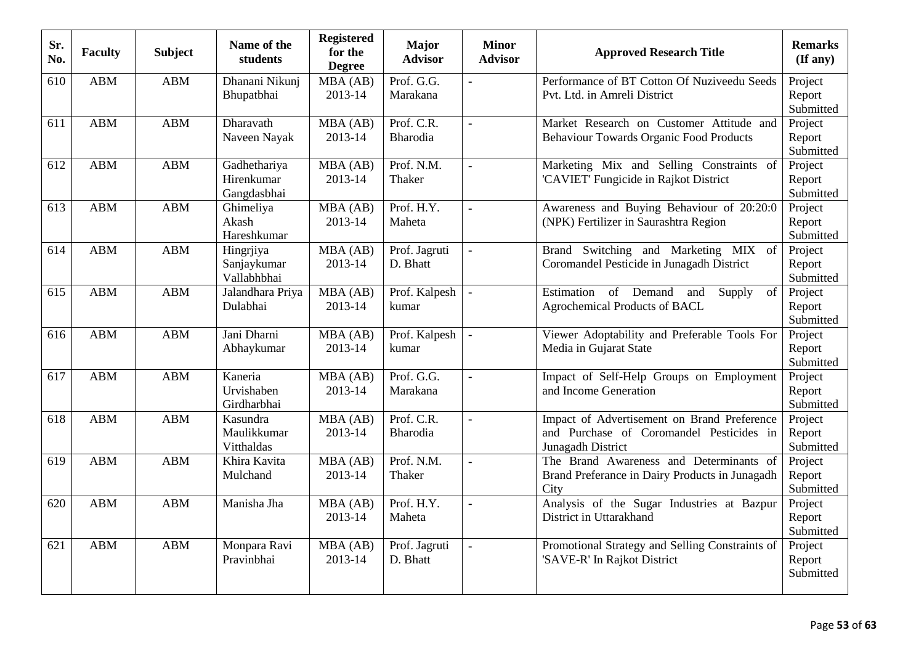| Sr.<br>No. | <b>Faculty</b> | <b>Subject</b> | Name of the<br>students                   | <b>Registered</b><br>for the<br><b>Degree</b> | <b>Major</b><br><b>Advisor</b> | <b>Minor</b><br><b>Advisor</b> | <b>Approved Research Title</b>                                                                               | <b>Remarks</b><br>$(\mathbf{If any})$ |
|------------|----------------|----------------|-------------------------------------------|-----------------------------------------------|--------------------------------|--------------------------------|--------------------------------------------------------------------------------------------------------------|---------------------------------------|
| 610        | <b>ABM</b>     | <b>ABM</b>     | Dhanani Nikunj<br>Bhupatbhai              | MBA (AB)<br>2013-14                           | Prof. G.G.<br>Marakana         |                                | Performance of BT Cotton Of Nuziveedu Seeds<br>Pvt. Ltd. in Amreli District                                  | Project<br>Report<br>Submitted        |
| 611        | <b>ABM</b>     | ABM            | Dharavath<br>Naveen Nayak                 | MBA (AB)<br>2013-14                           | Prof. C.R.<br><b>Bharodia</b>  | $\blacksquare$                 | Market Research on Customer Attitude and<br><b>Behaviour Towards Organic Food Products</b>                   | Project<br>Report<br>Submitted        |
| 612        | <b>ABM</b>     | <b>ABM</b>     | Gadhethariya<br>Hirenkumar<br>Gangdasbhai | MBA (AB)<br>2013-14                           | Prof. N.M.<br>Thaker           | $\blacksquare$                 | Marketing Mix and Selling Constraints of<br>'CAVIET' Fungicide in Rajkot District                            | Project<br>Report<br>Submitted        |
| 613        | <b>ABM</b>     | ABM            | Ghimeliya<br>Akash<br>Hareshkumar         | MBA (AB)<br>2013-14                           | Prof. H.Y.<br>Maheta           | $\blacksquare$                 | Awareness and Buying Behaviour of 20:20:0<br>(NPK) Fertilizer in Saurashtra Region                           | Project<br>Report<br>Submitted        |
| 614        | <b>ABM</b>     | <b>ABM</b>     | Hingrjiya<br>Sanjaykumar<br>Vallabhbhai   | MBA (AB)<br>2013-14                           | Prof. Jagruti<br>D. Bhatt      | $\blacksquare$                 | Brand Switching and Marketing MIX of<br>Coromandel Pesticide in Junagadh District                            | Project<br>Report<br>Submitted        |
| 615        | <b>ABM</b>     | <b>ABM</b>     | Jalandhara Priya<br>Dulabhai              | MBA (AB)<br>2013-14                           | Prof. Kalpesh<br>kumar         |                                | Estimation of Demand<br>of<br>and<br>Supply<br><b>Agrochemical Products of BACL</b>                          | Project<br>Report<br>Submitted        |
| 616        | <b>ABM</b>     | <b>ABM</b>     | Jani Dharni<br>Abhaykumar                 | MBA (AB)<br>2013-14                           | Prof. Kalpesh<br>kumar         |                                | Viewer Adoptability and Preferable Tools For<br>Media in Gujarat State                                       | Project<br>Report<br>Submitted        |
| 617        | <b>ABM</b>     | <b>ABM</b>     | Kaneria<br>Urvishaben<br>Girdharbhai      | MBA (AB)<br>2013-14                           | Prof. G.G.<br>Marakana         | $\blacksquare$                 | Impact of Self-Help Groups on Employment<br>and Income Generation                                            | Project<br>Report<br>Submitted        |
| 618        | <b>ABM</b>     | <b>ABM</b>     | Kasundra<br>Maulikkumar<br>Vitthaldas     | MBA (AB)<br>2013-14                           | Prof. C.R.<br>Bharodia         | $\blacksquare$                 | Impact of Advertisement on Brand Preference<br>and Purchase of Coromandel Pesticides in<br>Junagadh District | Project<br>Report<br>Submitted        |
| 619        | <b>ABM</b>     | <b>ABM</b>     | Khira Kavita<br>Mulchand                  | MBA (AB)<br>2013-14                           | Prof. N.M.<br>Thaker           | $\blacksquare$                 | The Brand Awareness and Determinants of<br>Brand Preferance in Dairy Products in Junagadh<br>City            | Project<br>Report<br>Submitted        |
| 620        | <b>ABM</b>     | <b>ABM</b>     | Manisha Jha                               | $\overline{M}BA(AB)$<br>2013-14               | Prof. H.Y.<br>Maheta           | ä,                             | Analysis of the Sugar Industries at Bazpur<br>District in Uttarakhand                                        | Project<br>Report<br>Submitted        |
| 621        | <b>ABM</b>     | <b>ABM</b>     | Monpara Ravi<br>Pravinbhai                | MBA (AB)<br>2013-14                           | Prof. Jagruti<br>D. Bhatt      | $\blacksquare$                 | Promotional Strategy and Selling Constraints of<br>'SAVE-R' In Rajkot District                               | Project<br>Report<br>Submitted        |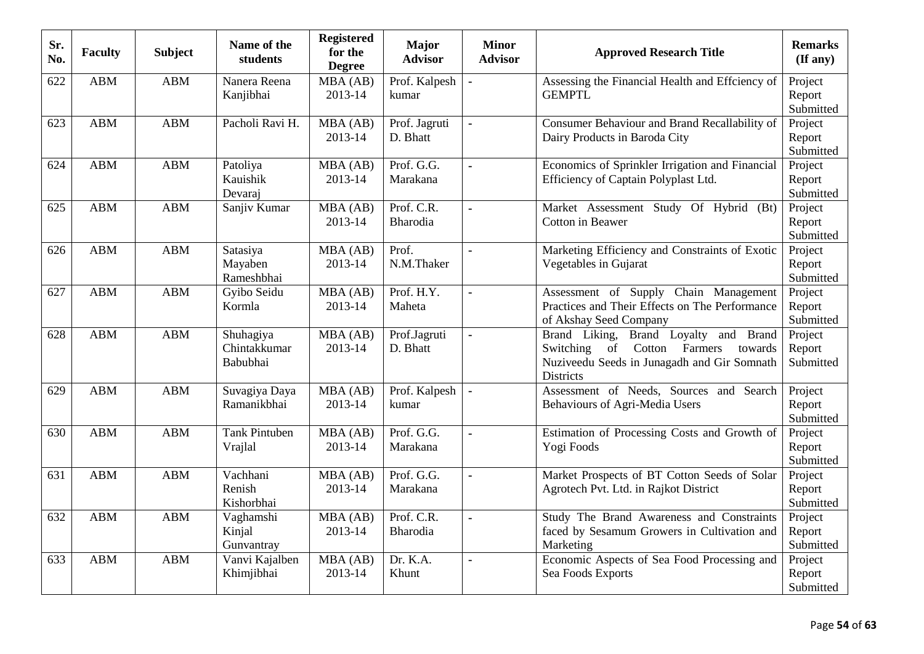| Sr.<br>No. | <b>Faculty</b> | <b>Subject</b> | Name of the<br>students               | <b>Registered</b><br>for the<br><b>Degree</b> | <b>Major</b><br><b>Advisor</b> | <b>Minor</b><br><b>Advisor</b> | <b>Approved Research Title</b>                                                                                                                 | <b>Remarks</b><br>$($ If any $)$ |
|------------|----------------|----------------|---------------------------------------|-----------------------------------------------|--------------------------------|--------------------------------|------------------------------------------------------------------------------------------------------------------------------------------------|----------------------------------|
| 622        | <b>ABM</b>     | <b>ABM</b>     | Nanera Reena<br>Kanjibhai             | MBA (AB)<br>2013-14                           | Prof. Kalpesh<br>kumar         |                                | Assessing the Financial Health and Effciency of<br><b>GEMPTL</b>                                                                               | Project<br>Report<br>Submitted   |
| 623        | <b>ABM</b>     | <b>ABM</b>     | Pacholi Ravi H.                       | MBA(AB)<br>2013-14                            | Prof. Jagruti<br>D. Bhatt      | $\ddot{\phantom{a}}$           | Consumer Behaviour and Brand Recallability of<br>Dairy Products in Baroda City                                                                 | Project<br>Report<br>Submitted   |
| 624        | <b>ABM</b>     | <b>ABM</b>     | Patoliya<br>Kauishik<br>Devaraj       | MBA (AB)<br>2013-14                           | Prof. G.G.<br>Marakana         | $\blacksquare$                 | Economics of Sprinkler Irrigation and Financial<br>Efficiency of Captain Polyplast Ltd.                                                        | Project<br>Report<br>Submitted   |
| 625        | <b>ABM</b>     | <b>ABM</b>     | Sanjiv Kumar                          | MBA(AB)<br>2013-14                            | Prof. C.R.<br>Bharodia         | $\blacksquare$                 | Market Assessment Study Of Hybrid<br>(Bt)<br>Cotton in Beawer                                                                                  | Project<br>Report<br>Submitted   |
| 626        | <b>ABM</b>     | <b>ABM</b>     | Satasiya<br>Mayaben<br>Rameshbhai     | MBA (AB)<br>2013-14                           | Prof.<br>N.M.Thaker            | $\blacksquare$                 | Marketing Efficiency and Constraints of Exotic<br>Vegetables in Gujarat                                                                        | Project<br>Report<br>Submitted   |
| 627        | <b>ABM</b>     | <b>ABM</b>     | Gyibo Seidu<br>Kormla                 | MBA (AB)<br>2013-14                           | Prof. H.Y.<br>Maheta           | $\overline{a}$                 | Assessment of Supply Chain Management<br>Practices and Their Effects on The Performance<br>of Akshay Seed Company                              | Project<br>Report<br>Submitted   |
| 628        | <b>ABM</b>     | <b>ABM</b>     | Shuhagiya<br>Chintakkumar<br>Babubhai | MBA (AB)<br>2013-14                           | Prof.Jagruti<br>D. Bhatt       | $\blacksquare$                 | Brand Liking, Brand Loyalty and Brand<br>of Cotton Farmers<br>Switching<br>towards<br>Nuziveedu Seeds in Junagadh and Gir Somnath<br>Districts | Project<br>Report<br>Submitted   |
| 629        | <b>ABM</b>     | <b>ABM</b>     | Suvagiya Daya<br>Ramanikbhai          | MBA(AB)<br>2013-14                            | Prof. Kalpesh<br>kumar         | $\overline{a}$                 | Assessment of Needs, Sources and Search<br>Behaviours of Agri-Media Users                                                                      | Project<br>Report<br>Submitted   |
| 630        | <b>ABM</b>     | <b>ABM</b>     | <b>Tank Pintuben</b><br>Vrajlal       | MBA (AB)<br>2013-14                           | Prof. G.G.<br>Marakana         | $\blacksquare$                 | Estimation of Processing Costs and Growth of<br>Yogi Foods                                                                                     | Project<br>Report<br>Submitted   |
| 631        | <b>ABM</b>     | <b>ABM</b>     | Vachhani<br>Renish<br>Kishorbhai      | MBA (AB)<br>2013-14                           | Prof. G.G.<br>Marakana         | $\blacksquare$                 | Market Prospects of BT Cotton Seeds of Solar<br>Agrotech Pvt. Ltd. in Rajkot District                                                          | Project<br>Report<br>Submitted   |
| 632        | <b>ABM</b>     | <b>ABM</b>     | Vaghamshi<br>Kinjal<br>Gunvantray     | MBA (AB)<br>2013-14                           | Prof. C.R.<br>Bharodia         | $\blacksquare$                 | Study The Brand Awareness and Constraints<br>faced by Sesamum Growers in Cultivation and<br>Marketing                                          | Project<br>Report<br>Submitted   |
| 633        | <b>ABM</b>     | <b>ABM</b>     | Vanvi Kajalben<br>Khimjibhai          | MBA (AB)<br>2013-14                           | Dr. K.A.<br>Khunt              | $\blacksquare$                 | Economic Aspects of Sea Food Processing and<br>Sea Foods Exports                                                                               | Project<br>Report<br>Submitted   |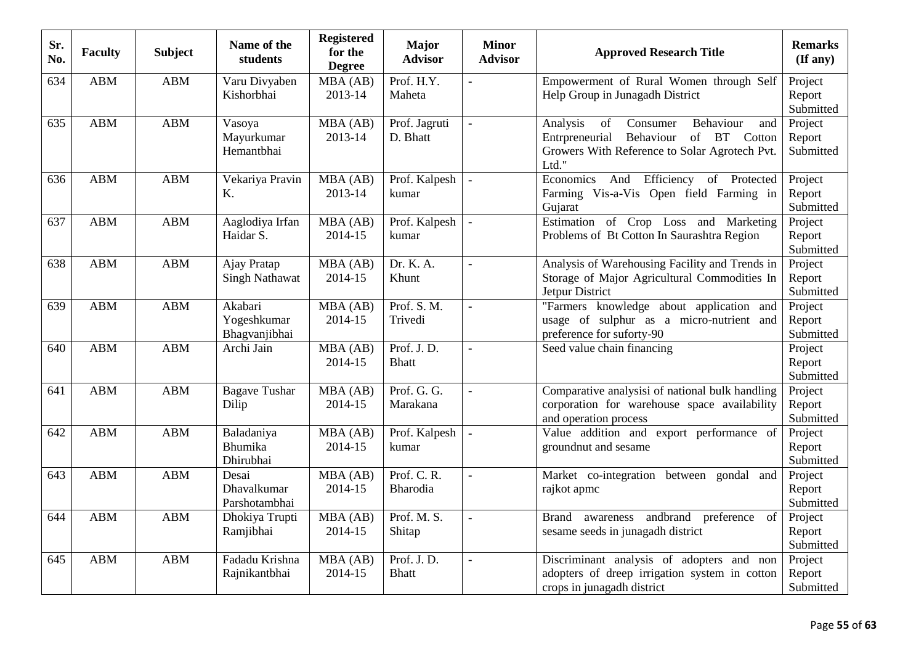| Sr.<br>No. | <b>Faculty</b> | <b>Subject</b> | Name of the<br>students                   | <b>Registered</b><br>for the<br><b>Degree</b> | Major<br><b>Advisor</b>    | <b>Minor</b><br><b>Advisor</b> | <b>Approved Research Title</b>                                                                                                                          | <b>Remarks</b><br>$(\mathbf{If any})$ |
|------------|----------------|----------------|-------------------------------------------|-----------------------------------------------|----------------------------|--------------------------------|---------------------------------------------------------------------------------------------------------------------------------------------------------|---------------------------------------|
| 634        | <b>ABM</b>     | <b>ABM</b>     | Varu Divyaben<br>Kishorbhai               | MBA (AB)<br>2013-14                           | Prof. H.Y.<br>Maheta       |                                | Empowerment of Rural Women through Self<br>Help Group in Junagadh District                                                                              | Project<br>Report<br>Submitted        |
| 635        | <b>ABM</b>     | <b>ABM</b>     | Vasoya<br>Mayurkumar<br>Hemantbhai        | MBA (AB)<br>2013-14                           | Prof. Jagruti<br>D. Bhatt  |                                | Analysis<br>of<br>Consumer<br>Behaviour<br>and<br>Entrpreneurial<br>of BT Cotton<br>Behaviour<br>Growers With Reference to Solar Agrotech Pvt.<br>Ltd." | Project<br>Report<br>Submitted        |
| 636        | <b>ABM</b>     | <b>ABM</b>     | Vekariya Pravin<br>Κ.                     | MBA (AB)<br>2013-14                           | Prof. Kalpesh<br>kumar     |                                | Economics And Efficiency of Protected<br>Farming Vis-a-Vis Open field Farming in<br>Gujarat                                                             | Project<br>Report<br>Submitted        |
| 637        | <b>ABM</b>     | <b>ABM</b>     | Aaglodiya Irfan<br>Haidar S.              | MBA (AB)<br>2014-15                           | Prof. Kalpesh<br>kumar     | $\blacksquare$                 | Estimation of Crop Loss and Marketing<br>Problems of Bt Cotton In Saurashtra Region                                                                     | Project<br>Report<br>Submitted        |
| 638        | <b>ABM</b>     | <b>ABM</b>     | Ajay Pratap<br><b>Singh Nathawat</b>      | MBA (AB)<br>2014-15                           | Dr. K. A.<br>Khunt         | $\blacksquare$                 | Analysis of Warehousing Facility and Trends in<br>Storage of Major Agricultural Commodities In<br>Jetpur District                                       | Project<br>Report<br>Submitted        |
| 639        | <b>ABM</b>     | <b>ABM</b>     | Akabari<br>Yogeshkumar<br>Bhagvanjibhai   | MBA (AB)<br>2014-15                           | Prof. S. M.<br>Trivedi     | ÷,                             | "Farmers knowledge about application and<br>usage of sulphur as a micro-nutrient and<br>preference for suforty-90                                       | Project<br>Report<br>Submitted        |
| 640        | <b>ABM</b>     | <b>ABM</b>     | Archi Jain                                | MBA (AB)<br>2014-15                           | Prof. J.D.<br><b>Bhatt</b> | $\overline{a}$                 | Seed value chain financing                                                                                                                              | Project<br>Report<br>Submitted        |
| 641        | <b>ABM</b>     | <b>ABM</b>     | <b>Bagave Tushar</b><br>Dilip             | MBA (AB)<br>2014-15                           | Prof. G. G.<br>Marakana    |                                | Comparative analysisi of national bulk handling<br>corporation for warehouse space availability<br>and operation process                                | Project<br>Report<br>Submitted        |
| 642        | <b>ABM</b>     | <b>ABM</b>     | Baladaniya<br><b>Bhumika</b><br>Dhirubhai | MBA (AB)<br>2014-15                           | Prof. Kalpesh<br>kumar     | $\overline{a}$                 | Value addition and export performance of<br>groundnut and sesame                                                                                        | Project<br>Report<br>Submitted        |
| 643        | <b>ABM</b>     | <b>ABM</b>     | Desai<br>Dhavalkumar<br>Parshotambhai     | MBA (AB)<br>2014-15                           | Prof. C. R.<br>Bharodia    |                                | Market co-integration between gondal and<br>rajkot apmc                                                                                                 | Project<br>Report<br>Submitted        |
| 644        | <b>ABM</b>     | <b>ABM</b>     | Dhokiya Trupti<br>Ramjibhai               | MBA (AB)<br>2014-15                           | Prof. M. S.<br>Shitap      | $\bullet$                      | Brand awareness andbrand<br>preference<br>of<br>sesame seeds in junagadh district                                                                       | Project<br>Report<br>Submitted        |
| 645        | <b>ABM</b>     | <b>ABM</b>     | Fadadu Krishna<br>Rajnikantbhai           | MBA (AB)<br>2014-15                           | Prof. J.D.<br><b>Bhatt</b> | ä,                             | Discriminant analysis of adopters and non<br>adopters of dreep irrigation system in cotton<br>crops in junagadh district                                | Project<br>Report<br>Submitted        |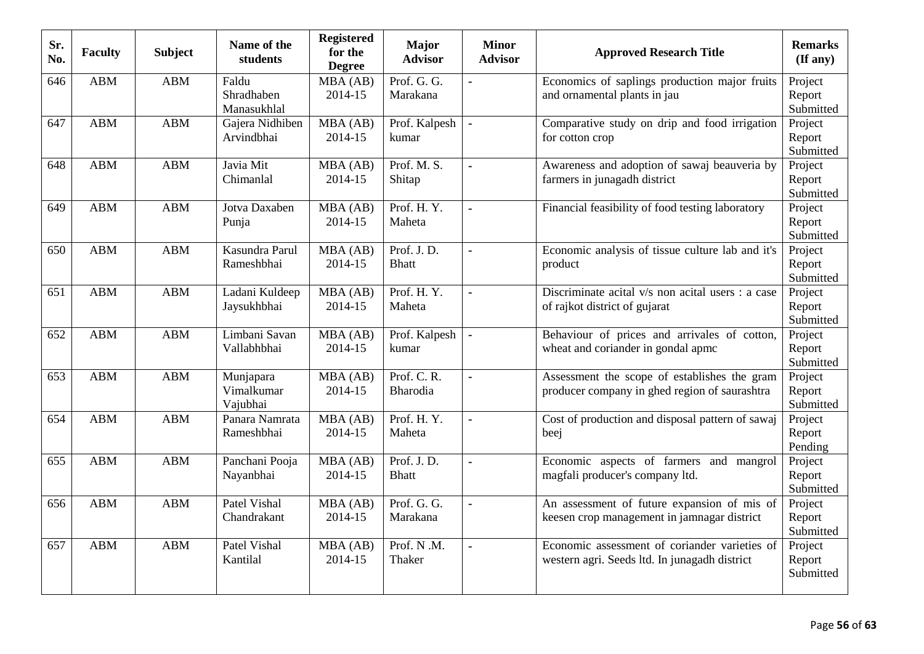| Sr.<br>No. | <b>Faculty</b> | <b>Subject</b> | Name of the<br>students             | <b>Registered</b><br>for the<br><b>Degree</b> | <b>Major</b><br><b>Advisor</b> | <b>Minor</b><br><b>Advisor</b> | <b>Approved Research Title</b>                                                                 | <b>Remarks</b><br>$(\mathbf{If any})$ |
|------------|----------------|----------------|-------------------------------------|-----------------------------------------------|--------------------------------|--------------------------------|------------------------------------------------------------------------------------------------|---------------------------------------|
| 646        | <b>ABM</b>     | <b>ABM</b>     | Faldu<br>Shradhaben<br>Manasukhlal  | MBA (AB)<br>2014-15                           | Prof. G. G.<br>Marakana        |                                | Economics of saplings production major fruits<br>and ornamental plants in jau                  | Project<br>Report<br>Submitted        |
| 647        | <b>ABM</b>     | <b>ABM</b>     | Gajera Nidhiben<br>Arvindbhai       | MBA (AB)<br>2014-15                           | Prof. Kalpesh<br>kumar         | $\blacksquare$                 | Comparative study on drip and food irrigation<br>for cotton crop                               | Project<br>Report<br>Submitted        |
| 648        | <b>ABM</b>     | <b>ABM</b>     | Javia Mit<br>Chimanlal              | MBA (AB)<br>2014-15                           | Prof. M. S.<br>Shitap          | $\blacksquare$                 | Awareness and adoption of sawaj beauveria by<br>farmers in junagadh district                   | Project<br>Report<br>Submitted        |
| 649        | <b>ABM</b>     | <b>ABM</b>     | Jotva Daxaben<br>Punja              | MBA (AB)<br>2014-15                           | Prof. H.Y.<br>Maheta           | $\blacksquare$                 | Financial feasibility of food testing laboratory                                               | Project<br>Report<br>Submitted        |
| 650        | <b>ABM</b>     | <b>ABM</b>     | Kasundra Parul<br>Rameshbhai        | MBA (AB)<br>2014-15                           | Prof. J.D.<br><b>Bhatt</b>     | $\blacksquare$                 | Economic analysis of tissue culture lab and it's<br>product                                    | Project<br>Report<br>Submitted        |
| 651        | <b>ABM</b>     | <b>ABM</b>     | Ladani Kuldeep<br>Jaysukhbhai       | MBA (AB)<br>2014-15                           | Prof. H.Y.<br>Maheta           |                                | Discriminate acital v/s non acital users : a case<br>of rajkot district of gujarat             | Project<br>Report<br>Submitted        |
| 652        | <b>ABM</b>     | <b>ABM</b>     | Limbani Savan<br>Vallabhbhai        | MBA (AB)<br>2014-15                           | Prof. Kalpesh<br>kumar         |                                | Behaviour of prices and arrivales of cotton,<br>wheat and coriander in gondal apmc             | Project<br>Report<br>Submitted        |
| 653        | <b>ABM</b>     | <b>ABM</b>     | Munjapara<br>Vimalkumar<br>Vajubhai | MBA (AB)<br>2014-15                           | Prof. C. R.<br>Bharodia        | ä,                             | Assessment the scope of establishes the gram<br>producer company in ghed region of saurashtra  | Project<br>Report<br>Submitted        |
| 654        | <b>ABM</b>     | <b>ABM</b>     | Panara Namrata<br>Rameshbhai        | MBA (AB)<br>2014-15                           | Prof. H.Y.<br>Maheta           | $\blacksquare$                 | Cost of production and disposal pattern of sawaj<br>beej                                       | Project<br>Report<br>Pending          |
| 655        | <b>ABM</b>     | <b>ABM</b>     | Panchani Pooja<br>Nayanbhai         | MBA(AB)<br>2014-15                            | Prof. J.D.<br><b>Bhatt</b>     | $\blacksquare$                 | Economic aspects of farmers and mangrol<br>magfali producer's company ltd.                     | Project<br>Report<br>Submitted        |
| 656        | <b>ABM</b>     | <b>ABM</b>     | Patel Vishal<br>Chandrakant         | MBA (AB)<br>2014-15                           | Prof. G. G.<br>Marakana        | $\blacksquare$                 | An assessment of future expansion of mis of<br>keesen crop management in jamnagar district     | Project<br>Report<br>Submitted        |
| 657        | <b>ABM</b>     | <b>ABM</b>     | Patel Vishal<br>Kantilal            | MBA (AB)<br>2014-15                           | Prof. N.M.<br>Thaker           | $\blacksquare$                 | Economic assessment of coriander varieties of<br>western agri. Seeds ltd. In junagadh district | Project<br>Report<br>Submitted        |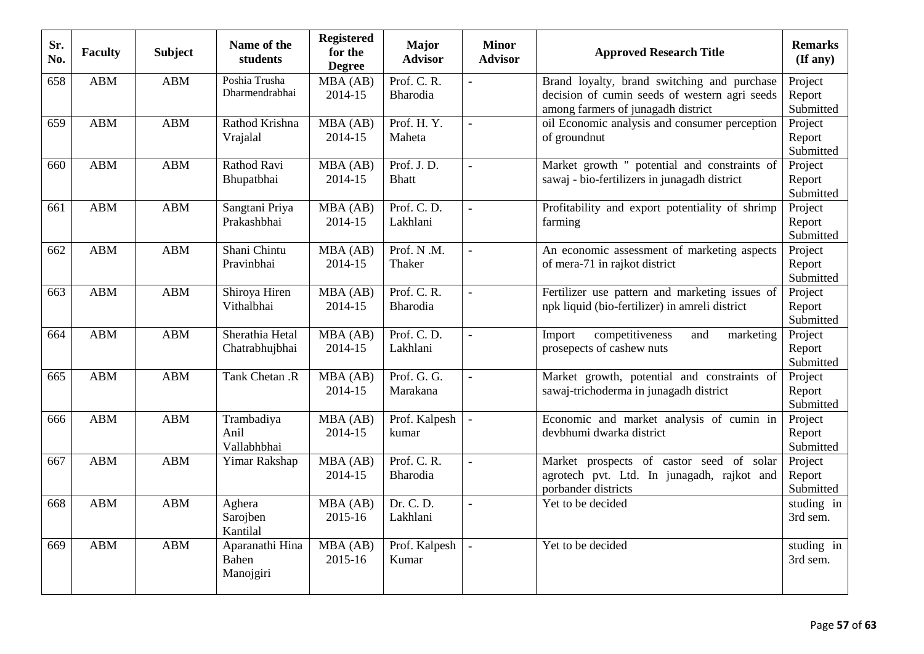| Sr.<br>No. | <b>Faculty</b> | <b>Subject</b> | Name of the<br>students               | <b>Registered</b><br>for the<br><b>Degree</b> | <b>Major</b><br><b>Advisor</b> | <b>Minor</b><br><b>Advisor</b> | <b>Approved Research Title</b>                                                                                                     | <b>Remarks</b><br>(If any)     |
|------------|----------------|----------------|---------------------------------------|-----------------------------------------------|--------------------------------|--------------------------------|------------------------------------------------------------------------------------------------------------------------------------|--------------------------------|
| 658        | ABM            | <b>ABM</b>     | Poshia Trusha<br>Dharmendrabhai       | MBA (AB)<br>2014-15                           | Prof. C. R.<br>Bharodia        | $\blacksquare$                 | Brand loyalty, brand switching and purchase<br>decision of cumin seeds of western agri seeds<br>among farmers of junagadh district | Project<br>Report<br>Submitted |
| 659        | <b>ABM</b>     | <b>ABM</b>     | Rathod Krishna<br>Vrajalal            | MBA (AB)<br>2014-15                           | Prof. H.Y.<br>Maheta           | $\overline{a}$                 | oil Economic analysis and consumer perception<br>of groundnut                                                                      | Project<br>Report<br>Submitted |
| 660        | <b>ABM</b>     | <b>ABM</b>     | Rathod Ravi<br>Bhupatbhai             | MBA (AB)<br>2014-15                           | Prof. J.D.<br><b>Bhatt</b>     | ÷,                             | Market growth " potential and constraints of<br>sawaj - bio-fertilizers in junagadh district                                       | Project<br>Report<br>Submitted |
| 661        | <b>ABM</b>     | <b>ABM</b>     | Sangtani Priya<br>Prakashbhai         | $\overline{M}BA(AB)$<br>2014-15               | Prof. C.D.<br>Lakhlani         | ÷,                             | Profitability and export potentiality of shrimp<br>farming                                                                         | Project<br>Report<br>Submitted |
| 662        | <b>ABM</b>     | <b>ABM</b>     | Shani Chintu<br>Pravinbhai            | MBA (AB)<br>2014-15                           | Prof. N.M.<br>Thaker           | $\blacksquare$                 | An economic assessment of marketing aspects<br>of mera-71 in rajkot district                                                       | Project<br>Report<br>Submitted |
| 663        | <b>ABM</b>     | <b>ABM</b>     | Shiroya Hiren<br>Vithalbhai           | MBA (AB)<br>2014-15                           | Prof. C. R.<br>Bharodia        |                                | Fertilizer use pattern and marketing issues of<br>npk liquid (bio-fertilizer) in amreli district                                   | Project<br>Report<br>Submitted |
| 664        | <b>ABM</b>     | <b>ABM</b>     | Sherathia Hetal<br>Chatrabhujbhai     | MBA (AB)<br>2014-15                           | Prof. C. D.<br>Lakhlani        | $\blacksquare$                 | competitiveness<br>Import<br>and<br>marketing<br>prosepects of cashew nuts                                                         | Project<br>Report<br>Submitted |
| 665        | <b>ABM</b>     | <b>ABM</b>     | Tank Chetan .R                        | MBA (AB)<br>2014-15                           | Prof. G. G.<br>Marakana        | $\blacksquare$                 | Market growth, potential and constraints of<br>sawaj-trichoderma in junagadh district                                              | Project<br>Report<br>Submitted |
| 666        | <b>ABM</b>     | <b>ABM</b>     | Trambadiya<br>Anil<br>Vallabhbhai     | MBA(AB)<br>2014-15                            | Prof. Kalpesh<br>kumar         | $\blacksquare$                 | Economic and market analysis of cumin in<br>devbhumi dwarka district                                                               | Project<br>Report<br>Submitted |
| 667        | <b>ABM</b>     | <b>ABM</b>     | Yimar Rakshap                         | MBA (AB)<br>2014-15                           | Prof. C. R.<br>Bharodia        | $\blacksquare$                 | Market prospects of castor seed of solar<br>agrotech pvt. Ltd. In junagadh, rajkot and<br>porbander districts                      | Project<br>Report<br>Submitted |
| 668        | <b>ABM</b>     | <b>ABM</b>     | Aghera<br>Sarojben<br>Kantilal        | $\overline{M}BA(AB)$<br>2015-16               | Dr. C. D.<br>Lakhlani          | ä,                             | Yet to be decided                                                                                                                  | studing in<br>3rd sem.         |
| 669        | <b>ABM</b>     | <b>ABM</b>     | Aparanathi Hina<br>Bahen<br>Manojgiri | MBA (AB)<br>2015-16                           | Prof. Kalpesh<br>Kumar         | ÷,                             | Yet to be decided                                                                                                                  | studing in<br>3rd sem.         |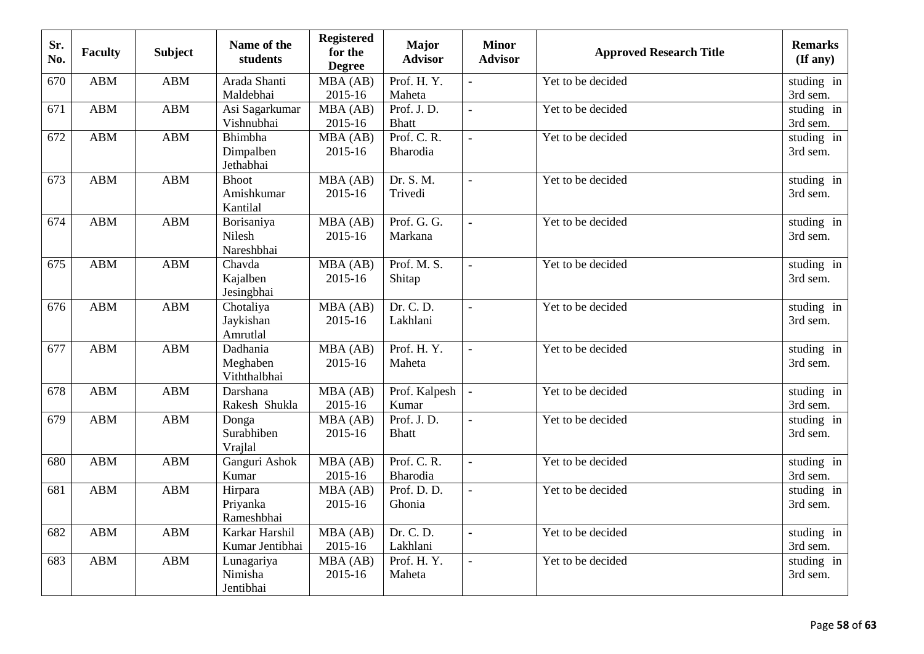| Sr.<br>No. | <b>Faculty</b> | <b>Subject</b> | Name of the<br>students                | <b>Registered</b><br>for the<br><b>Degree</b> | <b>Major</b><br><b>Advisor</b> | <b>Minor</b><br><b>Advisor</b> | <b>Approved Research Title</b> | <b>Remarks</b><br>$(\mathbf{If any})$ |
|------------|----------------|----------------|----------------------------------------|-----------------------------------------------|--------------------------------|--------------------------------|--------------------------------|---------------------------------------|
| 670        | ABM            | <b>ABM</b>     | Arada Shanti<br>Maldebhai              | MBA (AB)<br>2015-16                           | Prof. H.Y.<br>Maheta           | $\overline{a}$                 | Yet to be decided              | studing in<br>3rd sem.                |
| 671        | <b>ABM</b>     | <b>ABM</b>     | Asi Sagarkumar<br>Vishnubhai           | MBA(AB)<br>2015-16                            | Prof. J.D.<br><b>Bhatt</b>     | $\overline{a}$                 | Yet to be decided              | studing in<br>3rd sem.                |
| 672        | <b>ABM</b>     | <b>ABM</b>     | Bhimbha<br>Dimpalben<br>Jethabhai      | MBA (AB)<br>2015-16                           | Prof. C. R.<br>Bharodia        | $\blacksquare$                 | Yet to be decided              | studing in<br>3rd sem.                |
| 673        | <b>ABM</b>     | <b>ABM</b>     | <b>Bhoot</b><br>Amishkumar<br>Kantilal | MBA(AB)<br>2015-16                            | Dr. S. M.<br>Trivedi           | $\blacksquare$                 | Yet to be decided              | studing in<br>3rd sem.                |
| 674        | <b>ABM</b>     | <b>ABM</b>     | Borisaniya<br>Nilesh<br>Nareshbhai     | MBA (AB)<br>2015-16                           | Prof. G. G.<br>Markana         | $\bullet$                      | Yet to be decided              | studing in<br>3rd sem.                |
| 675        | <b>ABM</b>     | <b>ABM</b>     | Chavda<br>Kajalben<br>Jesingbhai       | MBA (AB)<br>2015-16                           | Prof. M. S.<br>Shitap          | $\blacksquare$                 | Yet to be decided              | studing in<br>3rd sem.                |
| 676        | <b>ABM</b>     | <b>ABM</b>     | Chotaliya<br>Jaykishan<br>Amrutlal     | MBA (AB)<br>2015-16                           | Dr. C. D.<br>Lakhlani          | $\blacksquare$                 | Yet to be decided              | studing in<br>3rd sem.                |
| 677        | <b>ABM</b>     | <b>ABM</b>     | Dadhania<br>Meghaben<br>Viththalbhai   | MBA (AB)<br>2015-16                           | Prof. H.Y.<br>Maheta           | $\blacksquare$                 | Yet to be decided              | studing in<br>3rd sem.                |
| 678        | <b>ABM</b>     | <b>ABM</b>     | Darshana<br>Rakesh Shukla              | MBA (AB)<br>2015-16                           | Prof. Kalpesh<br>Kumar         | $\blacksquare$                 | Yet to be decided              | studing in<br>3rd sem.                |
| 679        | <b>ABM</b>     | <b>ABM</b>     | Donga<br>Surabhiben<br>Vrajlal         | $\overline{MBA}$ (AB)<br>2015-16              | Prof. J.D.<br><b>Bhatt</b>     | $\blacksquare$                 | Yet to be decided              | studing in<br>3rd sem.                |
| 680        | <b>ABM</b>     | <b>ABM</b>     | Ganguri Ashok<br>Kumar                 | MBA (AB)<br>2015-16                           | Prof. C. R.<br>Bharodia        | $\blacksquare$                 | Yet to be decided              | studing in<br>3rd sem.                |
| 681        | <b>ABM</b>     | <b>ABM</b>     | Hirpara<br>Priyanka<br>Rameshbhai      | MBA(AB)<br>2015-16                            | Prof. D. D.<br>Ghonia          | $\blacksquare$                 | Yet to be decided              | studing in<br>3rd sem.                |
| 682        | <b>ABM</b>     | <b>ABM</b>     | Karkar Harshil<br>Kumar Jentibhai      | MBA (AB)<br>2015-16                           | Dr. C. D.<br>Lakhlani          | $\blacksquare$                 | Yet to be decided              | studing in<br>3rd sem.                |
| 683        | <b>ABM</b>     | <b>ABM</b>     | Lunagariya<br>Nimisha<br>Jentibhai     | MBA (AB)<br>2015-16                           | Prof. H.Y.<br>Maheta           | $\blacksquare$                 | Yet to be decided              | studing in<br>3rd sem.                |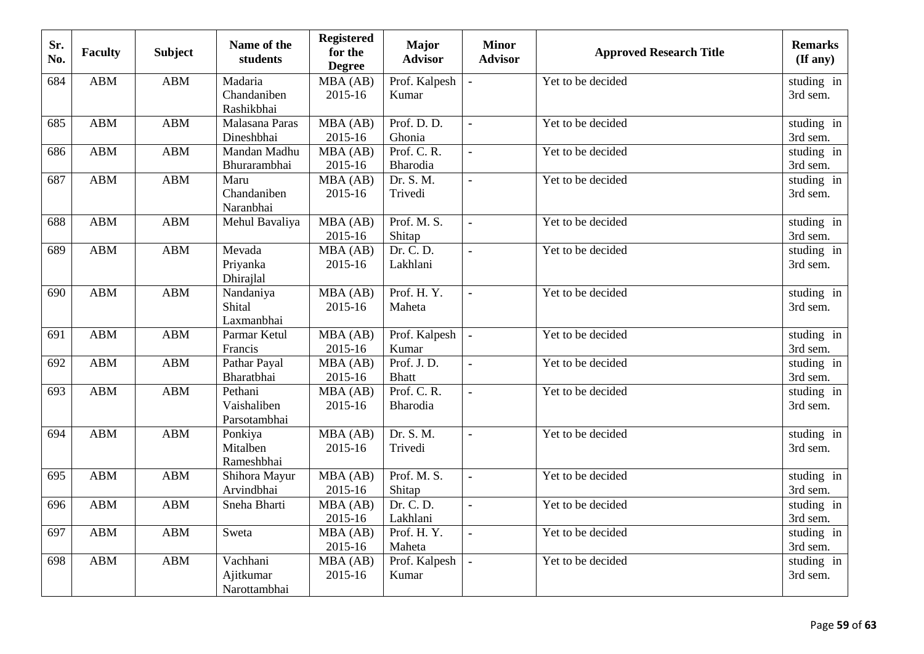| Sr.<br>No. | <b>Faculty</b> | <b>Subject</b> | Name of the<br>students                | <b>Registered</b><br>for the<br><b>Degree</b> | <b>Major</b><br><b>Advisor</b> | <b>Minor</b><br><b>Advisor</b> | <b>Approved Research Title</b> | <b>Remarks</b><br>$(\mathbf{If any})$ |
|------------|----------------|----------------|----------------------------------------|-----------------------------------------------|--------------------------------|--------------------------------|--------------------------------|---------------------------------------|
| 684        | ABM            | <b>ABM</b>     | Madaria<br>Chandaniben<br>Rashikbhai   | MBA (AB)<br>2015-16                           | Prof. Kalpesh<br>Kumar         |                                | Yet to be decided              | studing in<br>3rd sem.                |
| 685        | <b>ABM</b>     | <b>ABM</b>     | Malasana Paras<br>Dineshbhai           | MBA (AB)<br>2015-16                           | Prof. D. D.<br>Ghonia          | $\blacksquare$                 | Yet to be decided              | studing in<br>3rd sem.                |
| 686        | <b>ABM</b>     | <b>ABM</b>     | Mandan Madhu<br>Bhurarambhai           | MBA(AB)<br>2015-16                            | Prof. C. R.<br>Bharodia        | $\blacksquare$                 | Yet to be decided              | studing in<br>3rd sem.                |
| 687        | <b>ABM</b>     | <b>ABM</b>     | Maru<br>Chandaniben<br>Naranbhai       | MBA (AB)<br>2015-16                           | Dr. S. M.<br>Trivedi           | $\blacksquare$                 | Yet to be decided              | studing in<br>3rd sem.                |
| 688        | <b>ABM</b>     | <b>ABM</b>     | Mehul Bavaliya                         | MBA (AB)<br>2015-16                           | Prof. M. S.<br>Shitap          | $\blacksquare$                 | Yet to be decided              | studing in<br>3rd sem.                |
| 689        | <b>ABM</b>     | <b>ABM</b>     | Mevada<br>Priyanka<br>Dhirajlal        | MBA (AB)<br>2015-16                           | Dr. C. D.<br>Lakhlani          | $\blacksquare$                 | Yet to be decided              | studing in<br>3rd sem.                |
| 690        | <b>ABM</b>     | <b>ABM</b>     | Nandaniya<br>Shital<br>Laxmanbhai      | MBA (AB)<br>2015-16                           | Prof. H.Y.<br>Maheta           | $\ddot{\phantom{a}}$           | Yet to be decided              | studing in<br>3rd sem.                |
| 691        | <b>ABM</b>     | <b>ABM</b>     | Parmar Ketul<br>Francis                | MBA (AB)<br>2015-16                           | Prof. Kalpesh<br>Kumar         | $\blacksquare$                 | Yet to be decided              | studing in<br>3rd sem.                |
| 692        | <b>ABM</b>     | <b>ABM</b>     | Pathar Payal<br>Bharatbhai             | MBA (AB)<br>2015-16                           | Prof. J.D.<br><b>Bhatt</b>     | $\blacksquare$                 | Yet to be decided              | studing in<br>3rd sem.                |
| 693        | <b>ABM</b>     | <b>ABM</b>     | Pethani<br>Vaishaliben<br>Parsotambhai | MBA (AB)<br>2015-16                           | Prof. C. R.<br>Bharodia        | $\blacksquare$                 | Yet to be decided              | studing in<br>3rd sem.                |
| 694        | <b>ABM</b>     | <b>ABM</b>     | Ponkiya<br>Mitalben<br>Rameshbhai      | MBA (AB)<br>2015-16                           | Dr. S. M.<br>Trivedi           | $\blacksquare$                 | Yet to be decided              | studing in<br>3rd sem.                |
| 695        | <b>ABM</b>     | <b>ABM</b>     | Shihora Mayur<br>Arvindbhai            | MBA (AB)<br>2015-16                           | Prof. M. S.<br>Shitap          | $\blacksquare$                 | Yet to be decided              | studing in<br>3rd sem.                |
| 696        | <b>ABM</b>     | <b>ABM</b>     | Sneha Bharti                           | MBA (AB)<br>2015-16                           | Dr. C. D.<br>Lakhlani          | $\overline{a}$                 | Yet to be decided              | studing in<br>3rd sem.                |
| 697        | ABM            | <b>ABM</b>     | Sweta                                  | MBA (AB)<br>2015-16                           | Prof. H.Y.<br>Maheta           | $\blacksquare$                 | Yet to be decided              | studing in<br>3rd sem.                |
| 698        | <b>ABM</b>     | <b>ABM</b>     | Vachhani<br>Ajitkumar<br>Narottambhai  | MBA(AB)<br>2015-16                            | Prof. Kalpesh<br>Kumar         | $\blacksquare$                 | Yet to be decided              | studing in<br>3rd sem.                |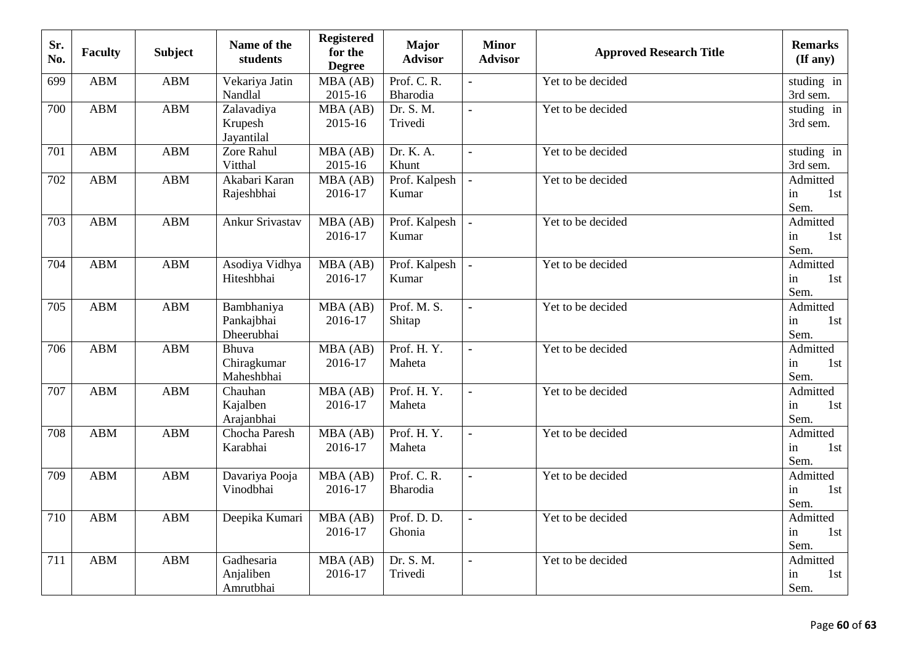| Sr.<br>No. | <b>Faculty</b> | <b>Subject</b> | Name of the<br>students                | <b>Registered</b><br>for the<br><b>Degree</b> | <b>Major</b><br><b>Advisor</b> | <b>Minor</b><br><b>Advisor</b> | <b>Approved Research Title</b> | <b>Remarks</b><br>$(\mathbf{If any})$ |
|------------|----------------|----------------|----------------------------------------|-----------------------------------------------|--------------------------------|--------------------------------|--------------------------------|---------------------------------------|
| 699        | <b>ABM</b>     | <b>ABM</b>     | Vekariya Jatin<br>Nandlal              | MBA (AB)<br>2015-16                           | Prof. C. R.<br>Bharodia        | ÷                              | Yet to be decided              | studing in<br>3rd sem.                |
| 700        | <b>ABM</b>     | <b>ABM</b>     | Zalavadiya<br>Krupesh<br>Jayantilal    | MBA (AB)<br>2015-16                           | Dr. S. M.<br>Trivedi           | $\overline{a}$                 | Yet to be decided              | studing in<br>3rd sem.                |
| 701        | <b>ABM</b>     | <b>ABM</b>     | Zore Rahul<br>Vitthal                  | MBA (AB)<br>2015-16                           | Dr. K. A.<br>Khunt             | $\blacksquare$                 | Yet to be decided              | studing in<br>3rd sem.                |
| 702        | <b>ABM</b>     | <b>ABM</b>     | Akabari Karan<br>Rajeshbhai            | MBA (AB)<br>2016-17                           | Prof. Kalpesh<br>Kumar         | $\blacksquare$                 | Yet to be decided              | Admitted<br>1st<br>in<br>Sem.         |
| 703        | <b>ABM</b>     | <b>ABM</b>     | Ankur Srivastav                        | MBA (AB)<br>2016-17                           | Prof. Kalpesh<br>Kumar         | $\blacksquare$                 | Yet to be decided              | Admitted<br>in<br>1st<br>Sem.         |
| 704        | <b>ABM</b>     | <b>ABM</b>     | Asodiya Vidhya<br>Hiteshbhai           | MBA (AB)<br>2016-17                           | Prof. Kalpesh<br>Kumar         | $\blacksquare$                 | Yet to be decided              | Admitted<br>in<br>1st<br>Sem.         |
| 705        | <b>ABM</b>     | <b>ABM</b>     | Bambhaniya<br>Pankajbhai<br>Dheerubhai | MBA (AB)<br>2016-17                           | Prof. M. S.<br>Shitap          | $\blacksquare$                 | Yet to be decided              | Admitted<br>in<br>1st<br>Sem.         |
| 706        | <b>ABM</b>     | <b>ABM</b>     | Bhuva<br>Chiragkumar<br>Maheshbhai     | MBA (AB)<br>2016-17                           | Prof. H.Y.<br>Maheta           | $\blacksquare$                 | Yet to be decided              | Admitted<br>1st<br>in<br>Sem.         |
| 707        | <b>ABM</b>     | <b>ABM</b>     | Chauhan<br>Kajalben<br>Arajanbhai      | MBA (AB)<br>2016-17                           | Prof. H.Y.<br>Maheta           | $\overline{a}$                 | Yet to be decided              | Admitted<br>in<br>1st<br>Sem.         |
| 708        | <b>ABM</b>     | <b>ABM</b>     | Chocha Paresh<br>Karabhai              | MBA(AB)<br>2016-17                            | Prof. H.Y.<br>Maheta           | $\blacksquare$                 | Yet to be decided              | Admitted<br>in<br>1st<br>Sem.         |
| 709        | <b>ABM</b>     | <b>ABM</b>     | Davariya Pooja<br>Vinodbhai            | MBA (AB)<br>2016-17                           | Prof. C. R.<br>Bharodia        | $\blacksquare$                 | Yet to be decided              | Admitted<br>in<br>1st<br>Sem.         |
| 710        | <b>ABM</b>     | <b>ABM</b>     | Deepika Kumari                         | MBA (AB)<br>2016-17                           | Prof. D. D.<br>Ghonia          | $\blacksquare$                 | Yet to be decided              | Admitted<br>in<br>1st<br>Sem.         |
| 711        | <b>ABM</b>     | <b>ABM</b>     | Gadhesaria<br>Anjaliben<br>Amrutbhai   | MBA (AB)<br>2016-17                           | Dr. S. M.<br>Trivedi           | $\blacksquare$                 | Yet to be decided              | Admitted<br>in<br>1st<br>Sem.         |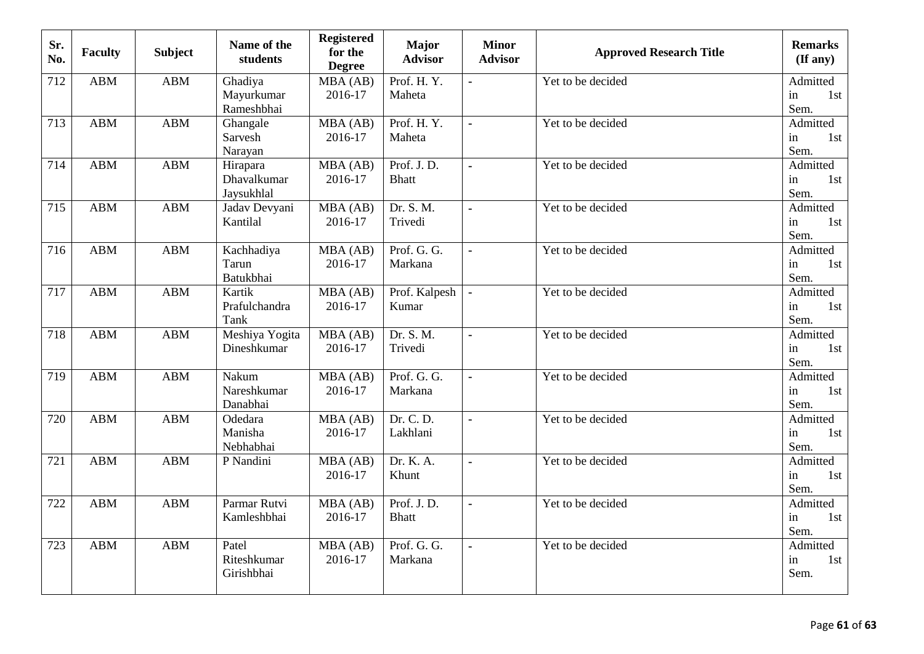| Sr.<br>No. | <b>Faculty</b> | <b>Subject</b> | Name of the<br>students               | <b>Registered</b><br>for the<br><b>Degree</b> | Major<br><b>Advisor</b>    | <b>Minor</b><br><b>Advisor</b> | <b>Approved Research Title</b> | <b>Remarks</b><br>$(\mathbf{If any})$ |
|------------|----------------|----------------|---------------------------------------|-----------------------------------------------|----------------------------|--------------------------------|--------------------------------|---------------------------------------|
| 712        | <b>ABM</b>     | <b>ABM</b>     | Ghadiya<br>Mayurkumar<br>Rameshbhai   | MBA (AB)<br>2016-17                           | Prof. H.Y.<br>Maheta       | ä,                             | Yet to be decided              | Admitted<br>in<br>1st<br>Sem.         |
| 713        | <b>ABM</b>     | ABM            | Ghangale<br>Sarvesh<br>Narayan        | MBA (AB)<br>2016-17                           | Prof. H.Y.<br>Maheta       | $\mathbf{r}$                   | Yet to be decided              | Admitted<br>in<br>1st<br>Sem.         |
| 714        | <b>ABM</b>     | <b>ABM</b>     | Hirapara<br>Dhavalkumar<br>Jaysukhlal | MBA (AB)<br>2016-17                           | Prof. J.D.<br><b>Bhatt</b> | $\blacksquare$                 | Yet to be decided              | Admitted<br>in<br>1st<br>Sem.         |
| 715        | <b>ABM</b>     | ABM            | Jadav Devyani<br>Kantilal             | MBA(AB)<br>2016-17                            | Dr. S. M.<br>Trivedi       | $\blacksquare$                 | Yet to be decided              | Admitted<br>in<br>1st<br>Sem.         |
| 716        | ABM            | ABM            | Kachhadiya<br>Tarun<br>Batukbhai      | MBA (AB)<br>2016-17                           | Prof. G. G.<br>Markana     | $\blacksquare$                 | Yet to be decided              | Admitted<br>in<br>1st<br>Sem.         |
| 717        | ABM            | ABM            | Kartik<br>Prafulchandra<br>Tank       | MBA (AB)<br>2016-17                           | Prof. Kalpesh<br>Kumar     | $\blacksquare$                 | Yet to be decided              | Admitted<br>in<br>1st<br>Sem.         |
| 718        | <b>ABM</b>     | <b>ABM</b>     | Meshiya Yogita<br>Dineshkumar         | MBA(AB)<br>2016-17                            | Dr. S. M.<br>Trivedi       | $\blacksquare$                 | Yet to be decided              | Admitted<br>1st<br>in<br>Sem.         |
| 719        | <b>ABM</b>     | <b>ABM</b>     | Nakum<br>Nareshkumar<br>Danabhai      | MBA (AB)<br>2016-17                           | Prof. G. G.<br>Markana     | $\blacksquare$                 | Yet to be decided              | Admitted<br>in<br>1st<br>Sem.         |
| 720        | ABM            | <b>ABM</b>     | Odedara<br>Manisha<br>Nebhabhai       | MBA (AB)<br>2016-17                           | Dr. C. D.<br>Lakhlani      | $\blacksquare$                 | Yet to be decided              | Admitted<br>in<br>1st<br>Sem.         |
| 721        | <b>ABM</b>     | <b>ABM</b>     | P Nandini                             | MBA (AB)<br>2016-17                           | Dr. K. A.<br>Khunt         | $\blacksquare$                 | Yet to be decided              | Admitted<br>in<br>1st<br>Sem.         |
| 722        | <b>ABM</b>     | <b>ABM</b>     | Parmar Rutvi<br>Kamleshbhai           | MBA (AB)<br>2016-17                           | Prof. J.D.<br><b>Bhatt</b> | $\bullet$                      | Yet to be decided              | Admitted<br>in<br>1st<br>Sem.         |
| 723        | <b>ABM</b>     | <b>ABM</b>     | Patel<br>Riteshkumar<br>Girishbhai    | MBA (AB)<br>2016-17                           | Prof. G. G.<br>Markana     | $\blacksquare$                 | Yet to be decided              | Admitted<br>in<br>1st<br>Sem.         |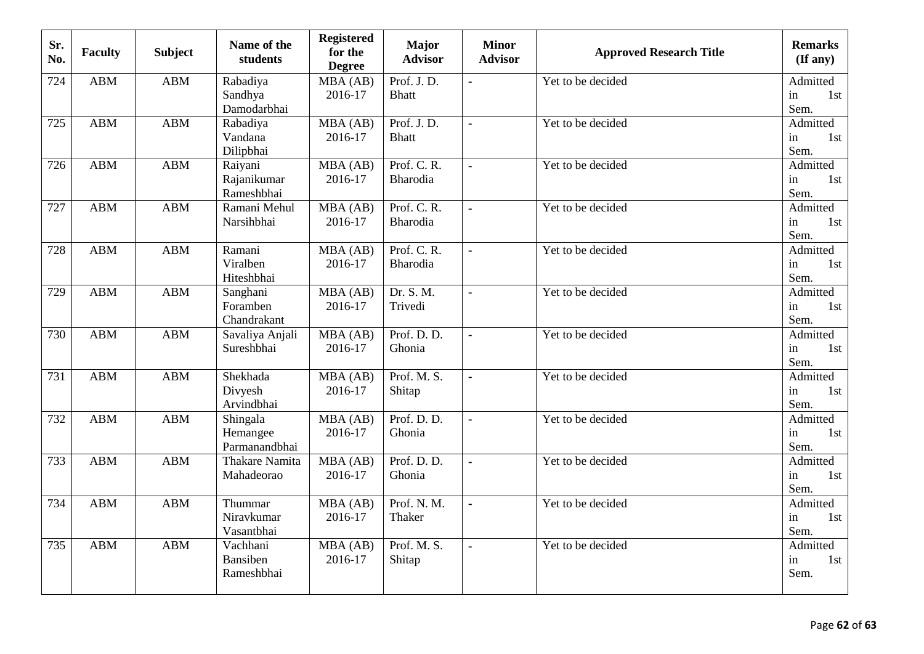| Sr.<br>No. | <b>Faculty</b> | <b>Subject</b> | Name of the<br>students               | <b>Registered</b><br>for the<br><b>Degree</b> | Major<br><b>Advisor</b>    | <b>Minor</b><br><b>Advisor</b> | <b>Approved Research Title</b> | <b>Remarks</b><br>$(\mathbf{If any})$ |
|------------|----------------|----------------|---------------------------------------|-----------------------------------------------|----------------------------|--------------------------------|--------------------------------|---------------------------------------|
| 724        | <b>ABM</b>     | <b>ABM</b>     | Rabadiya<br>Sandhya<br>Damodarbhai    | MBA (AB)<br>2016-17                           | Prof. J.D.<br><b>Bhatt</b> | ä,                             | Yet to be decided              | Admitted<br>in<br>1st<br>Sem.         |
| 725        | <b>ABM</b>     | <b>ABM</b>     | Rabadiya<br>Vandana<br>Dilipbhai      | MBA (AB)<br>2016-17                           | Prof. J.D.<br><b>Bhatt</b> | $\mathbf{r}$                   | Yet to be decided              | Admitted<br>in<br>1st<br>Sem.         |
| 726        | <b>ABM</b>     | <b>ABM</b>     | Raiyani<br>Rajanikumar<br>Rameshbhai  | MBA (AB)<br>2016-17                           | Prof. C. R.<br>Bharodia    | $\blacksquare$                 | Yet to be decided              | Admitted<br>in<br>1st<br>Sem.         |
| 727        | <b>ABM</b>     | <b>ABM</b>     | Ramani Mehul<br>Narsihbhai            | MBA (AB)<br>2016-17                           | Prof. C. R.<br>Bharodia    | $\blacksquare$                 | Yet to be decided              | Admitted<br>in<br>1st<br>Sem.         |
| 728        | <b>ABM</b>     | <b>ABM</b>     | Ramani<br>Viralben<br>Hiteshbhai      | MBA (AB)<br>2016-17                           | Prof. C. R.<br>Bharodia    | $\blacksquare$                 | Yet to be decided              | Admitted<br>in<br>1st<br>Sem.         |
| 729        | <b>ABM</b>     | <b>ABM</b>     | Sanghani<br>Foramben<br>Chandrakant   | MBA (AB)<br>2016-17                           | Dr. S. M.<br>Trivedi       | $\blacksquare$                 | Yet to be decided              | Admitted<br>in<br>1st<br>Sem.         |
| 730        | <b>ABM</b>     | <b>ABM</b>     | Savaliya Anjali<br>Sureshbhai         | MBA(AB)<br>2016-17                            | Prof. D. D.<br>Ghonia      | $\blacksquare$                 | Yet to be decided              | Admitted<br>1st<br>in<br>Sem.         |
| 731        | <b>ABM</b>     | <b>ABM</b>     | Shekhada<br>Divyesh<br>Arvindbhai     | MBA (AB)<br>2016-17                           | Prof. M. S.<br>Shitap      | $\blacksquare$                 | Yet to be decided              | Admitted<br>in<br>1st<br>Sem.         |
| 732        | <b>ABM</b>     | <b>ABM</b>     | Shingala<br>Hemangee<br>Parmanandbhai | MBA (AB)<br>2016-17                           | Prof. D. D.<br>Ghonia      | $\blacksquare$                 | Yet to be decided              | Admitted<br>in<br>1st<br>Sem.         |
| 733        | <b>ABM</b>     | <b>ABM</b>     | <b>Thakare Namita</b><br>Mahadeorao   | MBA(AB)<br>2016-17                            | Prof. D. D.<br>Ghonia      | $\blacksquare$                 | Yet to be decided              | Admitted<br>in<br>1st<br>Sem.         |
| 734        | <b>ABM</b>     | <b>ABM</b>     | Thummar<br>Niravkumar<br>Vasantbhai   | MBA(AB)<br>2016-17                            | Prof. N. M.<br>Thaker      | $\blacksquare$                 | Yet to be decided              | Admitted<br>in<br>1st<br>Sem.         |
| 735        | <b>ABM</b>     | <b>ABM</b>     | Vachhani<br>Bansiben<br>Rameshbhai    | MBA (AB)<br>2016-17                           | Prof. M. S.<br>Shitap      | $\blacksquare$                 | Yet to be decided              | Admitted<br>in<br>1st<br>Sem.         |